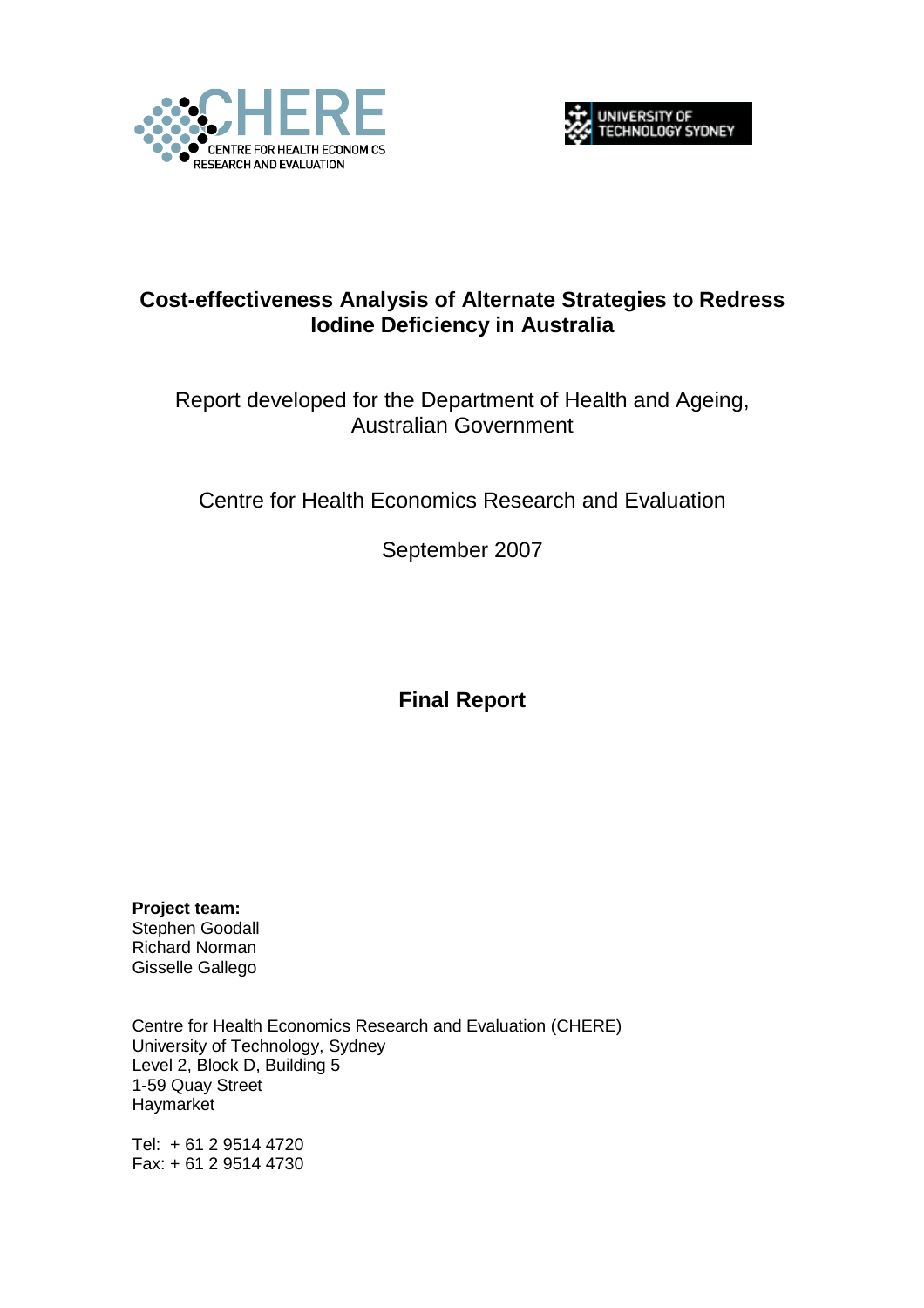



# **Cost-effectiveness Analysis of Alternate Strategies to Redress Iodine Deficiency in Australia**

# Report developed for the Department of Health and Ageing, Australian Government

Centre for Health Economics Research and Evaluation

September 2007

**Final Report** 

**Project team:**  Stephen Goodall Richard Norman Gisselle Gallego

Centre for Health Economics Research and Evaluation (CHERE) University of Technology, Sydney Level 2, Block D, Building 5 1-59 Quay Street **Haymarket** 

Tel: + 61 2 9514 4720 Fax: + 61 2 9514 4730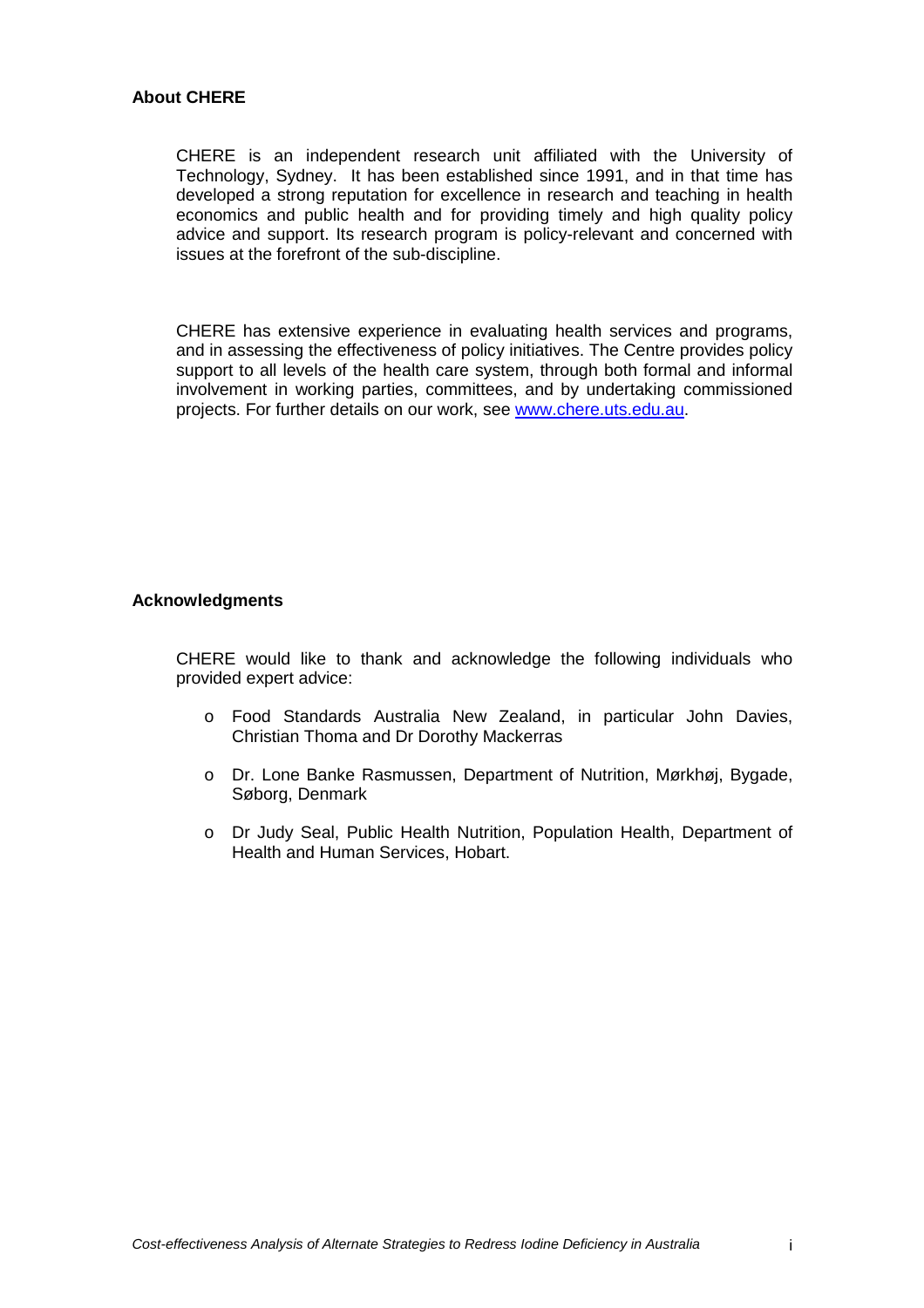#### **About CHERE**

CHERE is an independent research unit affiliated with the University of Technology, Sydney. It has been established since 1991, and in that time has developed a strong reputation for excellence in research and teaching in health economics and public health and for providing timely and high quality policy advice and support. Its research program is policy-relevant and concerned with issues at the forefront of the sub-discipline.

CHERE has extensive experience in evaluating health services and programs, and in assessing the effectiveness of policy initiatives. The Centre provides policy support to all levels of the health care system, through both formal and informal involvement in working parties, committees, and by undertaking commissioned projects. For further details on our work, see www.chere.uts.edu.au.

#### **Acknowledgments**

CHERE would like to thank and acknowledge the following individuals who provided expert advice:

- o Food Standards Australia New Zealand, in particular John Davies, Christian Thoma and Dr Dorothy Mackerras
- o Dr. Lone Banke Rasmussen, Department of Nutrition, Mørkhøj, Bygade, Søborg, Denmark
- o Dr Judy Seal, Public Health Nutrition, Population Health, Department of Health and Human Services, Hobart.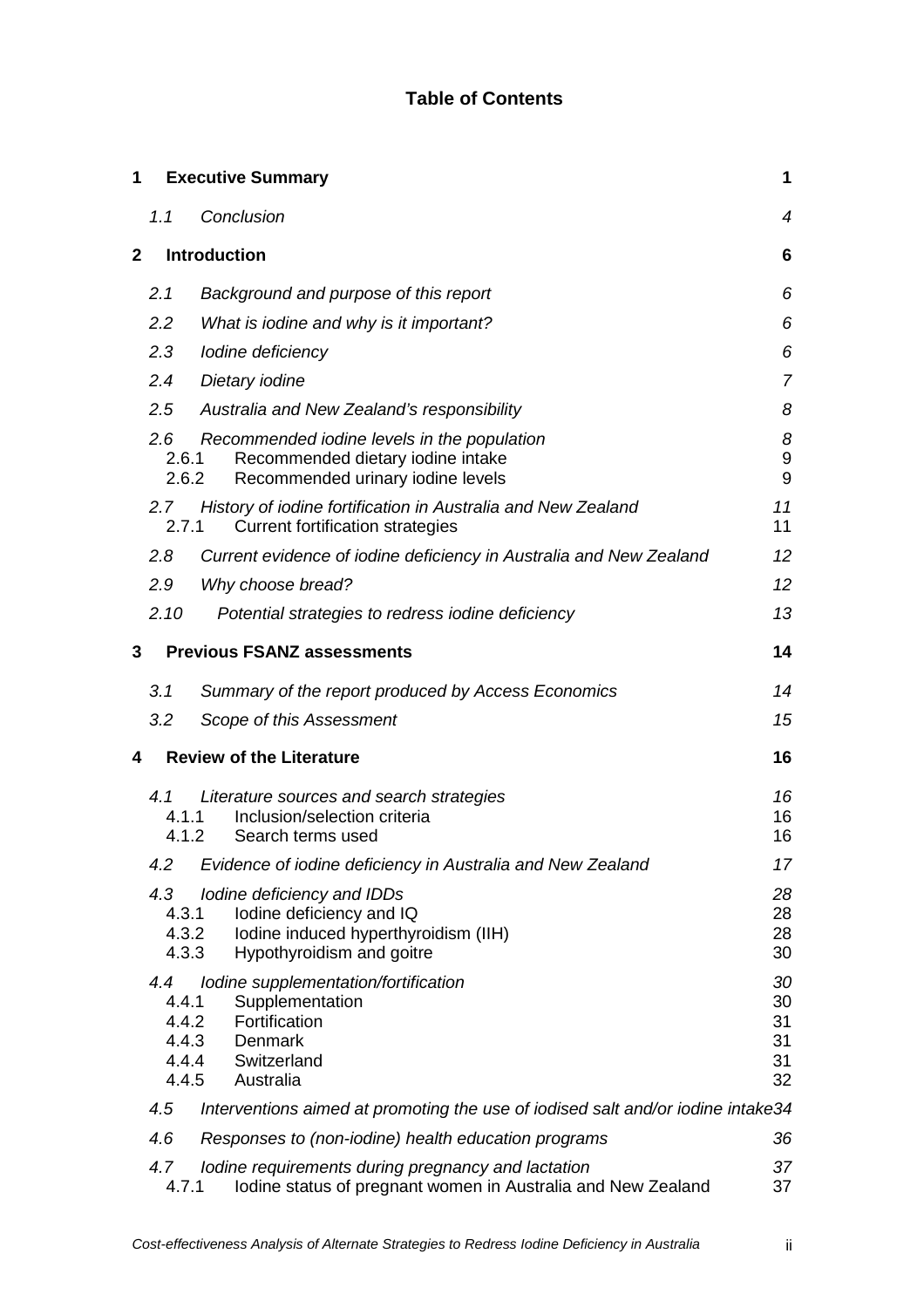## **Table of Contents**

| 1            |                                                  | <b>Executive Summary</b>                                                                                                    | 1                                |
|--------------|--------------------------------------------------|-----------------------------------------------------------------------------------------------------------------------------|----------------------------------|
|              | 1.1                                              | Conclusion                                                                                                                  | 4                                |
| $\mathbf{2}$ |                                                  | <b>Introduction</b>                                                                                                         | 6                                |
|              | 2.1                                              | Background and purpose of this report                                                                                       | 6                                |
|              | 2.2                                              | What is iodine and why is it important?                                                                                     | 6                                |
|              | 2.3                                              | lodine deficiency                                                                                                           | 6                                |
|              | 2.4                                              | Dietary iodine                                                                                                              | $\overline{7}$                   |
|              | 2.5                                              | Australia and New Zealand's responsibility                                                                                  | 8                                |
|              | $2.6^{\circ}$<br>2.6.1<br>2.6.2                  | Recommended iodine levels in the population<br>Recommended dietary iodine intake<br>Recommended urinary iodine levels       | 8<br>9<br>9                      |
|              | 2.7<br>2.7.1                                     | History of iodine fortification in Australia and New Zealand<br><b>Current fortification strategies</b>                     | 11<br>11                         |
|              | 2.8                                              | Current evidence of iodine deficiency in Australia and New Zealand                                                          | 12                               |
|              | 2.9                                              | Why choose bread?                                                                                                           | 12 <sup>2</sup>                  |
|              | 2.10                                             | Potential strategies to redress iodine deficiency                                                                           | 13                               |
| 3            |                                                  | <b>Previous FSANZ assessments</b>                                                                                           | 14                               |
|              | 3.1                                              | Summary of the report produced by Access Economics                                                                          | 14                               |
|              | 3.2                                              | Scope of this Assessment                                                                                                    | 15                               |
| 4            |                                                  | <b>Review of the Literature</b>                                                                                             | 16                               |
|              | 4.1<br>4.1.1<br>4.1.2                            | Literature sources and search strategies<br>Inclusion/selection criteria<br>Search terms used                               | 16<br>16<br>16                   |
|              | 4.2                                              | Evidence of iodine deficiency in Australia and New Zealand                                                                  | 17                               |
|              | 4.3<br>4.3.1<br>4.3.2<br>4.3.3                   | lodine deficiency and IDDs<br>lodine deficiency and IQ<br>Iodine induced hyperthyroidism (IIH)<br>Hypothyroidism and goitre | 28<br>28<br>28<br>30             |
|              | 4.4<br>4.4.1<br>4.4.2<br>4.4.3<br>4.4.4<br>4.4.5 | Iodine supplementation/fortification<br>Supplementation<br>Fortification<br>Denmark<br>Switzerland<br>Australia             | 30<br>30<br>31<br>31<br>31<br>32 |
|              | 4.5                                              | Interventions aimed at promoting the use of iodised salt and/or iodine intake34                                             |                                  |
|              | 4.6                                              | Responses to (non-iodine) health education programs                                                                         | 36                               |
|              | 4.7<br>4.7.1                                     | Iodine requirements during pregnancy and lactation<br>Iodine status of pregnant women in Australia and New Zealand          | 37<br>37                         |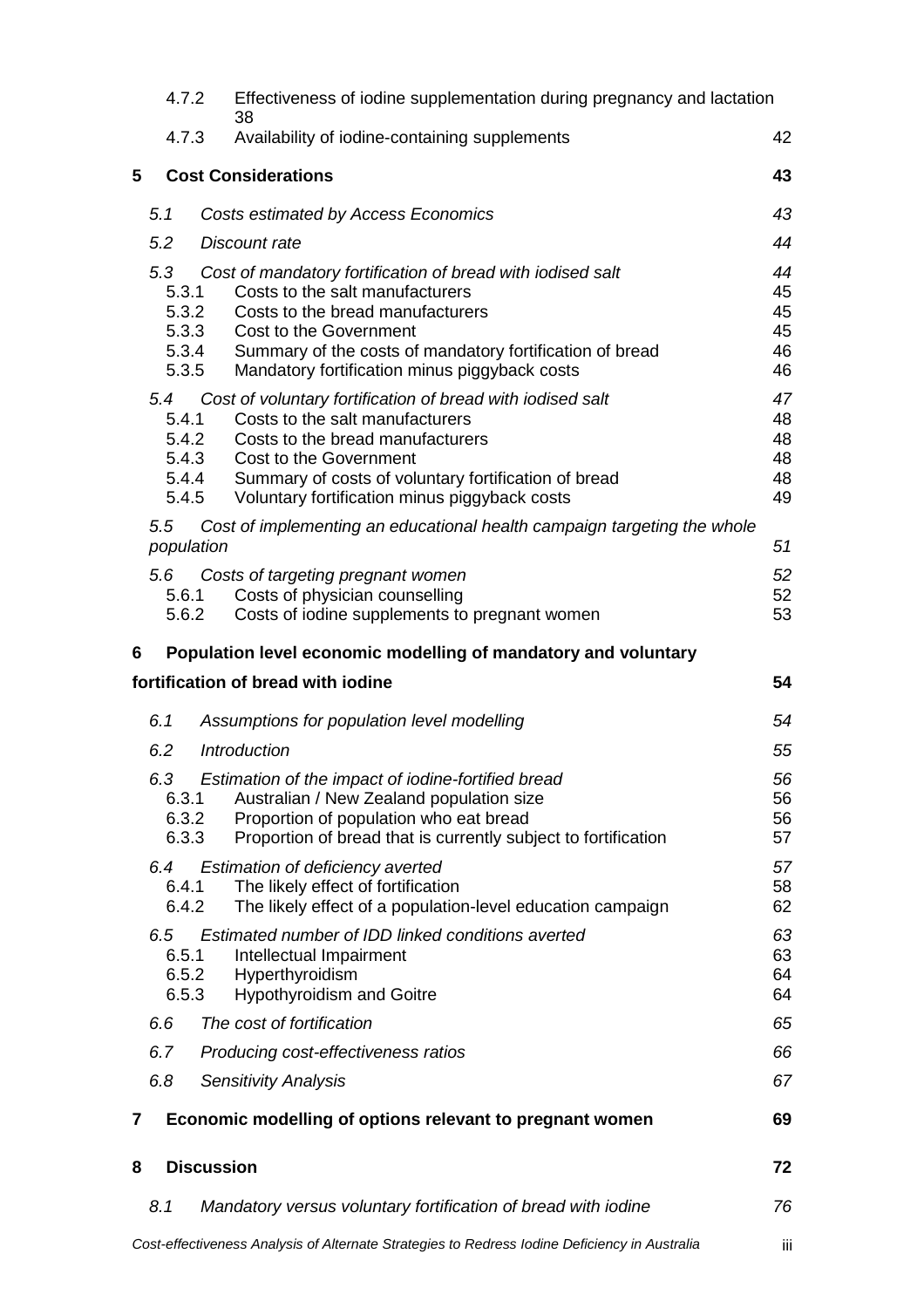|   | 4.7.2                 | Effectiveness of iodine supplementation during pregnancy and lactation<br>38                                                                                                                                                                                                                        |                                  |
|---|-----------------------|-----------------------------------------------------------------------------------------------------------------------------------------------------------------------------------------------------------------------------------------------------------------------------------------------------|----------------------------------|
|   | 4.7.3                 | Availability of iodine-containing supplements                                                                                                                                                                                                                                                       | 42                               |
| 5 |                       | <b>Cost Considerations</b>                                                                                                                                                                                                                                                                          | 43                               |
|   | 5.1                   | Costs estimated by Access Economics                                                                                                                                                                                                                                                                 | 43                               |
|   | 5.2                   | Discount rate                                                                                                                                                                                                                                                                                       | 44                               |
|   | 5.3<br>5.3.1<br>5.3.5 | Cost of mandatory fortification of bread with iodised salt<br>Costs to the salt manufacturers<br>5.3.2<br>Costs to the bread manufacturers<br>5.3.3<br>Cost to the Government<br>5.3.4<br>Summary of the costs of mandatory fortification of bread<br>Mandatory fortification minus piggyback costs | 44<br>45<br>45<br>45<br>46<br>46 |
|   | 5.4<br>5.4.1<br>5.4.5 | Cost of voluntary fortification of bread with iodised salt<br>Costs to the salt manufacturers<br>5.4.2<br>Costs to the bread manufacturers<br>5.4.3<br>Cost to the Government<br>5.4.4<br>Summary of costs of voluntary fortification of bread<br>Voluntary fortification minus piggyback costs     | 47<br>48<br>48<br>48<br>48<br>49 |
|   | 5.5<br>population     | Cost of implementing an educational health campaign targeting the whole                                                                                                                                                                                                                             | 51                               |
|   | 5.6<br>5.6.1<br>5.6.2 | Costs of targeting pregnant women<br>Costs of physician counselling<br>Costs of iodine supplements to pregnant women                                                                                                                                                                                | 52<br>52<br>53                   |
| 6 |                       | Population level economic modelling of mandatory and voluntary                                                                                                                                                                                                                                      |                                  |
|   |                       | fortification of bread with iodine                                                                                                                                                                                                                                                                  | 54                               |
|   | 6.1                   | Assumptions for population level modelling                                                                                                                                                                                                                                                          | 54                               |
|   | 6.2                   | <b>Introduction</b>                                                                                                                                                                                                                                                                                 | 55                               |
|   | 6.3<br>6.3.3          | Estimation of the impact of iodine-fortified bread<br>Australian / New Zealand population size<br>6.3.1<br>6.3.2<br>Proportion of population who eat bread<br>Proportion of bread that is currently subject to fortification                                                                        | 56<br>56<br>56<br>57             |
|   | 6.4<br>6.4.1<br>6.4.2 | Estimation of deficiency averted<br>The likely effect of fortification<br>The likely effect of a population-level education campaign                                                                                                                                                                | 57<br>58<br>62                   |
|   | 6.5<br>6.5.1<br>6.5.3 | Estimated number of IDD linked conditions averted<br>Intellectual Impairment<br>6.5.2<br>Hyperthyroidism<br><b>Hypothyroidism and Goitre</b>                                                                                                                                                        | 63<br>63<br>64<br>64             |
|   | 6.6                   | The cost of fortification                                                                                                                                                                                                                                                                           | 65                               |
|   | 6.7                   | Producing cost-effectiveness ratios                                                                                                                                                                                                                                                                 | 66                               |
|   | 6.8                   | <b>Sensitivity Analysis</b>                                                                                                                                                                                                                                                                         | 67                               |
| 7 |                       | Economic modelling of options relevant to pregnant women                                                                                                                                                                                                                                            | 69                               |
| 8 |                       | <b>Discussion</b>                                                                                                                                                                                                                                                                                   | 72                               |
|   | 8.1                   | Mandatory versus voluntary fortification of bread with iodine                                                                                                                                                                                                                                       | 76                               |
|   |                       | Cost-effectiveness Analysis of Alternate Strategies to Redress lodine Deficiency in Australia                                                                                                                                                                                                       | Ш                                |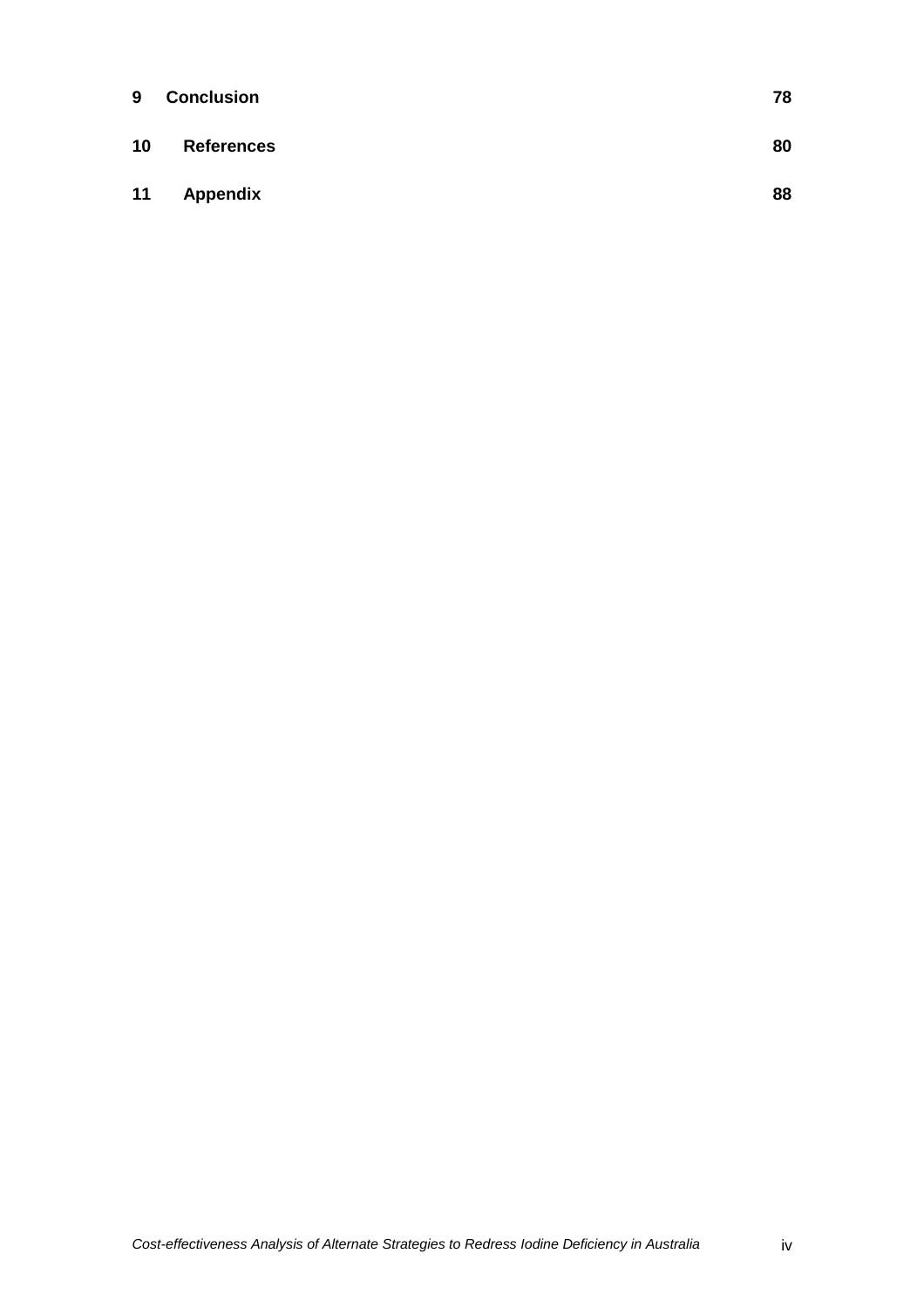| 9  | <b>Conclusion</b> | 78 |
|----|-------------------|----|
| 10 | <b>References</b> | 80 |
| 11 | Appendix          | 88 |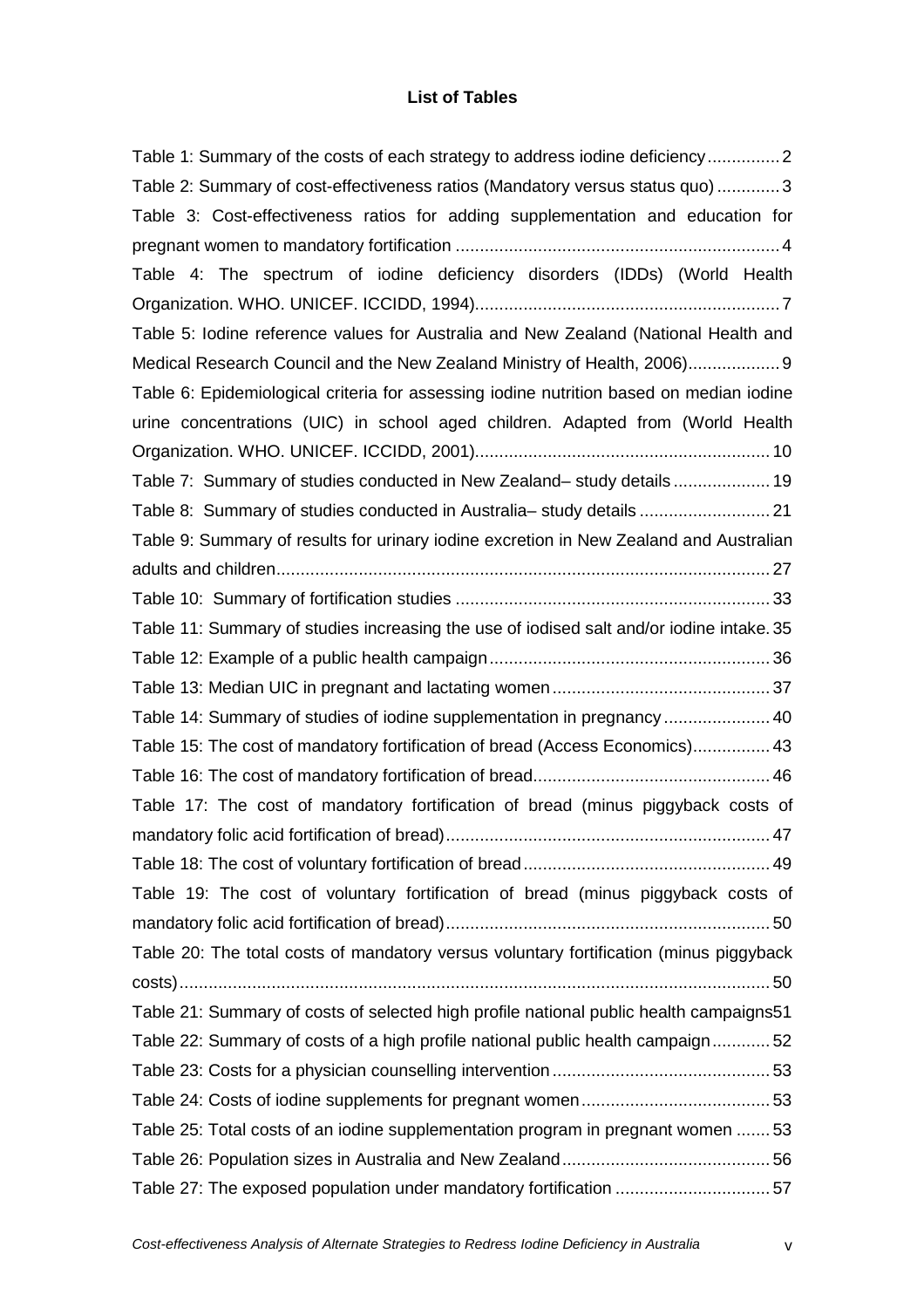## **List of Tables**

| Table 1: Summary of the costs of each strategy to address iodine deficiency2             |  |
|------------------------------------------------------------------------------------------|--|
| Table 2: Summary of cost-effectiveness ratios (Mandatory versus status quo) 3            |  |
| Table 3: Cost-effectiveness ratios for adding supplementation and education for          |  |
|                                                                                          |  |
| Table 4: The spectrum of iodine deficiency disorders (IDDs) (World Health                |  |
|                                                                                          |  |
| Table 5: Iodine reference values for Australia and New Zealand (National Health and      |  |
| Medical Research Council and the New Zealand Ministry of Health, 2006) 9                 |  |
| Table 6: Epidemiological criteria for assessing iodine nutrition based on median iodine  |  |
| urine concentrations (UIC) in school aged children. Adapted from (World Health           |  |
|                                                                                          |  |
| Table 7: Summary of studies conducted in New Zealand-study details 19                    |  |
| Table 8: Summary of studies conducted in Australia-study details  21                     |  |
| Table 9: Summary of results for urinary iodine excretion in New Zealand and Australian   |  |
|                                                                                          |  |
|                                                                                          |  |
| Table 11: Summary of studies increasing the use of iodised salt and/or iodine intake. 35 |  |
|                                                                                          |  |
|                                                                                          |  |
| Table 14: Summary of studies of iodine supplementation in pregnancy  40                  |  |
| Table 15: The cost of mandatory fortification of bread (Access Economics) 43             |  |
|                                                                                          |  |
| Table 17: The cost of mandatory fortification of bread (minus piggyback costs of         |  |
|                                                                                          |  |
|                                                                                          |  |
| Table 19: The cost of voluntary fortification of bread (minus piggyback costs of         |  |
|                                                                                          |  |
| Table 20: The total costs of mandatory versus voluntary fortification (minus piggyback   |  |
|                                                                                          |  |
| Table 21: Summary of costs of selected high profile national public health campaigns51   |  |
| Table 22: Summary of costs of a high profile national public health campaign52           |  |
|                                                                                          |  |
|                                                                                          |  |
| Table 25: Total costs of an iodine supplementation program in pregnant women 53          |  |
|                                                                                          |  |
| Table 27: The exposed population under mandatory fortification 57                        |  |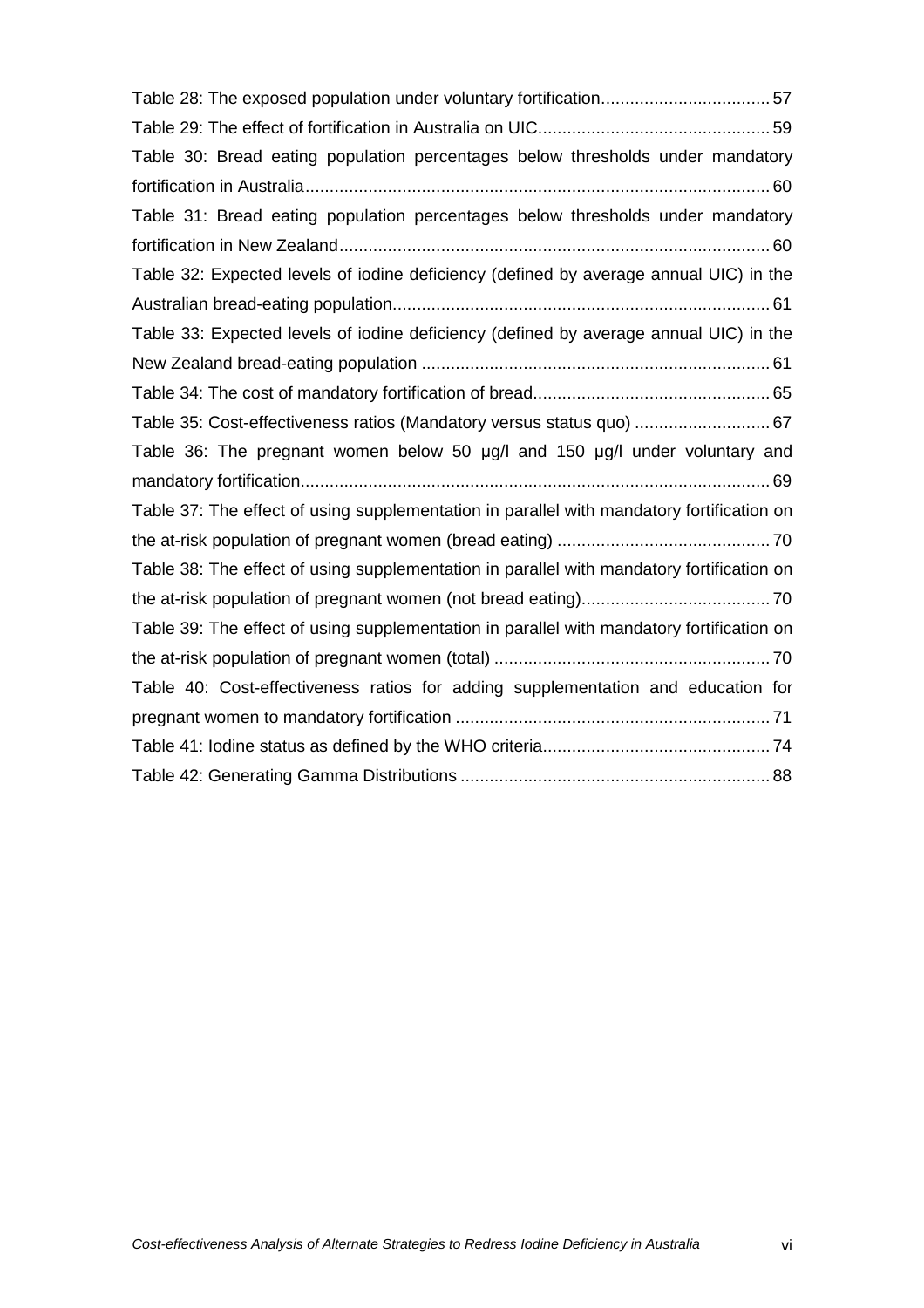| Table 28: The exposed population under voluntary fortification57                          |
|-------------------------------------------------------------------------------------------|
|                                                                                           |
| Table 30: Bread eating population percentages below thresholds under mandatory            |
|                                                                                           |
| Table 31: Bread eating population percentages below thresholds under mandatory            |
|                                                                                           |
| Table 32: Expected levels of iodine deficiency (defined by average annual UIC) in the     |
|                                                                                           |
| Table 33: Expected levels of iodine deficiency (defined by average annual UIC) in the     |
|                                                                                           |
|                                                                                           |
| Table 35: Cost-effectiveness ratios (Mandatory versus status quo)  67                     |
| Table 36: The pregnant women below 50 µg/l and 150 µg/l under voluntary and               |
|                                                                                           |
| Table 37: The effect of using supplementation in parallel with mandatory fortification on |
|                                                                                           |
| Table 38: The effect of using supplementation in parallel with mandatory fortification on |
|                                                                                           |
| Table 39: The effect of using supplementation in parallel with mandatory fortification on |
|                                                                                           |
| Table 40: Cost-effectiveness ratios for adding supplementation and education for          |
|                                                                                           |
|                                                                                           |
|                                                                                           |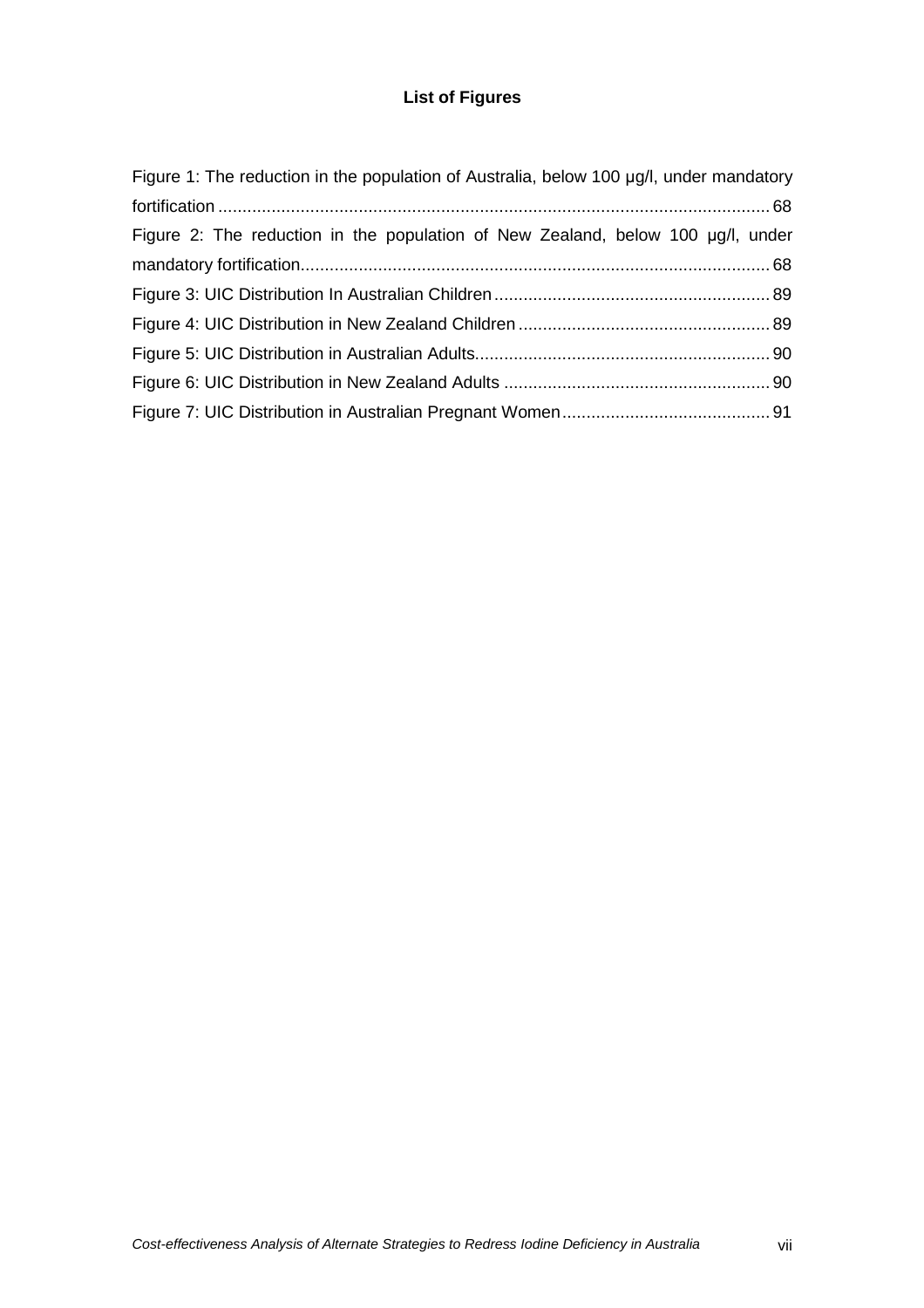## **List of Figures**

| Figure 1: The reduction in the population of Australia, below 100 µg/l, under mandatory |  |
|-----------------------------------------------------------------------------------------|--|
|                                                                                         |  |
| Figure 2: The reduction in the population of New Zealand, below 100 µg/l, under         |  |
|                                                                                         |  |
|                                                                                         |  |
|                                                                                         |  |
|                                                                                         |  |
|                                                                                         |  |
|                                                                                         |  |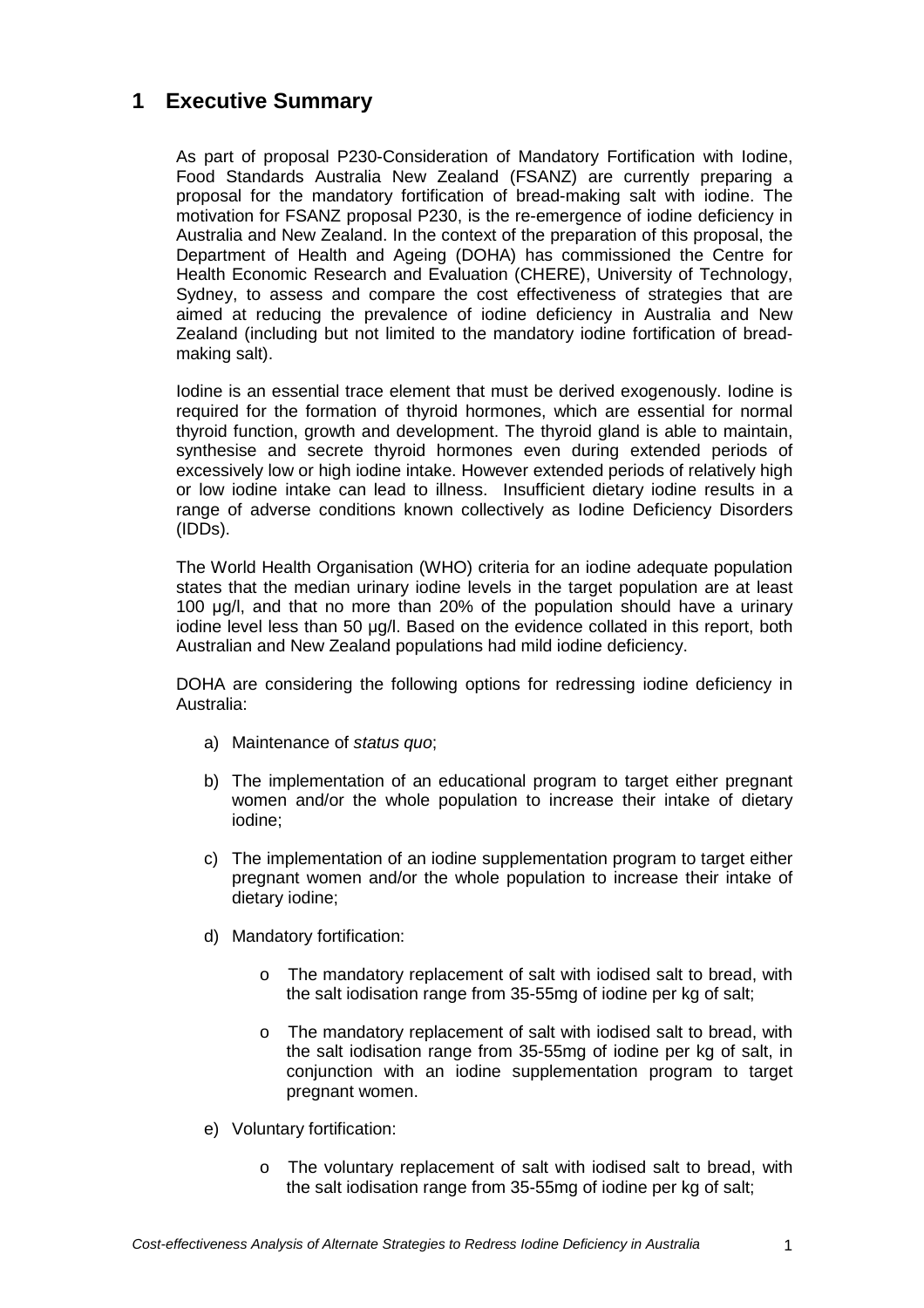## **1 Executive Summary**

As part of proposal P230-Consideration of Mandatory Fortification with Iodine, Food Standards Australia New Zealand (FSANZ) are currently preparing a proposal for the mandatory fortification of bread-making salt with iodine. The motivation for FSANZ proposal P230, is the re-emergence of iodine deficiency in Australia and New Zealand. In the context of the preparation of this proposal, the Department of Health and Ageing (DOHA) has commissioned the Centre for Health Economic Research and Evaluation (CHERE), University of Technology, Sydney, to assess and compare the cost effectiveness of strategies that are aimed at reducing the prevalence of iodine deficiency in Australia and New Zealand (including but not limited to the mandatory iodine fortification of breadmaking salt).

Iodine is an essential trace element that must be derived exogenously. Iodine is required for the formation of thyroid hormones, which are essential for normal thyroid function, growth and development. The thyroid gland is able to maintain, synthesise and secrete thyroid hormones even during extended periods of excessively low or high iodine intake. However extended periods of relatively high or low iodine intake can lead to illness. Insufficient dietary iodine results in a range of adverse conditions known collectively as Iodine Deficiency Disorders (IDDs).

The World Health Organisation (WHO) criteria for an iodine adequate population states that the median urinary iodine levels in the target population are at least 100 µg/l, and that no more than 20% of the population should have a urinary iodine level less than 50 µg/l. Based on the evidence collated in this report, both Australian and New Zealand populations had mild iodine deficiency.

DOHA are considering the following options for redressing iodine deficiency in Australia:

- a) Maintenance of status quo;
- b) The implementation of an educational program to target either pregnant women and/or the whole population to increase their intake of dietary iodine;
- c) The implementation of an iodine supplementation program to target either pregnant women and/or the whole population to increase their intake of dietary iodine;
- d) Mandatory fortification:
	- o The mandatory replacement of salt with iodised salt to bread, with the salt iodisation range from 35-55mg of iodine per kg of salt;
	- o The mandatory replacement of salt with iodised salt to bread, with the salt iodisation range from 35-55mg of iodine per kg of salt, in conjunction with an iodine supplementation program to target pregnant women.
- e) Voluntary fortification:
	- o The voluntary replacement of salt with iodised salt to bread, with the salt iodisation range from 35-55mg of iodine per kg of salt;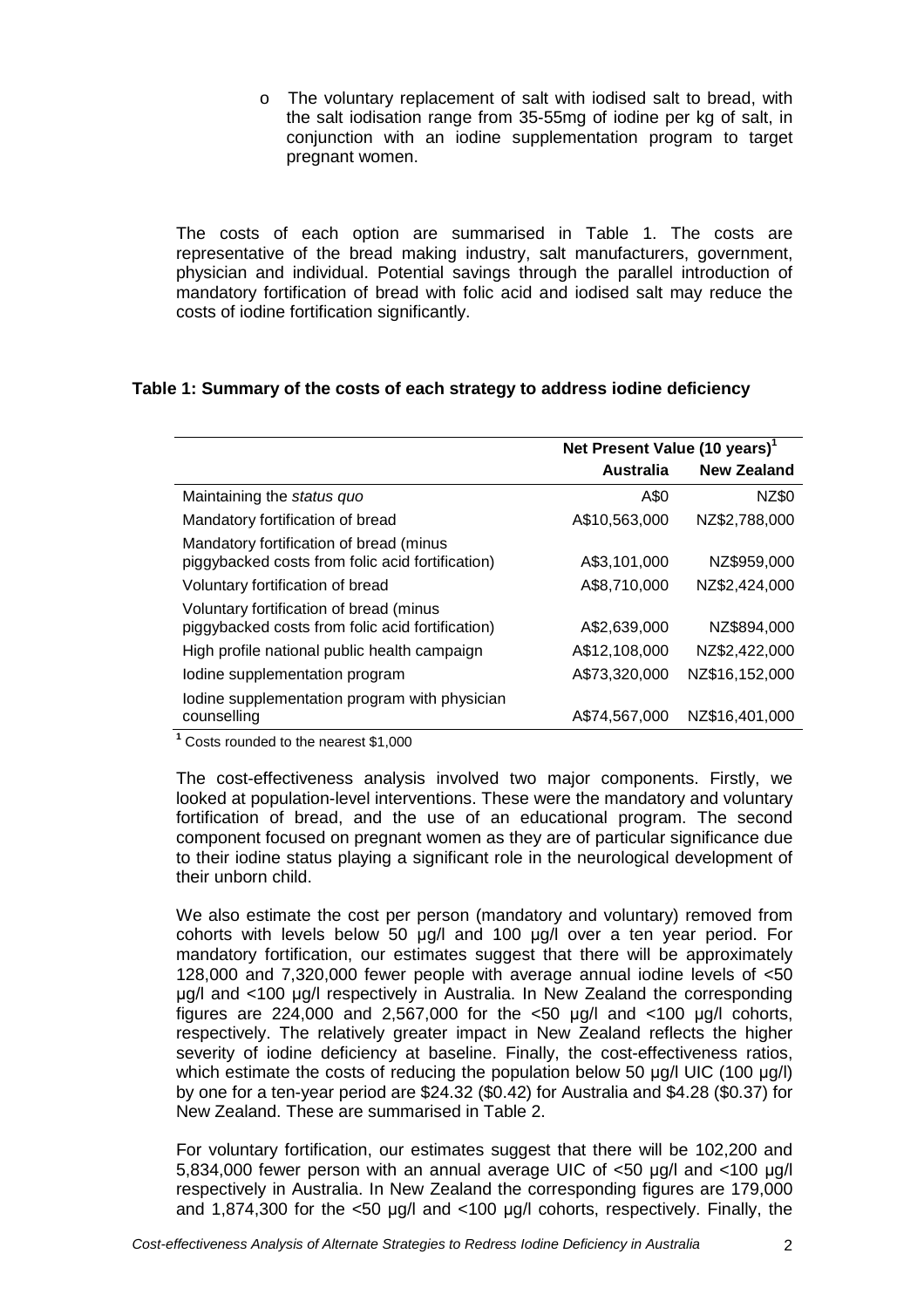o The voluntary replacement of salt with iodised salt to bread, with the salt iodisation range from 35-55mg of iodine per kg of salt, in conjunction with an iodine supplementation program to target pregnant women.

The costs of each option are summarised in Table 1. The costs are representative of the bread making industry, salt manufacturers, government, physician and individual. Potential savings through the parallel introduction of mandatory fortification of bread with folic acid and iodised salt may reduce the costs of iodine fortification significantly.

## **Table 1: Summary of the costs of each strategy to address iodine deficiency**

|                                                                                             | Net Present Value (10 years) <sup>1</sup> |                    |
|---------------------------------------------------------------------------------------------|-------------------------------------------|--------------------|
|                                                                                             | <b>Australia</b>                          | <b>New Zealand</b> |
| Maintaining the status quo                                                                  | A\$0                                      | NZ\$0              |
| Mandatory fortification of bread                                                            | A\$10,563,000                             | NZ\$2,788,000      |
| Mandatory fortification of bread (minus<br>piggybacked costs from folic acid fortification) | A\$3,101,000                              | NZ\$959,000        |
| Voluntary fortification of bread                                                            | A\$8,710,000                              | NZ\$2,424,000      |
| Voluntary fortification of bread (minus<br>piggybacked costs from folic acid fortification) | A\$2,639,000                              | NZ\$894,000        |
| High profile national public health campaign                                                | A\$12,108,000                             | NZ\$2,422,000      |
| lodine supplementation program                                                              | A\$73,320,000                             | NZ\$16,152,000     |
| Iodine supplementation program with physician<br>counselling                                | A\$74,567,000                             | NZ\$16,401,000     |

**1** Costs rounded to the nearest \$1,000

The cost-effectiveness analysis involved two major components. Firstly, we looked at population-level interventions. These were the mandatory and voluntary fortification of bread, and the use of an educational program. The second component focused on pregnant women as they are of particular significance due to their iodine status playing a significant role in the neurological development of their unborn child.

We also estimate the cost per person (mandatory and voluntary) removed from cohorts with levels below 50 µg/l and 100 µg/l over a ten year period. For mandatory fortification, our estimates suggest that there will be approximately 128,000 and 7,320,000 fewer people with average annual iodine levels of <50 µg/l and <100 µg/l respectively in Australia. In New Zealand the corresponding figures are 224,000 and 2,567,000 for the  $<50$  ug/l and  $<100$  ug/l cohorts, respectively. The relatively greater impact in New Zealand reflects the higher severity of iodine deficiency at baseline. Finally, the cost-effectiveness ratios, which estimate the costs of reducing the population below 50 ug/l UIC (100 µg/l) by one for a ten-year period are \$24.32 (\$0.42) for Australia and \$4.28 (\$0.37) for New Zealand. These are summarised in Table 2.

For voluntary fortification, our estimates suggest that there will be 102,200 and 5.834,000 fewer person with an annual average UIC of <50 µg/l and <100 µg/l respectively in Australia. In New Zealand the corresponding figures are 179,000 and 1,874,300 for the <50 µg/l and <100 µg/l cohorts, respectively. Finally, the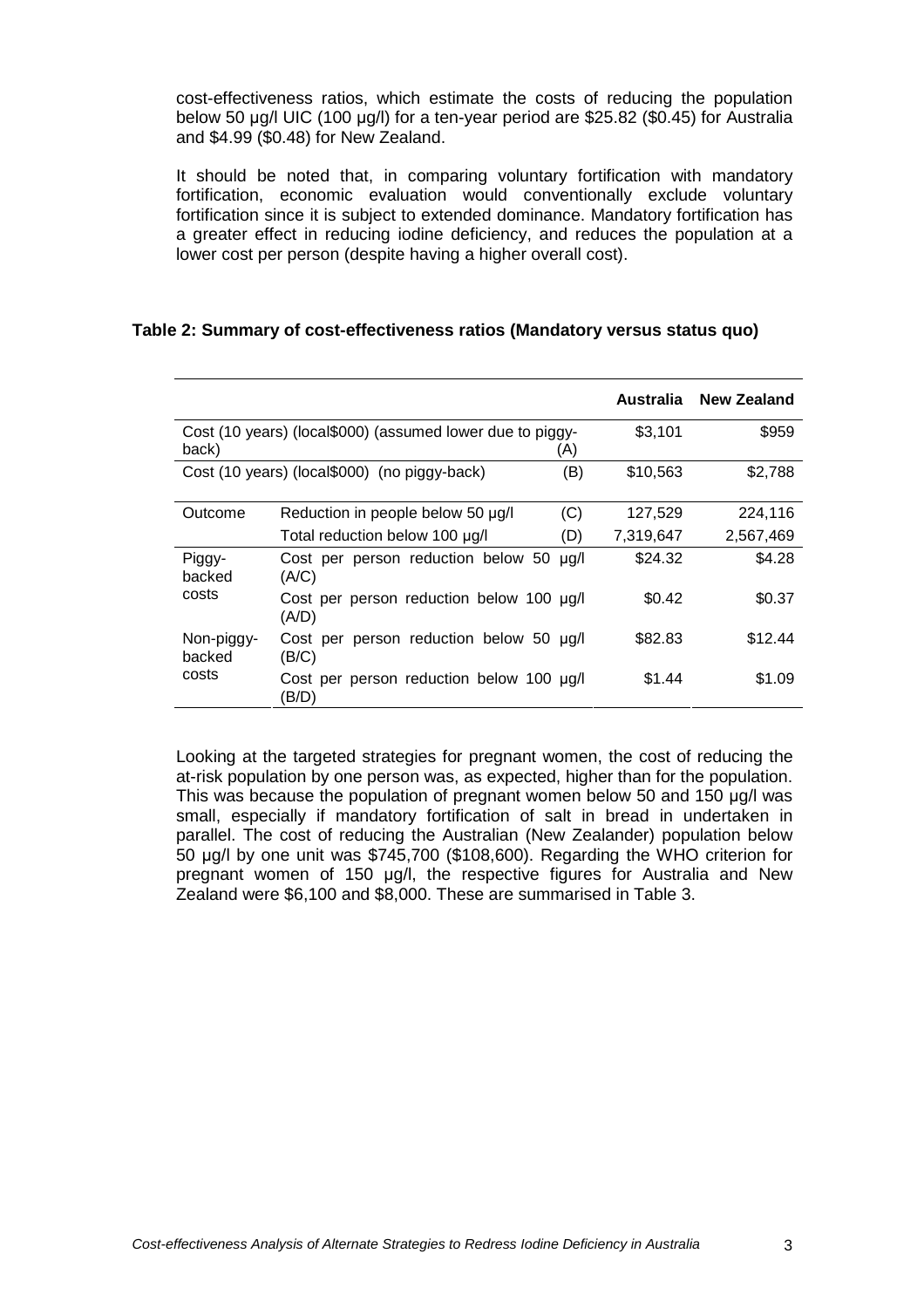cost-effectiveness ratios, which estimate the costs of reducing the population below 50 µg/l UIC (100 µg/l) for a ten-year period are \$25.82 (\$0.45) for Australia and \$4.99 (\$0.48) for New Zealand.

It should be noted that, in comparing voluntary fortification with mandatory fortification, economic evaluation would conventionally exclude voluntary fortification since it is subject to extended dominance. Mandatory fortification has a greater effect in reducing iodine deficiency, and reduces the population at a lower cost per person (despite having a higher overall cost).

#### **Table 2: Summary of cost-effectiveness ratios (Mandatory versus status quo)**

|                      |                                                           |           | Australia | <b>New Zealand</b> |
|----------------------|-----------------------------------------------------------|-----------|-----------|--------------------|
| back)                | Cost (10 years) (local\$000) (assumed lower due to piggy- | (A)       | \$3,101   | \$959              |
|                      | Cost (10 years) (local\$000) (no piggy-back)<br>(B)       |           |           | \$2,788            |
| Outcome              | Reduction in people below 50 µg/l                         | (C)       | 127,529   | 224.116            |
|                      | Total reduction below 100 µg/l                            | (D)       | 7,319,647 | 2,567,469          |
| Piggy-<br>backed     | Cost per person reduction below 50<br>(A/C)               | $\mu$ g/l | \$24.32   | \$4.28             |
| costs                | Cost per person reduction below 100 µg/l<br>(A/D)         |           | \$0.42    | \$0.37             |
| Non-piggy-<br>backed | Cost per person reduction below 50 µg/l<br>(B/C)          |           | \$82.83   | \$12.44            |
| costs                | Cost per person reduction below 100 µg/l<br>(B/D)         |           | \$1.44    | \$1.09             |

Looking at the targeted strategies for pregnant women, the cost of reducing the at-risk population by one person was, as expected, higher than for the population. This was because the population of pregnant women below 50 and 150 µg/l was small, especially if mandatory fortification of salt in bread in undertaken in parallel. The cost of reducing the Australian (New Zealander) population below 50 µg/l by one unit was \$745,700 (\$108,600). Regarding the WHO criterion for pregnant women of 150 µg/l, the respective figures for Australia and New Zealand were \$6,100 and \$8,000. These are summarised in Table 3.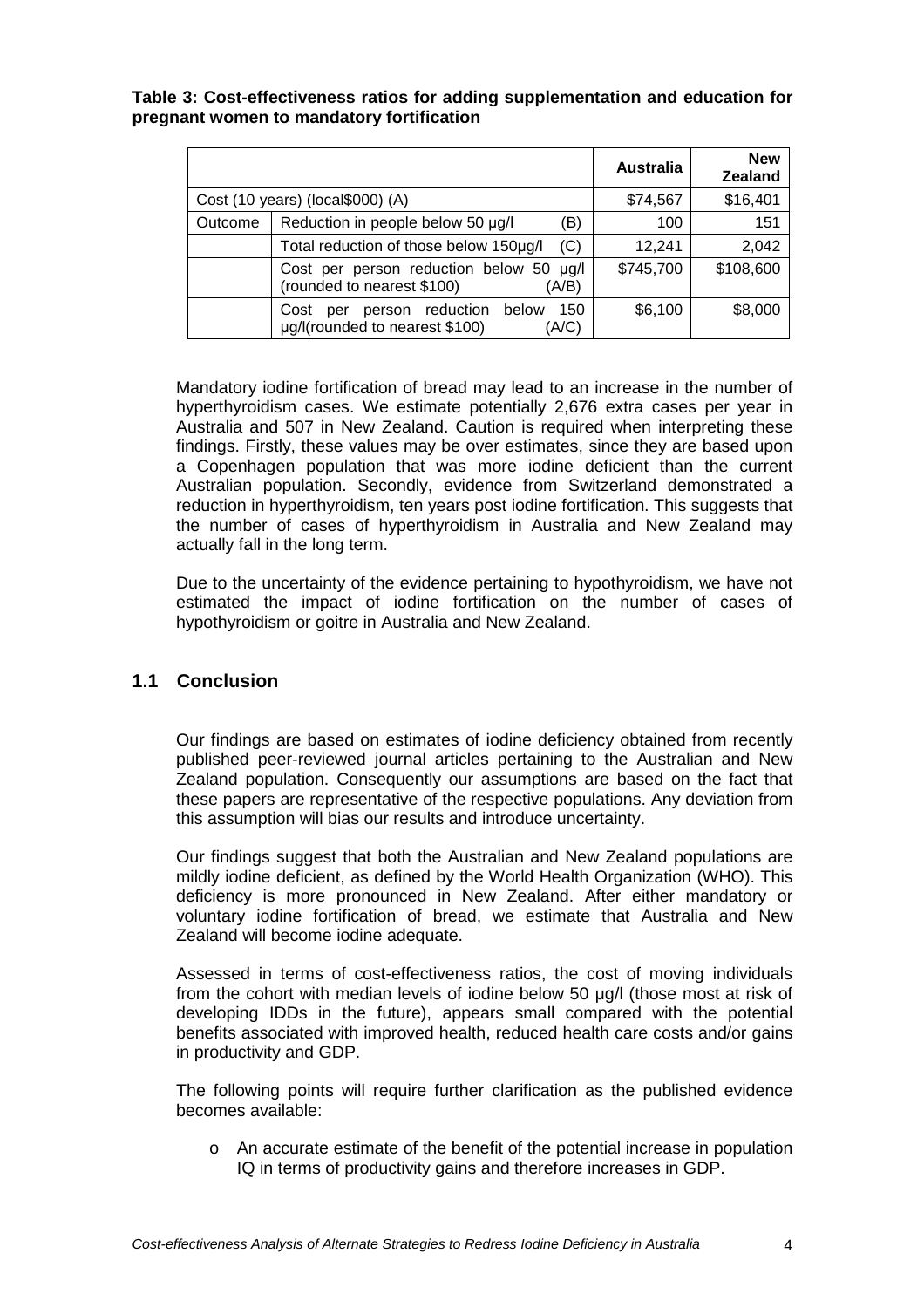#### **Table 3: Cost-effectiveness ratios for adding supplementation and education for pregnant women to mandatory fortification**

|         |                                                                                         | <b>Australia</b> | <b>New</b><br><b>Zealand</b> |
|---------|-----------------------------------------------------------------------------------------|------------------|------------------------------|
|         | Cost (10 years) (local\$000) (A)                                                        | \$74,567         | \$16,401                     |
| Outcome | Reduction in people below 50 µg/l<br>(B)                                                | 100              | 151                          |
|         | Total reduction of those below 150µg/l<br>(C)                                           | 12,241           | 2,042                        |
|         | Cost per person reduction below 50 µg/l<br>(rounded to nearest \$100)<br>(A/B)          | \$745,700        | \$108,600                    |
|         | person reduction below<br>150<br>Cost<br>per<br>µg/l(rounded to nearest \$100)<br>(A/C) | \$6,100          | \$8,000                      |

Mandatory iodine fortification of bread may lead to an increase in the number of hyperthyroidism cases. We estimate potentially 2,676 extra cases per year in Australia and 507 in New Zealand. Caution is required when interpreting these findings. Firstly, these values may be over estimates, since they are based upon a Copenhagen population that was more iodine deficient than the current Australian population. Secondly, evidence from Switzerland demonstrated a reduction in hyperthyroidism, ten years post iodine fortification. This suggests that the number of cases of hyperthyroidism in Australia and New Zealand may actually fall in the long term.

Due to the uncertainty of the evidence pertaining to hypothyroidism, we have not estimated the impact of iodine fortification on the number of cases of hypothyroidism or goitre in Australia and New Zealand.

## **1.1 Conclusion**

Our findings are based on estimates of iodine deficiency obtained from recently published peer-reviewed journal articles pertaining to the Australian and New Zealand population. Consequently our assumptions are based on the fact that these papers are representative of the respective populations. Any deviation from this assumption will bias our results and introduce uncertainty.

Our findings suggest that both the Australian and New Zealand populations are mildly iodine deficient, as defined by the World Health Organization (WHO). This deficiency is more pronounced in New Zealand. After either mandatory or voluntary iodine fortification of bread, we estimate that Australia and New Zealand will become iodine adequate.

Assessed in terms of cost-effectiveness ratios, the cost of moving individuals from the cohort with median levels of iodine below 50 µg/l (those most at risk of developing IDDs in the future), appears small compared with the potential benefits associated with improved health, reduced health care costs and/or gains in productivity and GDP.

The following points will require further clarification as the published evidence becomes available:

o An accurate estimate of the benefit of the potential increase in population IQ in terms of productivity gains and therefore increases in GDP.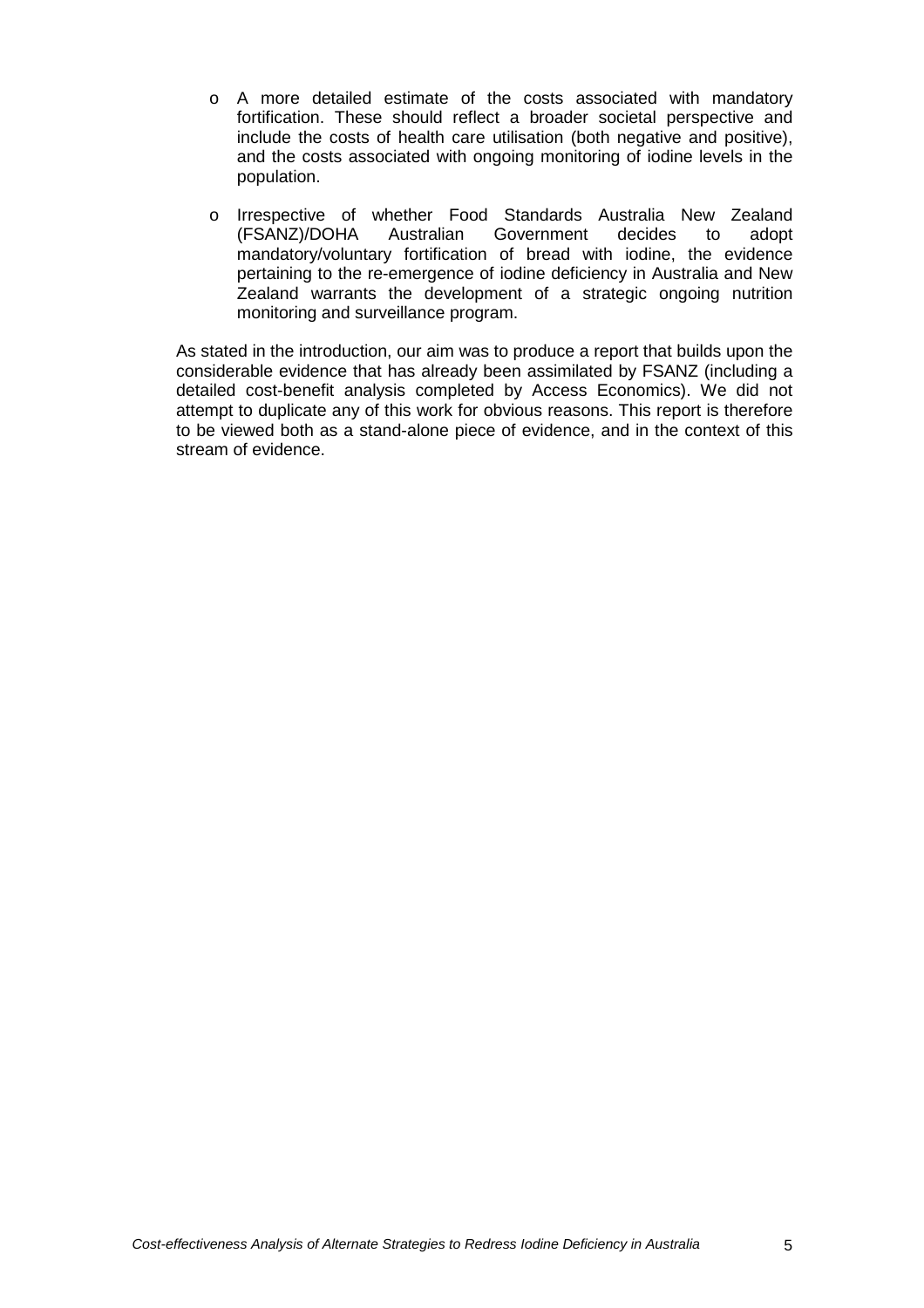- o A more detailed estimate of the costs associated with mandatory fortification. These should reflect a broader societal perspective and include the costs of health care utilisation (both negative and positive), and the costs associated with ongoing monitoring of iodine levels in the population.
- o Irrespective of whether Food Standards Australia New Zealand<br>(FSANZ)/DOHA Australian Government decides to adopt (FSANZ)/DOHA Australian Government decides to adopt mandatory/voluntary fortification of bread with iodine, the evidence pertaining to the re-emergence of iodine deficiency in Australia and New Zealand warrants the development of a strategic ongoing nutrition monitoring and surveillance program.

As stated in the introduction, our aim was to produce a report that builds upon the considerable evidence that has already been assimilated by FSANZ (including a detailed cost-benefit analysis completed by Access Economics). We did not attempt to duplicate any of this work for obvious reasons. This report is therefore to be viewed both as a stand-alone piece of evidence, and in the context of this stream of evidence.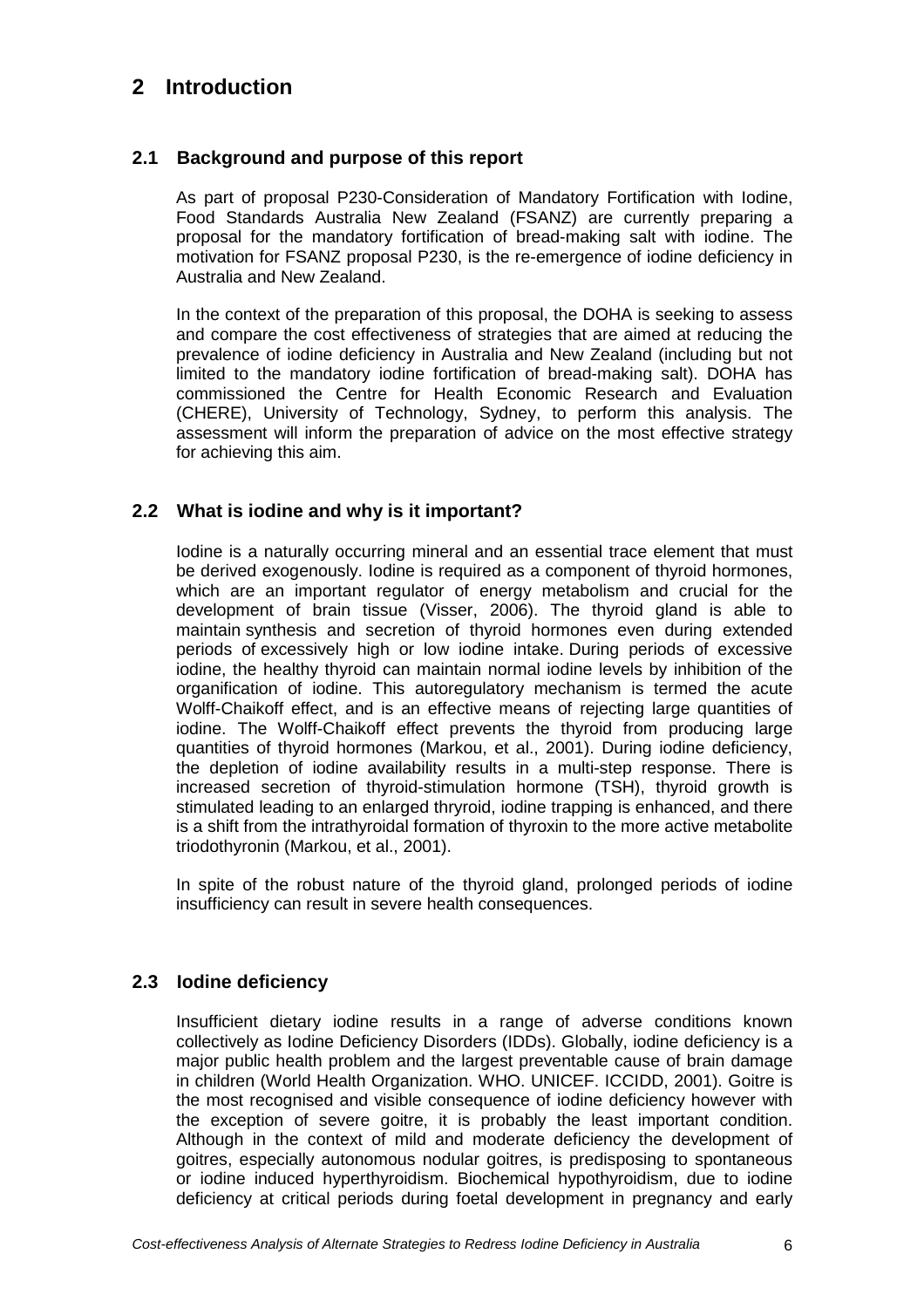## **2 Introduction**

## **2.1 Background and purpose of this report**

As part of proposal P230-Consideration of Mandatory Fortification with Iodine, Food Standards Australia New Zealand (FSANZ) are currently preparing a proposal for the mandatory fortification of bread-making salt with iodine. The motivation for FSANZ proposal P230, is the re-emergence of iodine deficiency in Australia and New Zealand.

In the context of the preparation of this proposal, the DOHA is seeking to assess and compare the cost effectiveness of strategies that are aimed at reducing the prevalence of iodine deficiency in Australia and New Zealand (including but not limited to the mandatory iodine fortification of bread-making salt). DOHA has commissioned the Centre for Health Economic Research and Evaluation (CHERE), University of Technology, Sydney, to perform this analysis. The assessment will inform the preparation of advice on the most effective strategy for achieving this aim.

## **2.2 What is iodine and why is it important?**

Iodine is a naturally occurring mineral and an essential trace element that must be derived exogenously. Iodine is required as a component of thyroid hormones, which are an important regulator of energy metabolism and crucial for the development of brain tissue (Visser, 2006). The thyroid gland is able to maintain synthesis and secretion of thyroid hormones even during extended periods of excessively high or low iodine intake. During periods of excessive iodine, the healthy thyroid can maintain normal iodine levels by inhibition of the organification of iodine. This autoregulatory mechanism is termed the acute Wolff-Chaikoff effect, and is an effective means of rejecting large quantities of iodine. The Wolff-Chaikoff effect prevents the thyroid from producing large quantities of thyroid hormones (Markou, et al., 2001). During iodine deficiency, the depletion of iodine availability results in a multi-step response. There is increased secretion of thyroid-stimulation hormone (TSH), thyroid growth is stimulated leading to an enlarged thryroid, iodine trapping is enhanced, and there is a shift from the intrathyroidal formation of thyroxin to the more active metabolite triodothyronin (Markou, et al., 2001).

In spite of the robust nature of the thyroid gland, prolonged periods of iodine insufficiency can result in severe health consequences.

## **2.3 Iodine deficiency**

Insufficient dietary iodine results in a range of adverse conditions known collectively as Iodine Deficiency Disorders (IDDs). Globally, iodine deficiency is a major public health problem and the largest preventable cause of brain damage in children (World Health Organization. WHO. UNICEF. ICCIDD, 2001). Goitre is the most recognised and visible consequence of iodine deficiency however with the exception of severe goitre, it is probably the least important condition. Although in the context of mild and moderate deficiency the development of goitres, especially autonomous nodular goitres, is predisposing to spontaneous or iodine induced hyperthyroidism. Biochemical hypothyroidism, due to iodine deficiency at critical periods during foetal development in pregnancy and early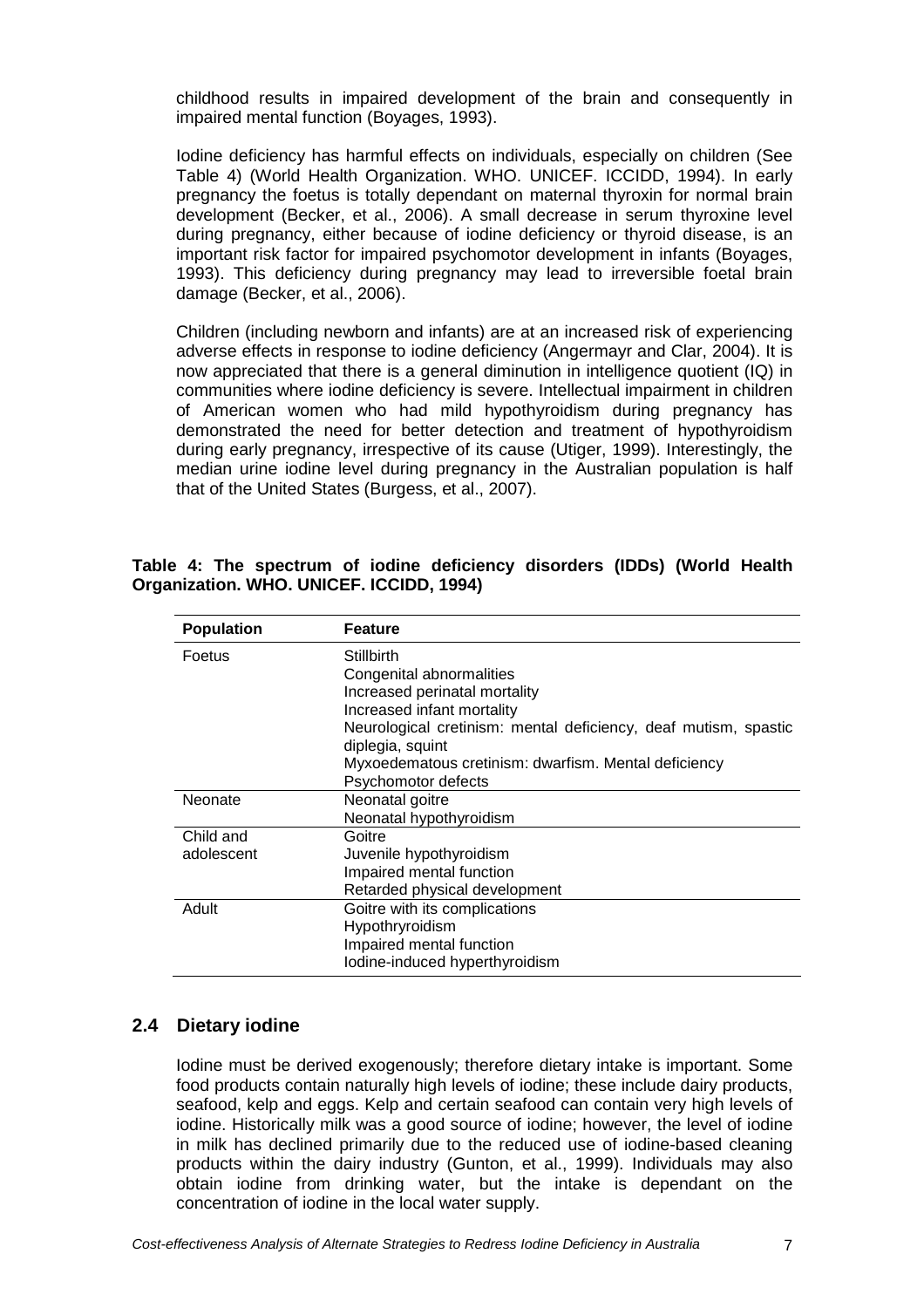childhood results in impaired development of the brain and consequently in impaired mental function (Boyages, 1993).

Iodine deficiency has harmful effects on individuals, especially on children (See Table 4) (World Health Organization. WHO. UNICEF. ICCIDD, 1994). In early pregnancy the foetus is totally dependant on maternal thyroxin for normal brain development (Becker, et al., 2006). A small decrease in serum thyroxine level during pregnancy, either because of iodine deficiency or thyroid disease, is an important risk factor for impaired psychomotor development in infants (Boyages, 1993). This deficiency during pregnancy may lead to irreversible foetal brain damage (Becker, et al., 2006).

Children (including newborn and infants) are at an increased risk of experiencing adverse effects in response to iodine deficiency (Angermayr and Clar, 2004). It is now appreciated that there is a general diminution in intelligence quotient (IQ) in communities where iodine deficiency is severe. Intellectual impairment in children of American women who had mild hypothyroidism during pregnancy has demonstrated the need for better detection and treatment of hypothyroidism during early pregnancy, irrespective of its cause (Utiger, 1999). Interestingly, the median urine iodine level during pregnancy in the Australian population is half that of the United States (Burgess, et al., 2007).

| <b>Population</b> | <b>Feature</b>                                                                      |
|-------------------|-------------------------------------------------------------------------------------|
| Foetus            | <b>Stillbirth</b><br>Congenital abnormalities                                       |
|                   | Increased perinatal mortality                                                       |
|                   | Increased infant mortality                                                          |
|                   | Neurological cretinism: mental deficiency, deaf mutism, spastic<br>diplegia, squint |
|                   | Myxoedematous cretinism: dwarfism. Mental deficiency                                |
|                   | Psychomotor defects                                                                 |
| Neonate           | Neonatal goitre                                                                     |
|                   | Neonatal hypothyroidism                                                             |
| Child and         | Goitre                                                                              |
| adolescent        | Juvenile hypothyroidism                                                             |
|                   | Impaired mental function                                                            |
|                   | Retarded physical development                                                       |
| Adult             | Goitre with its complications                                                       |
|                   | Hypothryroidism                                                                     |
|                   | Impaired mental function                                                            |
|                   | lodine-induced hyperthyroidism                                                      |

**Table 4: The spectrum of iodine deficiency disorders (IDDs) (World Health Organization. WHO. UNICEF. ICCIDD, 1994)** 

#### **2.4 Dietary iodine**

Iodine must be derived exogenously; therefore dietary intake is important. Some food products contain naturally high levels of iodine; these include dairy products, seafood, kelp and eggs. Kelp and certain seafood can contain very high levels of iodine. Historically milk was a good source of iodine; however, the level of iodine in milk has declined primarily due to the reduced use of iodine-based cleaning products within the dairy industry (Gunton, et al., 1999). Individuals may also obtain iodine from drinking water, but the intake is dependant on the concentration of iodine in the local water supply.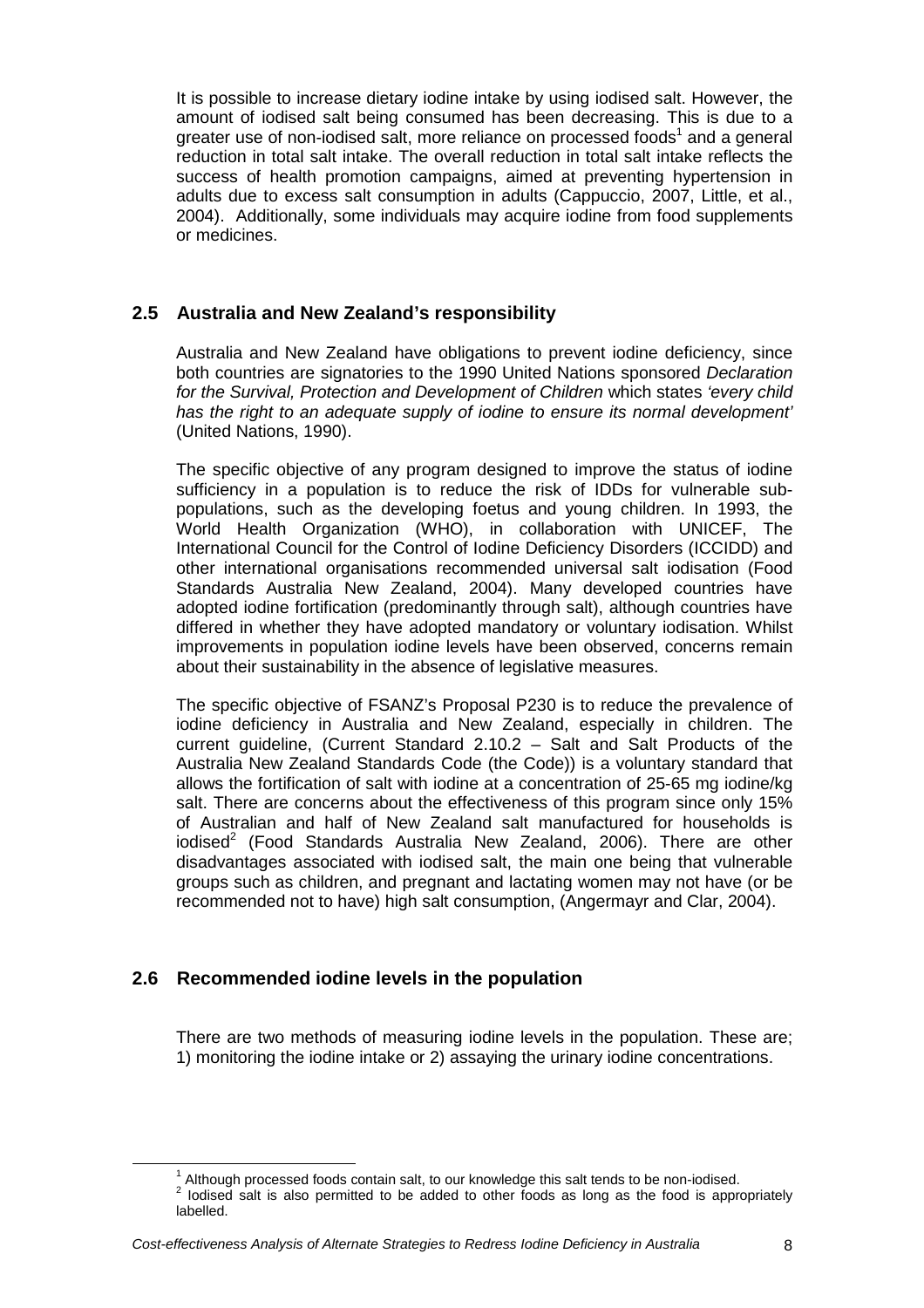It is possible to increase dietary iodine intake by using iodised salt. However, the amount of iodised salt being consumed has been decreasing. This is due to a greater use of non-iodised salt, more reliance on processed foods<sup>1</sup> and a general reduction in total salt intake. The overall reduction in total salt intake reflects the success of health promotion campaigns, aimed at preventing hypertension in adults due to excess salt consumption in adults (Cappuccio, 2007, Little, et al., 2004). Additionally, some individuals may acquire iodine from food supplements or medicines.

## **2.5 Australia and New Zealand's responsibility**

Australia and New Zealand have obligations to prevent iodine deficiency, since both countries are signatories to the 1990 United Nations sponsored Declaration for the Survival, Protection and Development of Children which states 'every child has the right to an adequate supply of iodine to ensure its normal development' (United Nations, 1990).

The specific objective of any program designed to improve the status of iodine sufficiency in a population is to reduce the risk of IDDs for vulnerable subpopulations, such as the developing foetus and young children. In 1993, the World Health Organization (WHO), in collaboration with UNICEF, The International Council for the Control of Iodine Deficiency Disorders (ICCIDD) and other international organisations recommended universal salt iodisation (Food Standards Australia New Zealand, 2004). Many developed countries have adopted iodine fortification (predominantly through salt), although countries have differed in whether they have adopted mandatory or voluntary iodisation. Whilst improvements in population iodine levels have been observed, concerns remain about their sustainability in the absence of legislative measures.

The specific objective of FSANZ's Proposal P230 is to reduce the prevalence of iodine deficiency in Australia and New Zealand, especially in children. The current guideline, (Current Standard 2.10.2 – Salt and Salt Products of the Australia New Zealand Standards Code (the Code)) is a voluntary standard that allows the fortification of salt with iodine at a concentration of 25-65 mg iodine/kg salt. There are concerns about the effectiveness of this program since only 15% of Australian and half of New Zealand salt manufactured for households is iodised<sup>2</sup> (Food Standards Australia New Zealand, 2006). There are other disadvantages associated with iodised salt, the main one being that vulnerable groups such as children, and pregnant and lactating women may not have (or be recommended not to have) high salt consumption, (Angermayr and Clar, 2004).

## **2.6 Recommended iodine levels in the population**

 $\overline{a}$ 

There are two methods of measuring iodine levels in the population. These are; 1) monitoring the iodine intake or 2) assaying the urinary iodine concentrations.

<sup>&</sup>lt;sup>1</sup> Although processed foods contain salt, to our knowledge this salt tends to be non-iodised.<br><sup>2</sup> Jedised selt is also permitted to be added to ather foods as larges to the food is approx

Iodised salt is also permitted to be added to other foods as long as the food is appropriately labelled.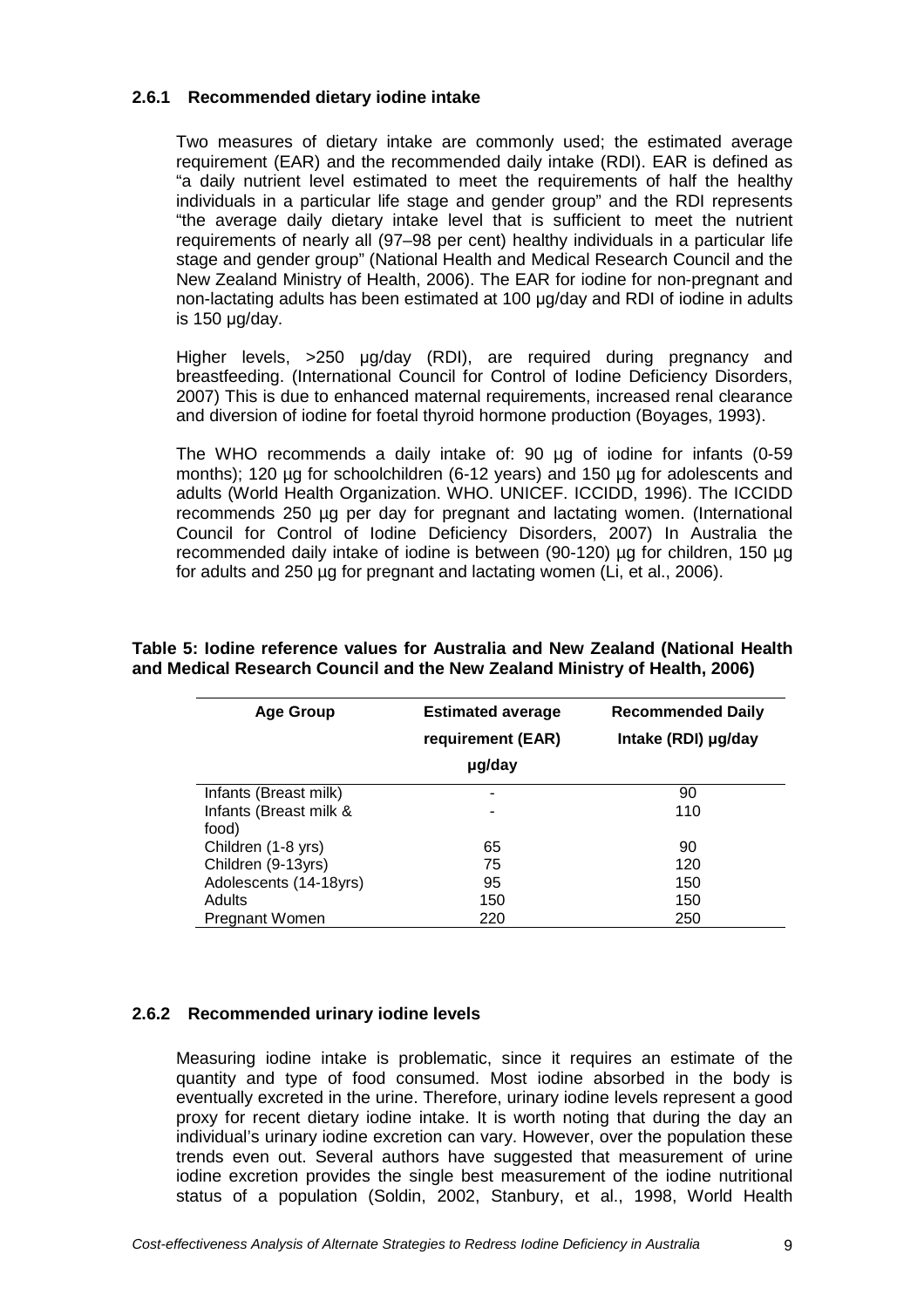#### **2.6.1 Recommended dietary iodine intake**

Two measures of dietary intake are commonly used; the estimated average requirement (EAR) and the recommended daily intake (RDI). EAR is defined as "a daily nutrient level estimated to meet the requirements of half the healthy individuals in a particular life stage and gender group" and the RDI represents "the average daily dietary intake level that is sufficient to meet the nutrient requirements of nearly all (97–98 per cent) healthy individuals in a particular life stage and gender group" (National Health and Medical Research Council and the New Zealand Ministry of Health, 2006). The EAR for iodine for non-pregnant and non-lactating adults has been estimated at 100 µg/day and RDI of iodine in adults is 150 µg/day.

Higher levels, >250 µg/day (RDI), are required during pregnancy and breastfeeding. (International Council for Control of Iodine Deficiency Disorders, 2007) This is due to enhanced maternal requirements, increased renal clearance and diversion of iodine for foetal thyroid hormone production (Boyages, 1993).

The WHO recommends a daily intake of: 90 µg of iodine for infants (0-59 months); 120 µg for schoolchildren (6-12 years) and 150 µg for adolescents and adults (World Health Organization. WHO. UNICEF. ICCIDD, 1996). The ICCIDD recommends 250 µg per day for pregnant and lactating women. (International Council for Control of Iodine Deficiency Disorders, 2007) In Australia the recommended daily intake of iodine is between (90-120) µg for children, 150 µg for adults and 250 µg for pregnant and lactating women (Li, et al., 2006).

| <b>Age Group</b>       | <b>Estimated average</b><br>requirement (EAR) | <b>Recommended Daily</b><br>Intake (RDI) µg/day |
|------------------------|-----------------------------------------------|-------------------------------------------------|
|                        | µg/day                                        |                                                 |
| Infants (Breast milk)  | ۰                                             | 90                                              |
| Infants (Breast milk & | ٠                                             | 110                                             |
| food)                  |                                               |                                                 |
| Children (1-8 yrs)     | 65                                            | 90                                              |
| Children (9-13yrs)     | 75                                            | 120                                             |
| Adolescents (14-18yrs) | 95                                            | 150                                             |
| Adults                 | 150                                           | 150                                             |
| <b>Pregnant Women</b>  | 220                                           | 250                                             |

**Table 5: Iodine reference values for Australia and New Zealand (National Health and Medical Research Council and the New Zealand Ministry of Health, 2006)** 

#### **2.6.2 Recommended urinary iodine levels**

Measuring iodine intake is problematic, since it requires an estimate of the quantity and type of food consumed. Most iodine absorbed in the body is eventually excreted in the urine. Therefore, urinary iodine levels represent a good proxy for recent dietary iodine intake. It is worth noting that during the day an individual's urinary iodine excretion can vary. However, over the population these trends even out. Several authors have suggested that measurement of urine iodine excretion provides the single best measurement of the iodine nutritional status of a population (Soldin, 2002, Stanbury, et al., 1998, World Health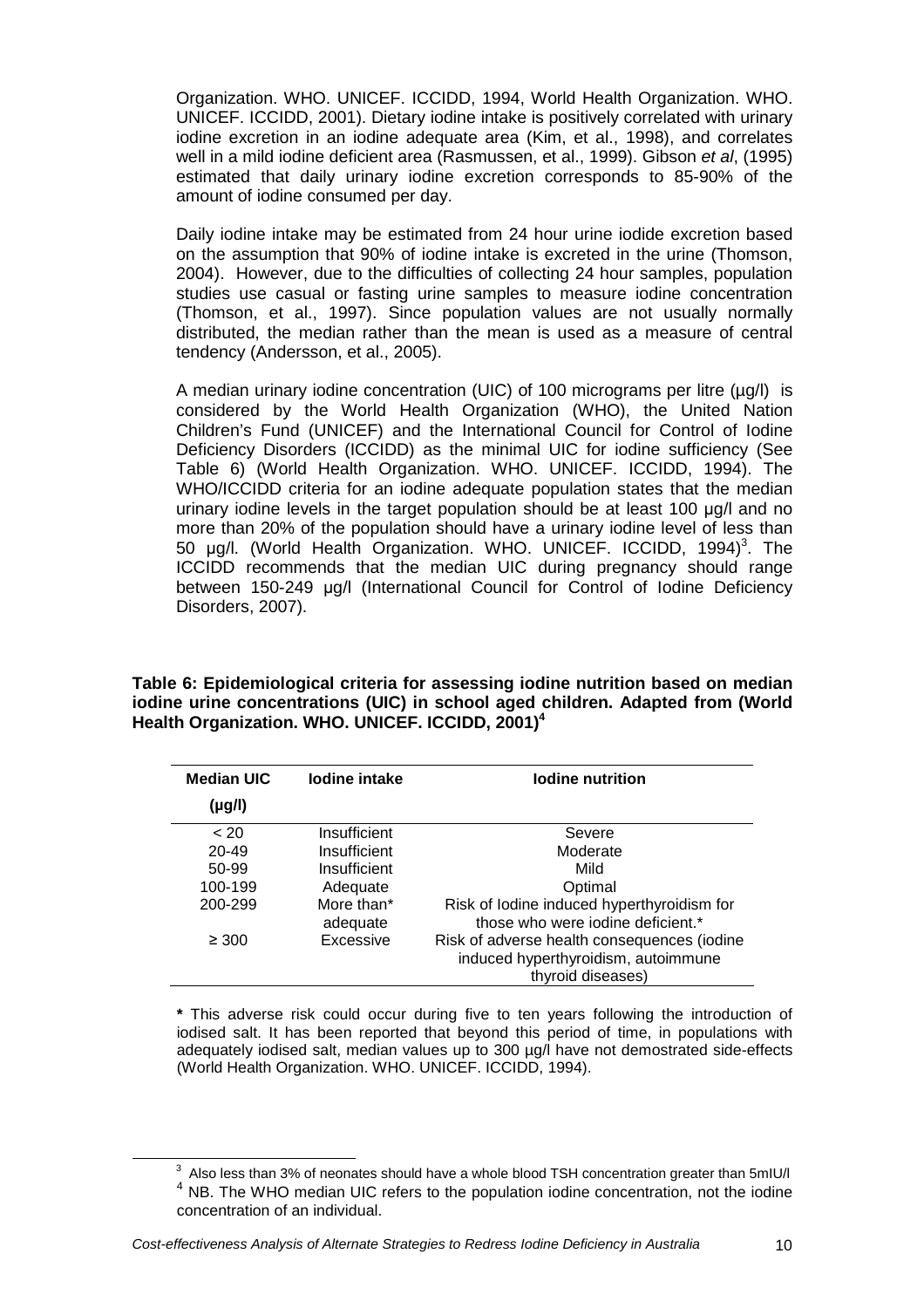Organization. WHO. UNICEF. ICCIDD, 1994, World Health Organization. WHO. UNICEF. ICCIDD, 2001). Dietary iodine intake is positively correlated with urinary iodine excretion in an iodine adequate area (Kim, et al., 1998), and correlates well in a mild iodine deficient area (Rasmussen, et al., 1999). Gibson et al. (1995) estimated that daily urinary iodine excretion corresponds to 85-90% of the amount of iodine consumed per day.

Daily iodine intake may be estimated from 24 hour urine iodide excretion based on the assumption that 90% of iodine intake is excreted in the urine (Thomson, 2004). However, due to the difficulties of collecting 24 hour samples, population studies use casual or fasting urine samples to measure iodine concentration (Thomson, et al., 1997). Since population values are not usually normally distributed, the median rather than the mean is used as a measure of central tendency (Andersson, et al., 2005).

A median urinary iodine concentration (UIC) of 100 micrograms per litre  $(\mu g/l)$  is considered by the World Health Organization (WHO), the United Nation Children's Fund (UNICEF) and the International Council for Control of Iodine Deficiency Disorders (ICCIDD) as the minimal UIC for iodine sufficiency (See Table 6) (World Health Organization. WHO. UNICEF. ICCIDD, 1994). The WHO/ICCIDD criteria for an iodine adequate population states that the median urinary iodine levels in the target population should be at least 100 µg/l and no more than 20% of the population should have a urinary iodine level of less than 50 µg/l. (World Health Organization. WHO. UNICEF. ICCIDD, 1994)<sup>3</sup>. The ICCIDD recommends that the median UIC during pregnancy should range between 150-249 µg/l (International Council for Control of Iodine Deficiency Disorders, 2007).

**Table 6: Epidemiological criteria for assessing iodine nutrition based on median iodine urine concentrations (UIC) in school aged children. Adapted from (World Health Organization. WHO. UNICEF. ICCIDD, 2001)<sup>4</sup>**

| <b>Median UIC</b> | lodine intake          | lodine nutrition                                                                                        |
|-------------------|------------------------|---------------------------------------------------------------------------------------------------------|
| (µg/l)            |                        |                                                                                                         |
| < 20              | Insufficient           | Severe                                                                                                  |
| $20 - 49$         | Insufficient           | Moderate                                                                                                |
| 50-99             | Insufficient           | Mild                                                                                                    |
| 100-199           | Adequate               | Optimal                                                                                                 |
| 200-299           | More than*<br>adequate | Risk of lodine induced hyperthyroidism for<br>those who were jodine deficient.*                         |
| $\geq 300$        | Excessive              | Risk of adverse health consequences (iodine<br>induced hyperthyroidism, autoimmune<br>thyroid diseases) |

**\*** This adverse risk could occur during five to ten years following the introduction of iodised salt. It has been reported that beyond this period of time, in populations with adequately iodised salt, median values up to 300 µg/l have not demostrated side-effects (World Health Organization. WHO. UNICEF. ICCIDD, 1994).

 $\overline{a}$ 

 $3$  Also less than 3% of neonates should have a whole blood TSH concentration greater than 5mIU/l <sup>4</sup> NB. The WHO median UIC refers to the population iodine concentration, not the iodine

concentration of an individual.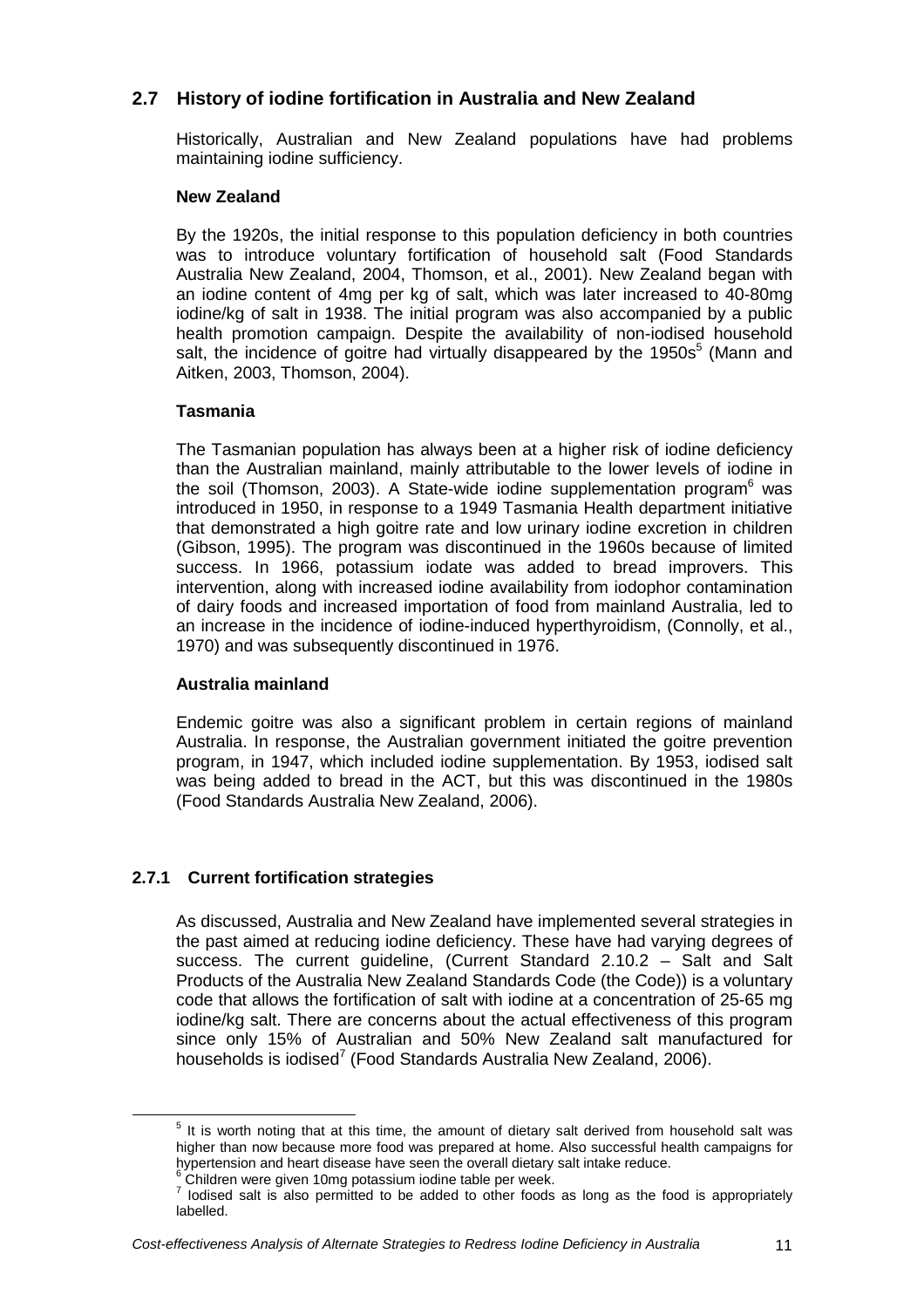## **2.7 History of iodine fortification in Australia and New Zealand**

Historically, Australian and New Zealand populations have had problems maintaining iodine sufficiency.

#### **New Zealand**

By the 1920s, the initial response to this population deficiency in both countries was to introduce voluntary fortification of household salt (Food Standards Australia New Zealand, 2004, Thomson, et al., 2001). New Zealand began with an iodine content of 4mg per kg of salt, which was later increased to 40-80mg iodine/kg of salt in 1938. The initial program was also accompanied by a public health promotion campaign. Despite the availability of non-iodised household salt, the incidence of goitre had virtually disappeared by the 1950s $<sup>5</sup>$  (Mann and</sup> Aitken, 2003, Thomson, 2004).

#### **Tasmania**

The Tasmanian population has always been at a higher risk of iodine deficiency than the Australian mainland, mainly attributable to the lower levels of iodine in the soil (Thomson, 2003). A State-wide iodine supplementation program<sup>6</sup> was introduced in 1950, in response to a 1949 Tasmania Health department initiative that demonstrated a high goitre rate and low urinary iodine excretion in children (Gibson, 1995). The program was discontinued in the 1960s because of limited success. In 1966, potassium iodate was added to bread improvers. This intervention, along with increased iodine availability from iodophor contamination of dairy foods and increased importation of food from mainland Australia, led to an increase in the incidence of iodine-induced hyperthyroidism, (Connolly, et al., 1970) and was subsequently discontinued in 1976.

#### **Australia mainland**

Endemic goitre was also a significant problem in certain regions of mainland Australia. In response, the Australian government initiated the goitre prevention program, in 1947, which included iodine supplementation. By 1953, iodised salt was being added to bread in the ACT, but this was discontinued in the 1980s (Food Standards Australia New Zealand, 2006).

## **2.7.1 Current fortification strategies**

As discussed, Australia and New Zealand have implemented several strategies in the past aimed at reducing iodine deficiency. These have had varying degrees of success. The current guideline, (Current Standard 2.10.2 – Salt and Salt Products of the Australia New Zealand Standards Code (the Code)) is a voluntary code that allows the fortification of salt with iodine at a concentration of 25-65 mg iodine/kg salt. There are concerns about the actual effectiveness of this program since only 15% of Australian and 50% New Zealand salt manufactured for households is iodised<sup>7</sup> (Food Standards Australia New Zealand, 2006).

 $5$  It is worth noting that at this time, the amount of dietary salt derived from household salt was higher than now because more food was prepared at home. Also successful health campaigns for hypertension and heart disease have seen the overall dietary salt intake reduce.

<sup>6</sup> Children were given 10mg potassium iodine table per week.

<sup>7</sup> Iodised salt is also permitted to be added to other foods as long as the food is appropriately labelled.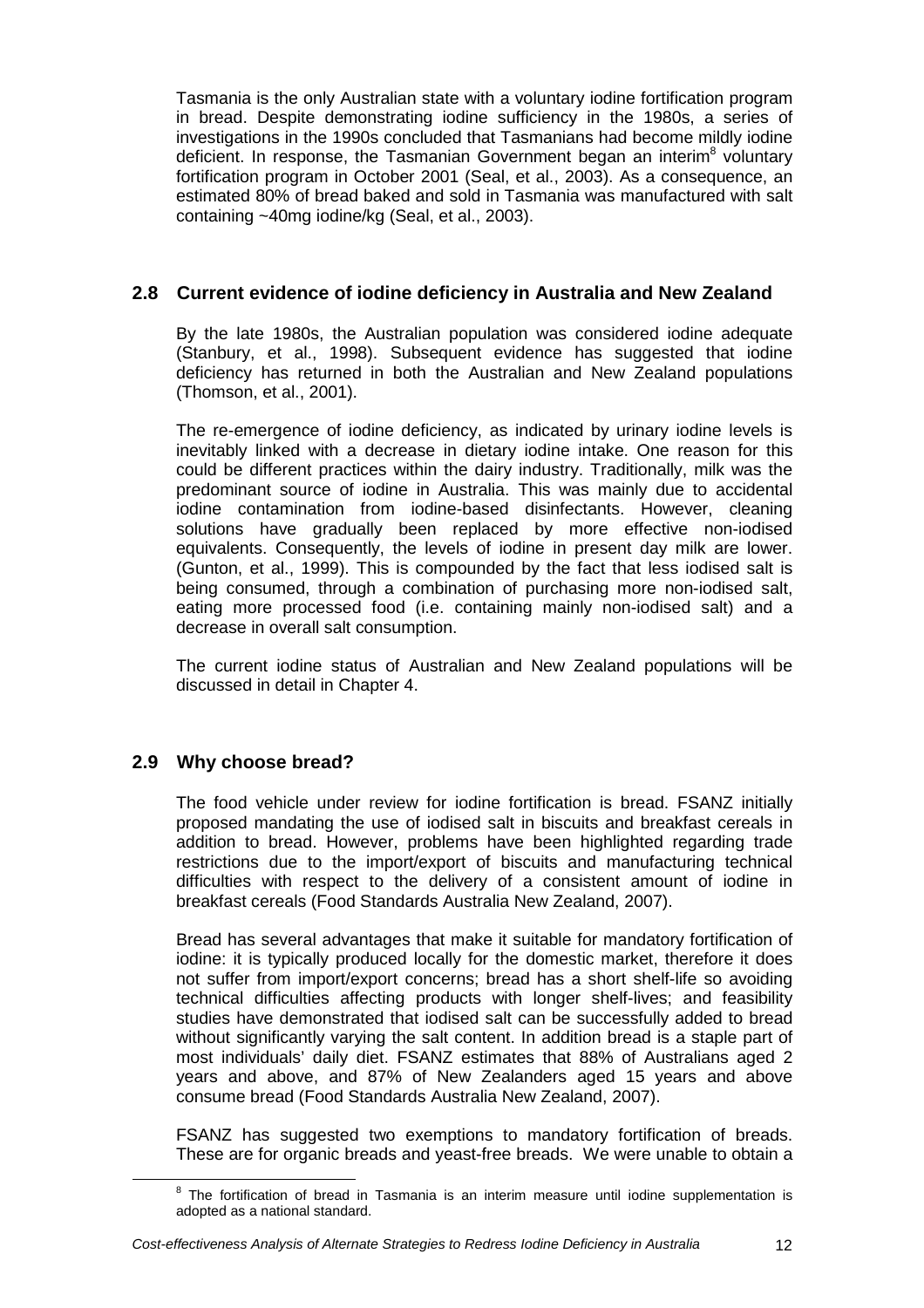Tasmania is the only Australian state with a voluntary iodine fortification program in bread. Despite demonstrating iodine sufficiency in the 1980s, a series of investigations in the 1990s concluded that Tasmanians had become mildly iodine deficient. In response, the Tasmanian Government began an interim<sup>8</sup> voluntary fortification program in October 2001 (Seal, et al., 2003). As a consequence, an estimated 80% of bread baked and sold in Tasmania was manufactured with salt containing ~40mg iodine/kg (Seal, et al., 2003).

## **2.8 Current evidence of iodine deficiency in Australia and New Zealand**

By the late 1980s, the Australian population was considered iodine adequate (Stanbury, et al., 1998). Subsequent evidence has suggested that iodine deficiency has returned in both the Australian and New Zealand populations (Thomson, et al., 2001).

The re-emergence of iodine deficiency, as indicated by urinary iodine levels is inevitably linked with a decrease in dietary iodine intake. One reason for this could be different practices within the dairy industry. Traditionally, milk was the predominant source of iodine in Australia. This was mainly due to accidental iodine contamination from iodine-based disinfectants. However, cleaning solutions have gradually been replaced by more effective non-iodised equivalents. Consequently, the levels of iodine in present day milk are lower. (Gunton, et al., 1999). This is compounded by the fact that less iodised salt is being consumed, through a combination of purchasing more non-iodised salt, eating more processed food (i.e. containing mainly non-iodised salt) and a decrease in overall salt consumption.

The current iodine status of Australian and New Zealand populations will be discussed in detail in Chapter 4.

## **2.9 Why choose bread?**

The food vehicle under review for iodine fortification is bread. FSANZ initially proposed mandating the use of iodised salt in biscuits and breakfast cereals in addition to bread. However, problems have been highlighted regarding trade restrictions due to the import/export of biscuits and manufacturing technical difficulties with respect to the delivery of a consistent amount of iodine in breakfast cereals (Food Standards Australia New Zealand, 2007).

Bread has several advantages that make it suitable for mandatory fortification of iodine: it is typically produced locally for the domestic market, therefore it does not suffer from import/export concerns; bread has a short shelf-life so avoiding technical difficulties affecting products with longer shelf-lives; and feasibility studies have demonstrated that iodised salt can be successfully added to bread without significantly varying the salt content. In addition bread is a staple part of most individuals' daily diet. FSANZ estimates that 88% of Australians aged 2 years and above, and 87% of New Zealanders aged 15 years and above consume bread (Food Standards Australia New Zealand, 2007).

FSANZ has suggested two exemptions to mandatory fortification of breads. These are for organic breads and yeast-free breads. We were unable to obtain a

<sup>8</sup> The fortification of bread in Tasmania is an interim measure until iodine supplementation is adopted as a national standard.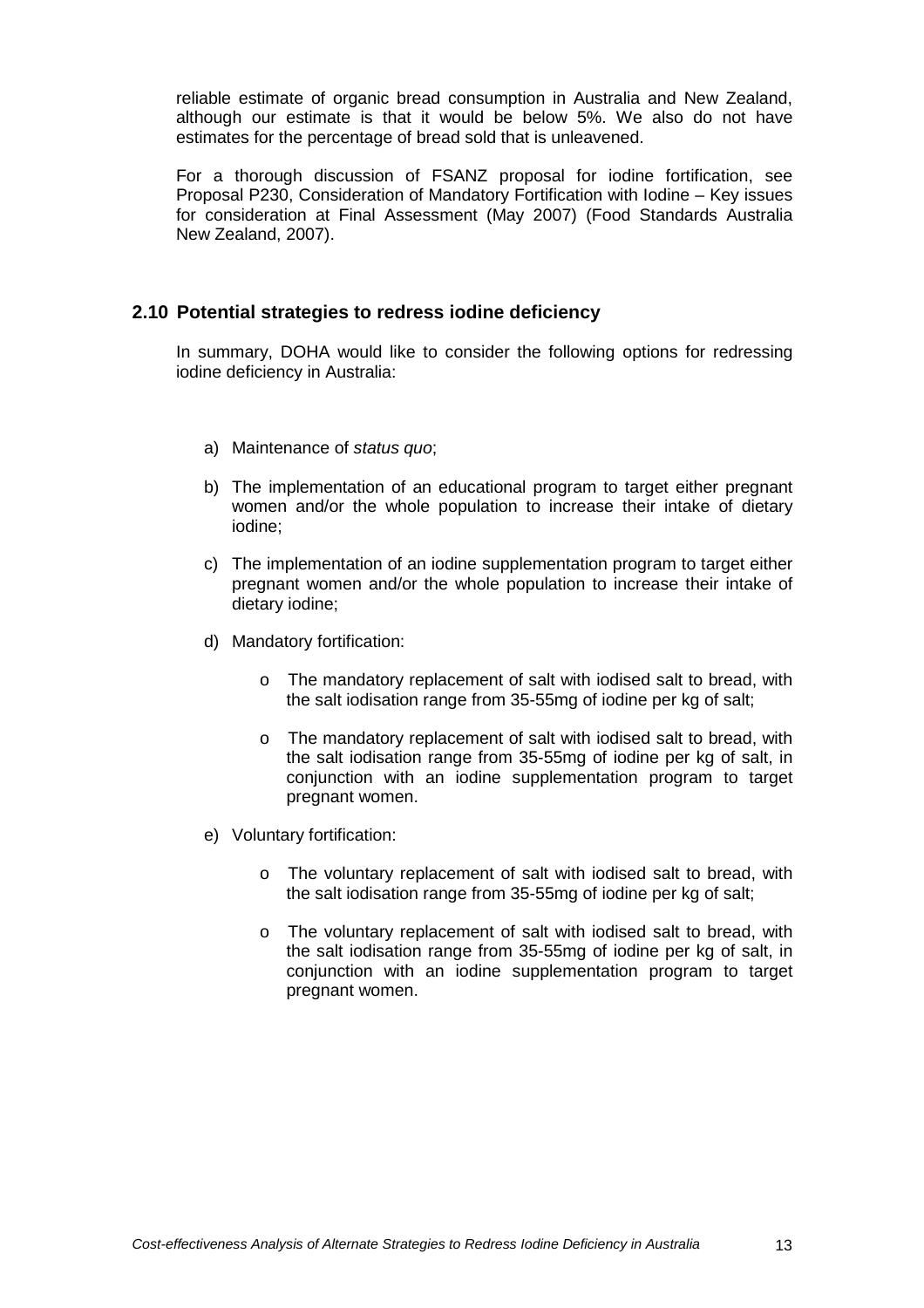reliable estimate of organic bread consumption in Australia and New Zealand, although our estimate is that it would be below 5%. We also do not have estimates for the percentage of bread sold that is unleavened.

For a thorough discussion of FSANZ proposal for iodine fortification, see Proposal P230, Consideration of Mandatory Fortification with Iodine – Key issues for consideration at Final Assessment (May 2007) (Food Standards Australia New Zealand, 2007).

### **2.10 Potential strategies to redress iodine deficiency**

In summary, DOHA would like to consider the following options for redressing iodine deficiency in Australia:

- a) Maintenance of status quo;
- b) The implementation of an educational program to target either pregnant women and/or the whole population to increase their intake of dietary iodine;
- c) The implementation of an iodine supplementation program to target either pregnant women and/or the whole population to increase their intake of dietary iodine;
- d) Mandatory fortification:
	- o The mandatory replacement of salt with iodised salt to bread, with the salt iodisation range from 35-55mg of iodine per kg of salt;
	- o The mandatory replacement of salt with iodised salt to bread, with the salt iodisation range from 35-55mg of iodine per kg of salt, in conjunction with an iodine supplementation program to target pregnant women.
- e) Voluntary fortification:
	- o The voluntary replacement of salt with iodised salt to bread, with the salt iodisation range from 35-55mg of iodine per kg of salt;
	- o The voluntary replacement of salt with iodised salt to bread, with the salt iodisation range from 35-55mg of iodine per kg of salt, in conjunction with an iodine supplementation program to target pregnant women.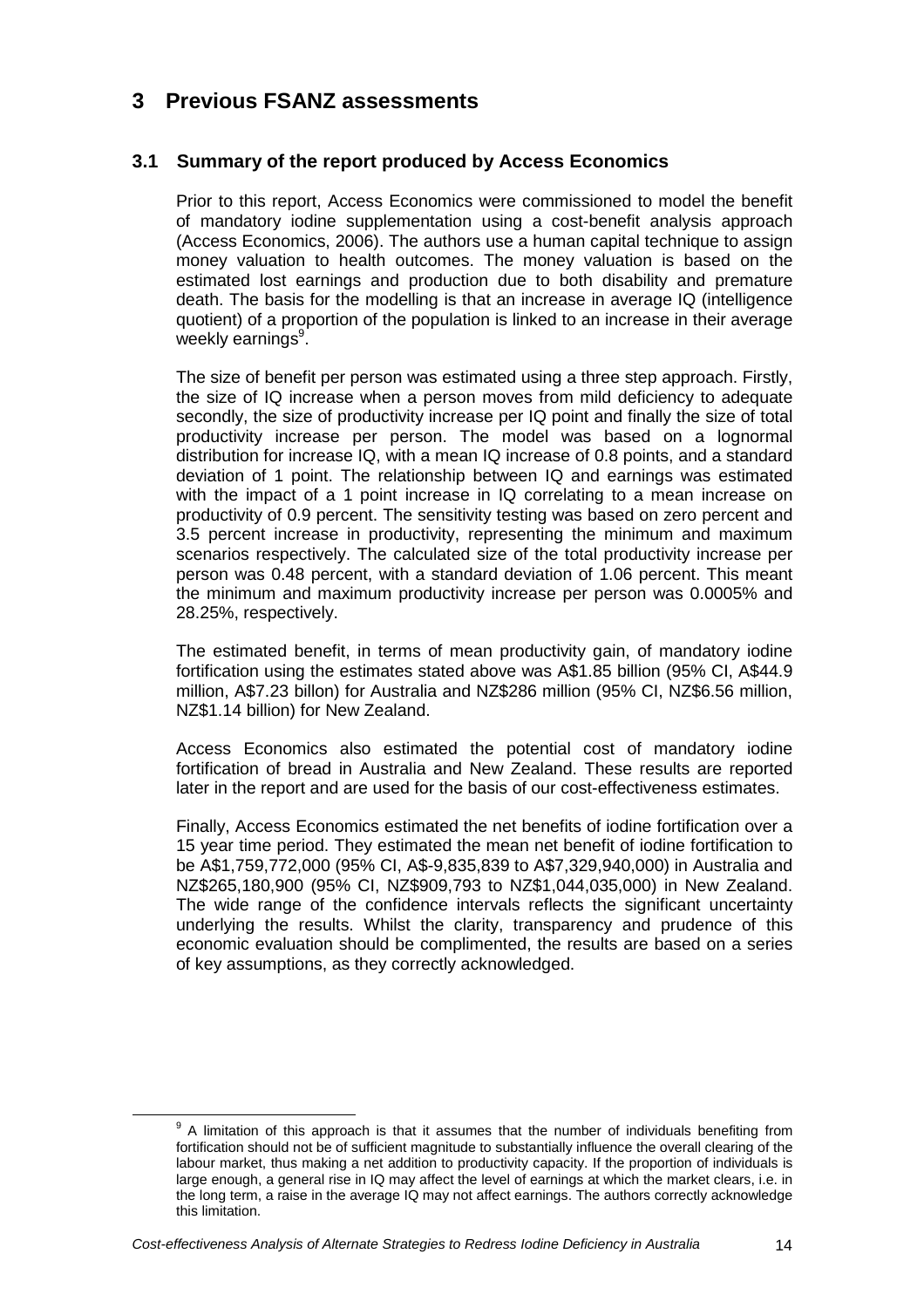# **3 Previous FSANZ assessments**

## **3.1 Summary of the report produced by Access Economics**

Prior to this report, Access Economics were commissioned to model the benefit of mandatory iodine supplementation using a cost-benefit analysis approach (Access Economics, 2006). The authors use a human capital technique to assign money valuation to health outcomes. The money valuation is based on the estimated lost earnings and production due to both disability and premature death. The basis for the modelling is that an increase in average IQ (intelligence quotient) of a proportion of the population is linked to an increase in their average weekly earnings<sup>9</sup>.

The size of benefit per person was estimated using a three step approach. Firstly, the size of IQ increase when a person moves from mild deficiency to adequate secondly, the size of productivity increase per IQ point and finally the size of total productivity increase per person. The model was based on a lognormal distribution for increase IQ, with a mean IQ increase of 0.8 points, and a standard deviation of 1 point. The relationship between IQ and earnings was estimated with the impact of a 1 point increase in IQ correlating to a mean increase on productivity of 0.9 percent. The sensitivity testing was based on zero percent and 3.5 percent increase in productivity, representing the minimum and maximum scenarios respectively. The calculated size of the total productivity increase per person was 0.48 percent, with a standard deviation of 1.06 percent. This meant the minimum and maximum productivity increase per person was 0.0005% and 28.25%, respectively.

The estimated benefit, in terms of mean productivity gain, of mandatory iodine fortification using the estimates stated above was A\$1.85 billion (95% CI, A\$44.9 million, A\$7.23 billon) for Australia and NZ\$286 million (95% CI, NZ\$6.56 million, NZ\$1.14 billion) for New Zealand.

Access Economics also estimated the potential cost of mandatory iodine fortification of bread in Australia and New Zealand. These results are reported later in the report and are used for the basis of our cost-effectiveness estimates.

Finally, Access Economics estimated the net benefits of iodine fortification over a 15 year time period. They estimated the mean net benefit of iodine fortification to be A\$1,759,772,000 (95% CI, A\$-9,835,839 to A\$7,329,940,000) in Australia and NZ\$265,180,900 (95% CI, NZ\$909,793 to NZ\$1,044,035,000) in New Zealand. The wide range of the confidence intervals reflects the significant uncertainty underlying the results. Whilst the clarity, transparency and prudence of this economic evaluation should be complimented, the results are based on a series of key assumptions, as they correctly acknowledged.

 $9$  A limitation of this approach is that it assumes that the number of individuals benefiting from fortification should not be of sufficient magnitude to substantially influence the overall clearing of the labour market, thus making a net addition to productivity capacity. If the proportion of individuals is large enough, a general rise in IQ may affect the level of earnings at which the market clears, i.e. in the long term, a raise in the average IQ may not affect earnings. The authors correctly acknowledge this limitation.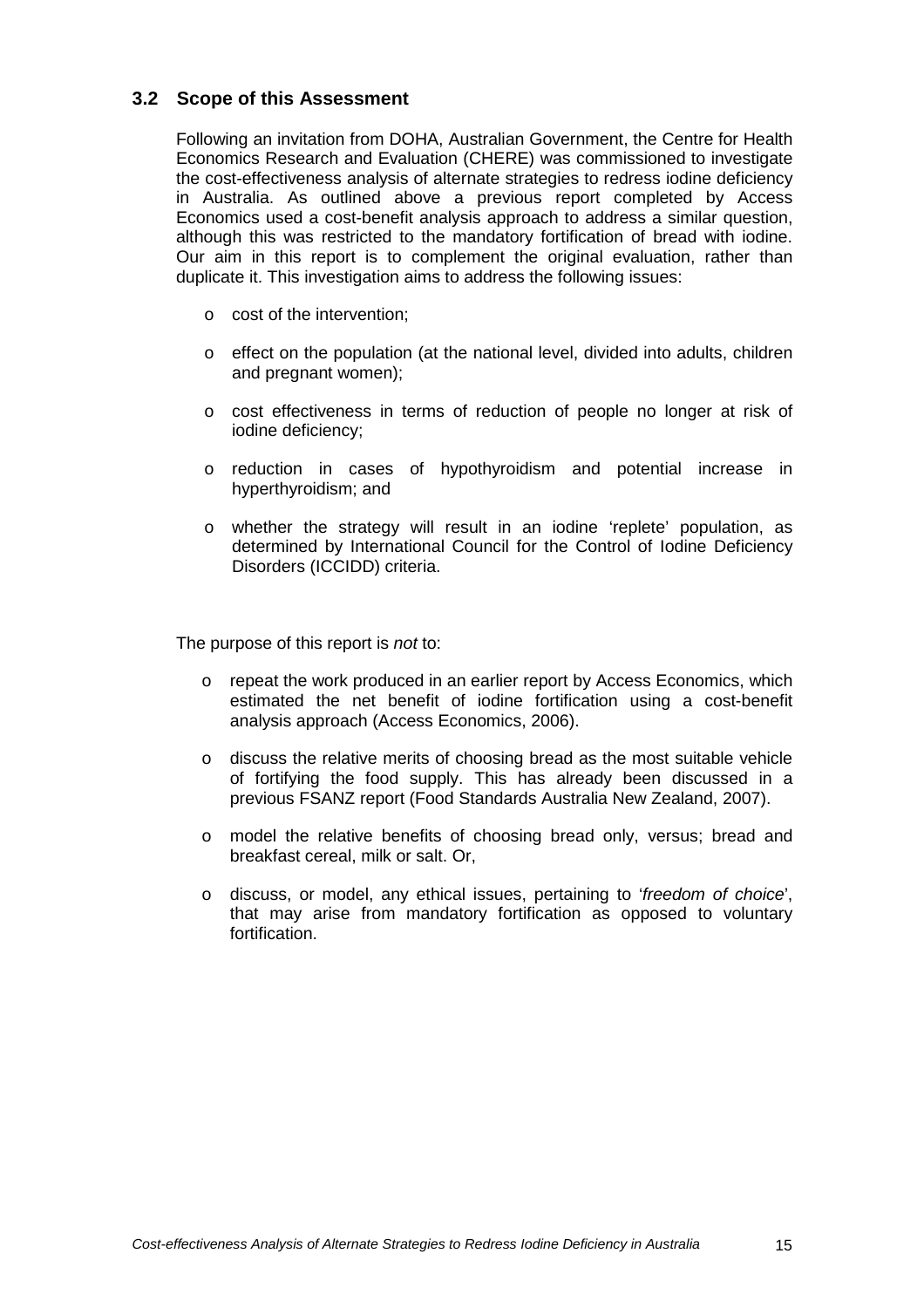### **3.2 Scope of this Assessment**

Following an invitation from DOHA, Australian Government, the Centre for Health Economics Research and Evaluation (CHERE) was commissioned to investigate the cost-effectiveness analysis of alternate strategies to redress iodine deficiency in Australia. As outlined above a previous report completed by Access Economics used a cost-benefit analysis approach to address a similar question, although this was restricted to the mandatory fortification of bread with iodine. Our aim in this report is to complement the original evaluation, rather than duplicate it. This investigation aims to address the following issues:

- o cost of the intervention;
- $\circ$  effect on the population (at the national level, divided into adults, children and pregnant women);
- o cost effectiveness in terms of reduction of people no longer at risk of iodine deficiency;
- o reduction in cases of hypothyroidism and potential increase in hyperthyroidism; and
- o whether the strategy will result in an iodine 'replete' population, as determined by International Council for the Control of Iodine Deficiency Disorders (ICCIDD) criteria.

The purpose of this report is *not* to:

- o repeat the work produced in an earlier report by Access Economics, which estimated the net benefit of iodine fortification using a cost-benefit analysis approach (Access Economics, 2006).
- o discuss the relative merits of choosing bread as the most suitable vehicle of fortifying the food supply. This has already been discussed in a previous FSANZ report (Food Standards Australia New Zealand, 2007).
- o model the relative benefits of choosing bread only, versus; bread and breakfast cereal, milk or salt. Or,
- o discuss, or model, any ethical issues, pertaining to 'freedom of choice', that may arise from mandatory fortification as opposed to voluntary fortification.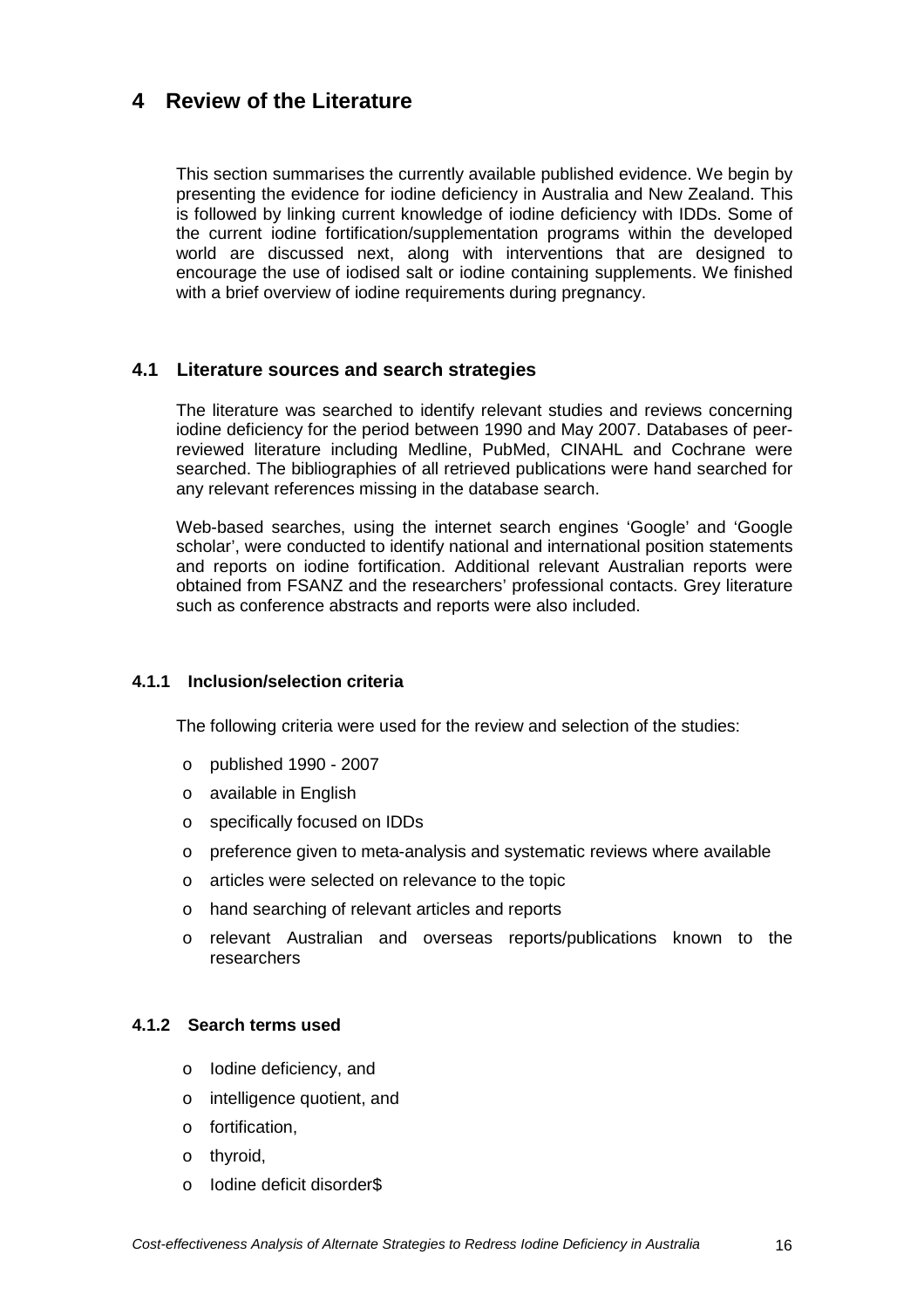## **4 Review of the Literature**

This section summarises the currently available published evidence. We begin by presenting the evidence for iodine deficiency in Australia and New Zealand. This is followed by linking current knowledge of iodine deficiency with IDDs. Some of the current iodine fortification/supplementation programs within the developed world are discussed next, along with interventions that are designed to encourage the use of iodised salt or iodine containing supplements. We finished with a brief overview of iodine requirements during pregnancy.

### **4.1 Literature sources and search strategies**

The literature was searched to identify relevant studies and reviews concerning iodine deficiency for the period between 1990 and May 2007. Databases of peerreviewed literature including Medline, PubMed, CINAHL and Cochrane were searched. The bibliographies of all retrieved publications were hand searched for any relevant references missing in the database search.

Web-based searches, using the internet search engines 'Google' and 'Google scholar', were conducted to identify national and international position statements and reports on iodine fortification. Additional relevant Australian reports were obtained from FSANZ and the researchers' professional contacts. Grey literature such as conference abstracts and reports were also included.

#### **4.1.1 Inclusion/selection criteria**

The following criteria were used for the review and selection of the studies:

- o published 1990 2007
- o available in English
- o specifically focused on IDDs
- $\circ$  preference given to meta-analysis and systematic reviews where available
- o articles were selected on relevance to the topic
- o hand searching of relevant articles and reports
- o relevant Australian and overseas reports/publications known to the researchers

#### **4.1.2 Search terms used**

- o Iodine deficiency, and
- o intelligence quotient, and
- o fortification,
- o thyroid,
- o Iodine deficit disorder\$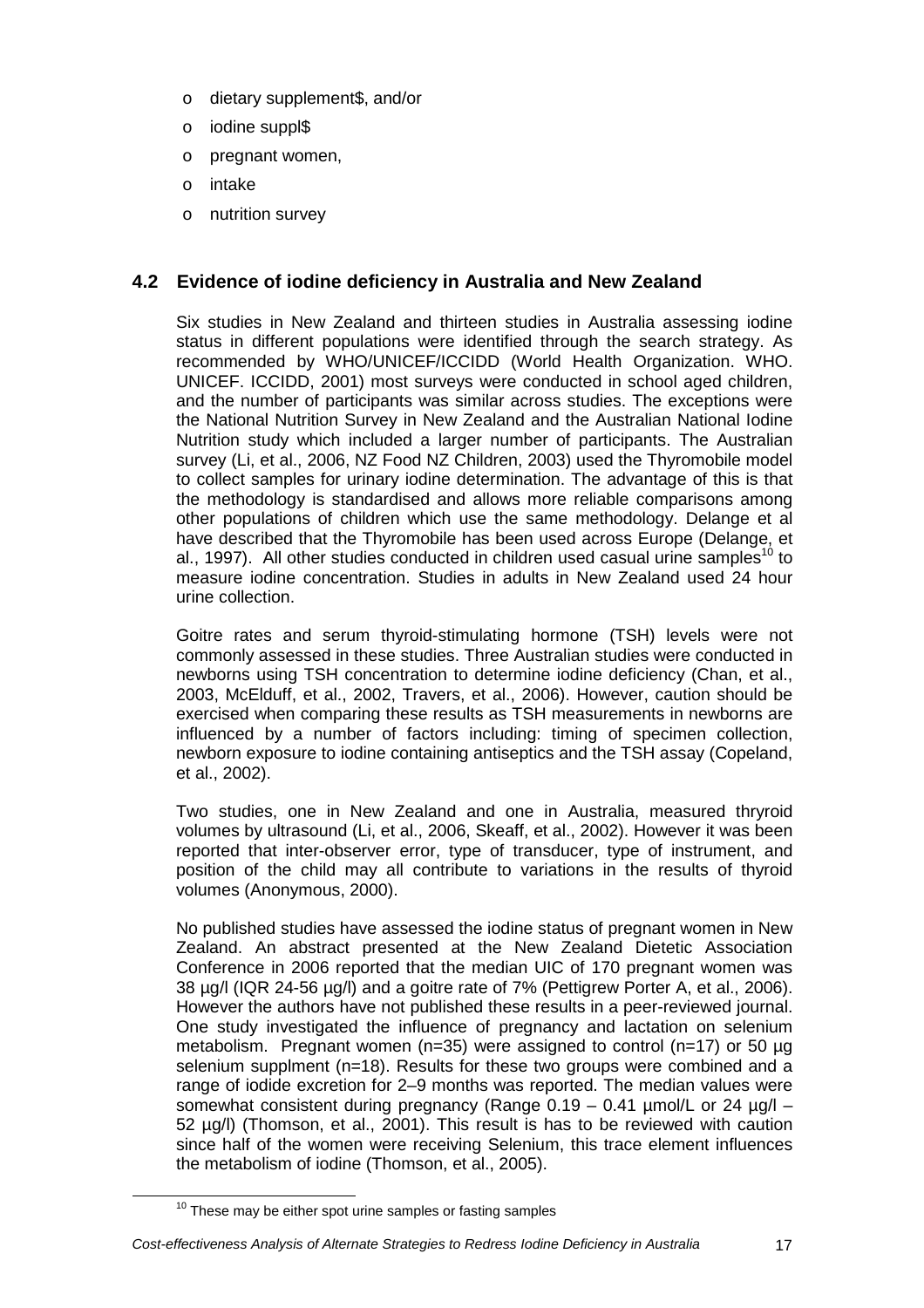- o dietary supplement\$, and/or
- o iodine suppl\$
- o pregnant women,
- o intake
- o nutrition survey

## **4.2 Evidence of iodine deficiency in Australia and New Zealand**

Six studies in New Zealand and thirteen studies in Australia assessing iodine status in different populations were identified through the search strategy. As recommended by WHO/UNICEF/ICCIDD (World Health Organization. WHO. UNICEF. ICCIDD, 2001) most surveys were conducted in school aged children, and the number of participants was similar across studies. The exceptions were the National Nutrition Survey in New Zealand and the Australian National Iodine Nutrition study which included a larger number of participants. The Australian survey (Li, et al., 2006, NZ Food NZ Children, 2003) used the Thyromobile model to collect samples for urinary iodine determination. The advantage of this is that the methodology is standardised and allows more reliable comparisons among other populations of children which use the same methodology. Delange et al have described that the Thyromobile has been used across Europe (Delange, et al., 1997). All other studies conducted in children used casual urine samples<sup>10</sup> to measure iodine concentration. Studies in adults in New Zealand used 24 hour urine collection.

Goitre rates and serum thyroid-stimulating hormone (TSH) levels were not commonly assessed in these studies. Three Australian studies were conducted in newborns using TSH concentration to determine iodine deficiency (Chan, et al., 2003, McElduff, et al., 2002, Travers, et al., 2006). However, caution should be exercised when comparing these results as TSH measurements in newborns are influenced by a number of factors including: timing of specimen collection, newborn exposure to iodine containing antiseptics and the TSH assay (Copeland, et al., 2002).

Two studies, one in New Zealand and one in Australia, measured thryroid volumes by ultrasound (Li, et al., 2006, Skeaff, et al., 2002). However it was been reported that inter-observer error, type of transducer, type of instrument, and position of the child may all contribute to variations in the results of thyroid volumes (Anonymous, 2000).

No published studies have assessed the iodine status of pregnant women in New Zealand. An abstract presented at the New Zealand Dietetic Association Conference in 2006 reported that the median UIC of 170 pregnant women was 38 µg/l (IQR 24-56 µg/l) and a goitre rate of 7% (Pettigrew Porter A, et al., 2006). However the authors have not published these results in a peer-reviewed journal. One study investigated the influence of pregnancy and lactation on selenium metabolism. Pregnant women (n=35) were assigned to control (n=17) or 50 µg selenium supplment (n=18). Results for these two groups were combined and a range of iodide excretion for 2–9 months was reported. The median values were somewhat consistent during pregnancy (Range  $0.19 - 0.41$  µmol/L or 24 µg/l – 52 µg/l) (Thomson, et al., 2001). This result is has to be reviewed with caution since half of the women were receiving Selenium, this trace element influences the metabolism of iodine (Thomson, et al., 2005).

#### Cost-effectiveness Analysis of Alternate Strategies to Redress Iodine Deficiency in Australia 17

 $10$  These may be either spot urine samples or fasting samples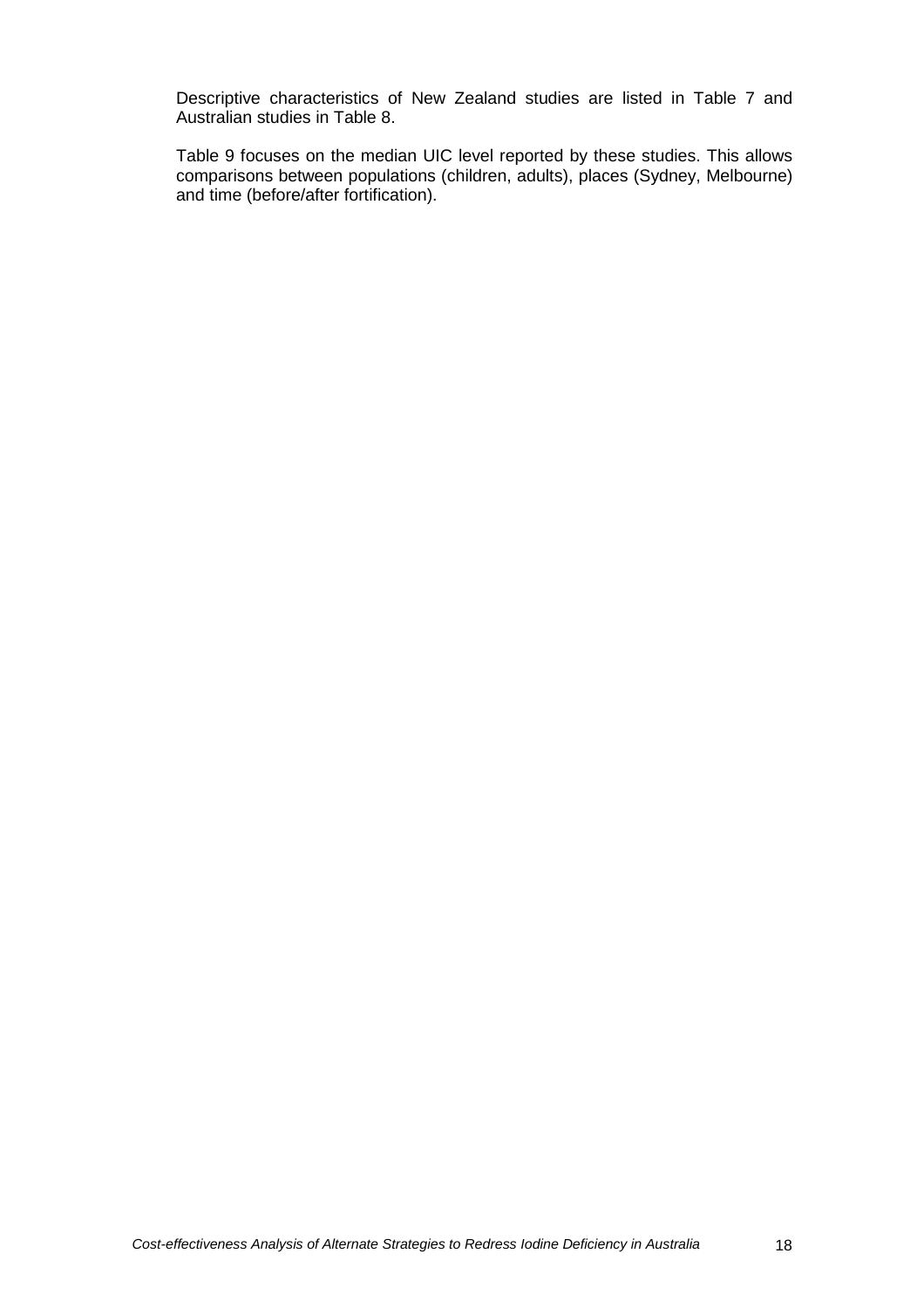Descriptive characteristics of New Zealand studies are listed in Table 7 and Australian studies in Table 8.

Table 9 focuses on the median UIC level reported by these studies. This allows comparisons between populations (children, adults), places (Sydney, Melbourne) and time (before/after fortification).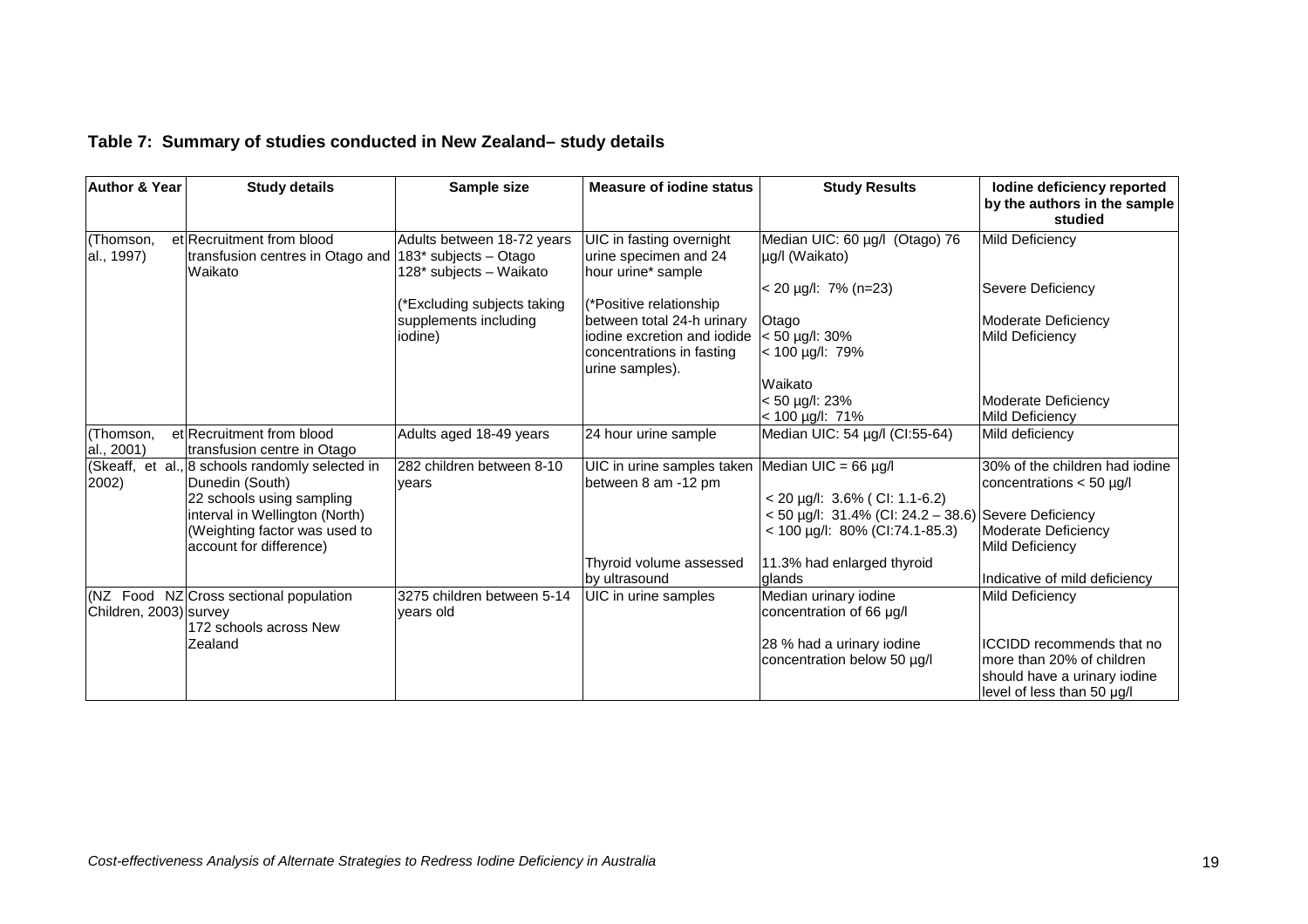## **Table 7: Summary of studies conducted in New Zealand– study details**

| <b>Author &amp; Year</b> | <b>Study details</b>                                                                                                              | Sample size                                                                    | <b>Measure of jodine status</b>                                                                           | <b>Study Results</b>                                                                                                   | lodine deficiency reported<br>by the authors in the sample<br>studied                                                 |
|--------------------------|-----------------------------------------------------------------------------------------------------------------------------------|--------------------------------------------------------------------------------|-----------------------------------------------------------------------------------------------------------|------------------------------------------------------------------------------------------------------------------------|-----------------------------------------------------------------------------------------------------------------------|
| (Thomson,<br>al., 1997)  | et Recruitment from blood<br>transfusion centres in Otago and<br>Waikato                                                          | Adults between 18-72 years<br>183* subjects - Otago<br>128* subjects - Waikato | UIC in fasting overnight<br>urine specimen and 24<br>hour urine* sample                                   | Median UIC: 60 µg/l (Otago) 76<br>µg/l (Waikato)                                                                       | <b>Mild Deficiency</b>                                                                                                |
|                          |                                                                                                                                   | *Excluding subjects taking                                                     | (*Positive relationship                                                                                   | $<$ 20 µg/l: 7% (n=23)                                                                                                 | Severe Deficiency                                                                                                     |
|                          |                                                                                                                                   | supplements including<br>iodine)                                               | between total 24-h urinary<br>iodine excretion and iodide<br>concentrations in fasting<br>urine samples). | Otago<br>$< 50$ µg/l: 30%<br>$< 100 \mu g/l$ : 79%                                                                     | Moderate Deficiency<br>Mild Deficiency                                                                                |
|                          |                                                                                                                                   |                                                                                |                                                                                                           | Waikato<br>< 50 µg/l: 23%<br>$< 100$ µg/l: 71%                                                                         | Moderate Deficiency<br><b>Mild Deficiency</b>                                                                         |
| (Thomson,<br>al., 2001)  | et Recruitment from blood<br>transfusion centre in Otago                                                                          | Adults aged 18-49 years                                                        | 24 hour urine sample                                                                                      | Median UIC: 54 µg/l (CI:55-64)                                                                                         | Mild deficiency                                                                                                       |
| 2002)                    | (Skeaff, et al., 8 schools randomly selected in<br>Dunedin (South)<br>22 schools using sampling<br>interval in Wellington (North) | 282 children between 8-10<br>vears                                             | UIC in urine samples taken<br>between 8 am -12 pm                                                         | Median UIC = $66 \mu g/l$<br>$<$ 20 µg/l: 3.6% (CI: 1.1-6.2)<br>$<$ 50 µg/l: 31.4% (CI: 24.2 – 38.6) Severe Deficiency | 30% of the children had iodine<br>concentrations $<$ 50 µg/l                                                          |
|                          | (Weighting factor was used to<br>account for difference)                                                                          |                                                                                |                                                                                                           | $<$ 100 µg/l: 80% (Cl:74.1-85.3)                                                                                       | Moderate Deficiency<br><b>Mild Deficiency</b>                                                                         |
|                          |                                                                                                                                   |                                                                                | Thyroid volume assessed<br>by ultrasound                                                                  | 11.3% had enlarged thyroid<br>dlands                                                                                   | Indicative of mild deficiency                                                                                         |
| Children, 2003) survey   | (NZ Food NZ Cross sectional population<br>172 schools across New                                                                  | 3275 children between 5-14<br>vears old                                        | UIC in urine samples                                                                                      | Median urinary iodine<br>concentration of 66 µg/l                                                                      | Mild Deficiency                                                                                                       |
|                          | <b>Zealand</b>                                                                                                                    |                                                                                |                                                                                                           | 28 % had a urinary iodine<br>concentration below 50 µg/l                                                               | ICCIDD recommends that no<br>Imore than 20% of children<br>should have a urinary iodine<br>level of less than 50 µg/l |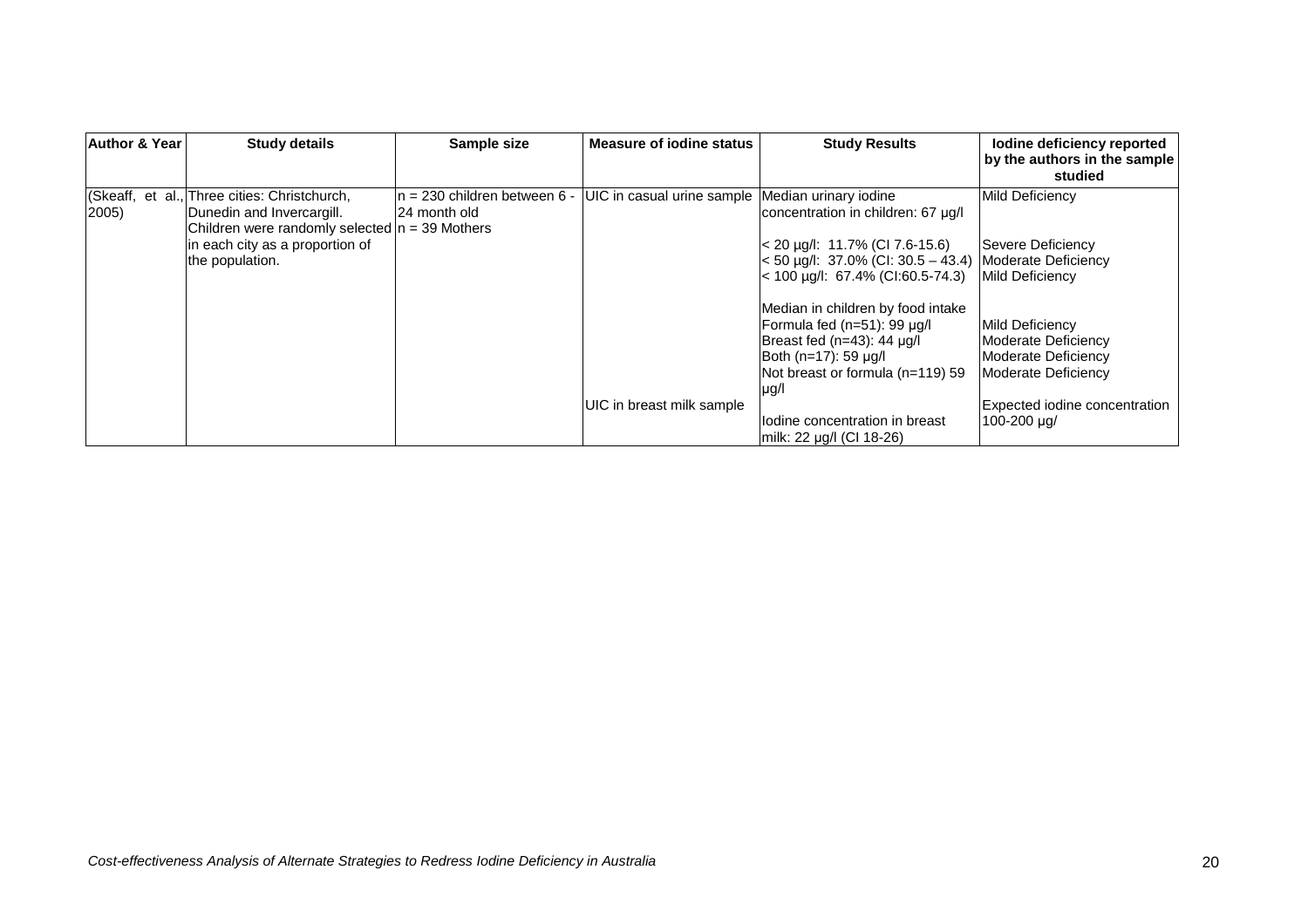| <b>Author &amp; Year</b> | <b>Study details</b>                                                                                                                                                                | Sample size                                     | <b>Measure of jodine status</b>                  | <b>Study Results</b>                                                                                                                                                                                                              | lodine deficiency reported<br>by the authors in the sample<br>studied                                                                |
|--------------------------|-------------------------------------------------------------------------------------------------------------------------------------------------------------------------------------|-------------------------------------------------|--------------------------------------------------|-----------------------------------------------------------------------------------------------------------------------------------------------------------------------------------------------------------------------------------|--------------------------------------------------------------------------------------------------------------------------------------|
| $ 2005\rangle$           | (Skeaff, et al., Three cities: Christchurch,<br>Dunedin and Invercargill.<br>Children were randomly selected $n = 39$ Mothers<br>in each city as a proportion of<br>the population. | $n = 230$ children between 6 -<br>I24 month old | UIC in casual urine sample Median urinary iodine | concentration in children: 67 µg/l<br>$<$ 20 µg/l: 11.7% (CI 7.6-15.6)<br>$<$ 50 µg/l: 37.0% (CI: 30.5 – 43.4)<br>$<$ 100 µg/l: 67.4% (Cl:60.5-74.3)                                                                              | Mild Deficiency<br>Severe Deficiency<br>Moderate Deficiency<br>Mild Deficiency                                                       |
|                          |                                                                                                                                                                                     |                                                 | UIC in breast milk sample                        | Median in children by food intake<br>Formula fed (n=51): 99 µg/l<br>Breast fed (n=43): 44 µg/l<br>Both (n=17): 59 µg/l<br>Not breast or formula (n=119) 59<br> µg/l<br>lodine concentration in breast<br>milk: 22 µg/l (CI 18-26) | Mild Deficiency<br>Moderate Deficiency<br>Moderate Deficiency<br>Moderate Deficiency<br>Expected iodine concentration<br>100-200 µg/ |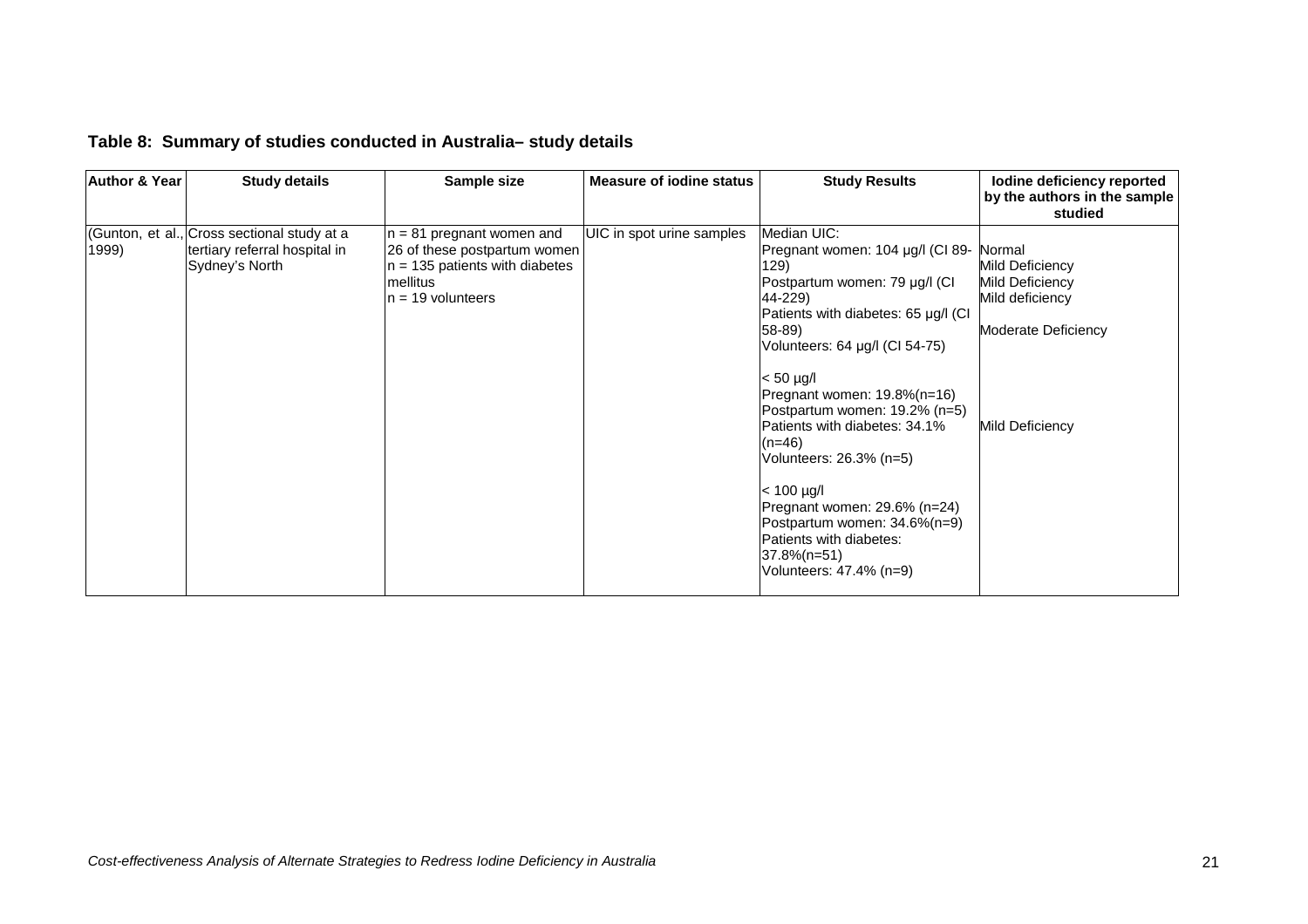|  | Table 8: Summary of studies conducted in Australia-study details |  |  |  |
|--|------------------------------------------------------------------|--|--|--|
|--|------------------------------------------------------------------|--|--|--|

| <b>Author &amp; Year</b> | <b>Study details</b>                                                                           | Sample size                                                                                                                        | <b>Measure of jodine status</b> | <b>Study Results</b>                                                                                                                                                                                                                                                                                                                                                                                                                                                                                          | lodine deficiency reported<br>by the authors in the sample<br>studied                                     |
|--------------------------|------------------------------------------------------------------------------------------------|------------------------------------------------------------------------------------------------------------------------------------|---------------------------------|---------------------------------------------------------------------------------------------------------------------------------------------------------------------------------------------------------------------------------------------------------------------------------------------------------------------------------------------------------------------------------------------------------------------------------------------------------------------------------------------------------------|-----------------------------------------------------------------------------------------------------------|
| 1999)                    | (Gunton, et al., Cross sectional study at a<br>tertiary referral hospital in<br>Sydney's North | $n = 81$ pregnant women and<br>26 of these postpartum women<br>$n = 135$ patients with diabetes<br>mellitus<br>$n = 19$ volunteers | UIC in spot urine samples       | Median UIC:<br>Pregnant women: 104 µg/l (CI 89-<br>129)<br>Postpartum women: 79 µg/l (CI<br>44-229)<br>Patients with diabetes: 65 µg/l (CI)<br>58-89)<br>Volunteers: 64 µg/l (CI 54-75)<br>$< 50 \mu q/l$<br>Pregnant women: $19.8\%$ (n=16)<br>Postpartum women: 19.2% (n=5)<br>Patients with diabetes: 34.1%<br>$(n=46)$<br>Volunteers: 26.3% (n=5)<br>$< 100 \mu g/l$<br>Pregnant women: 29.6% (n=24)<br>Postpartum women: 34.6%(n=9)<br>Patients with diabetes:<br>37.8%(n=51)<br>Volunteers: 47.4% (n=9) | Normal<br>Mild Deficiency<br>Mild Deficiency<br>Mild deficiency<br>Moderate Deficiency<br>Mild Deficiency |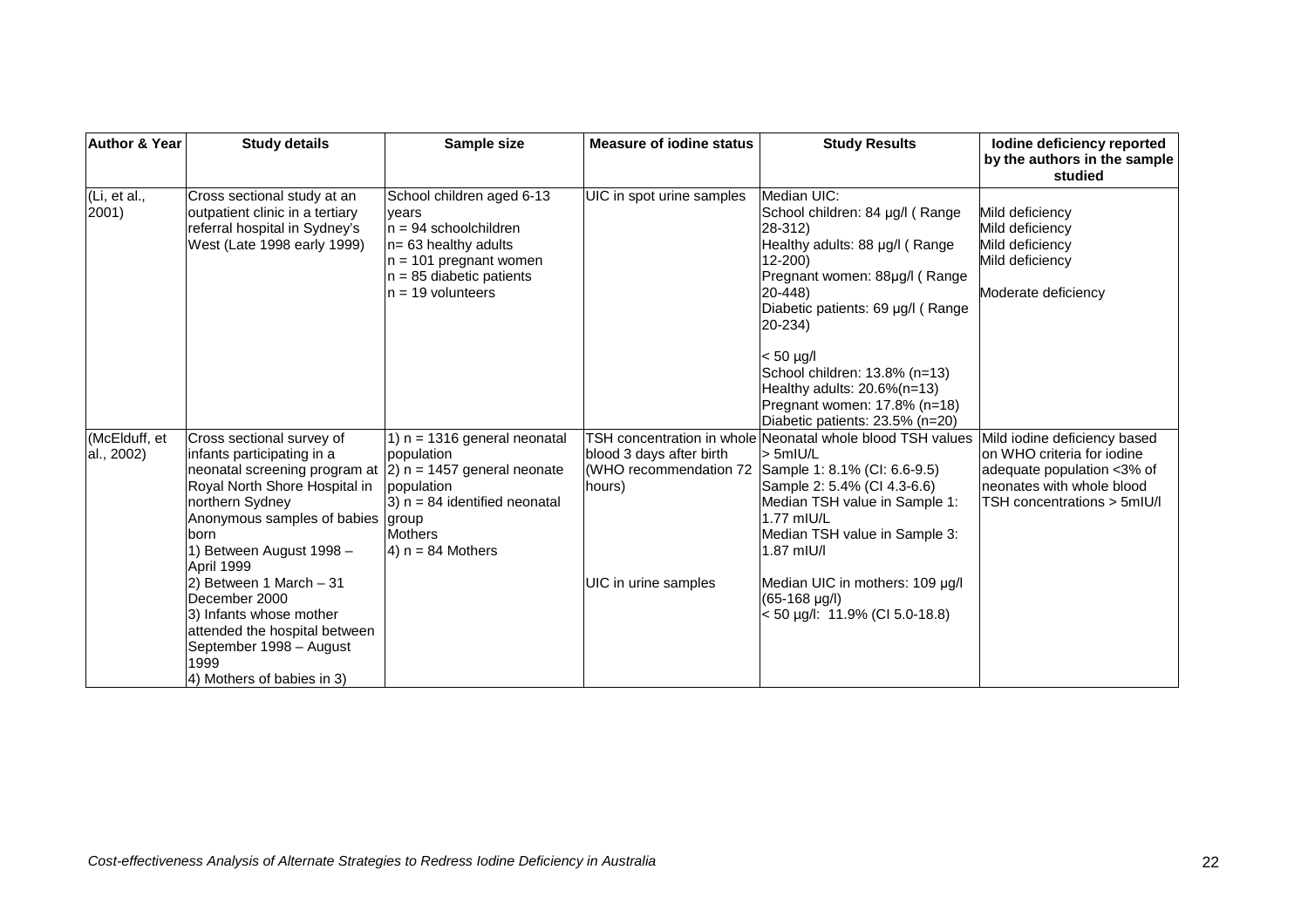| <b>Author &amp; Year</b>    | <b>Study details</b>                                                                                                                                                                                            | Sample size                                                                                                                                                                          | <b>Measure of jodine status</b>                                                            | <b>Study Results</b>                                                                                                                                                                                                                                                                                         | lodine deficiency reported<br>by the authors in the sample<br>studied                                                                                 |
|-----------------------------|-----------------------------------------------------------------------------------------------------------------------------------------------------------------------------------------------------------------|--------------------------------------------------------------------------------------------------------------------------------------------------------------------------------------|--------------------------------------------------------------------------------------------|--------------------------------------------------------------------------------------------------------------------------------------------------------------------------------------------------------------------------------------------------------------------------------------------------------------|-------------------------------------------------------------------------------------------------------------------------------------------------------|
| (Li, et al.,<br>2001)       | Cross sectional study at an<br>outpatient clinic in a tertiary<br>referral hospital in Sydney's<br>West (Late 1998 early 1999)                                                                                  | School children aged 6-13<br>vears<br>In = 94 schoolchildren<br>$n = 63$ healthy adults<br>$n = 101$ pregnant women<br>$n = 85$ diabetic patients<br>$n = 19$ volunteers             | UIC in spot urine samples                                                                  | Median UIC:<br>School children: 84 µg/l (Range<br>28-312)<br>Healthy adults: 88 µg/l (Range<br>$12 - 200$<br>Pregnant women: 88µg/l (Range<br>$20 - 448$<br>Diabetic patients: 69 µg/l (Range<br>$20 - 234$<br>$< 50$ µg/<br>School children: 13.8% (n=13)                                                   | Mild deficiency<br>Mild deficiency<br>Mild deficiency<br>Mild deficiency<br>Moderate deficiency                                                       |
| (McElduff, et<br>al., 2002) | Cross sectional survey of<br>infants participating in a<br>neonatal screening program at<br>Royal North Shore Hospital in<br>northern Sydney<br>Anonymous samples of babies<br>born<br>1) Between August 1998 - | 1) $n = 1316$ general neonatal<br>population<br>$ 2$ ) n = 1457 general neonate<br>population<br>$(3)$ n = 84 identified neonatal<br>group<br><b>Mothers</b><br>$(4)$ n = 84 Mothers | TSH concentration in whole<br>blood 3 days after birth<br>(WHO recommendation 72<br>hours) | Healthy adults: 20.6%(n=13)<br>Pregnant women: 17.8% (n=18)<br>Diabetic patients: 23.5% (n=20)<br>Neonatal whole blood TSH values<br>$>$ 5mIU/L<br>Sample 1: 8.1% (CI: 6.6-9.5)<br>Sample 2: 5.4% (CI 4.3-6.6)<br>Median TSH value in Sample 1:<br>1.77 mIU/L<br>Median TSH value in Sample 3:<br>1.87 mIU/l | Mild iodine deficiency based<br>Ion WHO criteria for iodine<br>adequate population <3% of<br>neonates with whole blood<br>TSH concentrations > 5mIU/I |
|                             | April 1999<br>2) Between 1 March $-31$<br>December 2000<br>3) Infants whose mother<br>attended the hospital between<br>September 1998 - August<br>1999<br>4) Mothers of babies in 3)                            |                                                                                                                                                                                      | UIC in urine samples                                                                       | Median UIC in mothers: 109 µg/l<br>$(65-168 \text{ µg/l})$<br>$<$ 50 µg/l: 11.9% (CI 5.0-18.8)                                                                                                                                                                                                               |                                                                                                                                                       |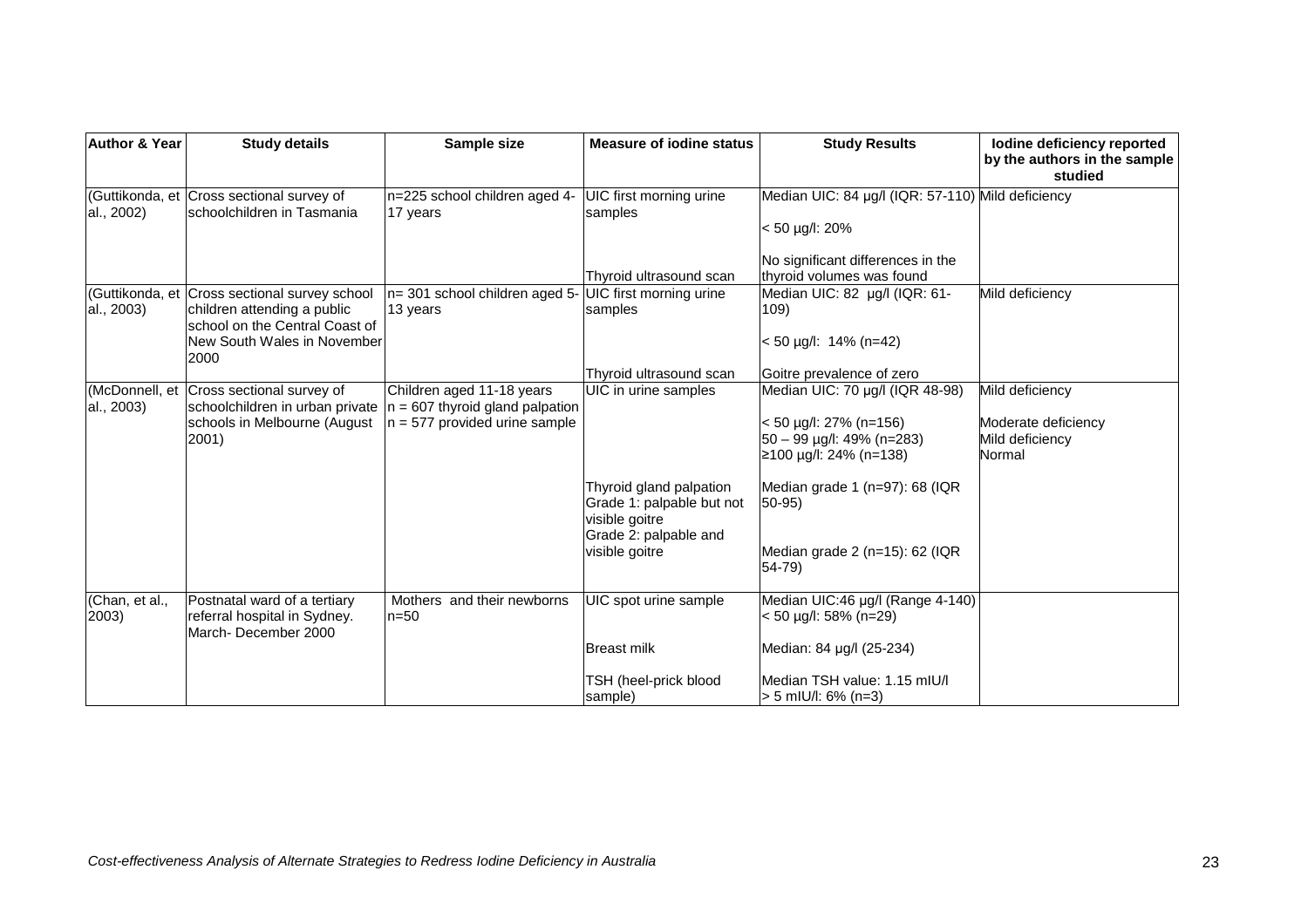| <b>Author &amp; Year</b> | <b>Study details</b>                                                                                                   | Sample size                                                                                         | <b>Measure of jodine status</b>                                                                 | <b>Study Results</b>                                                                                                         | lodine deficiency reported<br>by the authors in the sample<br>studied |
|--------------------------|------------------------------------------------------------------------------------------------------------------------|-----------------------------------------------------------------------------------------------------|-------------------------------------------------------------------------------------------------|------------------------------------------------------------------------------------------------------------------------------|-----------------------------------------------------------------------|
| al., 2002)               | (Guttikonda, et Cross sectional survey of<br>Ischoolchildren in Tasmania                                               | n=225 school children aged 4-<br>17 years                                                           | UIC first morning urine<br>samples                                                              | Median UIC: 84 µg/l (IQR: 57-110) Mild deficiency<br>$< 50 \mu g/l$ : 20%                                                    |                                                                       |
|                          |                                                                                                                        |                                                                                                     | Thyroid ultrasound scan                                                                         | No significant differences in the<br>thyroid volumes was found                                                               |                                                                       |
| al., 2003)               | (Guttikonda, et Cross sectional survey school<br>children attending a public<br>school on the Central Coast of         | $n=$ 301 school children aged 5- UIC first morning urine<br>13 years                                | samples                                                                                         | Median UIC: 82 µg/l (IQR: 61-<br>109)                                                                                        | Mild deficiency                                                       |
|                          | New South Wales in November<br>2000                                                                                    |                                                                                                     | Thyroid ultrasound scan                                                                         | $< 50$ µg/l: 14% (n=42)<br>Goitre prevalence of zero                                                                         |                                                                       |
| al., 2003)               | (McDonnell, et   Cross sectional survey of<br>schoolchildren in urban private<br>schools in Melbourne (August<br>2001) | Children aged 11-18 years<br>$n = 607$ thyroid gland palpation<br>$\ln$ = 577 provided urine sample | UIC in urine samples                                                                            | Median UIC: 70 µg/l (IQR 48-98)<br>$< 50 \mu g/l$ : 27% (n=156)<br>50 - 99 µg/l: 49% (n=283)<br>$≥100 \mu g/l$ : 24% (n=138) | Mild deficiency<br>Moderate deficiency<br>Mild deficiency<br>Normal   |
|                          |                                                                                                                        |                                                                                                     | Thyroid gland palpation<br>Grade 1: palpable but not<br>visible goitre<br>Grade 2: palpable and | Median grade 1 (n=97): 68 (IQR<br>$50-95$                                                                                    |                                                                       |
|                          |                                                                                                                        |                                                                                                     | visible goitre                                                                                  | Median grade 2 (n=15): 62 (IQR<br>$54 - 79$                                                                                  |                                                                       |
| (Chan, et al.,<br>2003)  | Postnatal ward of a tertiary<br>referral hospital in Sydney.<br>March-December 2000                                    | Mothers and their newborns<br>$n = 50$                                                              | UIC spot urine sample                                                                           | Median UIC:46 µg/l (Range 4-140)<br>$< 50 \mu g/l$ : 58% (n=29)                                                              |                                                                       |
|                          |                                                                                                                        |                                                                                                     | <b>Breast milk</b>                                                                              | Median: 84 µg/l (25-234)                                                                                                     |                                                                       |
|                          |                                                                                                                        |                                                                                                     | TSH (heel-prick blood<br>sample)                                                                | Median TSH value: 1.15 mIU/I<br>> 5 mIU/I: 6% (n=3)                                                                          |                                                                       |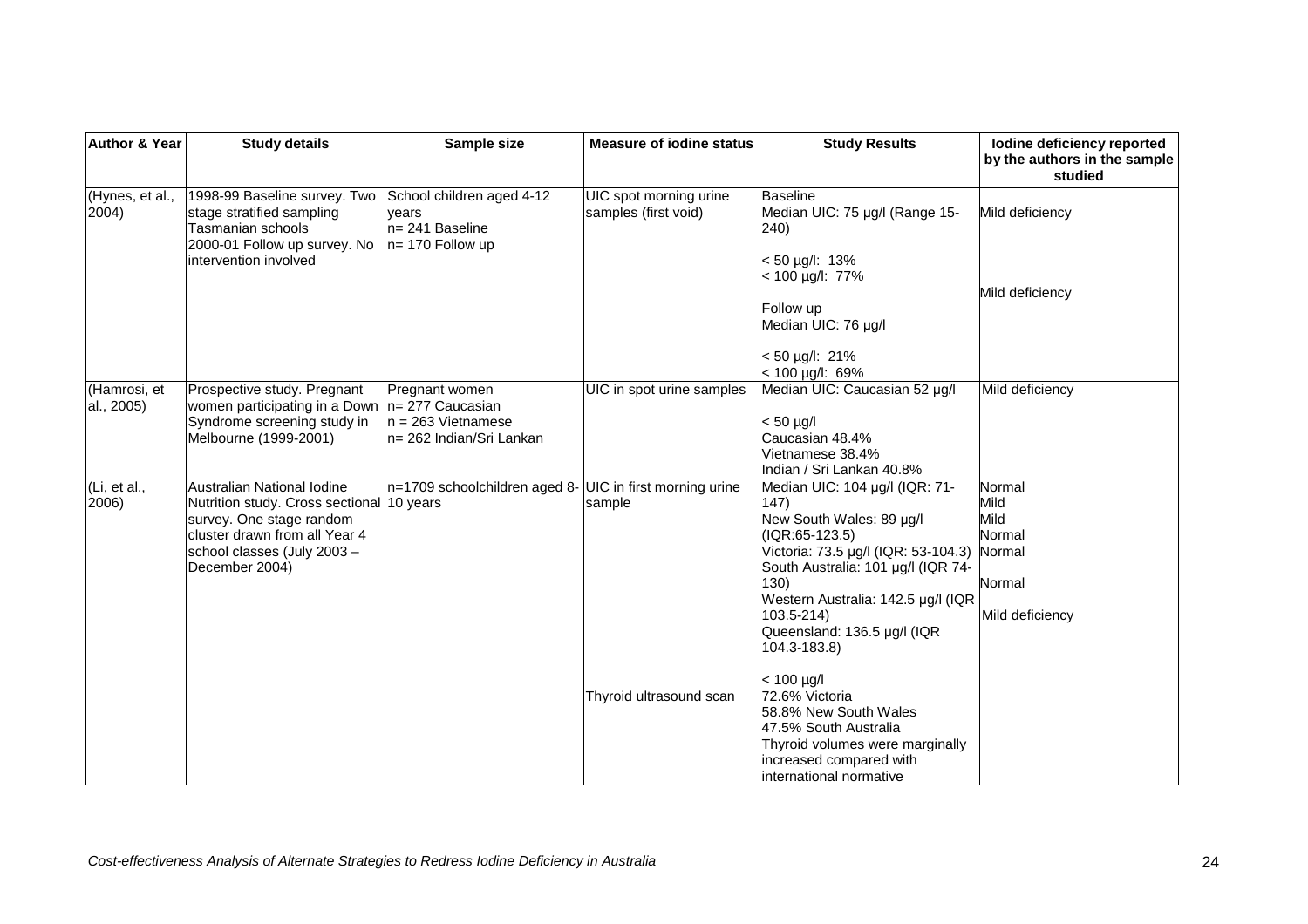| <b>Author &amp; Year</b>   | <b>Study details</b>                                                                                           | Sample size                                                               | <b>Measure of jodine status</b>                | <b>Study Results</b>                                               | lodine deficiency reported<br>by the authors in the sample<br>studied |
|----------------------------|----------------------------------------------------------------------------------------------------------------|---------------------------------------------------------------------------|------------------------------------------------|--------------------------------------------------------------------|-----------------------------------------------------------------------|
| (Hynes, et al.,<br>2004)   | 1998-99 Baseline survey. Two<br>stage stratified sampling<br>Tasmanian schools<br>2000-01 Follow up survey. No | School children aged 4-12<br>vears<br>n= 241 Baseline<br>n= 170 Follow up | UIC spot morning urine<br>samples (first void) | <b>Baseline</b><br>Median UIC: 75 µg/l (Range 15-<br>240)          | Mild deficiency                                                       |
|                            | intervention involved                                                                                          |                                                                           |                                                | $< 50 \mu g/l$ : 13%<br>< 100 µg/l: 77%<br>Follow up               | Mild deficiency                                                       |
|                            |                                                                                                                |                                                                           |                                                | Median UIC: 76 µg/l                                                |                                                                       |
|                            |                                                                                                                |                                                                           |                                                | $< 50 \mu g/l$ : 21%<br>$< 100$ µg/l: 69%                          |                                                                       |
| (Hamrosi, et<br>al., 2005) | Prospective study. Pregnant<br>women participating in a Down                                                   | Pregnant women<br>$n = 277$ Caucasian                                     | UIC in spot urine samples                      | Median UIC: Caucasian 52 µg/l                                      | Mild deficiency                                                       |
|                            | Syndrome screening study in<br>Melbourne (1999-2001)                                                           | $n = 263$ Vietnamese<br>n= 262 Indian/Sri Lankan                          |                                                | $< 50$ µg/l<br>Caucasian 48.4%                                     |                                                                       |
|                            |                                                                                                                |                                                                           |                                                | Vietnamese 38.4%<br>Indian / Sri Lankan 40.8%                      |                                                                       |
| (Li, et al.,<br>2006)      | Australian National Iodine<br>Nutrition study. Cross sectional 10 years<br>survey. One stage random            | n=1709 schoolchildren aged 8-                                             | UIC in first morning urine<br>sample           | Median UIC: 104 µg/l (IQR: 71-<br>147)<br>New South Wales: 89 µg/l | Normal<br>Mild<br>Mild                                                |
|                            | cluster drawn from all Year 4<br>school classes (July 2003 -                                                   |                                                                           |                                                | $(IQR:65-123.5)$<br>Victoria: 73.5 µg/l (IQR: 53-104.3)            | Normal<br>Normal                                                      |
|                            | December 2004)                                                                                                 |                                                                           |                                                | South Australia: 101 µg/l (IQR 74-<br>130)                         | Normal                                                                |
|                            |                                                                                                                |                                                                           |                                                | Western Australia: 142.5 µg/l (IQR<br>$103.5 - 214$                | Mild deficiency                                                       |
|                            |                                                                                                                |                                                                           |                                                | Queensland: 136.5 µg/l (IQR<br>104.3-183.8)                        |                                                                       |
|                            |                                                                                                                |                                                                           |                                                | $< 100 \mu g/l$                                                    |                                                                       |
|                            |                                                                                                                |                                                                           | Thyroid ultrasound scan                        | 72.6% Victoria<br>58.8% New South Wales                            |                                                                       |
|                            |                                                                                                                |                                                                           |                                                | 47.5% South Australia<br>Thyroid volumes were marginally           |                                                                       |
|                            |                                                                                                                |                                                                           |                                                | increased compared with                                            |                                                                       |
|                            |                                                                                                                |                                                                           |                                                | international normative                                            |                                                                       |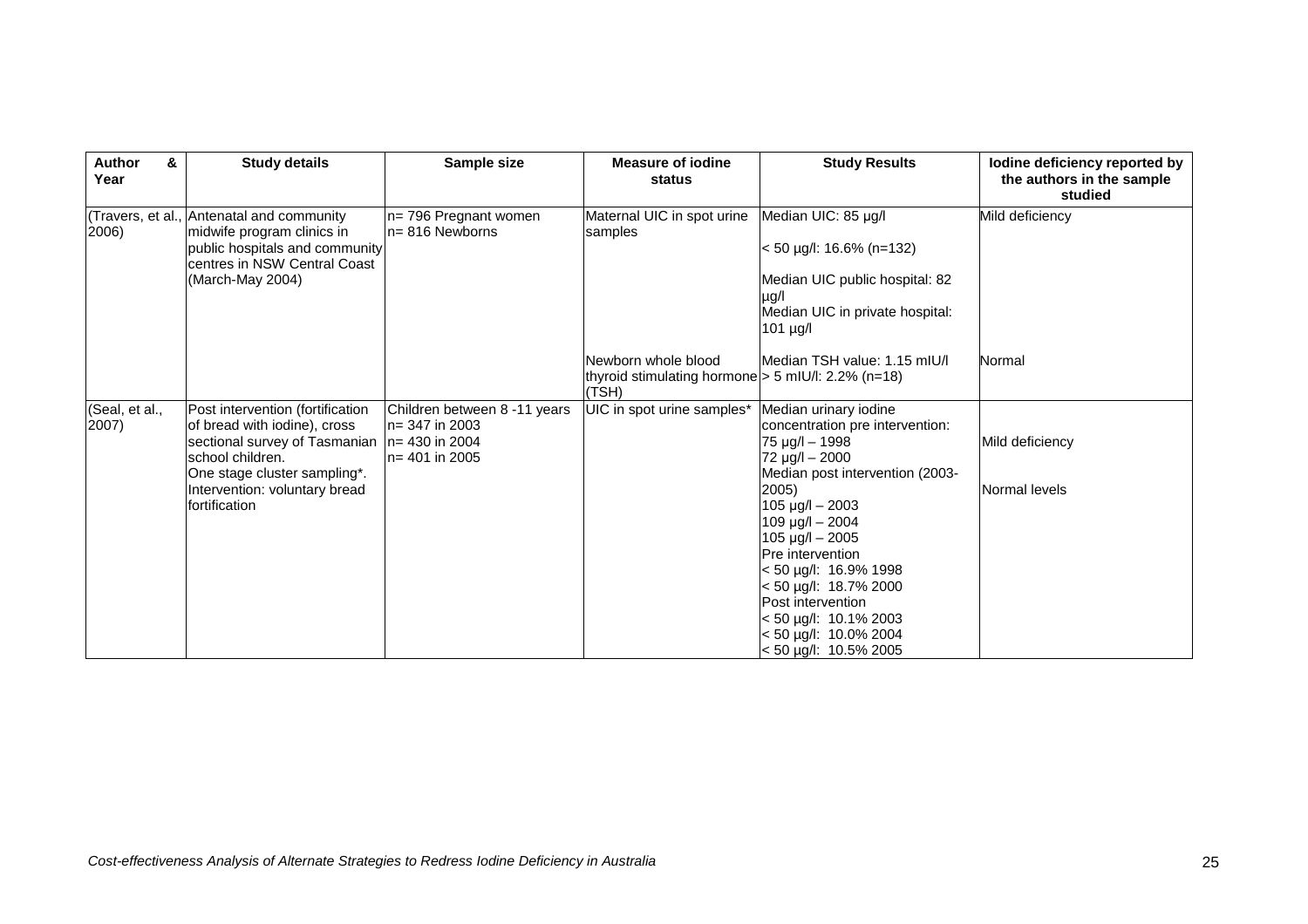| <b>Author</b><br>&<br>Year | <b>Study details</b>                                                                                                                                                                                                     | Sample size                                                            | <b>Measure of jodine</b><br>status                                                   | <b>Study Results</b>                                                                                                                                                                                                                                                                                                                                                                       | lodine deficiency reported by<br>the authors in the sample<br>studied |
|----------------------------|--------------------------------------------------------------------------------------------------------------------------------------------------------------------------------------------------------------------------|------------------------------------------------------------------------|--------------------------------------------------------------------------------------|--------------------------------------------------------------------------------------------------------------------------------------------------------------------------------------------------------------------------------------------------------------------------------------------------------------------------------------------------------------------------------------------|-----------------------------------------------------------------------|
| 2006)                      | (Travers, et al., Antenatal and community<br>midwife program clinics in<br>public hospitals and community<br>centres in NSW Central Coast<br>(March-May 2004)                                                            | n= 796 Pregnant women<br>$ln=816$ Newborns                             | Maternal UIC in spot urine<br>samples                                                | Median UIC: 85 µg/l<br>$<$ 50 µg/l: 16.6% (n=132)<br>Median UIC public hospital: 82<br>$\mu$ g/l<br>Median UIC in private hospital:<br>$101$ $\mu$ g/l                                                                                                                                                                                                                                     | Mild deficiency                                                       |
|                            |                                                                                                                                                                                                                          |                                                                        | Newborn whole blood<br>thyroid stimulating hormone $>$ 5 mIU/l: 2.2% (n=18)<br>(TSH) | Median TSH value: 1.15 mIU/I                                                                                                                                                                                                                                                                                                                                                               | Normal                                                                |
| (Seal, et al.,<br>2007)    | Post intervention (fortification<br>of bread with iodine), cross<br>sectional survey of Tasmanian $ n=430$ in 2004<br>school children.<br>One stage cluster sampling*.<br>Intervention: voluntary bread<br>fortification | Children between 8 -11 years<br>$ln=$ 347 in 2003<br>$n = 401$ in 2005 | UIC in spot urine samples*                                                           | Median urinary iodine<br>concentration pre intervention:<br>75 µg/l - 1998<br>72 µg/l - 2000<br>Median post intervention (2003-<br>2005)<br>$105 \mu g/l - 2003$<br>$109 \mu g/l - 2004$<br>$105 \mu g/l - 2005$<br>Pre intervention<br>< 50 µg/l: 16.9% 1998<br>< 50 µg/l: 18.7% 2000<br>Post intervention<br>$<$ 50 µg/l: 10.1% 2003<br>< 50 µg/l: 10.0% 2004<br>$<$ 50 µg/l: 10.5% 2005 | Mild deficiency<br>Normal levels                                      |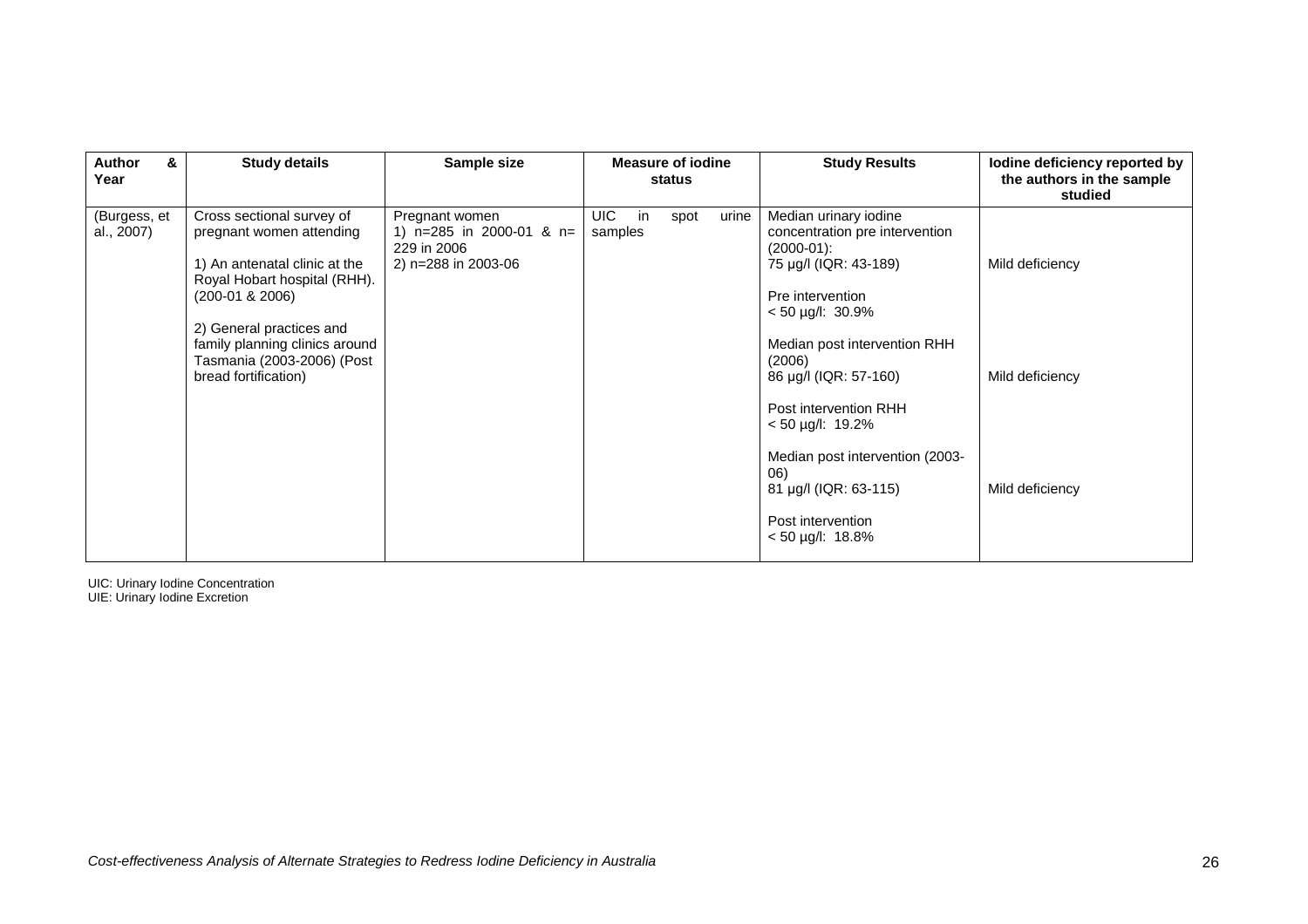| <b>Author</b><br>&<br>Year | <b>Study details</b>                                                                                                                        | Sample size                                                                          | <b>Measure of jodine</b><br>status     | <b>Study Results</b>                                                                                                                            | lodine deficiency reported by<br>the authors in the sample<br>studied |
|----------------------------|---------------------------------------------------------------------------------------------------------------------------------------------|--------------------------------------------------------------------------------------|----------------------------------------|-------------------------------------------------------------------------------------------------------------------------------------------------|-----------------------------------------------------------------------|
| (Burgess, et<br>al., 2007) | Cross sectional survey of<br>pregnant women attending<br>1) An antenatal clinic at the<br>Royal Hobart hospital (RHH).<br>$(200-01 & 2006)$ | Pregnant women<br>1) $n=285$ in 2000-01 & $n=$<br>229 in 2006<br>2) n=288 in 2003-06 | UIC.<br>urine<br>in<br>spot<br>samples | Median urinary iodine<br>concentration pre intervention<br>$(2000-01)$ :<br>75 µg/l (IQR: 43-189)<br>Pre intervention<br>$< 50 \mu g/l$ : 30.9% | Mild deficiency                                                       |
|                            | 2) General practices and<br>family planning clinics around<br>Tasmania (2003-2006) (Post<br>bread fortification)                            |                                                                                      |                                        | Median post intervention RHH<br>(2006)<br>86 µg/l (IQR: 57-160)<br>Post intervention RHH<br>$< 50$ µg/l: 19.2%                                  | Mild deficiency                                                       |
|                            |                                                                                                                                             |                                                                                      |                                        | Median post intervention (2003-<br>06)<br>81 µg/l (IQR: 63-115)<br>Post intervention<br>$< 50 \mu g/l$ : 18.8%                                  | Mild deficiency                                                       |

UIC: Urinary Iodine Concentration UIE: Urinary Iodine Excretion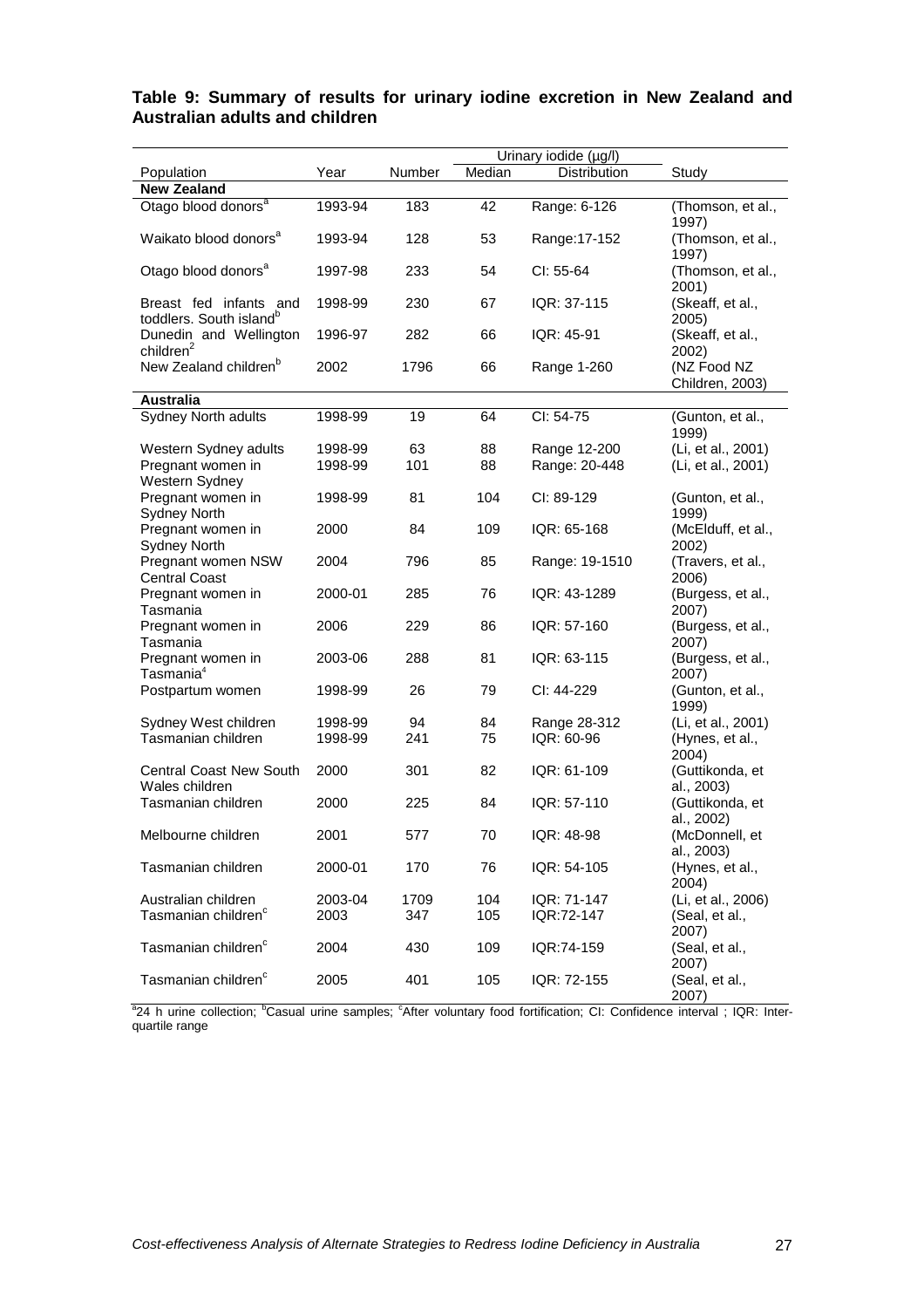|                                                               |         |        |        | Urinary iodide (µg/l) |                                         |
|---------------------------------------------------------------|---------|--------|--------|-----------------------|-----------------------------------------|
| Population                                                    | Year    | Number | Median | Distribution          | Study                                   |
| <b>New Zealand</b>                                            |         |        |        |                       |                                         |
| Otago blood donors <sup>a</sup>                               | 1993-94 | 183    | 42     | Range: 6-126          | (Thomson, et al.,<br>1997)              |
| Waikato blood donors <sup>a</sup>                             | 1993-94 | 128    | 53     | Range: 17-152         | (Thomson, et al.,<br>1997)              |
| Otago blood donors <sup>a</sup>                               | 1997-98 | 233    | 54     | CI: 55-64             | (Thomson, et al.,<br>2001)              |
| Breast fed infants and<br>toddlers. South island <sup>b</sup> | 1998-99 | 230    | 67     | IQR: 37-115           | (Skeaff, et al.,<br>2005)               |
| Dunedin and Wellington<br>children <sup>2</sup>               | 1996-97 | 282    | 66     | IQR: 45-91            | (Skeaff, et al.,                        |
| New Zealand children <sup>b</sup>                             | 2002    | 1796   | 66     | Range 1-260           | 2002)<br>(NZ Food NZ<br>Children, 2003) |
| <b>Australia</b>                                              |         |        |        |                       |                                         |
| Sydney North adults                                           | 1998-99 | 19     | 64     | CI: 54-75             | (Gunton, et al.,<br>1999)               |
| Western Sydney adults                                         | 1998-99 | 63     | 88     | Range 12-200          | (Li, et al., 2001)                      |
| Pregnant women in<br>Western Sydney                           | 1998-99 | 101    | 88     | Range: 20-448         | (Li, et al., 2001)                      |
| Pregnant women in<br><b>Sydney North</b>                      | 1998-99 | 81     | 104    | CI: 89-129            | (Gunton, et al.,<br>1999)               |
| Pregnant women in<br><b>Sydney North</b>                      | 2000    | 84     | 109    | IQR: 65-168           | (McElduff, et al.,<br>2002)             |
| Pregnant women NSW<br>Central Coast                           | 2004    | 796    | 85     | Range: 19-1510        | (Travers, et al.,<br>2006)              |
| Pregnant women in<br>Tasmania                                 | 2000-01 | 285    | 76     | IQR: 43-1289          | (Burgess, et al.,<br>2007)              |
| Pregnant women in<br>Tasmania                                 | 2006    | 229    | 86     | IQR: 57-160           | (Burgess, et al.,<br>2007)              |
| Pregnant women in<br>Tasmania <sup>4</sup>                    | 2003-06 | 288    | 81     | IQR: 63-115           | (Burgess, et al.,<br>2007)              |
| Postpartum women                                              | 1998-99 | 26     | 79     | CI: 44-229            | (Gunton, et al.,<br>1999)               |
| Sydney West children                                          | 1998-99 | 94     | 84     | Range 28-312          | (Li, et al., 2001)                      |
| Tasmanian children                                            | 1998-99 | 241    | 75     | IQR: 60-96            | (Hynes, et al.,<br>2004)                |
| <b>Central Coast New South</b><br>Wales children              | 2000    | 301    | 82     | IQR: 61-109           | (Guttikonda, et<br>al., 2003)           |
| Tasmanian children                                            | 2000    | 225    | 84     | IQR: 57-110           | (Guttikonda, et<br>al., 2002)           |
| Melbourne children                                            | 2001    | 577    | 70     | IQR: 48-98            | (McDonnell, et<br>al., 2003)            |
| Tasmanian children                                            | 2000-01 | 170    | 76     | IQR: 54-105           | (Hynes, et al.,<br>2004)                |
| Australian children<br>Tasmanian children <sup>c</sup>        | 2003-04 | 1709   | 104    | IQR: 71-147           | (Li, et al., 2006)                      |
|                                                               | 2003    | 347    | 105    | IQR:72-147            | (Seal, et al.,<br>2007)                 |
| Tasmanian children <sup>c</sup>                               | 2004    | 430    | 109    | IQR:74-159            | (Seal, et al.,<br>2007)                 |
| Tasmanian children <sup>c</sup>                               | 2005    | 401    | 105    | IQR: 72-155           | (Seal, et al.,<br>2007)                 |

## **Table 9: Summary of results for urinary iodine excretion in New Zealand and Australian adults and children**

<sup>a</sup>24 h urine collection; <sup>b</sup>Casual urine samples; <sup>c</sup>After voluntary food fortification; CI: Confidence interval ; IQR: Interquartile range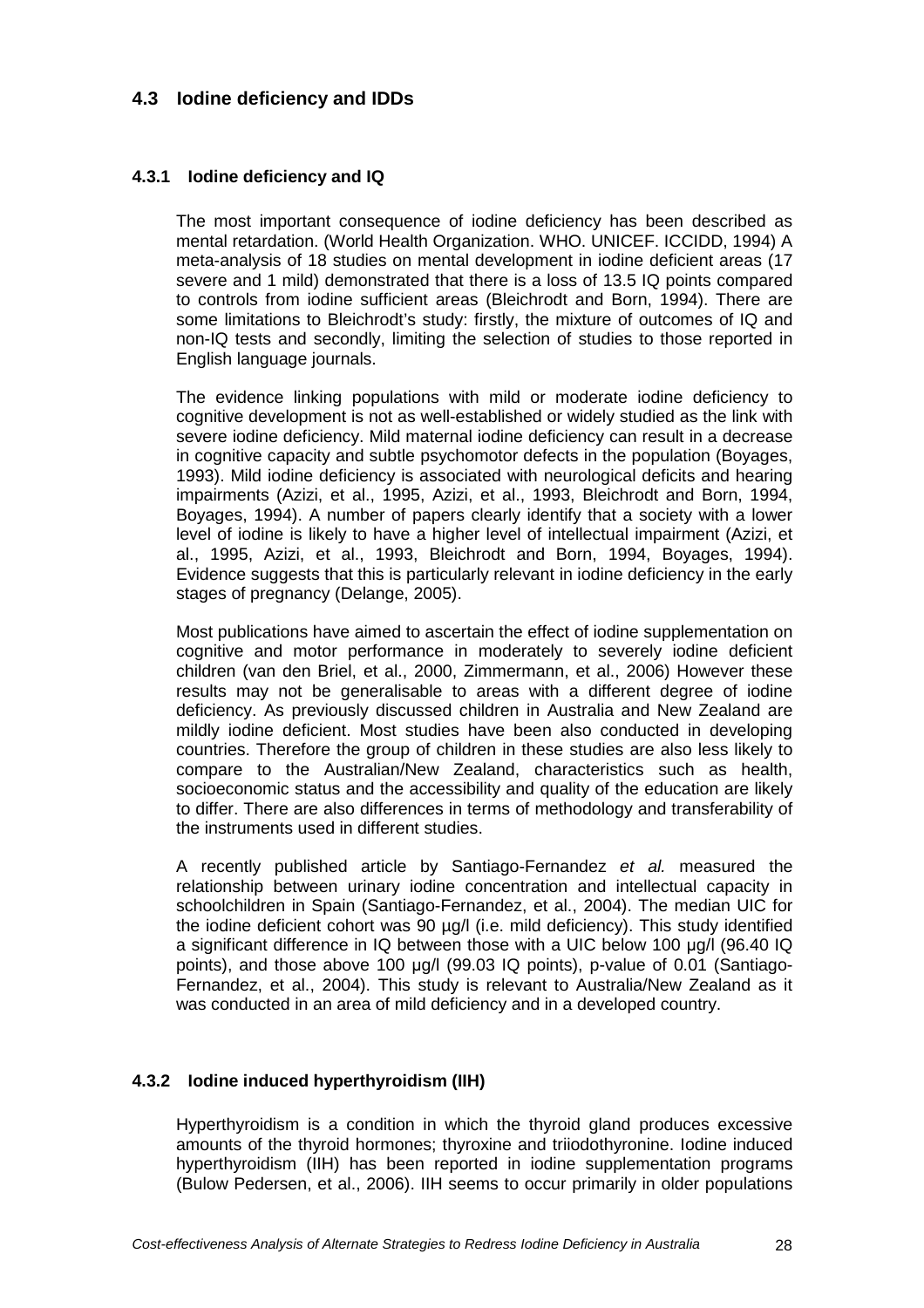## **4.3 Iodine deficiency and IDDs**

#### **4.3.1 Iodine deficiency and IQ**

The most important consequence of iodine deficiency has been described as mental retardation. (World Health Organization. WHO. UNICEF. ICCIDD, 1994) A meta-analysis of 18 studies on mental development in iodine deficient areas (17 severe and 1 mild) demonstrated that there is a loss of 13.5 IQ points compared to controls from iodine sufficient areas (Bleichrodt and Born, 1994). There are some limitations to Bleichrodt's study: firstly, the mixture of outcomes of IQ and non-IQ tests and secondly, limiting the selection of studies to those reported in English language journals.

The evidence linking populations with mild or moderate iodine deficiency to cognitive development is not as well-established or widely studied as the link with severe iodine deficiency. Mild maternal iodine deficiency can result in a decrease in cognitive capacity and subtle psychomotor defects in the population (Boyages, 1993). Mild iodine deficiency is associated with neurological deficits and hearing impairments (Azizi, et al., 1995, Azizi, et al., 1993, Bleichrodt and Born, 1994, Boyages, 1994). A number of papers clearly identify that a society with a lower level of iodine is likely to have a higher level of intellectual impairment (Azizi, et al., 1995, Azizi, et al., 1993, Bleichrodt and Born, 1994, Boyages, 1994). Evidence suggests that this is particularly relevant in iodine deficiency in the early stages of pregnancy (Delange, 2005).

Most publications have aimed to ascertain the effect of iodine supplementation on cognitive and motor performance in moderately to severely iodine deficient children (van den Briel, et al., 2000, Zimmermann, et al., 2006) However these results may not be generalisable to areas with a different degree of iodine deficiency. As previously discussed children in Australia and New Zealand are mildly iodine deficient. Most studies have been also conducted in developing countries. Therefore the group of children in these studies are also less likely to compare to the Australian/New Zealand, characteristics such as health, socioeconomic status and the accessibility and quality of the education are likely to differ. There are also differences in terms of methodology and transferability of the instruments used in different studies.

A recently published article by Santiago-Fernandez et al. measured the relationship between urinary iodine concentration and intellectual capacity in schoolchildren in Spain (Santiago-Fernandez, et al., 2004). The median UIC for the iodine deficient cohort was 90 µg/l (i.e. mild deficiency). This study identified a significant difference in IQ between those with a UIC below 100 µg/l (96.40 IQ points), and those above 100 µg/l (99.03 IQ points), p-value of 0.01 (Santiago-Fernandez, et al., 2004). This study is relevant to Australia/New Zealand as it was conducted in an area of mild deficiency and in a developed country.

#### **4.3.2 Iodine induced hyperthyroidism (IIH)**

Hyperthyroidism is a condition in which the thyroid gland produces excessive amounts of the thyroid hormones; thyroxine and triiodothyronine. Iodine induced hyperthyroidism (IIH) has been reported in iodine supplementation programs (Bulow Pedersen, et al., 2006). IIH seems to occur primarily in older populations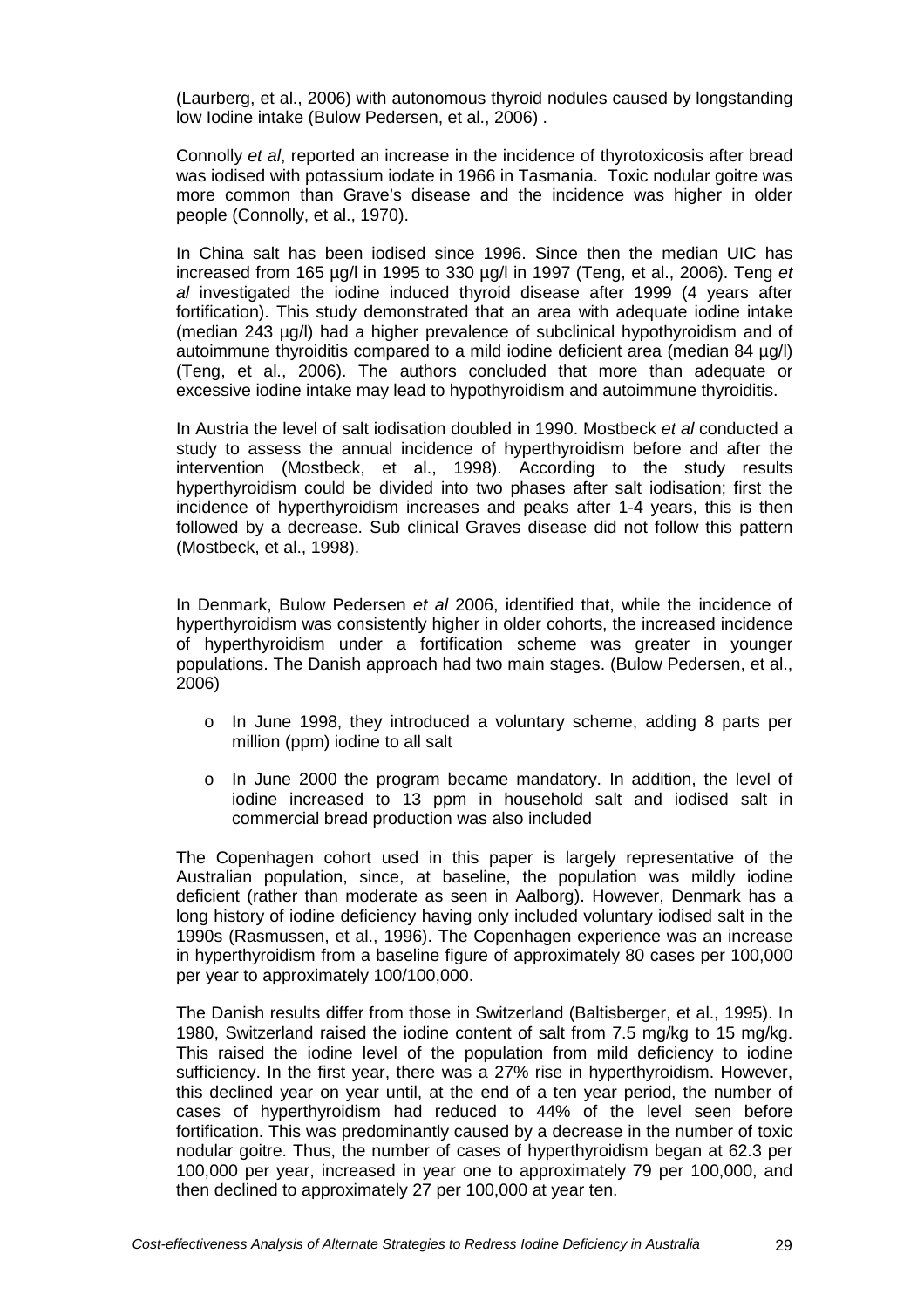(Laurberg, et al., 2006) with autonomous thyroid nodules caused by longstanding low Iodine intake (Bulow Pedersen, et al., 2006) .

Connolly et al, reported an increase in the incidence of thyrotoxicosis after bread was iodised with potassium iodate in 1966 in Tasmania. Toxic nodular goitre was more common than Grave's disease and the incidence was higher in older people (Connolly, et al., 1970).

In China salt has been iodised since 1996. Since then the median UIC has increased from 165  $\mu$ g/l in 1995 to 330  $\mu$ g/l in 1997 (Teng, et al., 2006). Teng et al investigated the iodine induced thyroid disease after 1999 (4 years after fortification). This study demonstrated that an area with adequate iodine intake (median 243 µg/l) had a higher prevalence of subclinical hypothyroidism and of autoimmune thyroiditis compared to a mild iodine deficient area (median 84 µg/l) (Teng, et al., 2006). The authors concluded that more than adequate or excessive iodine intake may lead to hypothyroidism and autoimmune thyroiditis.

In Austria the level of salt iodisation doubled in 1990. Mostbeck et al conducted a study to assess the annual incidence of hyperthyroidism before and after the intervention (Mostbeck, et al., 1998). According to the study results hyperthyroidism could be divided into two phases after salt iodisation; first the incidence of hyperthyroidism increases and peaks after 1-4 years, this is then followed by a decrease. Sub clinical Graves disease did not follow this pattern (Mostbeck, et al., 1998).

In Denmark, Bulow Pedersen et al 2006, identified that, while the incidence of hyperthyroidism was consistently higher in older cohorts, the increased incidence of hyperthyroidism under a fortification scheme was greater in younger populations. The Danish approach had two main stages. (Bulow Pedersen, et al., 2006)

- o In June 1998, they introduced a voluntary scheme, adding 8 parts per million (ppm) iodine to all salt
- o In June 2000 the program became mandatory. In addition, the level of iodine increased to 13 ppm in household salt and iodised salt in commercial bread production was also included

The Copenhagen cohort used in this paper is largely representative of the Australian population, since, at baseline, the population was mildly iodine deficient (rather than moderate as seen in Aalborg). However, Denmark has a long history of iodine deficiency having only included voluntary iodised salt in the 1990s (Rasmussen, et al., 1996). The Copenhagen experience was an increase in hyperthyroidism from a baseline figure of approximately 80 cases per 100,000 per year to approximately 100/100,000.

The Danish results differ from those in Switzerland (Baltisberger, et al., 1995). In 1980, Switzerland raised the iodine content of salt from 7.5 mg/kg to 15 mg/kg. This raised the iodine level of the population from mild deficiency to iodine sufficiency. In the first year, there was a 27% rise in hyperthyroidism. However, this declined year on year until, at the end of a ten year period, the number of cases of hyperthyroidism had reduced to 44% of the level seen before fortification. This was predominantly caused by a decrease in the number of toxic nodular goitre. Thus, the number of cases of hyperthyroidism began at 62.3 per 100,000 per year, increased in year one to approximately 79 per 100,000, and then declined to approximately 27 per 100,000 at year ten.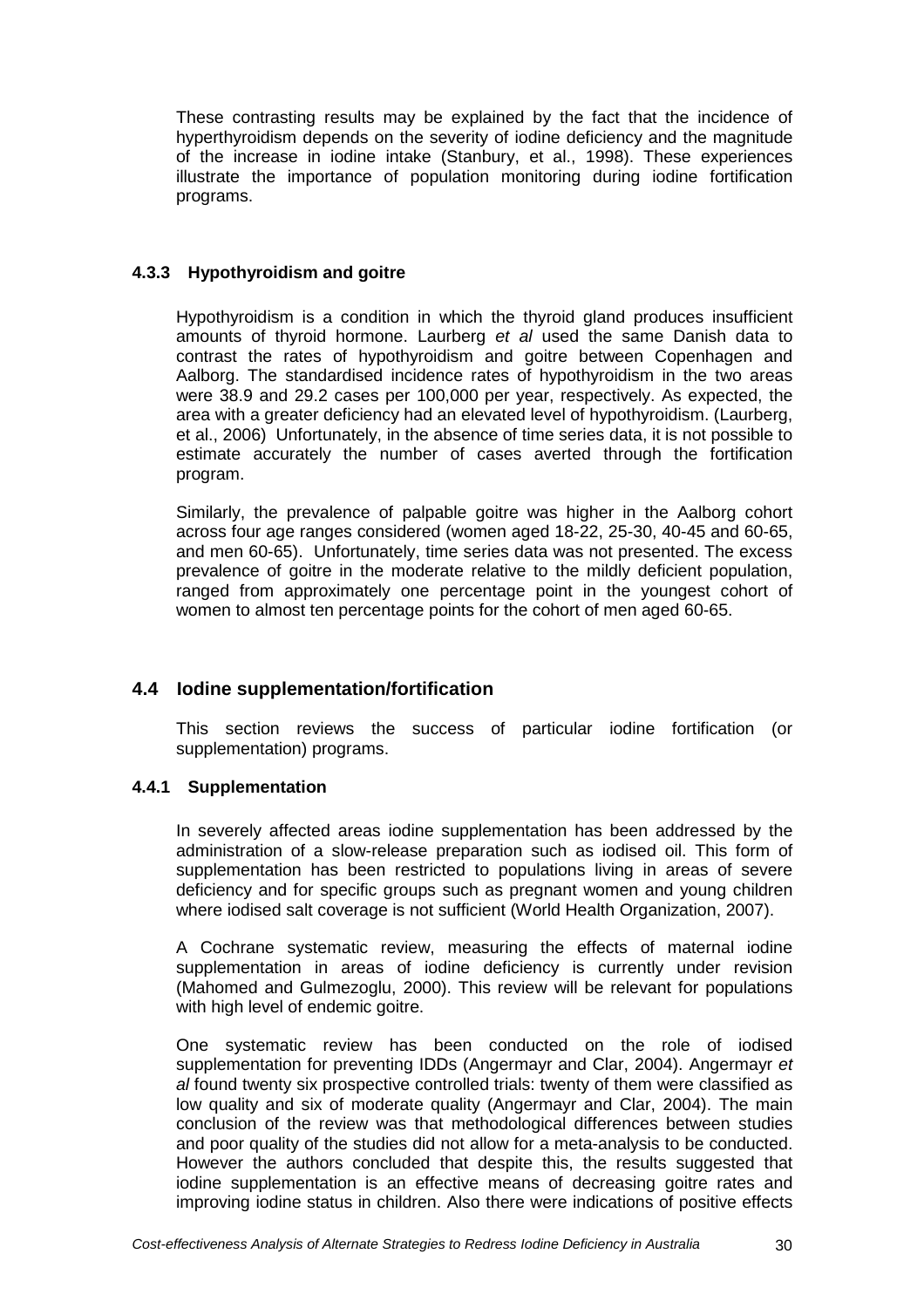These contrasting results may be explained by the fact that the incidence of hyperthyroidism depends on the severity of iodine deficiency and the magnitude of the increase in iodine intake (Stanbury, et al., 1998). These experiences illustrate the importance of population monitoring during iodine fortification programs.

## **4.3.3 Hypothyroidism and goitre**

Hypothyroidism is a condition in which the thyroid gland produces insufficient amounts of thyroid hormone. Laurberg et al used the same Danish data to contrast the rates of hypothyroidism and goitre between Copenhagen and Aalborg. The standardised incidence rates of hypothyroidism in the two areas were 38.9 and 29.2 cases per 100,000 per year, respectively. As expected, the area with a greater deficiency had an elevated level of hypothyroidism. (Laurberg, et al., 2006) Unfortunately, in the absence of time series data, it is not possible to estimate accurately the number of cases averted through the fortification program.

Similarly, the prevalence of palpable goitre was higher in the Aalborg cohort across four age ranges considered (women aged 18-22, 25-30, 40-45 and 60-65, and men 60-65). Unfortunately, time series data was not presented. The excess prevalence of goitre in the moderate relative to the mildly deficient population, ranged from approximately one percentage point in the youngest cohort of women to almost ten percentage points for the cohort of men aged 60-65.

## **4.4 Iodine supplementation/fortification**

This section reviews the success of particular iodine fortification (or supplementation) programs.

## **4.4.1 Supplementation**

In severely affected areas iodine supplementation has been addressed by the administration of a slow-release preparation such as iodised oil. This form of supplementation has been restricted to populations living in areas of severe deficiency and for specific groups such as pregnant women and young children where iodised salt coverage is not sufficient (World Health Organization, 2007).

A Cochrane systematic review, measuring the effects of maternal iodine supplementation in areas of iodine deficiency is currently under revision (Mahomed and Gulmezoglu, 2000). This review will be relevant for populations with high level of endemic goitre.

One systematic review has been conducted on the role of iodised supplementation for preventing IDDs (Angermayr and Clar, 2004). Angermayr et al found twenty six prospective controlled trials: twenty of them were classified as low quality and six of moderate quality (Angermayr and Clar, 2004). The main conclusion of the review was that methodological differences between studies and poor quality of the studies did not allow for a meta-analysis to be conducted. However the authors concluded that despite this, the results suggested that iodine supplementation is an effective means of decreasing goitre rates and improving iodine status in children. Also there were indications of positive effects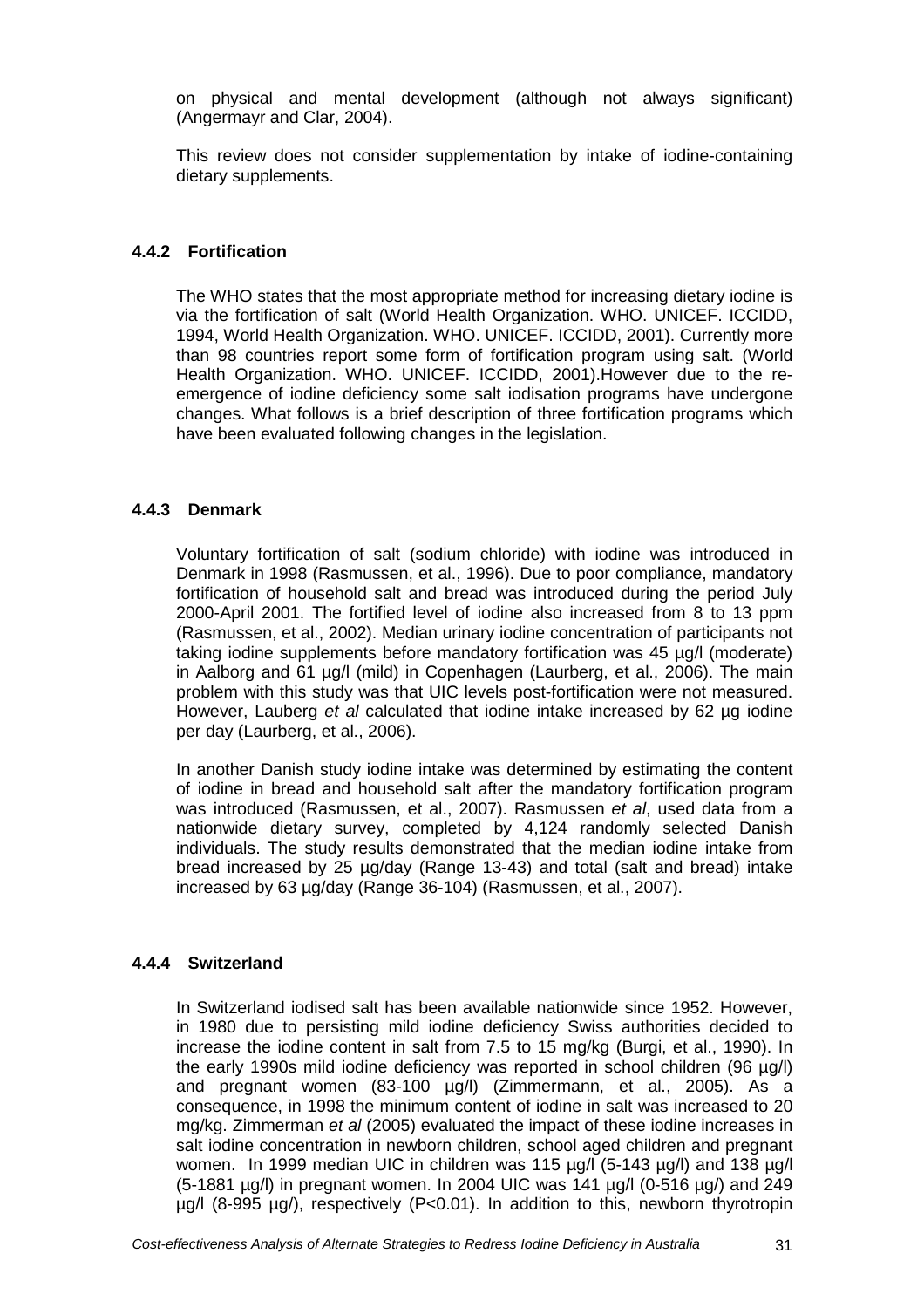on physical and mental development (although not always significant) (Angermayr and Clar, 2004).

This review does not consider supplementation by intake of iodine-containing dietary supplements.

## **4.4.2 Fortification**

The WHO states that the most appropriate method for increasing dietary iodine is via the fortification of salt (World Health Organization. WHO. UNICEF. ICCIDD, 1994, World Health Organization. WHO. UNICEF. ICCIDD, 2001). Currently more than 98 countries report some form of fortification program using salt. (World Health Organization. WHO. UNICEF. ICCIDD, 2001).However due to the reemergence of iodine deficiency some salt iodisation programs have undergone changes. What follows is a brief description of three fortification programs which have been evaluated following changes in the legislation.

## **4.4.3 Denmark**

Voluntary fortification of salt (sodium chloride) with iodine was introduced in Denmark in 1998 (Rasmussen, et al., 1996). Due to poor compliance, mandatory fortification of household salt and bread was introduced during the period July 2000-April 2001. The fortified level of iodine also increased from 8 to 13 ppm (Rasmussen, et al., 2002). Median urinary iodine concentration of participants not taking iodine supplements before mandatory fortification was 45 µg/l (moderate) in Aalborg and 61 µg/l (mild) in Copenhagen (Laurberg, et al., 2006). The main problem with this study was that UIC levels post-fortification were not measured. However, Lauberg et al calculated that iodine intake increased by 62 µg iodine per day (Laurberg, et al., 2006).

In another Danish study iodine intake was determined by estimating the content of iodine in bread and household salt after the mandatory fortification program was introduced (Rasmussen, et al., 2007). Rasmussen et al. used data from a nationwide dietary survey, completed by 4,124 randomly selected Danish individuals. The study results demonstrated that the median iodine intake from bread increased by 25 µg/day (Range 13-43) and total (salt and bread) intake increased by 63 µg/day (Range 36-104) (Rasmussen, et al., 2007).

## **4.4.4 Switzerland**

In Switzerland iodised salt has been available nationwide since 1952. However, in 1980 due to persisting mild iodine deficiency Swiss authorities decided to increase the iodine content in salt from 7.5 to 15 mg/kg (Burgi, et al., 1990). In the early 1990s mild iodine deficiency was reported in school children (96 µg/l) and pregnant women (83-100 µg/l) (Zimmermann, et al., 2005). As a consequence, in 1998 the minimum content of iodine in salt was increased to 20 mg/kg. Zimmerman et al (2005) evaluated the impact of these iodine increases in salt iodine concentration in newborn children, school aged children and pregnant women. In 1999 median UIC in children was 115 ug/l (5-143 ug/l) and 138 ug/l  $(5-1881 \text{ µg/l})$  in pregnant women. In 2004 UIC was 141  $\text{µg/l}$  (0-516  $\text{µg/l}$ ) and 249 µg/l (8-995 µg/), respectively (P<0.01). In addition to this, newborn thyrotropin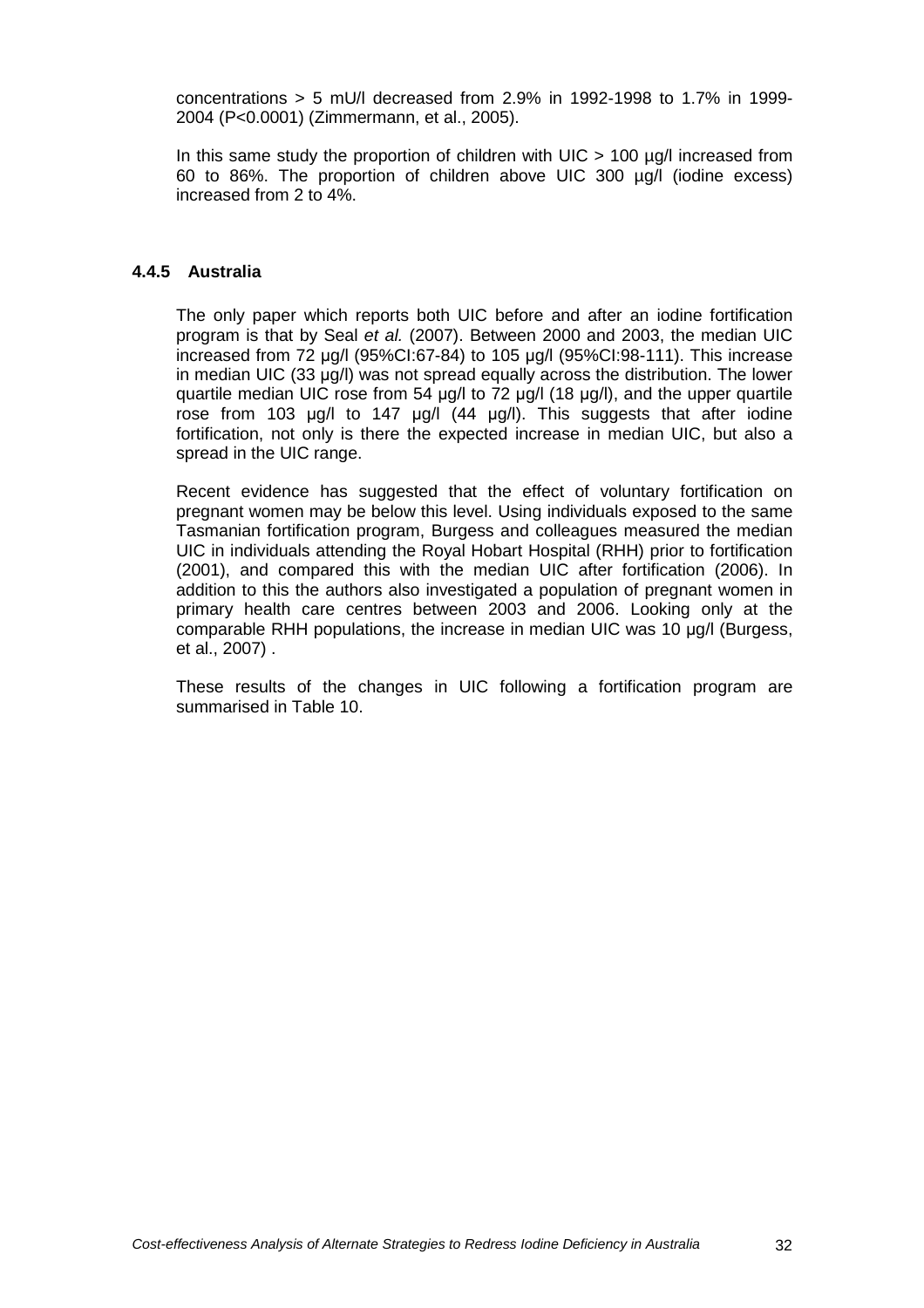concentrations > 5 mU/l decreased from 2.9% in 1992-1998 to 1.7% in 1999- 2004 (P<0.0001) (Zimmermann, et al., 2005).

In this same study the proportion of children with UIC  $>$  100 µg/l increased from 60 to 86%. The proportion of children above UIC 300 µg/l (iodine excess) increased from 2 to 4%.

#### **4.4.5 Australia**

The only paper which reports both UIC before and after an iodine fortification program is that by Seal et al. (2007). Between 2000 and 2003, the median UIC increased from 72 µg/l (95%CI:67-84) to 105 µg/l (95%CI:98-111). This increase in median UIC (33 µg/l) was not spread equally across the distribution. The lower quartile median UIC rose from 54 µg/l to 72 µg/l (18 µg/l), and the upper quartile rose from 103 µg/l to 147 µg/l (44 µg/l). This suggests that after iodine fortification, not only is there the expected increase in median UIC, but also a spread in the UIC range.

Recent evidence has suggested that the effect of voluntary fortification on pregnant women may be below this level. Using individuals exposed to the same Tasmanian fortification program, Burgess and colleagues measured the median UIC in individuals attending the Royal Hobart Hospital (RHH) prior to fortification (2001), and compared this with the median UIC after fortification (2006). In addition to this the authors also investigated a population of pregnant women in primary health care centres between 2003 and 2006. Looking only at the comparable RHH populations, the increase in median UIC was 10 µg/l (Burgess, et al., 2007) .

These results of the changes in UIC following a fortification program are summarised in Table 10.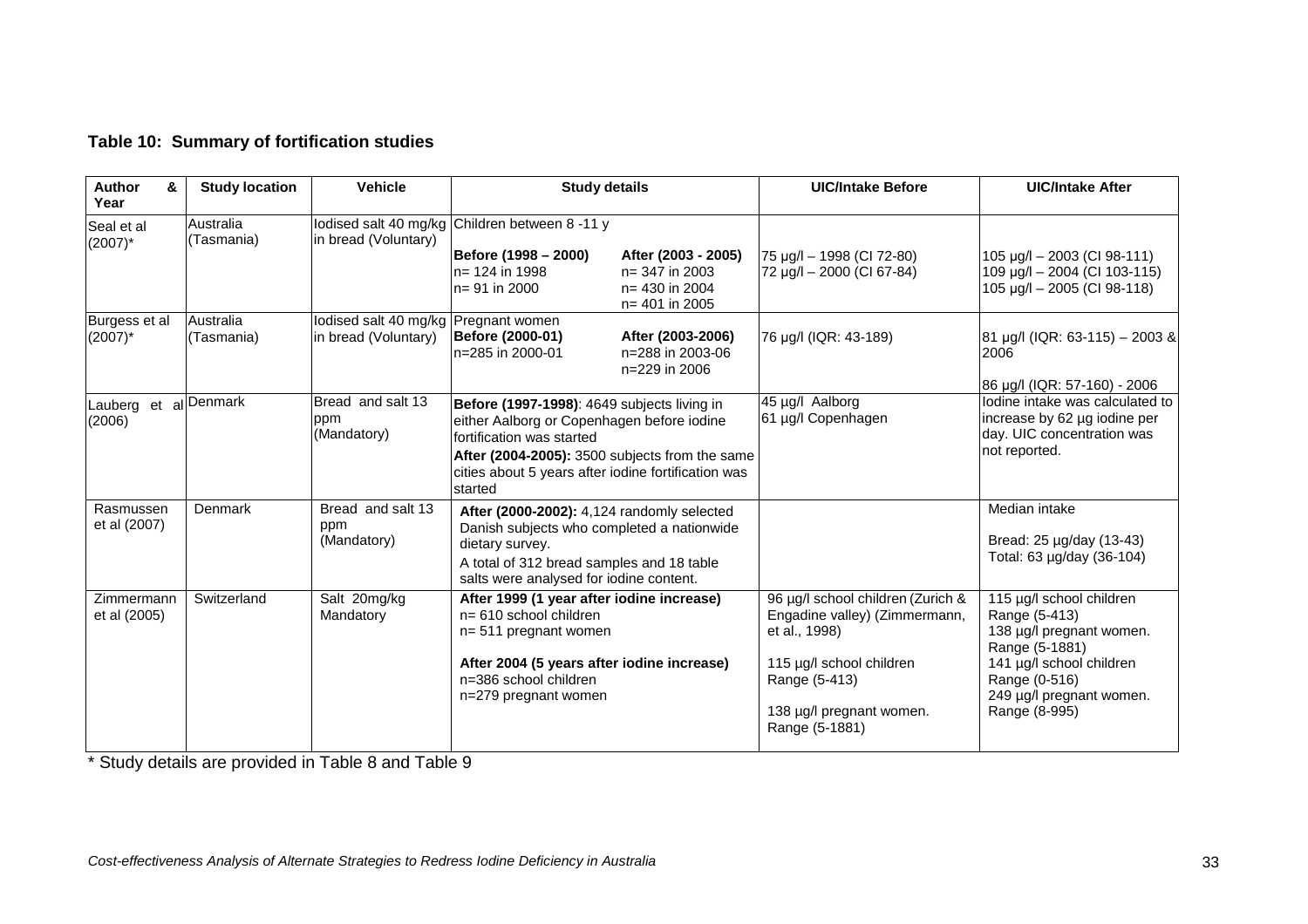|  |  | Table 10: Summary of fortification studies |  |
|--|--|--------------------------------------------|--|
|--|--|--------------------------------------------|--|

| Author<br>&<br>Year         | <b>Study location</b>   | <b>Vehicle</b>                                                 | <b>Study details</b>                                                                                                                                                                                                                       |                                                                           | <b>UIC/Intake Before</b>                                                                                                                                                       | <b>UIC/Intake After</b>                                                                                                                                                           |
|-----------------------------|-------------------------|----------------------------------------------------------------|--------------------------------------------------------------------------------------------------------------------------------------------------------------------------------------------------------------------------------------------|---------------------------------------------------------------------------|--------------------------------------------------------------------------------------------------------------------------------------------------------------------------------|-----------------------------------------------------------------------------------------------------------------------------------------------------------------------------------|
| Seal et al<br>$(2007)^*$    | Australia<br>(Tasmania) | in bread (Voluntary)                                           | lodised salt 40 mg/kg Children between 8 -11 y<br>Before (1998 – 2000)<br>$n = 124$ in 1998<br>ln= 91 in 2000                                                                                                                              | After (2003 - 2005)<br>n= 347 in 2003<br>n= 430 in 2004<br>n= 401 in 2005 | 75 µg/l - 1998 (CI 72-80)<br>72 µg/l - 2000 (CI 67-84)                                                                                                                         | $105 \mu g/l - 2003$ (CI 98-111)<br>109 µg/l - 2004 (CI 103-115)<br>105 µg/l - 2005 (CI 98-118)                                                                                   |
| Burgess et al<br>$(2007)^*$ | Australia<br>(Tasmania) | lodised salt 40 mg/kg   Pregnant women<br>in bread (Voluntary) | Before (2000-01)<br>ln=285 in 2000-01                                                                                                                                                                                                      | After (2003-2006)<br>n=288 in 2003-06<br>n=229 in 2006                    | 76 µg/l (IQR: 43-189)                                                                                                                                                          | $ 81 \text{ µg/}$ (IQR: 63-115) - 2003 &<br>2006<br>86 µg/l (IQR: 57-160) - 2006                                                                                                  |
| Lauberg<br>(2006)           | et al Denmark           | Bread and salt 13<br>ppm<br>(Mandatory)                        | Before (1997-1998): 4649 subjects living in<br>either Aalborg or Copenhagen before iodine<br>fortification was started<br>After (2004-2005): 3500 subjects from the same<br>cities about 5 years after iodine fortification was<br>started |                                                                           | 45 µg/l Aalborg<br>61 µg/l Copenhagen                                                                                                                                          | lodine intake was calculated to<br>increase by 62 µg iodine per<br>day. UIC concentration was<br>not reported.                                                                    |
| Rasmussen<br>et al (2007)   | Denmark                 | Bread and salt 13<br>ppm<br>(Mandatory)                        | After (2000-2002): 4,124 randomly selected<br>Danish subjects who completed a nationwide<br>dietary survey.<br>A total of 312 bread samples and 18 table<br>salts were analysed for iodine content.                                        |                                                                           |                                                                                                                                                                                | Median intake<br>Bread: 25 µg/day (13-43)<br>Total: 63 µg/day (36-104)                                                                                                            |
| Zimmermann<br>et al (2005)  | Switzerland             | Salt 20mg/kg<br>Mandatory                                      | After 1999 (1 year after iodine increase)<br>$n = 610$ school children<br>$n = 511$ pregnant women<br>After 2004 (5 years after iodine increase)<br>n=386 school children<br>n=279 pregnant women                                          |                                                                           | 96 µg/l school children (Zurich &<br>Engadine valley) (Zimmermann,<br>et al., 1998)<br>115 µg/l school children<br>Range (5-413)<br>138 µg/l pregnant women.<br>Range (5-1881) | 115 µg/l school children<br>Range (5-413)<br>138 µg/l pregnant women.<br>Range (5-1881)<br>141 µg/l school children<br>Range (0-516)<br>249 µg/l pregnant women.<br>Range (8-995) |

\* Study details are provided in Table 8 and Table 9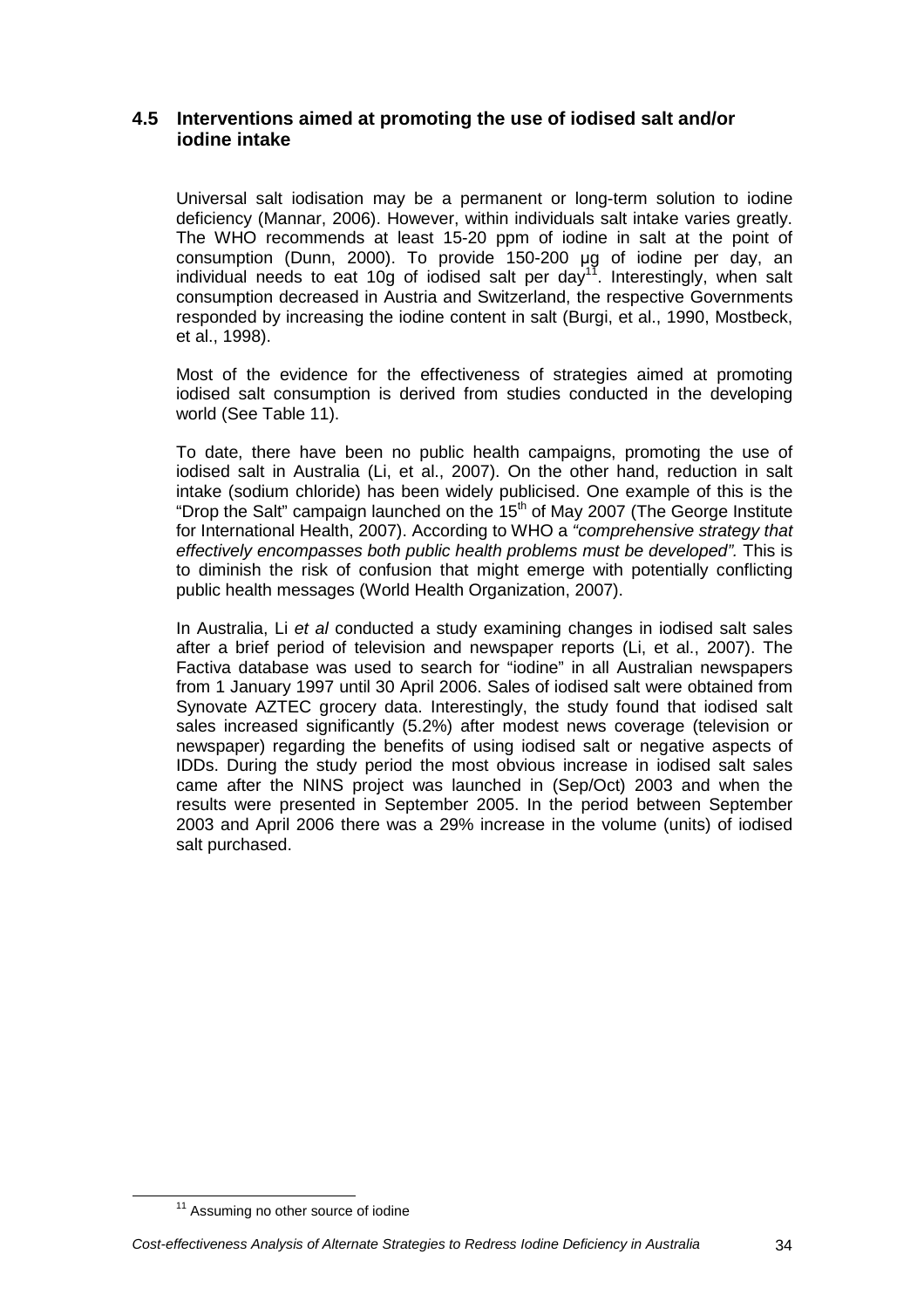## **4.5 Interventions aimed at promoting the use of iodised salt and/or iodine intake**

Universal salt iodisation may be a permanent or long-term solution to iodine deficiency (Mannar, 2006). However, within individuals salt intake varies greatly. The WHO recommends at least 15-20 ppm of iodine in salt at the point of consumption (Dunn, 2000). To provide 150-200 µg of iodine per day, an individual needs to eat 10g of iodised salt per  $day^{17}$ . Interestingly, when salt consumption decreased in Austria and Switzerland, the respective Governments responded by increasing the iodine content in salt (Burgi, et al., 1990, Mostbeck, et al., 1998).

Most of the evidence for the effectiveness of strategies aimed at promoting iodised salt consumption is derived from studies conducted in the developing world (See Table 11).

To date, there have been no public health campaigns, promoting the use of iodised salt in Australia (Li, et al., 2007). On the other hand, reduction in salt intake (sodium chloride) has been widely publicised. One example of this is the "Drop the Salt" campaign launched on the  $15<sup>th</sup>$  of May 2007 (The George Institute for International Health, 2007). According to WHO a "comprehensive strategy that effectively encompasses both public health problems must be developed". This is to diminish the risk of confusion that might emerge with potentially conflicting public health messages (World Health Organization, 2007).

In Australia, Li et al conducted a study examining changes in iodised salt sales after a brief period of television and newspaper reports (Li, et al., 2007). The Factiva database was used to search for "iodine" in all Australian newspapers from 1 January 1997 until 30 April 2006. Sales of iodised salt were obtained from Synovate AZTEC grocery data. Interestingly, the study found that iodised salt sales increased significantly (5.2%) after modest news coverage (television or newspaper) regarding the benefits of using iodised salt or negative aspects of IDDs. During the study period the most obvious increase in iodised salt sales came after the NINS project was launched in (Sep/Oct) 2003 and when the results were presented in September 2005. In the period between September 2003 and April 2006 there was a 29% increase in the volume (units) of iodised salt purchased.

<sup>&</sup>lt;sup>11</sup> Assuming no other source of iodine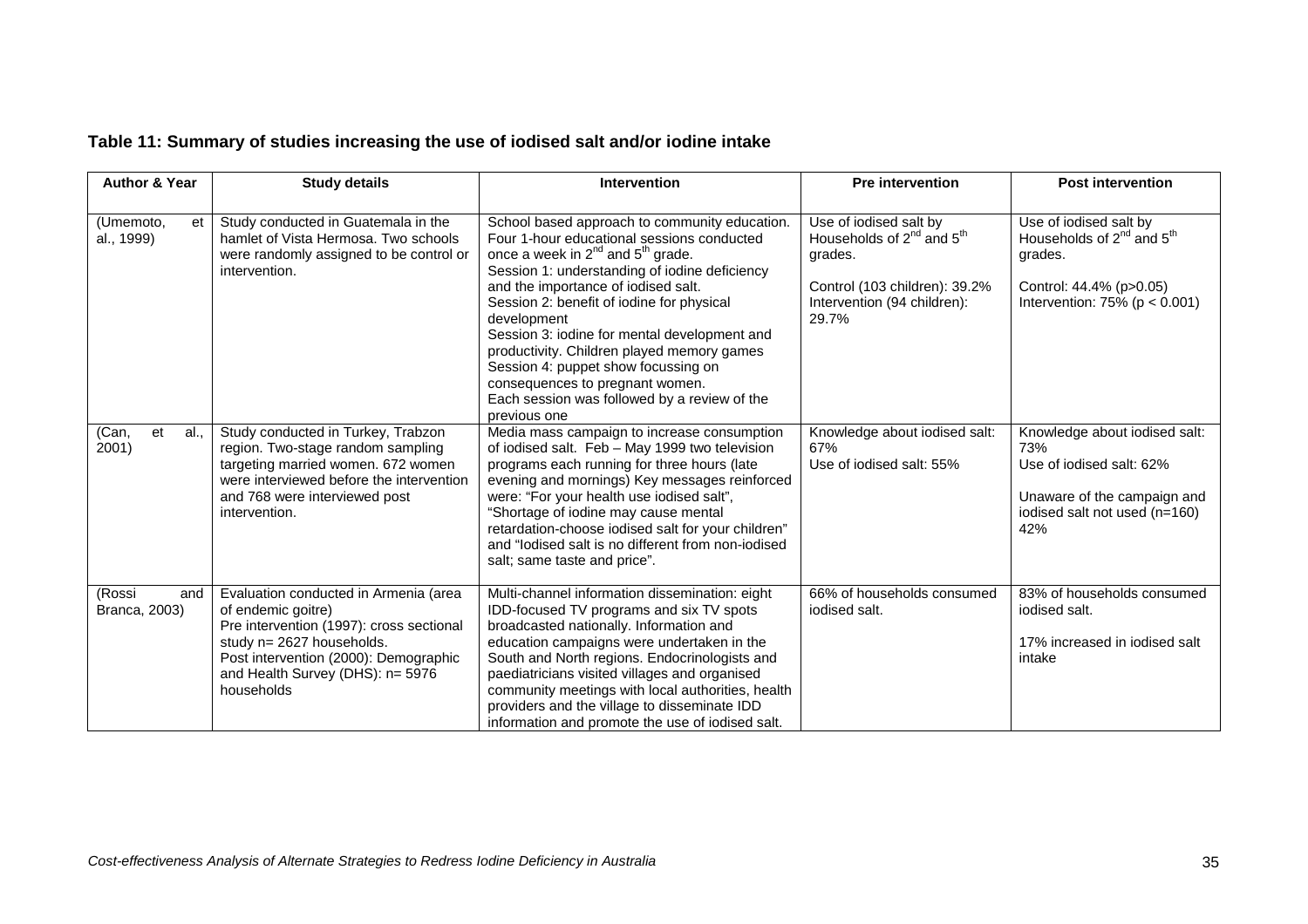## **Table 11: Summary of studies increasing the use of iodised salt and/or iodine intake**

| <b>Author &amp; Year</b>       | <b>Study details</b>                                                                                                                                                                                                            | <b>Intervention</b>                                                                                                                                                                                                                                                                                                                                                                                                                                                                                                                    | <b>Pre intervention</b>                                                                                                                           | <b>Post intervention</b>                                                                                                                    |
|--------------------------------|---------------------------------------------------------------------------------------------------------------------------------------------------------------------------------------------------------------------------------|----------------------------------------------------------------------------------------------------------------------------------------------------------------------------------------------------------------------------------------------------------------------------------------------------------------------------------------------------------------------------------------------------------------------------------------------------------------------------------------------------------------------------------------|---------------------------------------------------------------------------------------------------------------------------------------------------|---------------------------------------------------------------------------------------------------------------------------------------------|
| (Umemoto,<br>et<br>al., 1999)  | Study conducted in Guatemala in the<br>hamlet of Vista Hermosa. Two schools<br>were randomly assigned to be control or<br>intervention.                                                                                         | School based approach to community education.<br>Four 1-hour educational sessions conducted<br>once a week in $2^{nd}$ and $5^{th}$ grade.<br>Session 1: understanding of iodine deficiency<br>and the importance of iodised salt.<br>Session 2: benefit of iodine for physical<br>development<br>Session 3: iodine for mental development and<br>productivity. Children played memory games<br>Session 4: puppet show focussing on<br>consequences to pregnant women.<br>Each session was followed by a review of the<br>previous one | Use of iodised salt by<br>Households of $2^{nd}$ and $5^{th}$<br>grades.<br>Control (103 children): 39.2%<br>Intervention (94 children):<br>29.7% | Use of iodised salt by<br>Households of $2^{nd}$ and $5^{th}$<br>grades.<br>Control: 44.4% (p>0.05)<br>Intervention: $75\%$ ( $p < 0.001$ ) |
| (Can,<br>et<br>al.,<br>2001)   | Study conducted in Turkey, Trabzon<br>region. Two-stage random sampling<br>targeting married women. 672 women<br>were interviewed before the intervention<br>and 768 were interviewed post<br>intervention.                     | Media mass campaign to increase consumption<br>of iodised salt. Feb - May 1999 two television<br>programs each running for three hours (late<br>evening and mornings) Key messages reinforced<br>were: "For your health use iodised salt",<br>"Shortage of iodine may cause mental<br>retardation-choose iodised salt for your children"<br>and "lodised salt is no different from non-iodised<br>salt; same taste and price".                                                                                                         | Knowledge about iodised salt:<br>67%<br>Use of iodised salt: 55%                                                                                  | Knowledge about iodised salt:<br>73%<br>Use of iodised salt: 62%<br>Unaware of the campaign and<br>iodised salt not used (n=160)<br>42%     |
| (Rossi<br>and<br>Branca, 2003) | Evaluation conducted in Armenia (area<br>of endemic goitre)<br>Pre intervention (1997): cross sectional<br>study n= 2627 households.<br>Post intervention (2000): Demographic<br>and Health Survey (DHS): n= 5976<br>households | Multi-channel information dissemination: eight<br>IDD-focused TV programs and six TV spots<br>broadcasted nationally. Information and<br>education campaigns were undertaken in the<br>South and North regions. Endocrinologists and<br>paediatricians visited villages and organised<br>community meetings with local authorities, health<br>providers and the village to disseminate IDD<br>information and promote the use of iodised salt.                                                                                         | 66% of households consumed<br>iodised salt.                                                                                                       | 83% of households consumed<br>iodised salt.<br>17% increased in iodised salt<br>intake                                                      |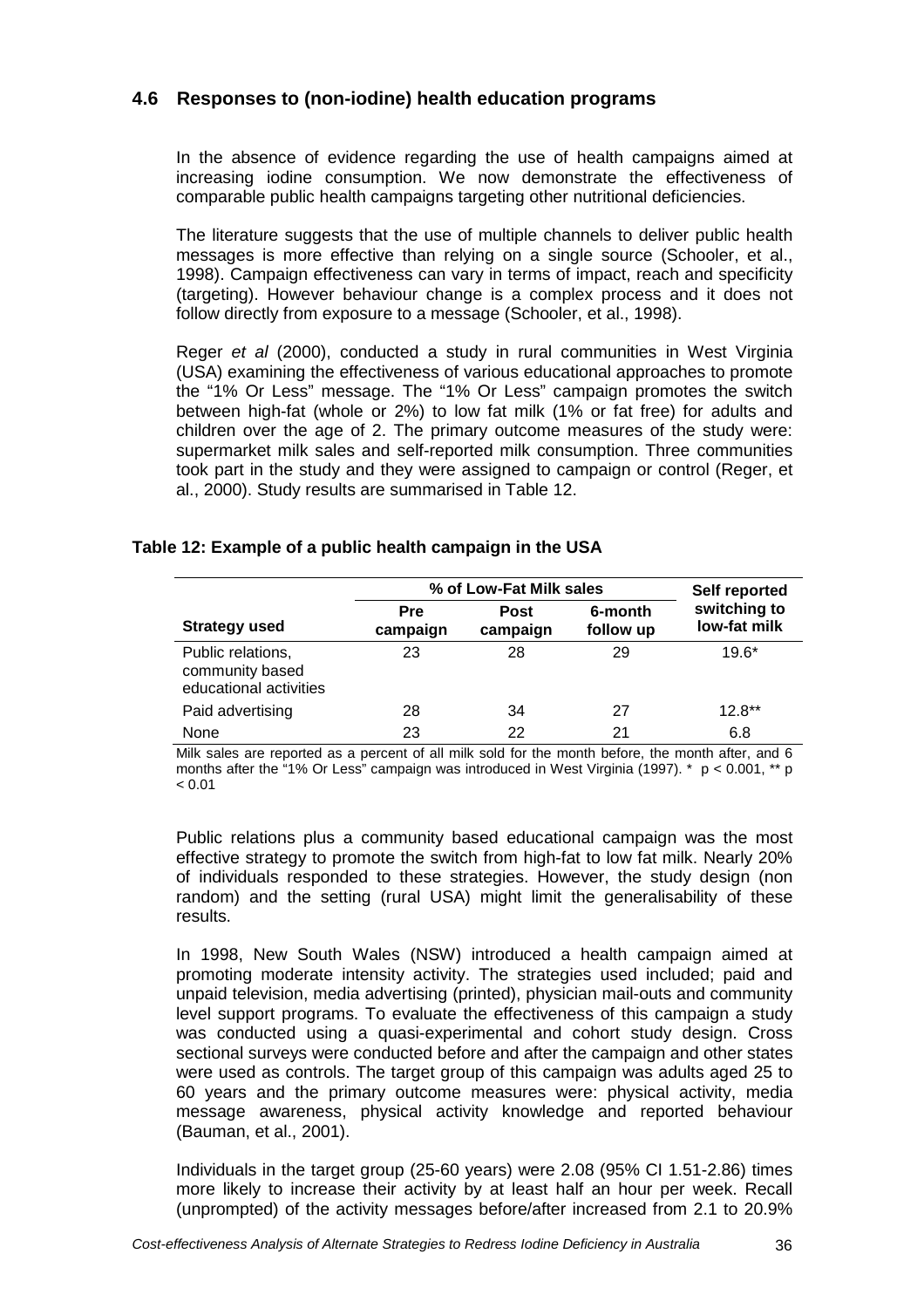## **4.6 Responses to (non-iodine) health education programs**

In the absence of evidence regarding the use of health campaigns aimed at increasing iodine consumption. We now demonstrate the effectiveness of comparable public health campaigns targeting other nutritional deficiencies.

The literature suggests that the use of multiple channels to deliver public health messages is more effective than relying on a single source (Schooler, et al., 1998). Campaign effectiveness can vary in terms of impact, reach and specificity (targeting). However behaviour change is a complex process and it does not follow directly from exposure to a message (Schooler, et al., 1998).

Reger et al (2000), conducted a study in rural communities in West Virginia (USA) examining the effectiveness of various educational approaches to promote the "1% Or Less" message. The "1% Or Less" campaign promotes the switch between high-fat (whole or 2%) to low fat milk (1% or fat free) for adults and children over the age of 2. The primary outcome measures of the study were: supermarket milk sales and self-reported milk consumption. Three communities took part in the study and they were assigned to campaign or control (Reger, et al., 2000). Study results are summarised in Table 12.

### **Table 12: Example of a public health campaign in the USA**

|                                                                | % of Low-Fat Milk sales | Self reported           |                      |                              |
|----------------------------------------------------------------|-------------------------|-------------------------|----------------------|------------------------------|
| <b>Strategy used</b>                                           | <b>Pre</b><br>campaign  | <b>Post</b><br>campaign | 6-month<br>follow up | switching to<br>low-fat milk |
| Public relations,<br>community based<br>educational activities | 23                      | 28                      | 29                   | $19.6*$                      |
| Paid advertising                                               | 28                      | 34                      | 27                   | $12.8**$                     |
| None                                                           | 23                      | 22                      | 21                   | 6.8                          |

Milk sales are reported as a percent of all milk sold for the month before, the month after, and 6 months after the "1% Or Less" campaign was introduced in West Virginia (1997). \*  $p < 0.001$ , \*\* p  $\leq$  0.01

Public relations plus a community based educational campaign was the most effective strategy to promote the switch from high-fat to low fat milk. Nearly 20% of individuals responded to these strategies. However, the study design (non random) and the setting (rural USA) might limit the generalisability of these results.

In 1998, New South Wales (NSW) introduced a health campaign aimed at promoting moderate intensity activity. The strategies used included; paid and unpaid television, media advertising (printed), physician mail-outs and community level support programs. To evaluate the effectiveness of this campaign a study was conducted using a quasi-experimental and cohort study design. Cross sectional surveys were conducted before and after the campaign and other states were used as controls. The target group of this campaign was adults aged 25 to 60 years and the primary outcome measures were: physical activity, media message awareness, physical activity knowledge and reported behaviour (Bauman, et al., 2001).

Individuals in the target group (25-60 years) were 2.08 (95% CI 1.51-2.86) times more likely to increase their activity by at least half an hour per week. Recall (unprompted) of the activity messages before/after increased from 2.1 to 20.9%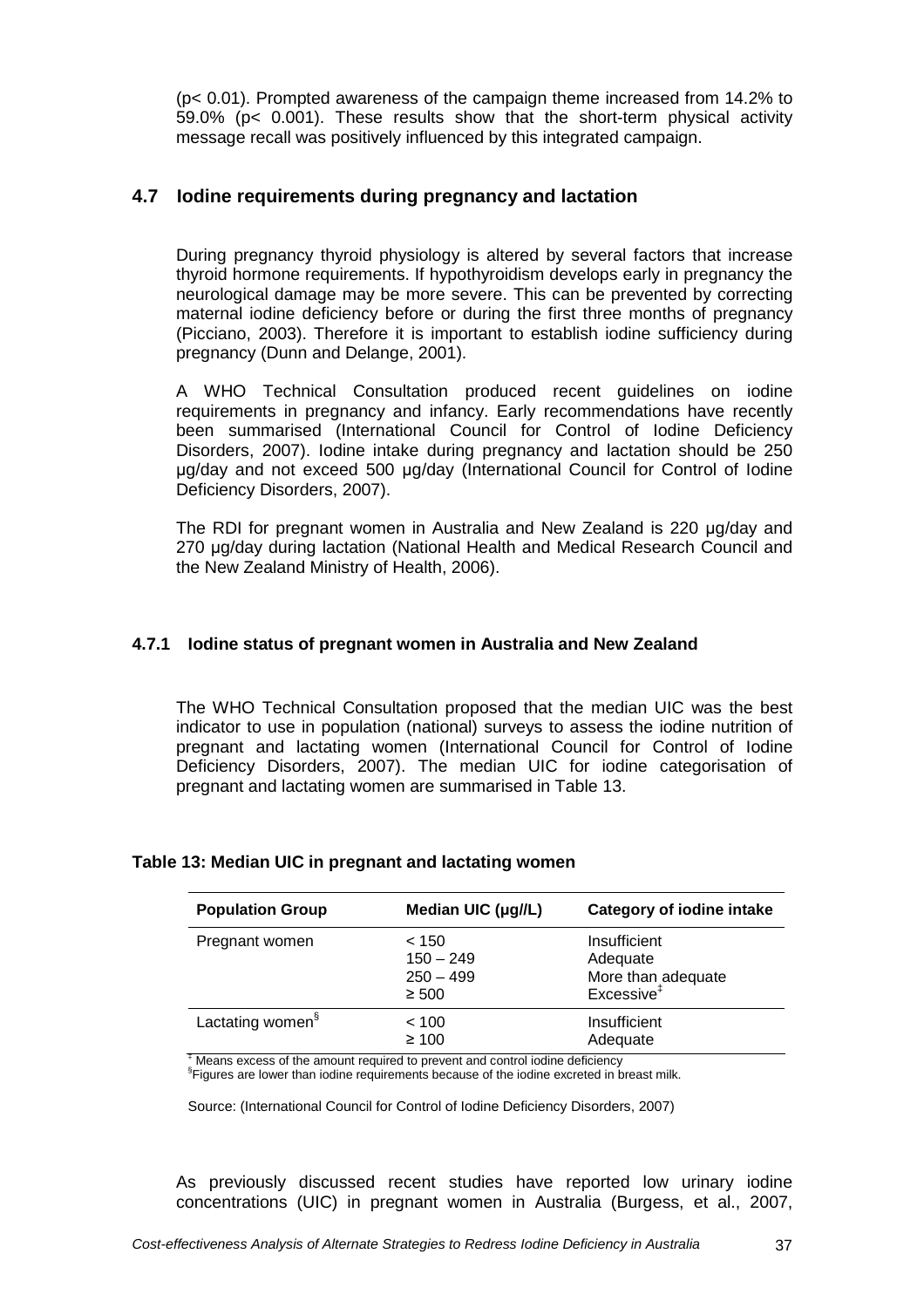(p< 0.01). Prompted awareness of the campaign theme increased from 14.2% to 59.0% (p< 0.001). These results show that the short-term physical activity message recall was positively influenced by this integrated campaign.

## **4.7 Iodine requirements during pregnancy and lactation**

During pregnancy thyroid physiology is altered by several factors that increase thyroid hormone requirements. If hypothyroidism develops early in pregnancy the neurological damage may be more severe. This can be prevented by correcting maternal iodine deficiency before or during the first three months of pregnancy (Picciano, 2003). Therefore it is important to establish iodine sufficiency during pregnancy (Dunn and Delange, 2001).

A WHO Technical Consultation produced recent guidelines on iodine requirements in pregnancy and infancy. Early recommendations have recently been summarised (International Council for Control of Iodine Deficiency Disorders, 2007). Iodine intake during pregnancy and lactation should be 250 µg/day and not exceed 500 µg/day (International Council for Control of Iodine Deficiency Disorders, 2007).

The RDI for pregnant women in Australia and New Zealand is 220 µg/day and 270 µg/day during lactation (National Health and Medical Research Council and the New Zealand Ministry of Health, 2006).

## **4.7.1 Iodine status of pregnant women in Australia and New Zealand**

The WHO Technical Consultation proposed that the median UIC was the best indicator to use in population (national) surveys to assess the iodine nutrition of pregnant and lactating women (International Council for Control of Iodine Deficiency Disorders, 2007). The median UIC for iodine categorisation of pregnant and lactating women are summarised in Table 13.

| <b>Population Group</b>      | Median UIC (µg//L)                                                                                                   | <b>Category of iodine intake</b>                                         |
|------------------------------|----------------------------------------------------------------------------------------------------------------------|--------------------------------------------------------------------------|
| Pregnant women               | < 150<br>$150 - 249$<br>$250 - 499$<br>$\geq 500$                                                                    | Insufficient<br>Adequate<br>More than adequate<br>Excessive <sup>‡</sup> |
| Lactating women <sup>§</sup> | < 100<br>$\geq 100$<br>$\frac{1}{2}$ Means everges of the amount required to provent and control isoling deficiency. | Insufficient<br>Adequate                                                 |

#### **Table 13: Median UIC in pregnant and lactating women**

Means excess of the amount required to prevent and control iodine deficiency

<sup>§</sup> Figures are lower than iodine requirements because of the iodine excreted in breast milk.

Source: (International Council for Control of Iodine Deficiency Disorders, 2007)

As previously discussed recent studies have reported low urinary iodine concentrations (UIC) in pregnant women in Australia (Burgess, et al., 2007,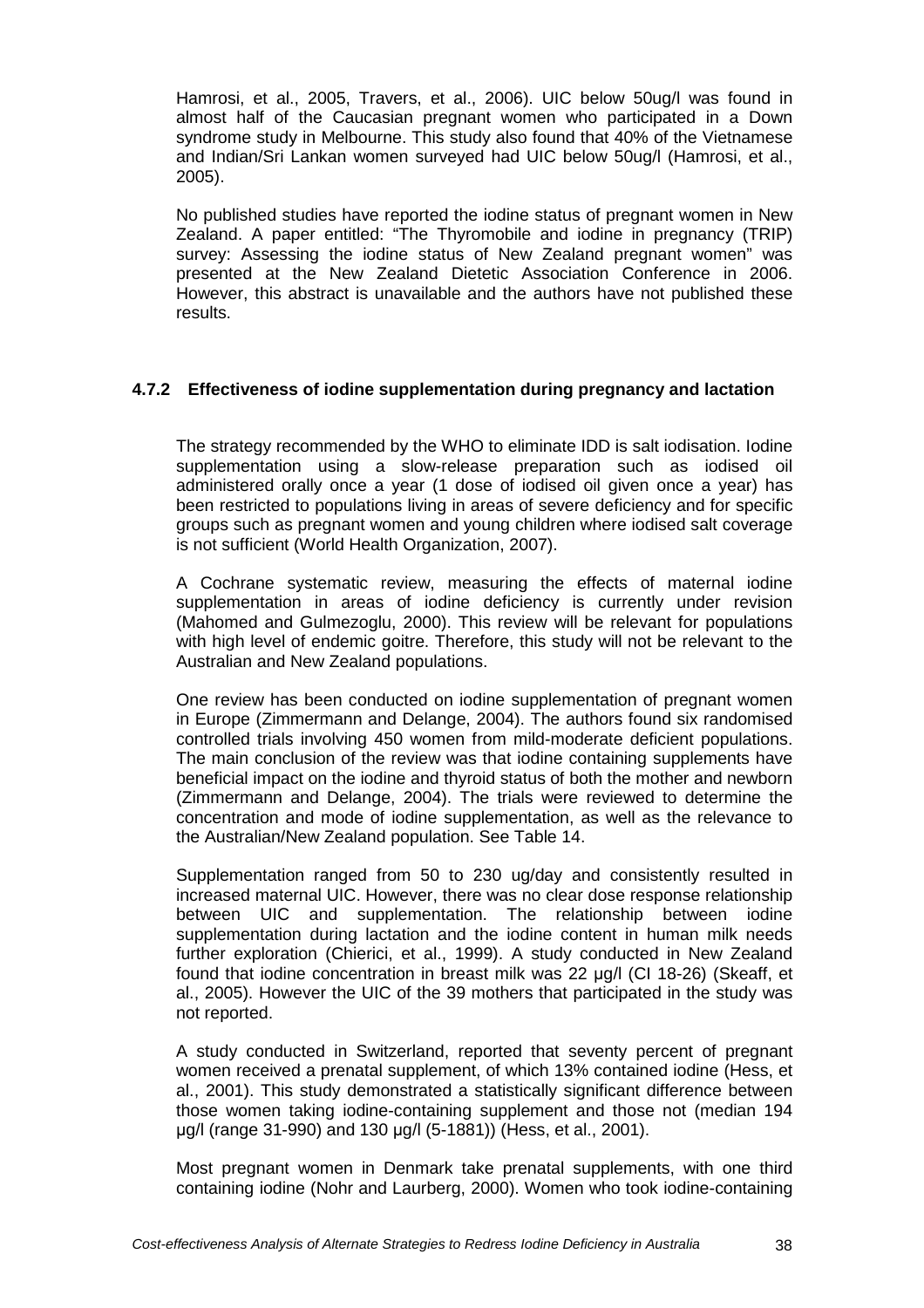Hamrosi, et al., 2005, Travers, et al., 2006). UIC below 50ug/l was found in almost half of the Caucasian pregnant women who participated in a Down syndrome study in Melbourne. This study also found that 40% of the Vietnamese and Indian/Sri Lankan women surveyed had UIC below 50ug/l (Hamrosi, et al., 2005).

No published studies have reported the iodine status of pregnant women in New Zealand. A paper entitled: "The Thyromobile and iodine in pregnancy (TRIP) survey: Assessing the iodine status of New Zealand pregnant women" was presented at the New Zealand Dietetic Association Conference in 2006. However, this abstract is unavailable and the authors have not published these results.

## **4.7.2 Effectiveness of iodine supplementation during pregnancy and lactation**

The strategy recommended by the WHO to eliminate IDD is salt iodisation. Iodine supplementation using a slow-release preparation such as iodised oil administered orally once a year (1 dose of iodised oil given once a year) has been restricted to populations living in areas of severe deficiency and for specific groups such as pregnant women and young children where iodised salt coverage is not sufficient (World Health Organization, 2007).

A Cochrane systematic review, measuring the effects of maternal iodine supplementation in areas of iodine deficiency is currently under revision (Mahomed and Gulmezoglu, 2000). This review will be relevant for populations with high level of endemic goitre. Therefore, this study will not be relevant to the Australian and New Zealand populations.

One review has been conducted on iodine supplementation of pregnant women in Europe (Zimmermann and Delange, 2004). The authors found six randomised controlled trials involving 450 women from mild-moderate deficient populations. The main conclusion of the review was that iodine containing supplements have beneficial impact on the iodine and thyroid status of both the mother and newborn (Zimmermann and Delange, 2004). The trials were reviewed to determine the concentration and mode of iodine supplementation, as well as the relevance to the Australian/New Zealand population. See Table 14.

Supplementation ranged from 50 to 230 ug/day and consistently resulted in increased maternal UIC. However, there was no clear dose response relationship between UIC and supplementation. The relationship between iodine supplementation during lactation and the iodine content in human milk needs further exploration (Chierici, et al., 1999). A study conducted in New Zealand found that iodine concentration in breast milk was 22 µg/l (CI 18-26) (Skeaff, et al., 2005). However the UIC of the 39 mothers that participated in the study was not reported.

A study conducted in Switzerland, reported that seventy percent of pregnant women received a prenatal supplement, of which 13% contained iodine (Hess, et al., 2001). This study demonstrated a statistically significant difference between those women taking iodine-containing supplement and those not (median 194 µg/l (range 31-990) and 130 µg/l (5-1881)) (Hess, et al., 2001).

Most pregnant women in Denmark take prenatal supplements, with one third containing iodine (Nohr and Laurberg, 2000). Women who took iodine-containing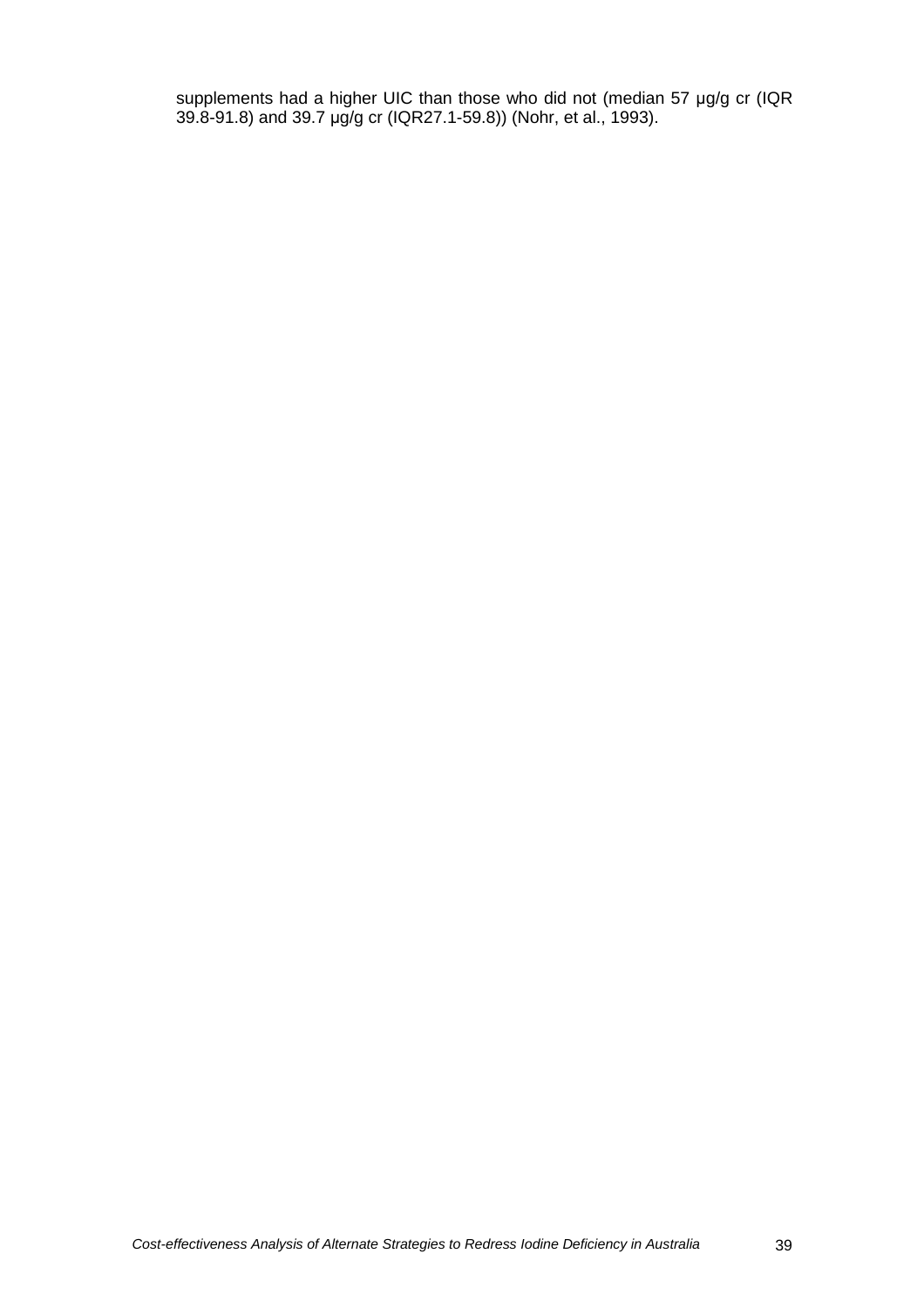supplements had a higher UIC than those who did not (median 57 µg/g cr (IQR 39.8-91.8) and 39.7 µg/g cr (IQR27.1-59.8)) (Nohr, et al., 1993).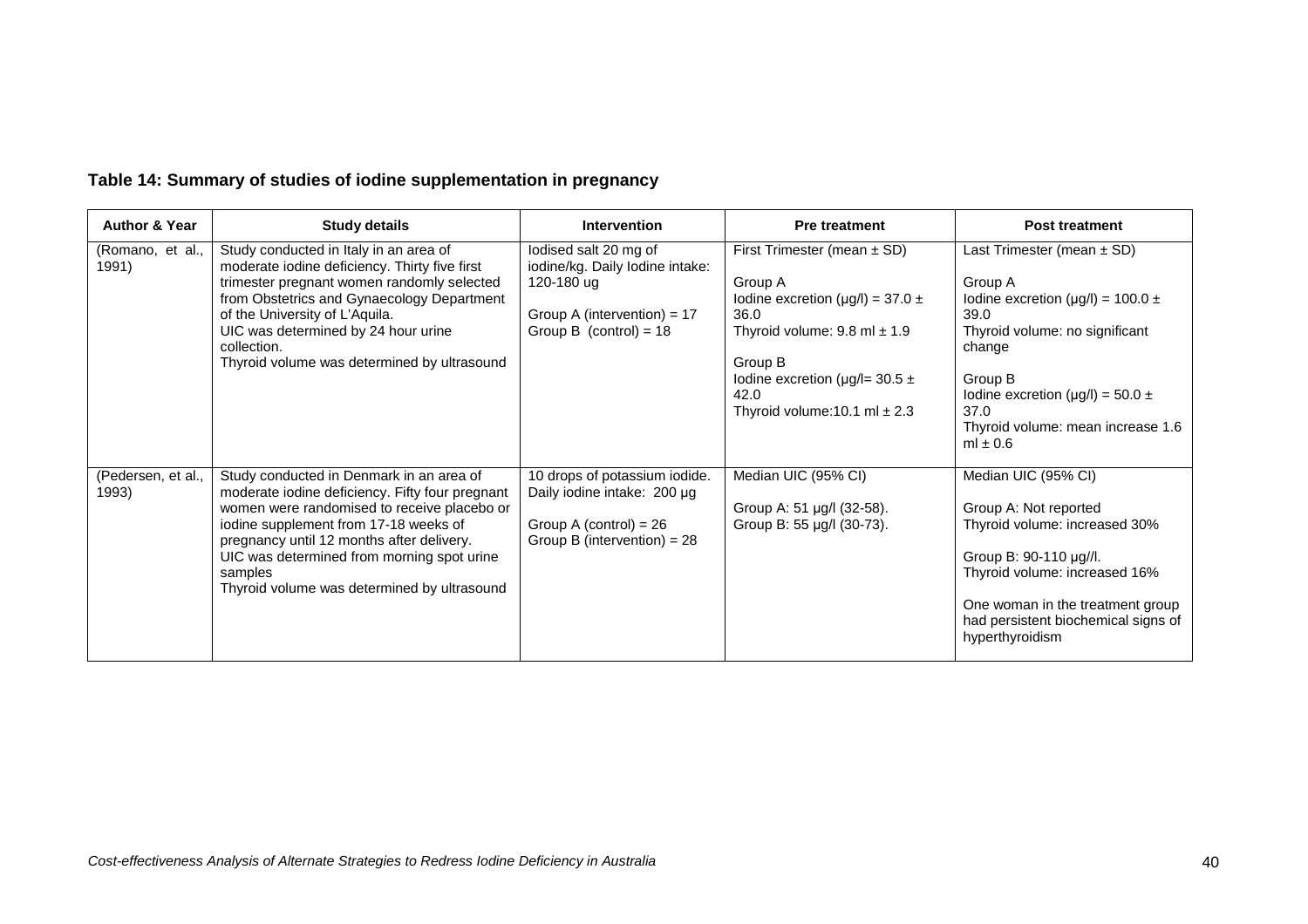| <b>Author &amp; Year</b>    | <b>Study details</b>                                                                                                                                                                                                                                                                                                                     | <b>Intervention</b>                                                                                                                 | <b>Pre treatment</b>                                                                                                                                                                                                               | <b>Post treatment</b>                                                                                                                                                                                                                                      |
|-----------------------------|------------------------------------------------------------------------------------------------------------------------------------------------------------------------------------------------------------------------------------------------------------------------------------------------------------------------------------------|-------------------------------------------------------------------------------------------------------------------------------------|------------------------------------------------------------------------------------------------------------------------------------------------------------------------------------------------------------------------------------|------------------------------------------------------------------------------------------------------------------------------------------------------------------------------------------------------------------------------------------------------------|
| (Romano, et al.,<br>1991)   | Study conducted in Italy in an area of<br>moderate iodine deficiency. Thirty five first<br>trimester pregnant women randomly selected<br>from Obstetrics and Gynaecology Department<br>of the University of L'Aquila.<br>UIC was determined by 24 hour urine<br>collection.<br>Thyroid volume was determined by ultrasound               | lodised salt 20 mg of<br>iodine/kg. Daily lodine intake:<br>120-180 ug<br>Group A (intervention) = $17$<br>Group B (control) = $18$ | First Trimester (mean $\pm$ SD)<br>Group A<br>Iodine excretion ( $\mu$ g/l) = 37.0 ±<br>36.0<br>Thyroid volume: $9.8$ ml $\pm$ 1.9<br>Group B<br>Iodine excretion ( $\mu$ g/l= 30.5 ±<br>42.0<br>Thyroid volume: 10.1 ml $\pm$ 2.3 | Last Trimester (mean $\pm$ SD)<br>Group A<br>Iodine excretion ( $\mu$ g/l) = 100.0 ±<br>39.0<br>Thyroid volume: no significant<br>change<br>Group B<br>Iodine excretion ( $\mu$ g/l) = 50.0 ±<br>37.0<br>Thyroid volume: mean increase 1.6<br>ml $\pm$ 0.6 |
| (Pedersen, et al.,<br>1993) | Study conducted in Denmark in an area of<br>moderate iodine deficiency. Fifty four pregnant<br>women were randomised to receive placebo or<br>iodine supplement from 17-18 weeks of<br>pregnancy until 12 months after delivery.<br>UIC was determined from morning spot urine<br>samples<br>Thyroid volume was determined by ultrasound | 10 drops of potassium iodide.<br>Daily iodine intake: 200 µg<br>Group A (control) = $26$<br>Group B (intervention) = $28$           | Median UIC (95% CI)<br>Group A: 51 µg/l (32-58).<br>Group B: 55 µg/l (30-73).                                                                                                                                                      | Median UIC (95% CI)<br>Group A: Not reported<br>Thyroid volume: increased 30%<br>Group B: 90-110 µg//l.<br>Thyroid volume: increased 16%<br>One woman in the treatment group<br>had persistent biochemical signs of<br>hyperthyroidism                     |

## **Table 14: Summary of studies of iodine supplementation in pregnancy**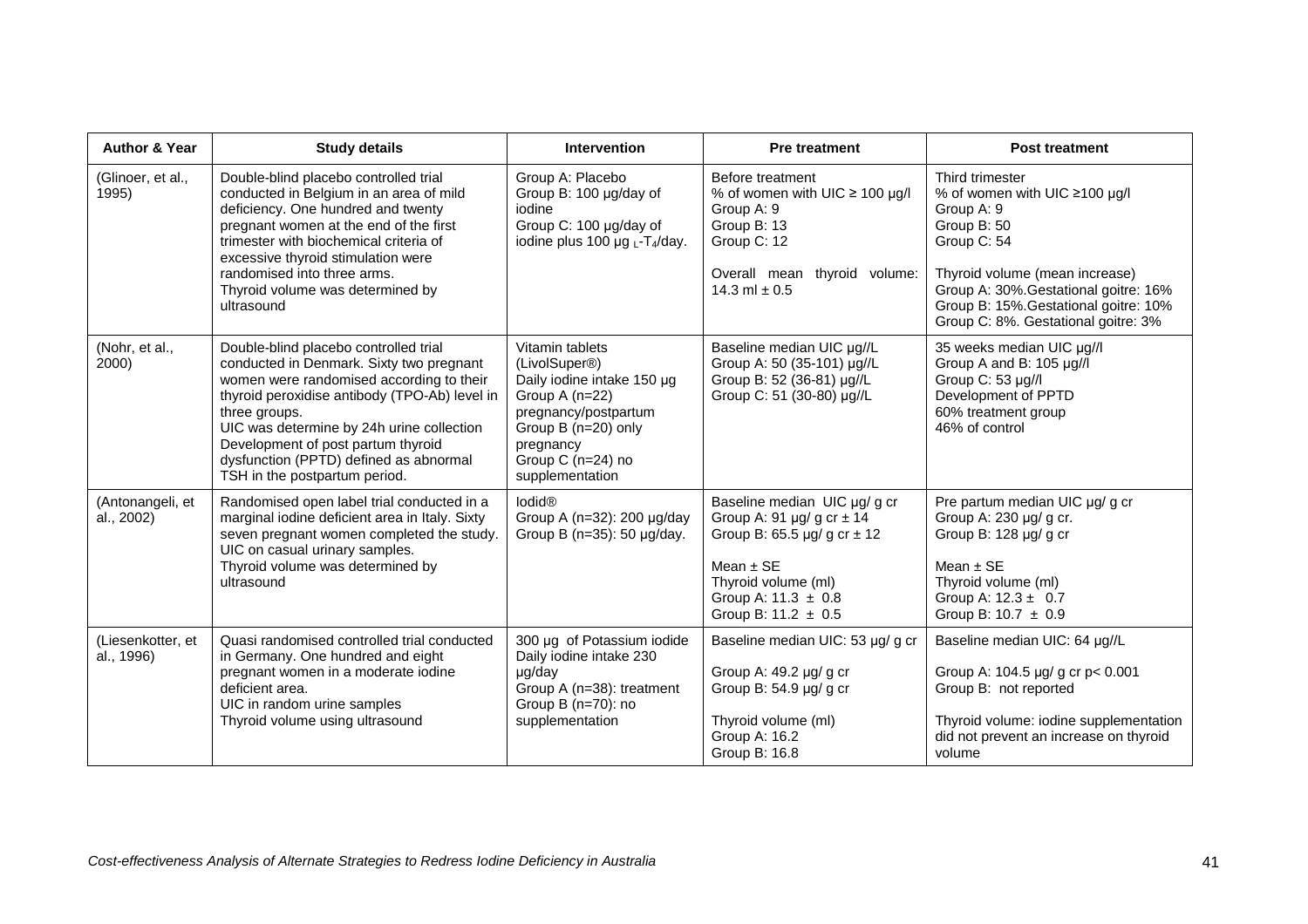| <b>Author &amp; Year</b>        | <b>Study details</b>                                                                                                                                                                                                                                                                                                                                          | <b>Intervention</b>                                                                                                                                                                  | <b>Pre treatment</b>                                                                                                                                                                                 | <b>Post treatment</b>                                                                                                                                                                                                                                   |
|---------------------------------|---------------------------------------------------------------------------------------------------------------------------------------------------------------------------------------------------------------------------------------------------------------------------------------------------------------------------------------------------------------|--------------------------------------------------------------------------------------------------------------------------------------------------------------------------------------|------------------------------------------------------------------------------------------------------------------------------------------------------------------------------------------------------|---------------------------------------------------------------------------------------------------------------------------------------------------------------------------------------------------------------------------------------------------------|
| (Glinoer, et al.,<br>1995)      | Double-blind placebo controlled trial<br>conducted in Belgium in an area of mild<br>deficiency. One hundred and twenty<br>pregnant women at the end of the first<br>trimester with biochemical criteria of<br>excessive thyroid stimulation were<br>randomised into three arms.<br>Thyroid volume was determined by<br>ultrasound                             | Group A: Placebo<br>Group B: 100 µg/day of<br>iodine<br>Group C: 100 µg/day of<br>iodine plus 100 $\mu$ g <sub>L</sub> -T <sub>4</sub> /day.                                         | Before treatment<br>% of women with UIC $\geq$ 100 µg/l<br>Group A: 9<br>Group B: 13<br>Group C: 12<br>Overall mean thyroid volume:<br>14.3 ml $\pm$ 0.5                                             | Third trimester<br>% of women with UIC ≥100 µg/l<br>Group A: 9<br>Group B: 50<br>Group C: 54<br>Thyroid volume (mean increase)<br>Group A: 30%. Gestational goitre: 16%<br>Group B: 15%. Gestational goitre: 10%<br>Group C: 8%. Gestational goitre: 3% |
| (Nohr, et al.,<br>2000)         | Double-blind placebo controlled trial<br>conducted in Denmark. Sixty two pregnant<br>women were randomised according to their<br>thyroid peroxidise antibody (TPO-Ab) level in<br>three groups.<br>UIC was determine by 24h urine collection<br>Development of post partum thyroid<br>dysfunction (PPTD) defined as abnormal<br>TSH in the postpartum period. | Vitamin tablets<br>(LivolSuper®)<br>Daily iodine intake 150 µg<br>Group A (n=22)<br>pregnancy/postpartum<br>Group B (n=20) only<br>pregnancy<br>Group C (n=24) no<br>supplementation | Baseline median UIC µg//L<br>Group A: 50 (35-101) µg//L<br>Group B: 52 (36-81) µg//L<br>Group C: 51 (30-80) µg//L                                                                                    | 35 weeks median UIC µg//l<br>Group A and B: 105 µg//l<br>Group C: 53 µg//l<br>Development of PPTD<br>60% treatment group<br>46% of control                                                                                                              |
| (Antonangeli, et<br>al., 2002)  | Randomised open label trial conducted in a<br>marginal iodine deficient area in Italy. Sixty<br>seven pregnant women completed the study.<br>UIC on casual urinary samples.<br>Thyroid volume was determined by<br>ultrasound                                                                                                                                 | lodid®<br>Group A (n=32): 200 µg/day<br>Group B (n=35): 50 µg/day.                                                                                                                   | Baseline median UIC µg/ g cr<br>Group A: 91 $\mu$ g/g cr $\pm$ 14<br>Group B: 65.5 $\mu$ g/g cr $\pm$ 12<br>Mean $±$ SE<br>Thyroid volume (ml)<br>Group A: $11.3 \pm 0.8$<br>Group B: $11.2 \pm 0.5$ | Pre partum median UIC µg/ g cr<br>Group A: 230 µg/ g cr.<br>Group B: 128 µg/ g cr<br>Mean $±$ SE<br>Thyroid volume (ml)<br>Group A: $12.3 \pm 0.7$<br>Group B: $10.7 \pm 0.9$                                                                           |
| (Liesenkotter, et<br>al., 1996) | Quasi randomised controlled trial conducted<br>in Germany. One hundred and eight<br>pregnant women in a moderate iodine<br>deficient area.<br>UIC in random urine samples<br>Thyroid volume using ultrasound                                                                                                                                                  | 300 µg of Potassium iodide<br>Daily iodine intake 230<br>µg/day<br>Group A (n=38): treatment<br>Group B (n=70): no<br>supplementation                                                | Baseline median UIC: 53 µg/ g cr<br>Group A: 49.2 µg/ g cr<br>Group B: $54.9 \mu g/g$ g cr<br>Thyroid volume (ml)<br>Group A: 16.2<br>Group B: 16.8                                                  | Baseline median UIC: 64 µg//L<br>Group A: 104.5 µg/ g cr p< 0.001<br>Group B: not reported<br>Thyroid volume: iodine supplementation<br>did not prevent an increase on thyroid<br>volume                                                                |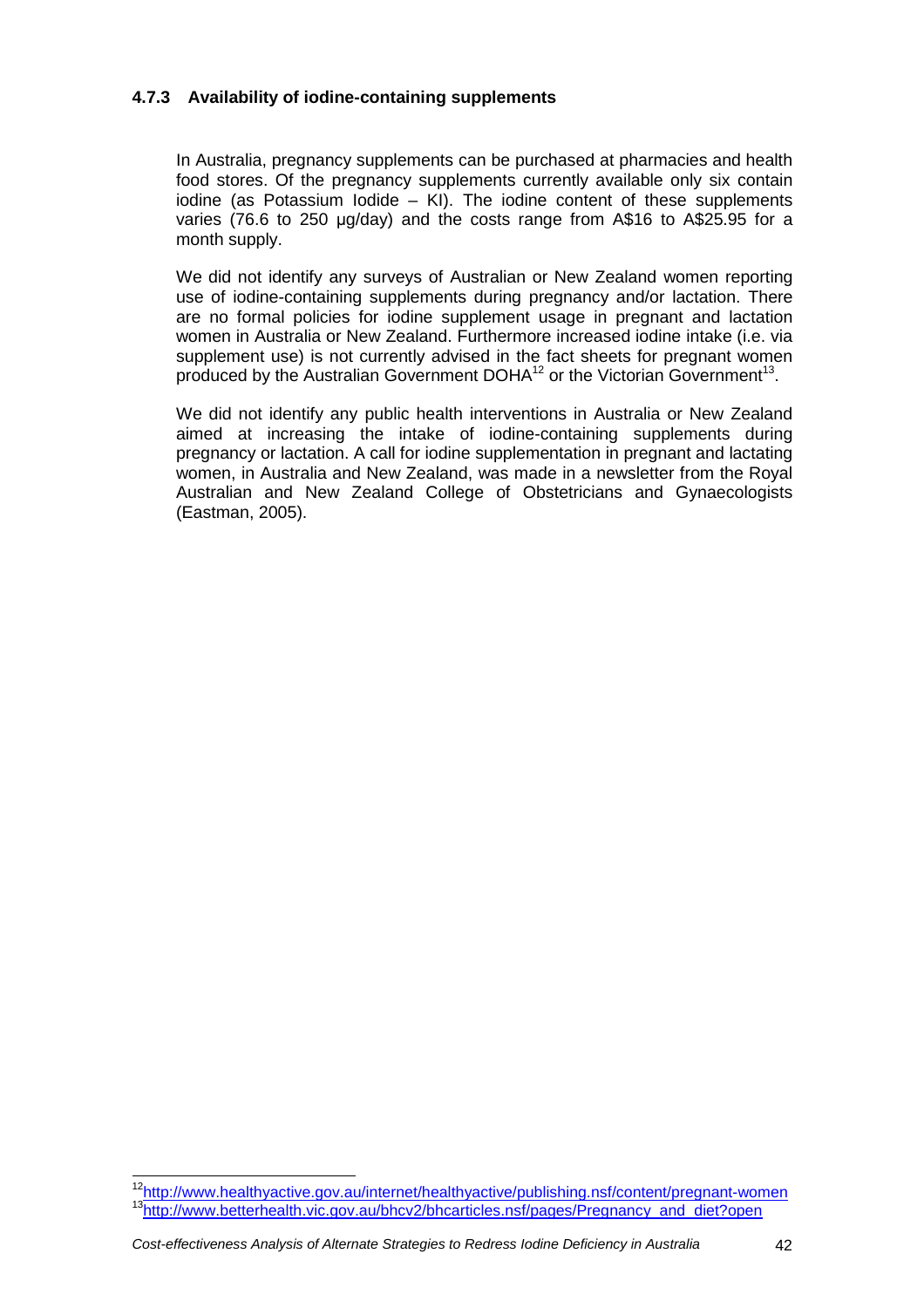## **4.7.3 Availability of iodine-containing supplements**

In Australia, pregnancy supplements can be purchased at pharmacies and health food stores. Of the pregnancy supplements currently available only six contain iodine (as Potassium Iodide – KI). The iodine content of these supplements varies (76.6 to 250 µg/day) and the costs range from A\$16 to A\$25.95 for a month supply.

We did not identify any surveys of Australian or New Zealand women reporting use of iodine-containing supplements during pregnancy and/or lactation. There are no formal policies for iodine supplement usage in pregnant and lactation women in Australia or New Zealand. Furthermore increased iodine intake (i.e. via supplement use) is not currently advised in the fact sheets for pregnant women produced by the Australian Government DOHA $^{12}$  or the Victorian Government<sup>13</sup>.

We did not identify any public health interventions in Australia or New Zealand aimed at increasing the intake of iodine-containing supplements during pregnancy or lactation. A call for iodine supplementation in pregnant and lactating women, in Australia and New Zealand, was made in a newsletter from the Royal Australian and New Zealand College of Obstetricians and Gynaecologists (Eastman, 2005).

<sup>&</sup>lt;sup>12</sup>http://www.healthyactive.gov.au/internet/healthyactive/publishing.nsf/content/pregnant-women 13http://www.betterhealth.vic.gov.au/bhcv2/bhcarticles.nsf/pages/Pregnancy\_and\_diet?open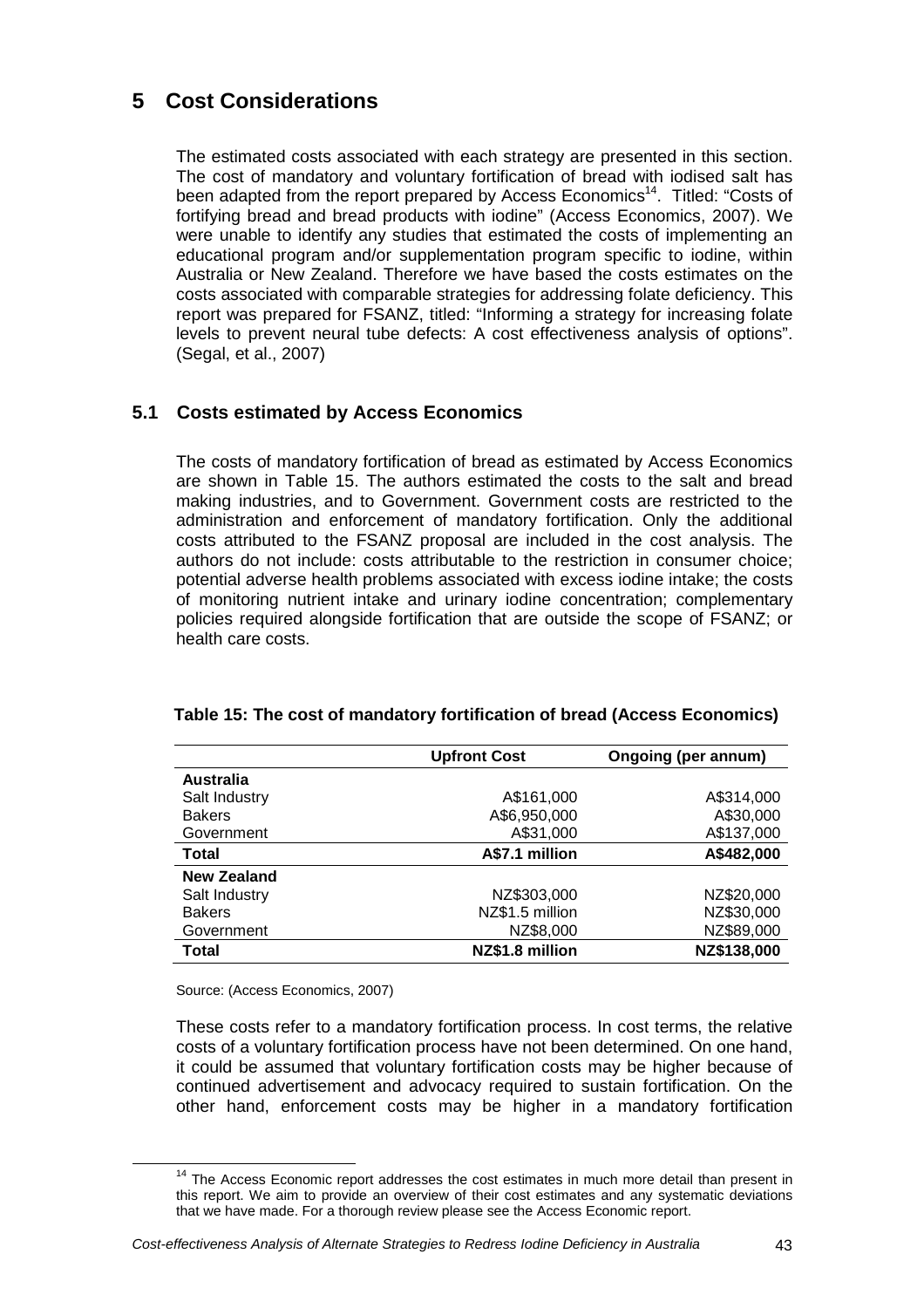# **5 Cost Considerations**

The estimated costs associated with each strategy are presented in this section. The cost of mandatory and voluntary fortification of bread with iodised salt has been adapted from the report prepared by Access Economics<sup>14</sup>. Titled: "Costs of fortifying bread and bread products with iodine" (Access Economics, 2007). We were unable to identify any studies that estimated the costs of implementing an educational program and/or supplementation program specific to iodine, within Australia or New Zealand. Therefore we have based the costs estimates on the costs associated with comparable strategies for addressing folate deficiency. This report was prepared for FSANZ, titled: "Informing a strategy for increasing folate levels to prevent neural tube defects: A cost effectiveness analysis of options". (Segal, et al., 2007)

## **5.1 Costs estimated by Access Economics**

The costs of mandatory fortification of bread as estimated by Access Economics are shown in Table 15. The authors estimated the costs to the salt and bread making industries, and to Government. Government costs are restricted to the administration and enforcement of mandatory fortification. Only the additional costs attributed to the FSANZ proposal are included in the cost analysis. The authors do not include: costs attributable to the restriction in consumer choice; potential adverse health problems associated with excess iodine intake; the costs of monitoring nutrient intake and urinary iodine concentration; complementary policies required alongside fortification that are outside the scope of FSANZ; or health care costs.

|                  | <b>Upfront Cost</b> | Ongoing (per annum) |
|------------------|---------------------|---------------------|
| <b>Australia</b> |                     |                     |
| Salt Industry    | A\$161,000          | A\$314,000          |
| <b>Bakers</b>    | A\$6,950,000        | A\$30,000           |
| Government       | A\$31,000           | A\$137,000          |
| Total            | A\$7.1 million      | A\$482,000          |
| New Zealand      |                     |                     |
| Salt Industry    | NZ\$303,000         | NZ\$20,000          |
| <b>Bakers</b>    | NZ\$1.5 million     | NZ\$30,000          |
| Government       | NZ\$8,000           | NZ\$89,000          |
| <b>Total</b>     | NZ\$1.8 million     | NZ\$138,000         |

## **Table 15: The cost of mandatory fortification of bread (Access Economics)**

Source: (Access Economics, 2007)

 $\overline{a}$ 

These costs refer to a mandatory fortification process. In cost terms, the relative costs of a voluntary fortification process have not been determined. On one hand, it could be assumed that voluntary fortification costs may be higher because of continued advertisement and advocacy required to sustain fortification. On the other hand, enforcement costs may be higher in a mandatory fortification

 $14$  The Access Economic report addresses the cost estimates in much more detail than present in this report. We aim to provide an overview of their cost estimates and any systematic deviations that we have made. For a thorough review please see the Access Economic report.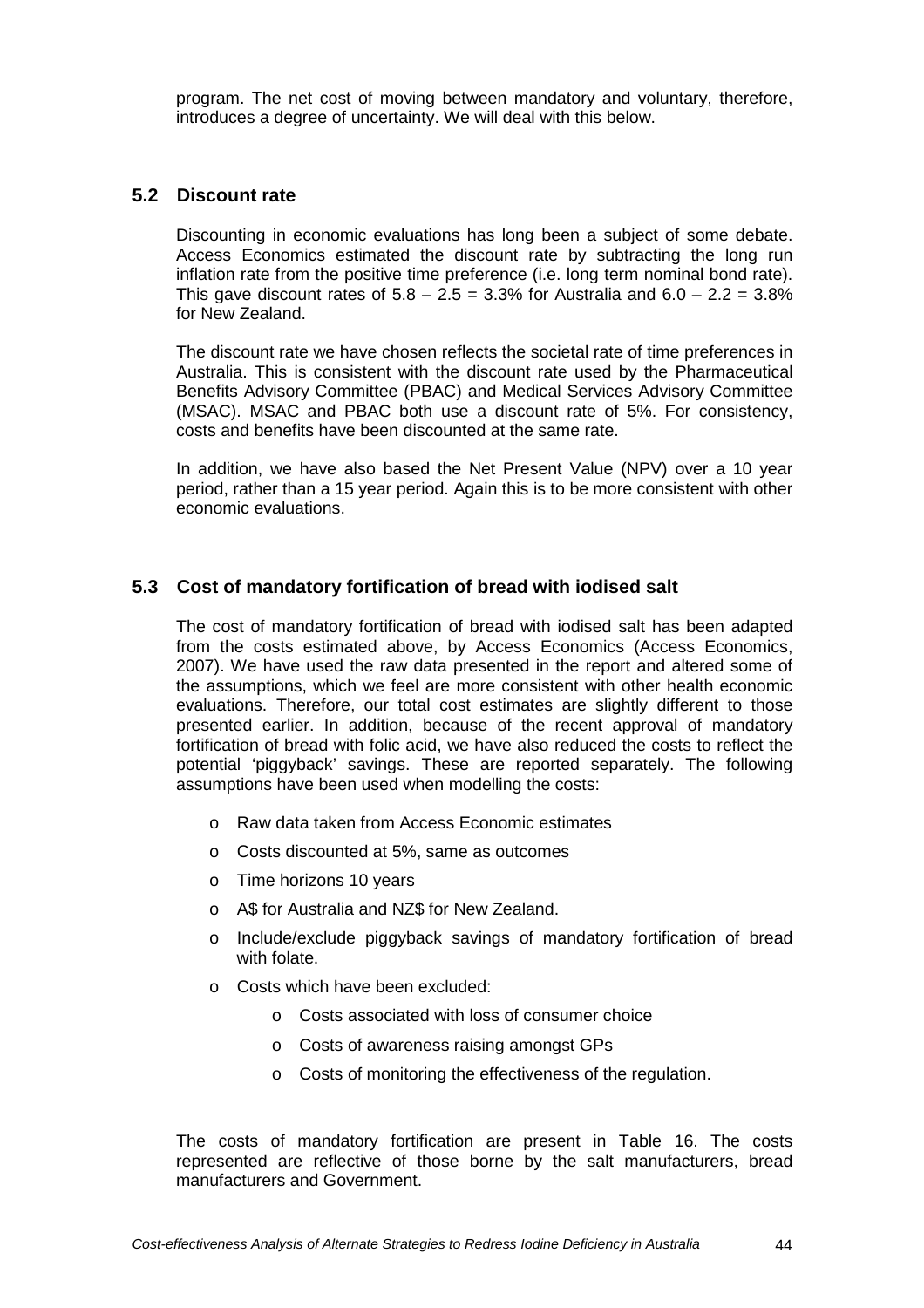program. The net cost of moving between mandatory and voluntary, therefore, introduces a degree of uncertainty. We will deal with this below.

## **5.2 Discount rate**

Discounting in economic evaluations has long been a subject of some debate. Access Economics estimated the discount rate by subtracting the long run inflation rate from the positive time preference (i.e. long term nominal bond rate). This gave discount rates of  $5.8 - 2.5 = 3.3\%$  for Australia and  $6.0 - 2.2 = 3.8\%$ for New Zealand.

The discount rate we have chosen reflects the societal rate of time preferences in Australia. This is consistent with the discount rate used by the Pharmaceutical Benefits Advisory Committee (PBAC) and Medical Services Advisory Committee (MSAC). MSAC and PBAC both use a discount rate of 5%. For consistency, costs and benefits have been discounted at the same rate.

In addition, we have also based the Net Present Value (NPV) over a 10 year period, rather than a 15 year period. Again this is to be more consistent with other economic evaluations.

## **5.3 Cost of mandatory fortification of bread with iodised salt**

The cost of mandatory fortification of bread with iodised salt has been adapted from the costs estimated above, by Access Economics (Access Economics, 2007). We have used the raw data presented in the report and altered some of the assumptions, which we feel are more consistent with other health economic evaluations. Therefore, our total cost estimates are slightly different to those presented earlier. In addition, because of the recent approval of mandatory fortification of bread with folic acid, we have also reduced the costs to reflect the potential 'piggyback' savings. These are reported separately. The following assumptions have been used when modelling the costs:

- o Raw data taken from Access Economic estimates
- o Costs discounted at 5%, same as outcomes
- o Time horizons 10 years
- o A\$ for Australia and NZ\$ for New Zealand.
- o Include/exclude piggyback savings of mandatory fortification of bread with folate.
- o Costs which have been excluded:
	- o Costs associated with loss of consumer choice
	- o Costs of awareness raising amongst GPs
	- o Costs of monitoring the effectiveness of the regulation.

The costs of mandatory fortification are present in Table 16. The costs represented are reflective of those borne by the salt manufacturers, bread manufacturers and Government.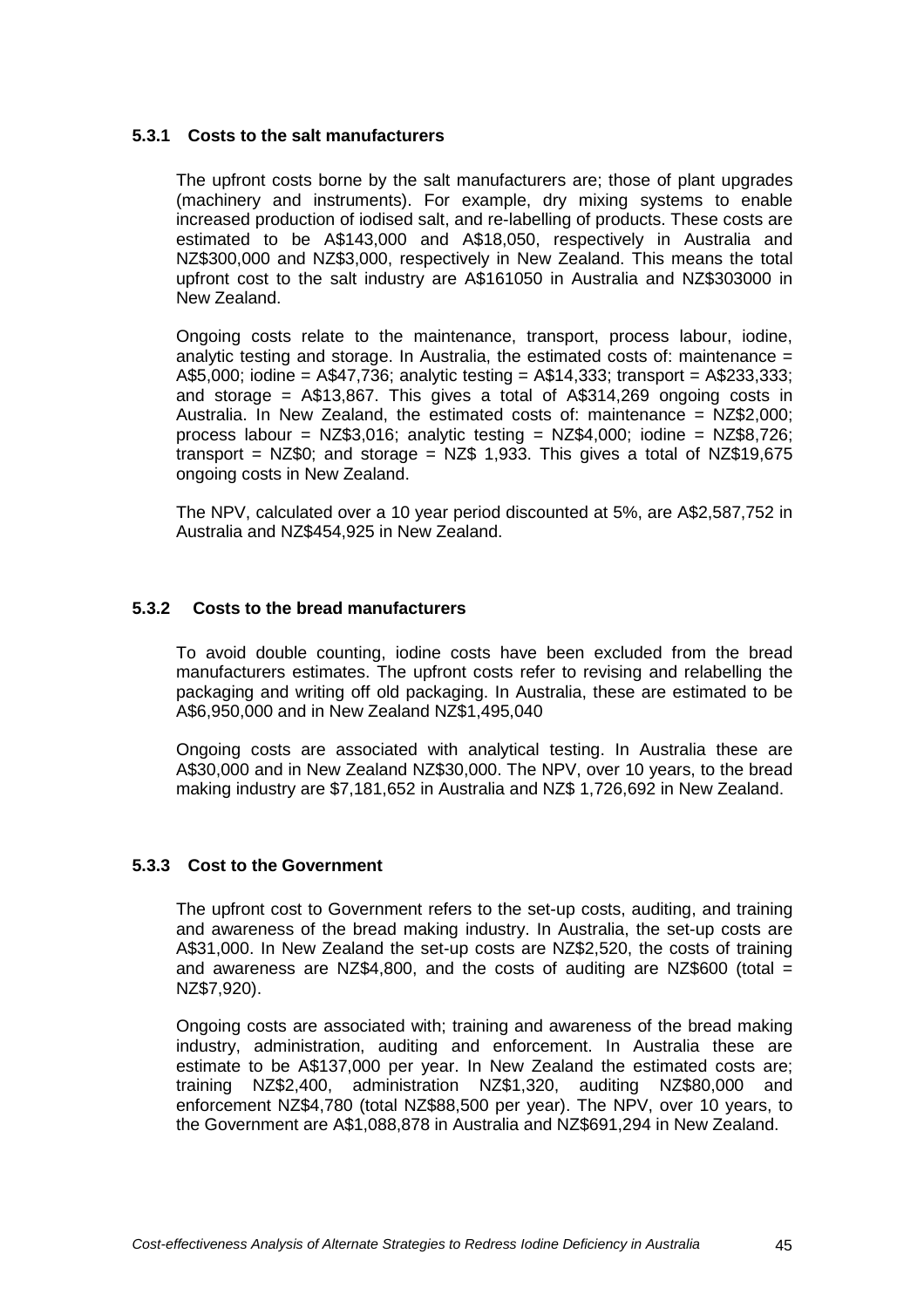### **5.3.1 Costs to the salt manufacturers**

The upfront costs borne by the salt manufacturers are; those of plant upgrades (machinery and instruments). For example, dry mixing systems to enable increased production of iodised salt, and re-labelling of products. These costs are estimated to be A\$143,000 and A\$18,050, respectively in Australia and NZ\$300,000 and NZ\$3,000, respectively in New Zealand. This means the total upfront cost to the salt industry are A\$161050 in Australia and NZ\$303000 in New Zealand.

Ongoing costs relate to the maintenance, transport, process labour, iodine, analytic testing and storage. In Australia, the estimated costs of: maintenance = A\$5,000; iodine = A\$47,736; analytic testing = A\$14,333; transport = A\$233,333; and storage = A\$13,867. This gives a total of A\$314,269 ongoing costs in Australia. In New Zealand, the estimated costs of: maintenance = NZ\$2,000; process labour =  $NZ$3.016$ ; analytic testing =  $NZ$4.000$ ; iodine =  $NZ$8.726$ ; transport =  $NZ\$ <sub>90</sub>; and storage =  $NZ\$  1,933. This gives a total of  $NZ\$ <sub>919,675</sub> ongoing costs in New Zealand.

The NPV, calculated over a 10 year period discounted at 5%, are A\$2,587,752 in Australia and NZ\$454,925 in New Zealand.

### **5.3.2 Costs to the bread manufacturers**

To avoid double counting, iodine costs have been excluded from the bread manufacturers estimates. The upfront costs refer to revising and relabelling the packaging and writing off old packaging. In Australia, these are estimated to be A\$6,950,000 and in New Zealand NZ\$1,495,040

Ongoing costs are associated with analytical testing. In Australia these are A\$30,000 and in New Zealand NZ\$30,000. The NPV, over 10 years, to the bread making industry are \$7,181,652 in Australia and NZ\$ 1,726,692 in New Zealand.

#### **5.3.3 Cost to the Government**

The upfront cost to Government refers to the set-up costs, auditing, and training and awareness of the bread making industry. In Australia, the set-up costs are A\$31,000. In New Zealand the set-up costs are NZ\$2,520, the costs of training and awareness are NZ\$4,800, and the costs of auditing are NZ\$600 (total  $=$ NZ\$7,920).

Ongoing costs are associated with; training and awareness of the bread making industry, administration, auditing and enforcement. In Australia these are estimate to be A\$137,000 per year. In New Zealand the estimated costs are; training NZ\$2,400, administration NZ\$1,320, auditing NZ\$80,000 and enforcement NZ\$4,780 (total NZ\$88,500 per year). The NPV, over 10 years, to the Government are A\$1,088,878 in Australia and NZ\$691,294 in New Zealand.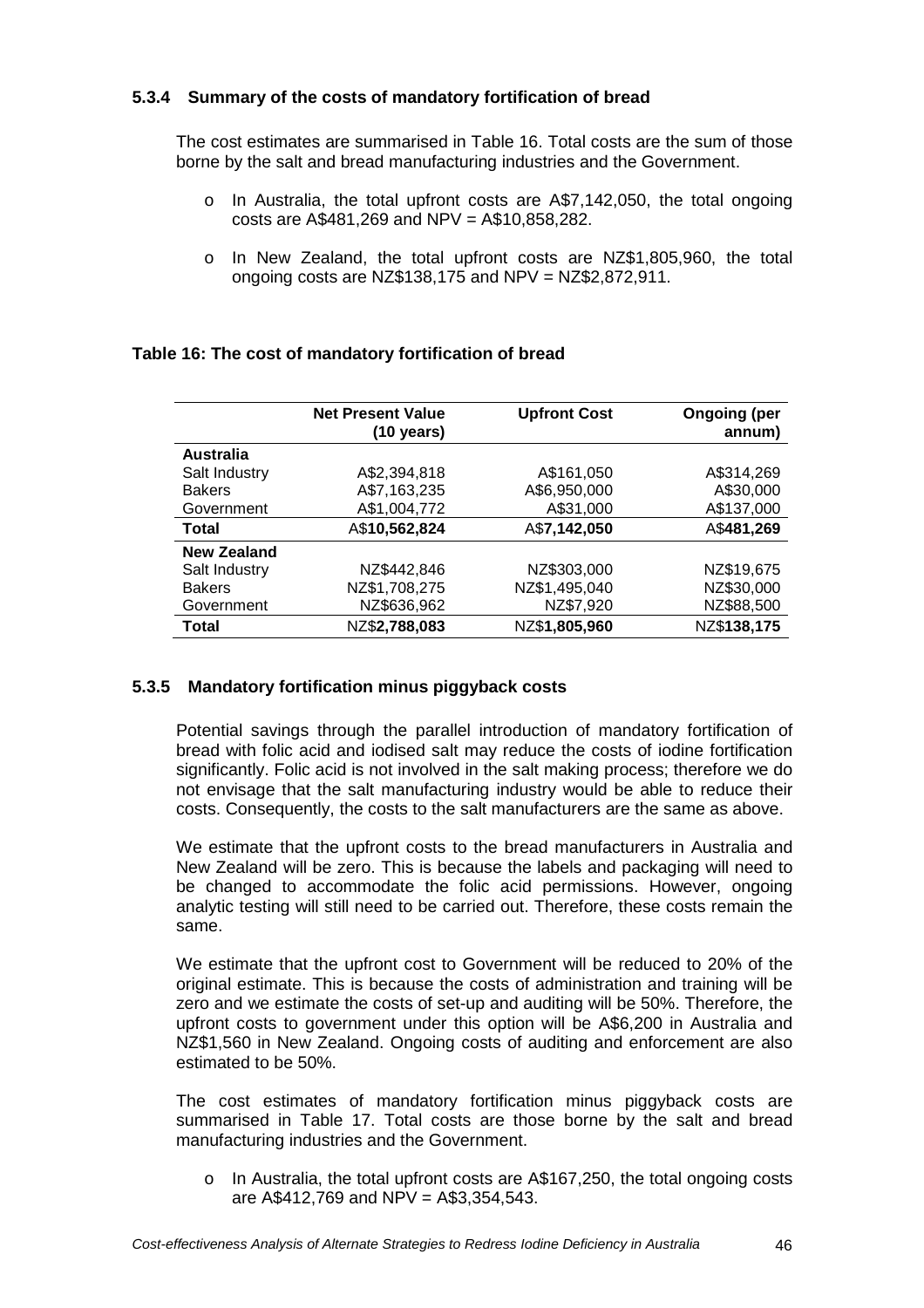## **5.3.4 Summary of the costs of mandatory fortification of bread**

The cost estimates are summarised in Table 16. Total costs are the sum of those borne by the salt and bread manufacturing industries and the Government.

- o In Australia, the total upfront costs are A\$7,142,050, the total ongoing costs are A\$481,269 and NPV = A\$10,858,282.
- o In New Zealand, the total upfront costs are NZ\$1,805,960, the total ongoing costs are NZ\$138,175 and NPV = NZ\$2,872,911.

|                    | <b>Net Present Value</b> | <b>Upfront Cost</b> | <b>Ongoing (per</b> |
|--------------------|--------------------------|---------------------|---------------------|
|                    | (10 years)               |                     | annum)              |
| <b>Australia</b>   |                          |                     |                     |
| Salt Industry      | A\$2,394,818             | A\$161,050          | A\$314,269          |
| <b>Bakers</b>      | A\$7,163,235             | A\$6,950,000        | A\$30,000           |
| Government         | A\$1,004,772             | A\$31,000           | A\$137,000          |
| <b>Total</b>       | A\$10,562,824            | A\$7,142,050        | A\$481,269          |
| <b>New Zealand</b> |                          |                     |                     |
| Salt Industry      | NZ\$442,846              | NZ\$303,000         | NZ\$19,675          |
| <b>Bakers</b>      | NZ\$1,708,275            | NZ\$1,495,040       | NZ\$30,000          |
| Government         | NZ\$636,962              | NZ\$7,920           | NZ\$88,500          |
| Total              | NZ\$2,788,083            | NZ\$1,805,960       | NZ\$138,175         |

## **Table 16: The cost of mandatory fortification of bread**

## **5.3.5 Mandatory fortification minus piggyback costs**

Potential savings through the parallel introduction of mandatory fortification of bread with folic acid and iodised salt may reduce the costs of iodine fortification significantly. Folic acid is not involved in the salt making process; therefore we do not envisage that the salt manufacturing industry would be able to reduce their costs. Consequently, the costs to the salt manufacturers are the same as above.

We estimate that the upfront costs to the bread manufacturers in Australia and New Zealand will be zero. This is because the labels and packaging will need to be changed to accommodate the folic acid permissions. However, ongoing analytic testing will still need to be carried out. Therefore, these costs remain the same.

We estimate that the upfront cost to Government will be reduced to 20% of the original estimate. This is because the costs of administration and training will be zero and we estimate the costs of set-up and auditing will be 50%. Therefore, the upfront costs to government under this option will be A\$6,200 in Australia and NZ\$1,560 in New Zealand. Ongoing costs of auditing and enforcement are also estimated to be 50%.

The cost estimates of mandatory fortification minus piggyback costs are summarised in Table 17. Total costs are those borne by the salt and bread manufacturing industries and the Government.

o In Australia, the total upfront costs are A\$167,250, the total ongoing costs are A\$412,769 and NPV = A\$3,354,543.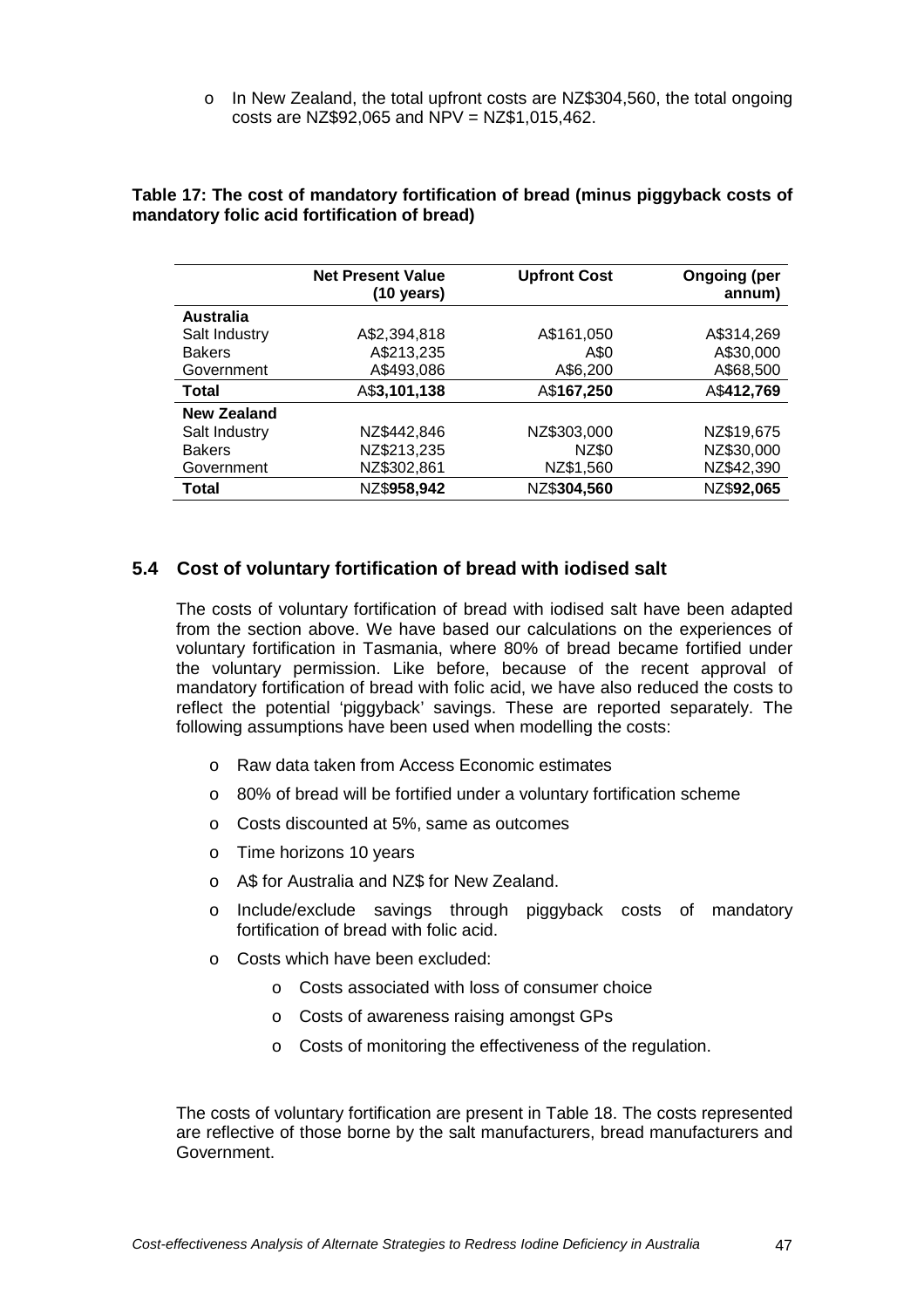o In New Zealand, the total upfront costs are NZ\$304,560, the total ongoing costs are NZ\$92,065 and NPV = NZ\$1,015,462.

|                    | <b>Net Present Value</b><br>(10 years) | <b>Upfront Cost</b> | <b>Ongoing (per</b><br>annum) |
|--------------------|----------------------------------------|---------------------|-------------------------------|
| <b>Australia</b>   |                                        |                     |                               |
| Salt Industry      | A\$2,394,818                           | A\$161,050          | A\$314,269                    |
| <b>Bakers</b>      | A\$213,235                             | A\$0                | A\$30,000                     |
| Government         | A\$493,086                             | A\$6,200            | A\$68,500                     |
| <b>Total</b>       | A\$3,101,138                           | A\$167,250          | A\$412,769                    |
| <b>New Zealand</b> |                                        |                     |                               |
| Salt Industry      | NZ\$442,846                            | NZ\$303,000         | NZ\$19,675                    |
| <b>Bakers</b>      | NZ\$213,235                            | NZ\$0               | NZ\$30,000                    |
| Government         | NZ\$302,861                            | NZ\$1,560           | NZ\$42,390                    |
| Total              | NZ\$958,942                            | NZ\$304,560         | NZ\$92,065                    |

#### **Table 17: The cost of mandatory fortification of bread (minus piggyback costs of mandatory folic acid fortification of bread)**

## **5.4 Cost of voluntary fortification of bread with iodised salt**

The costs of voluntary fortification of bread with iodised salt have been adapted from the section above. We have based our calculations on the experiences of voluntary fortification in Tasmania, where 80% of bread became fortified under the voluntary permission. Like before, because of the recent approval of mandatory fortification of bread with folic acid, we have also reduced the costs to reflect the potential 'piggyback' savings. These are reported separately. The following assumptions have been used when modelling the costs:

- o Raw data taken from Access Economic estimates
- o 80% of bread will be fortified under a voluntary fortification scheme
- o Costs discounted at 5%, same as outcomes
- o Time horizons 10 years
- o A\$ for Australia and NZ\$ for New Zealand.
- o Include/exclude savings through piggyback costs of mandatory fortification of bread with folic acid.
- o Costs which have been excluded:
	- o Costs associated with loss of consumer choice
	- o Costs of awareness raising amongst GPs
	- o Costs of monitoring the effectiveness of the regulation.

The costs of voluntary fortification are present in Table 18. The costs represented are reflective of those borne by the salt manufacturers, bread manufacturers and Government.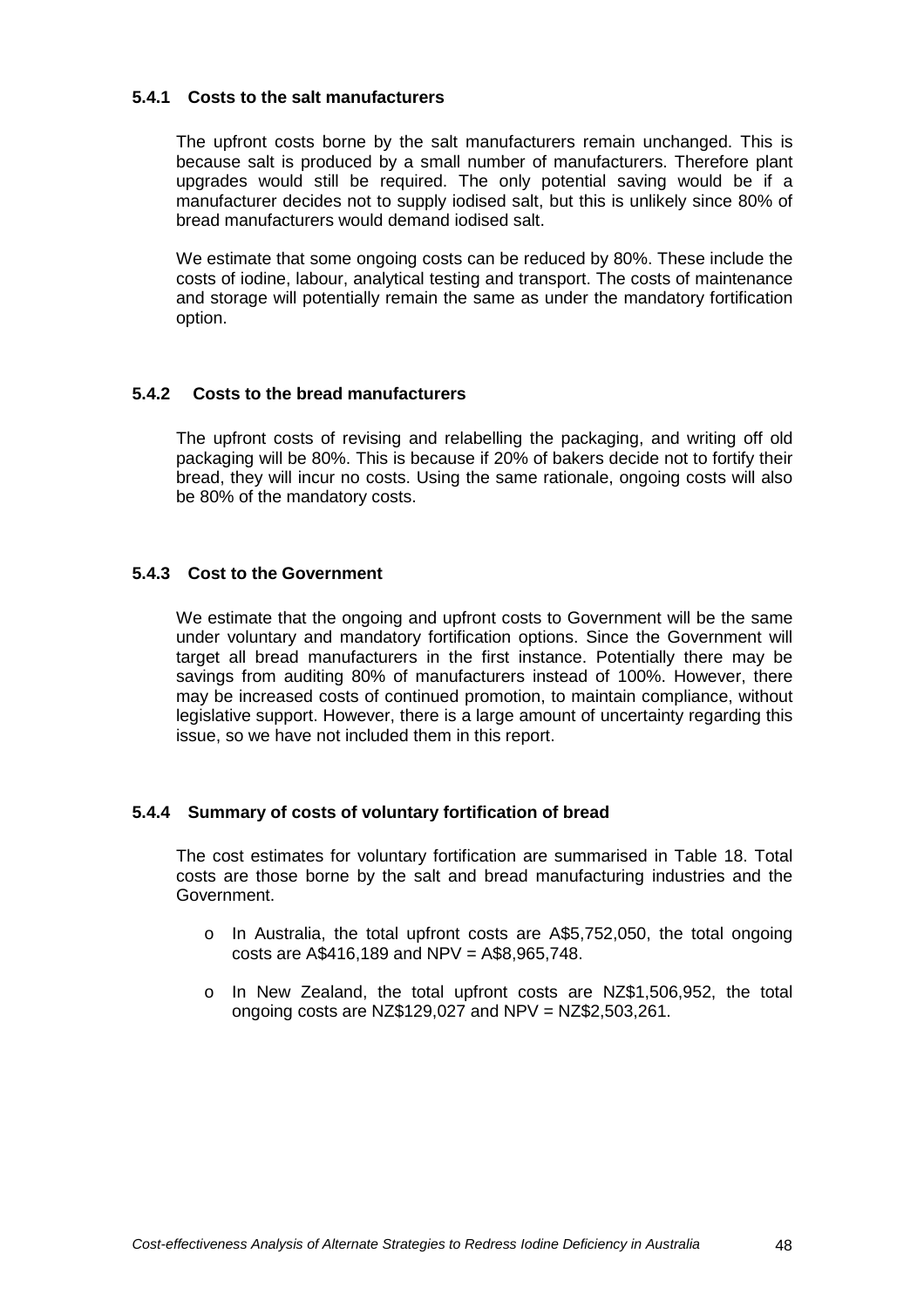### **5.4.1 Costs to the salt manufacturers**

The upfront costs borne by the salt manufacturers remain unchanged. This is because salt is produced by a small number of manufacturers. Therefore plant upgrades would still be required. The only potential saving would be if a manufacturer decides not to supply iodised salt, but this is unlikely since 80% of bread manufacturers would demand iodised salt.

We estimate that some ongoing costs can be reduced by 80%. These include the costs of iodine, labour, analytical testing and transport. The costs of maintenance and storage will potentially remain the same as under the mandatory fortification option.

## **5.4.2 Costs to the bread manufacturers**

The upfront costs of revising and relabelling the packaging, and writing off old packaging will be 80%. This is because if 20% of bakers decide not to fortify their bread, they will incur no costs. Using the same rationale, ongoing costs will also be 80% of the mandatory costs.

## **5.4.3 Cost to the Government**

We estimate that the ongoing and upfront costs to Government will be the same under voluntary and mandatory fortification options. Since the Government will target all bread manufacturers in the first instance. Potentially there may be savings from auditing 80% of manufacturers instead of 100%. However, there may be increased costs of continued promotion, to maintain compliance, without legislative support. However, there is a large amount of uncertainty regarding this issue, so we have not included them in this report.

## **5.4.4 Summary of costs of voluntary fortification of bread**

The cost estimates for voluntary fortification are summarised in Table 18. Total costs are those borne by the salt and bread manufacturing industries and the Government.

- o In Australia, the total upfront costs are A\$5,752,050, the total ongoing costs are A\$416,189 and NPV = A\$8,965,748.
- o In New Zealand, the total upfront costs are NZ\$1,506,952, the total ongoing costs are NZ\$129,027 and NPV = NZ\$2,503,261.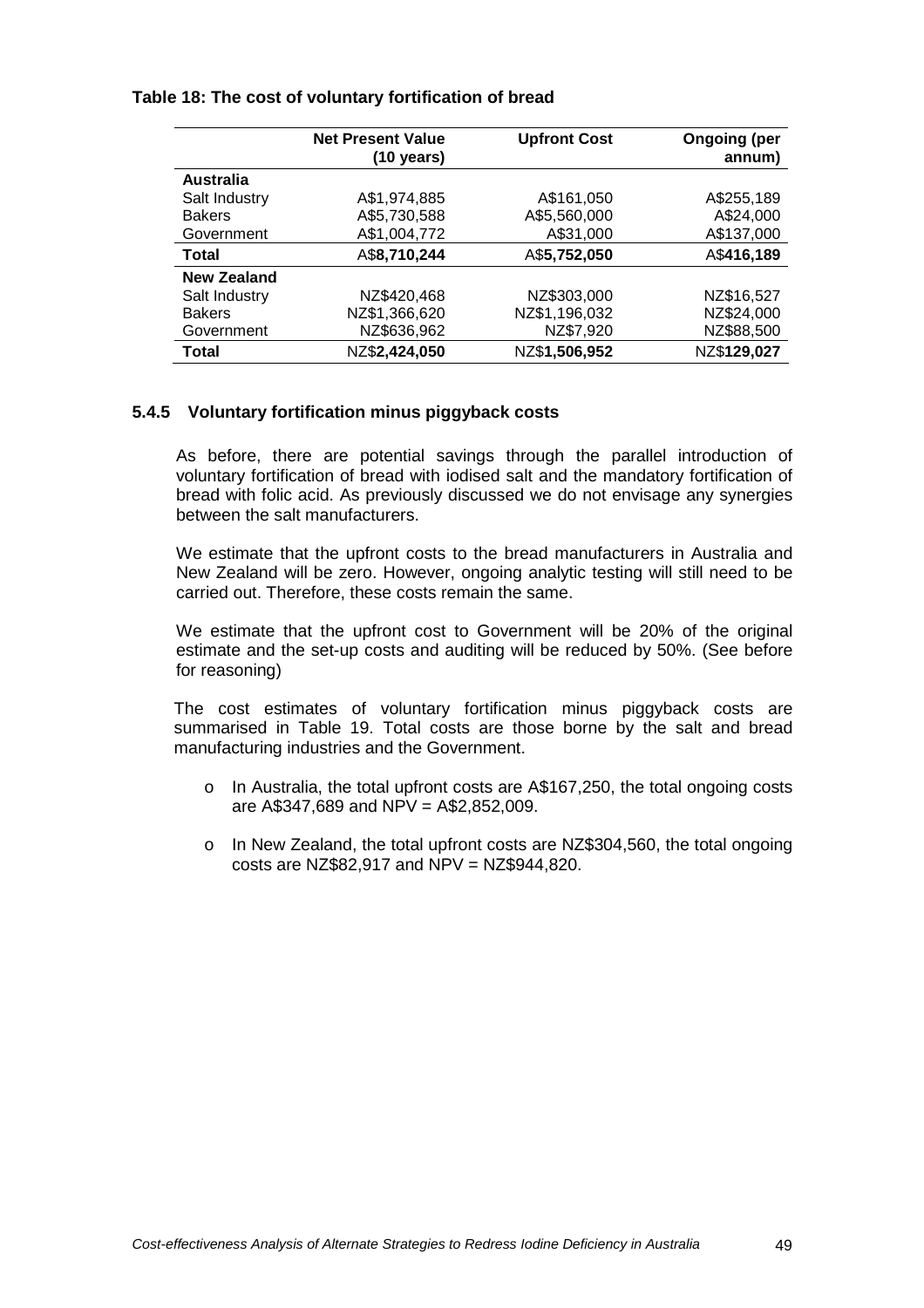#### **Table 18: The cost of voluntary fortification of bread**

|                  | <b>Net Present Value</b><br>$(10 \text{ years})$ | <b>Upfront Cost</b> | <b>Ongoing (per</b><br>annum) |
|------------------|--------------------------------------------------|---------------------|-------------------------------|
| <b>Australia</b> |                                                  |                     |                               |
| Salt Industry    | A\$1,974,885                                     | A\$161,050          | A\$255,189                    |
| <b>Bakers</b>    | A\$5,730,588                                     | A\$5,560,000        | A\$24,000                     |
| Government       | A\$1,004,772                                     | A\$31,000           | A\$137,000                    |
| Total            | A\$8,710,244                                     | A\$5,752,050        | A\$416,189                    |
| New Zealand      |                                                  |                     |                               |
| Salt Industry    | NZ\$420,468                                      | NZ\$303,000         | NZ\$16,527                    |
| <b>Bakers</b>    | NZ\$1,366,620                                    | NZ\$1,196,032       | NZ\$24,000                    |
| Government       | NZ\$636,962                                      | NZ\$7,920           | NZ\$88,500                    |
| <b>Total</b>     | NZ\$2,424,050                                    | NZ\$1,506,952       | NZ\$129,027                   |

## **5.4.5 Voluntary fortification minus piggyback costs**

As before, there are potential savings through the parallel introduction of voluntary fortification of bread with iodised salt and the mandatory fortification of bread with folic acid. As previously discussed we do not envisage any synergies between the salt manufacturers.

We estimate that the upfront costs to the bread manufacturers in Australia and New Zealand will be zero. However, ongoing analytic testing will still need to be carried out. Therefore, these costs remain the same.

We estimate that the upfront cost to Government will be 20% of the original estimate and the set-up costs and auditing will be reduced by 50%. (See before for reasoning)

The cost estimates of voluntary fortification minus piggyback costs are summarised in Table 19. Total costs are those borne by the salt and bread manufacturing industries and the Government.

- o In Australia, the total upfront costs are A\$167,250, the total ongoing costs are  $A$347,689$  and NPV =  $A$2,852,009$ .
- o In New Zealand, the total upfront costs are NZ\$304,560, the total ongoing costs are NZ\$82,917 and NPV = NZ\$944,820.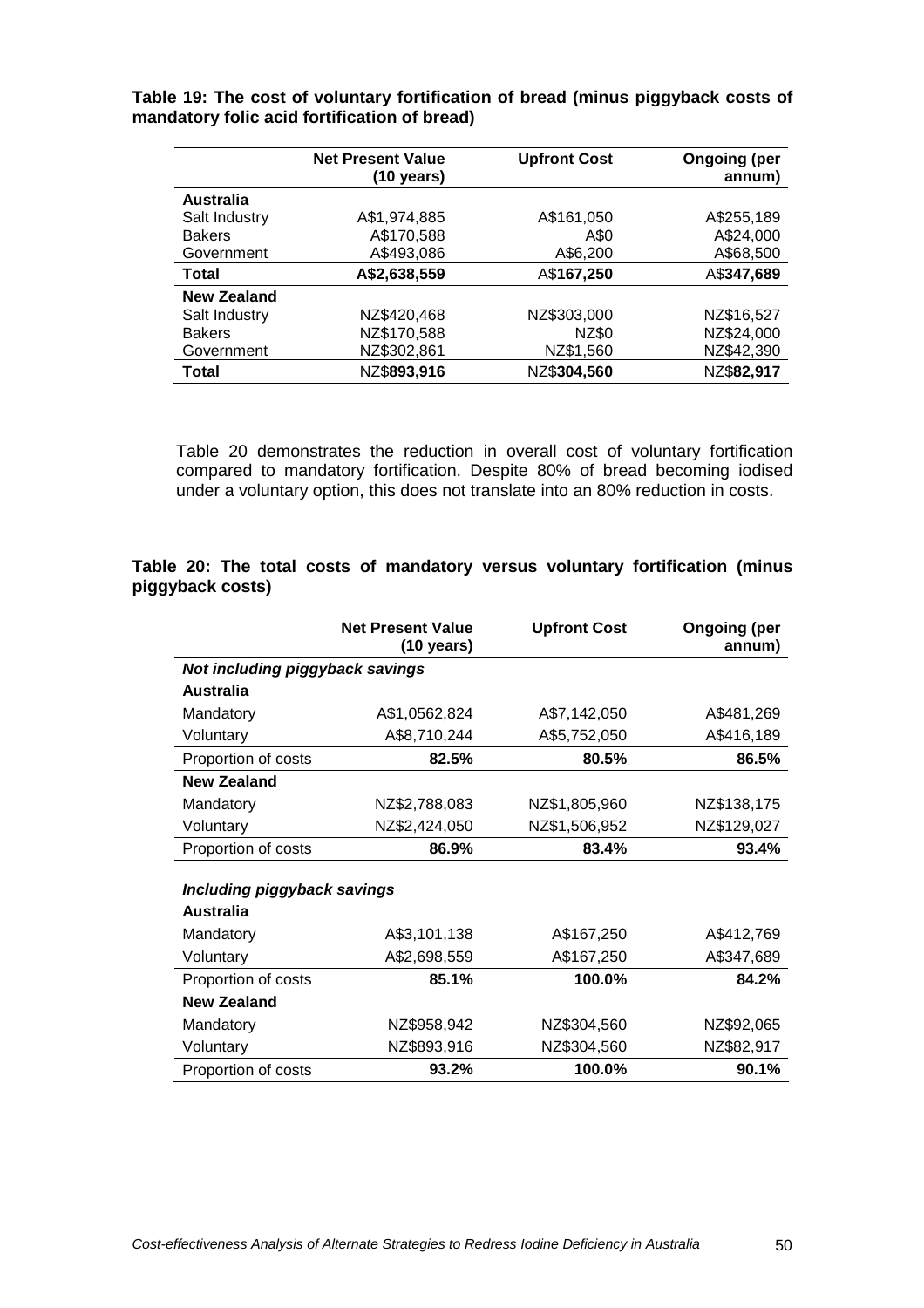**Table 19: The cost of voluntary fortification of bread (minus piggyback costs of mandatory folic acid fortification of bread)**

|                    | <b>Net Present Value</b><br>$(10 \text{ years})$ | <b>Upfront Cost</b> | <b>Ongoing (per</b><br>annum) |
|--------------------|--------------------------------------------------|---------------------|-------------------------------|
| Australia          |                                                  |                     |                               |
| Salt Industry      | A\$1,974,885                                     | A\$161,050          | A\$255,189                    |
| <b>Bakers</b>      | A\$170,588                                       | A\$0                | A\$24,000                     |
| Government         | A\$493,086                                       | A\$6,200            | A\$68,500                     |
| Total              | A\$2,638,559                                     | A\$167,250          | A\$347,689                    |
| <b>New Zealand</b> |                                                  |                     |                               |
| Salt Industry      | NZ\$420,468                                      | NZ\$303,000         | NZ\$16,527                    |
| <b>Bakers</b>      | NZ\$170,588                                      | NZ\$0               | NZ\$24,000                    |
| Government         | NZ\$302,861                                      | NZ\$1,560           | NZ\$42,390                    |
| Total              | NZ\$893,916                                      | NZ\$304,560         | NZ\$82,917                    |

Table 20 demonstrates the reduction in overall cost of voluntary fortification compared to mandatory fortification. Despite 80% of bread becoming iodised under a voluntary option, this does not translate into an 80% reduction in costs.

### **Table 20: The total costs of mandatory versus voluntary fortification (minus piggyback costs)**

|                                 | <b>Net Present Value</b><br>$(10 \text{ years})$ | <b>Upfront Cost</b> | <b>Ongoing (per</b><br>annum) |
|---------------------------------|--------------------------------------------------|---------------------|-------------------------------|
| Not including piggyback savings |                                                  |                     |                               |
| <b>Australia</b>                |                                                  |                     |                               |
| Mandatory                       | A\$1,0562,824                                    | A\$7,142,050        | A\$481,269                    |
| Voluntary                       | A\$8,710,244                                     | A\$5,752,050        | A\$416,189                    |
| Proportion of costs             | 82.5%                                            | 80.5%               | 86.5%                         |
| <b>New Zealand</b>              |                                                  |                     |                               |
| Mandatory                       | NZ\$2,788,083                                    | NZ\$1,805,960       | NZ\$138,175                   |
| Voluntary                       | NZ\$2,424,050                                    | NZ\$1,506,952       | NZ\$129,027                   |
| Proportion of costs             | 86.9%                                            | 83.4%               | 93.4%                         |
|                                 |                                                  |                     |                               |
| Including piggyback savings     |                                                  |                     |                               |
| Australia                       |                                                  |                     |                               |
| Mandatory                       | A\$3,101,138                                     | A\$167,250          | A\$412,769                    |
| Voluntary                       | A\$2,698,559                                     | A\$167,250          | A\$347,689                    |
| Proportion of costs             | 85.1%                                            | 100.0%              | 84.2%                         |
| <b>New Zealand</b>              |                                                  |                     |                               |
| Mandatory                       | NZ\$958,942                                      | NZ\$304,560         | NZ\$92,065                    |
| Voluntary                       | NZ\$893,916                                      | NZ\$304,560         | NZ\$82,917                    |
| Proportion of costs             | 93.2%                                            | 100.0%              | 90.1%                         |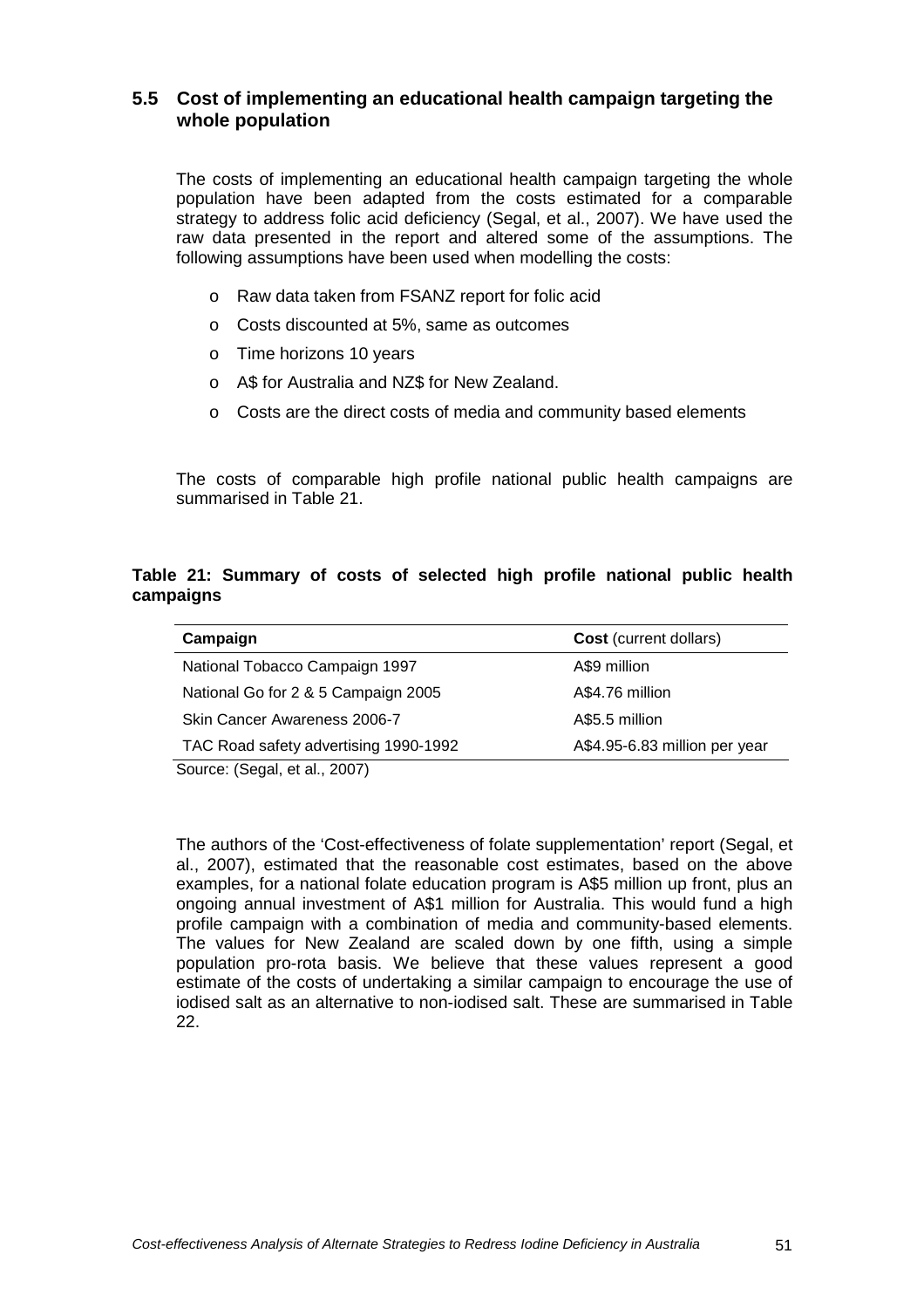## **5.5 Cost of implementing an educational health campaign targeting the whole population**

The costs of implementing an educational health campaign targeting the whole population have been adapted from the costs estimated for a comparable strategy to address folic acid deficiency (Segal, et al., 2007). We have used the raw data presented in the report and altered some of the assumptions. The following assumptions have been used when modelling the costs:

- o Raw data taken from FSANZ report for folic acid
- o Costs discounted at 5%, same as outcomes
- o Time horizons 10 years
- o A\$ for Australia and NZ\$ for New Zealand.
- o Costs are the direct costs of media and community based elements

The costs of comparable high profile national public health campaigns are summarised in Table 21.

### **Table 21: Summary of costs of selected high profile national public health campaigns**

| Campaign                              | <b>Cost</b> (current dollars) |
|---------------------------------------|-------------------------------|
| National Tobacco Campaign 1997        | A\$9 million                  |
| National Go for 2 & 5 Campaign 2005   | A\$4.76 million               |
| <b>Skin Cancer Awareness 2006-7</b>   | A\$5.5 million                |
| TAC Road safety advertising 1990-1992 | A\$4.95-6.83 million per year |

Source: (Segal, et al., 2007)

The authors of the 'Cost-effectiveness of folate supplementation' report (Segal, et al., 2007), estimated that the reasonable cost estimates, based on the above examples, for a national folate education program is A\$5 million up front, plus an ongoing annual investment of A\$1 million for Australia. This would fund a high profile campaign with a combination of media and community-based elements. The values for New Zealand are scaled down by one fifth, using a simple population pro-rota basis. We believe that these values represent a good estimate of the costs of undertaking a similar campaign to encourage the use of iodised salt as an alternative to non-iodised salt. These are summarised in Table 22.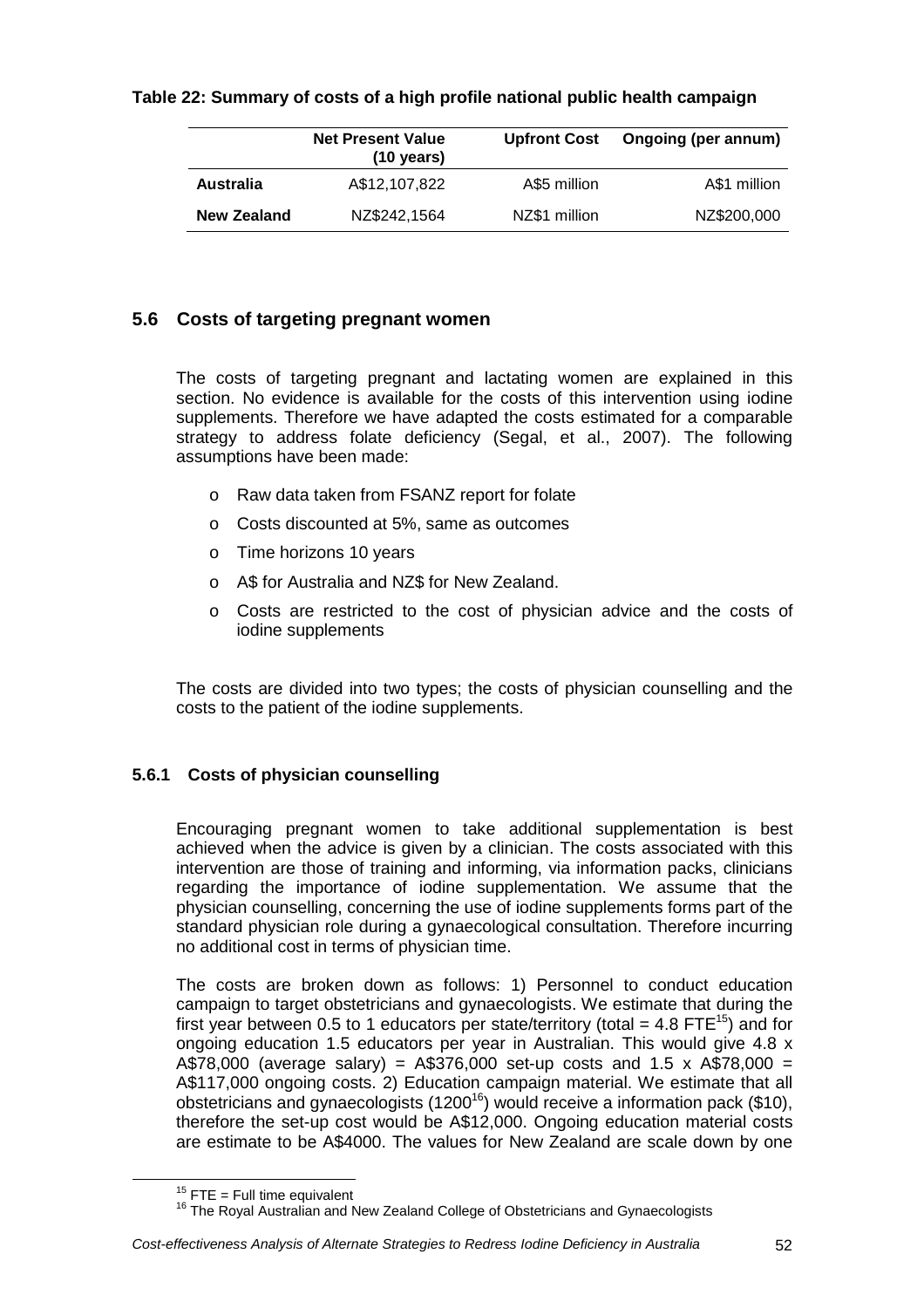## **Table 22: Summary of costs of a high profile national public health campaign**

|                    | <b>Net Present Value</b><br>$(10 \text{ years})$ | <b>Upfront Cost</b> | Ongoing (per annum) |
|--------------------|--------------------------------------------------|---------------------|---------------------|
| Australia          | A\$12,107,822                                    | A\$5 million        | A\$1 million        |
| <b>New Zealand</b> | NZ\$242,1564                                     | NZ\$1 million       | NZ\$200,000         |

## **5.6 Costs of targeting pregnant women**

The costs of targeting pregnant and lactating women are explained in this section. No evidence is available for the costs of this intervention using iodine supplements. Therefore we have adapted the costs estimated for a comparable strategy to address folate deficiency (Segal, et al., 2007). The following assumptions have been made:

- o Raw data taken from FSANZ report for folate
- o Costs discounted at 5%, same as outcomes
- o Time horizons 10 years
- o A\$ for Australia and NZ\$ for New Zealand.
- o Costs are restricted to the cost of physician advice and the costs of iodine supplements

The costs are divided into two types; the costs of physician counselling and the costs to the patient of the iodine supplements.

## **5.6.1 Costs of physician counselling**

Encouraging pregnant women to take additional supplementation is best achieved when the advice is given by a clinician. The costs associated with this intervention are those of training and informing, via information packs, clinicians regarding the importance of iodine supplementation. We assume that the physician counselling, concerning the use of iodine supplements forms part of the standard physician role during a gynaecological consultation. Therefore incurring no additional cost in terms of physician time.

The costs are broken down as follows: 1) Personnel to conduct education campaign to target obstetricians and gynaecologists. We estimate that during the first year between 0.5 to 1 educators per state/territory (total  $=$  4.8 FTE<sup>15</sup>) and for ongoing education 1.5 educators per year in Australian. This would give 4.8 x A\$78,000 (average salary) =  $A$376,000$  set-up costs and 1.5 x A\$78,000 = A\$117,000 ongoing costs. 2) Education campaign material. We estimate that all obstetricians and gynaecologists (1200<sup>16</sup>) would receive a information pack (\$10), therefore the set-up cost would be A\$12,000. Ongoing education material costs are estimate to be A\$4000. The values for New Zealand are scale down by one

 $15$  FTE = Full time equivalent

<sup>&</sup>lt;sup>16</sup> The Royal Australian and New Zealand College of Obstetricians and Gynaecologists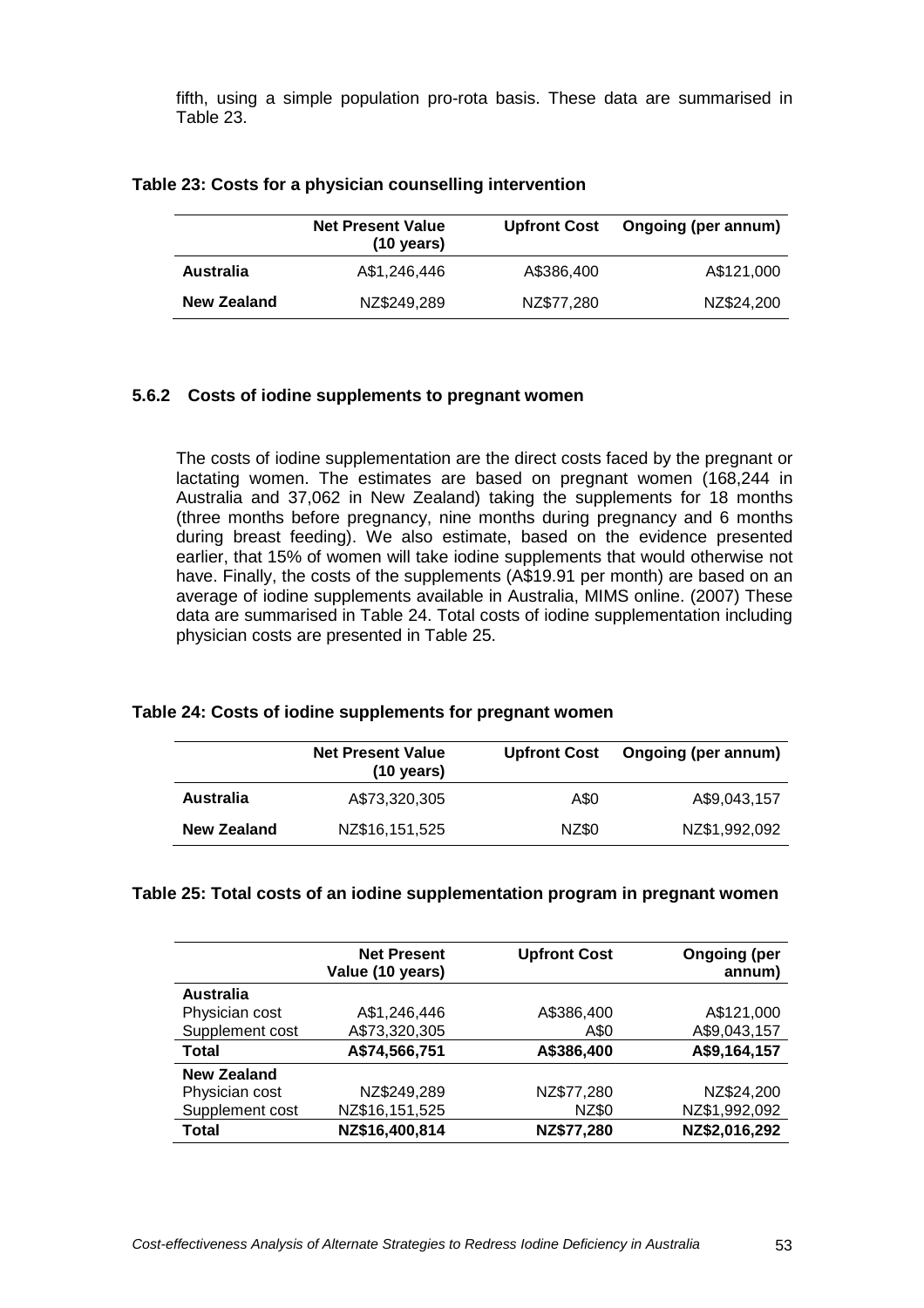fifth, using a simple population pro-rota basis. These data are summarised in Table 23.

|                    | <b>Net Present Value</b><br>$(10 \text{ years})$ | <b>Upfront Cost</b> | Ongoing (per annum) |
|--------------------|--------------------------------------------------|---------------------|---------------------|
| Australia          | A\$1,246,446                                     | A\$386.400          | A\$121,000          |
| <b>New Zealand</b> | NZ\$249,289                                      | NZ\$77,280          | NZ\$24,200          |

#### **Table 23: Costs for a physician counselling intervention**

## **5.6.2 Costs of iodine supplements to pregnant women**

The costs of iodine supplementation are the direct costs faced by the pregnant or lactating women. The estimates are based on pregnant women (168,244 in Australia and 37,062 in New Zealand) taking the supplements for 18 months (three months before pregnancy, nine months during pregnancy and 6 months during breast feeding). We also estimate, based on the evidence presented earlier, that 15% of women will take iodine supplements that would otherwise not have. Finally, the costs of the supplements (A\$19.91 per month) are based on an average of iodine supplements available in Australia, MIMS online. (2007) These data are summarised in Table 24. Total costs of iodine supplementation including physician costs are presented in Table 25.

#### **Table 24: Costs of iodine supplements for pregnant women**

|             | <b>Net Present Value</b><br>$(10 \text{ years})$ | <b>Upfront Cost</b> | Ongoing (per annum) |
|-------------|--------------------------------------------------|---------------------|---------------------|
| Australia   | A\$73,320,305                                    | A\$0                | A\$9,043,157        |
| New Zealand | NZ\$16,151,525                                   | NZ\$0               | NZ\$1,992,092       |

#### **Table 25: Total costs of an iodine supplementation program in pregnant women**

|                    | <b>Net Present</b><br>Value (10 years) | <b>Upfront Cost</b> | <b>Ongoing (per</b><br>annum) |
|--------------------|----------------------------------------|---------------------|-------------------------------|
| <b>Australia</b>   |                                        |                     |                               |
| Physician cost     | A\$1,246,446                           | A\$386,400          | A\$121,000                    |
| Supplement cost    | A\$73,320,305                          | A\$0                | A\$9,043,157                  |
| Total              | A\$74,566,751                          | A\$386,400          | A\$9,164,157                  |
| <b>New Zealand</b> |                                        |                     |                               |
| Physician cost     | NZ\$249,289                            | NZ\$77,280          | NZ\$24,200                    |
| Supplement cost    | NZ\$16,151,525                         | NZ\$0               | NZ\$1,992,092                 |
| Total              | NZ\$16,400,814                         | NZ\$77,280          | NZ\$2,016,292                 |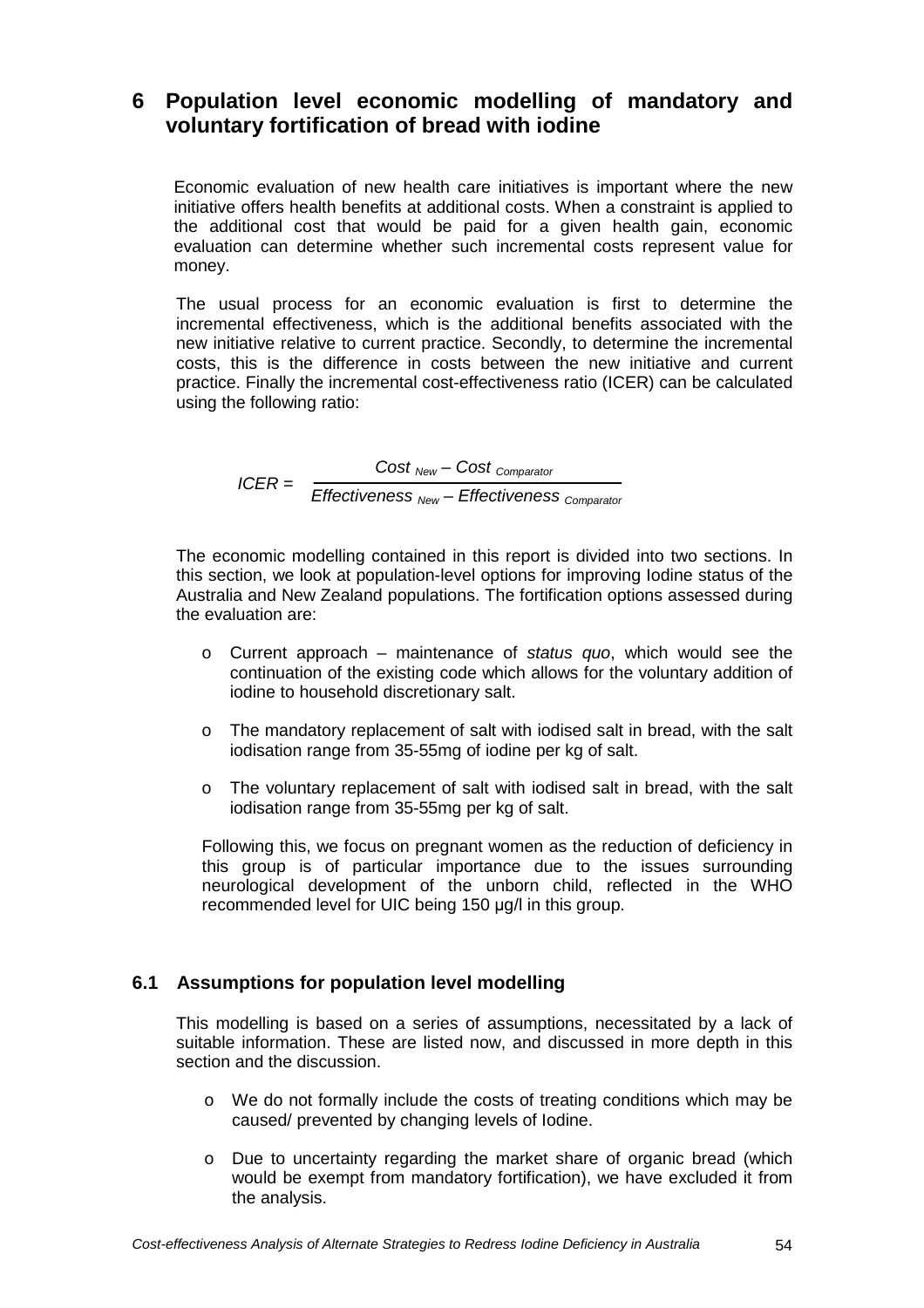# **6 Population level economic modelling of mandatory and voluntary fortification of bread with iodine**

Economic evaluation of new health care initiatives is important where the new initiative offers health benefits at additional costs. When a constraint is applied to the additional cost that would be paid for a given health gain, economic evaluation can determine whether such incremental costs represent value for money.

The usual process for an economic evaluation is first to determine the incremental effectiveness, which is the additional benefits associated with the new initiative relative to current practice. Secondly, to determine the incremental costs, this is the difference in costs between the new initiative and current practice. Finally the incremental cost-effectiveness ratio (ICER) can be calculated using the following ratio:

> ICER =  $Cost<sub>New</sub> - Cost<sub>Comparator</sub>$ Effectiveness  $_{New}$  – Effectiveness  $_{Comparator}$

The economic modelling contained in this report is divided into two sections. In this section, we look at population-level options for improving Iodine status of the Australia and New Zealand populations. The fortification options assessed during the evaluation are:

- o Current approach maintenance of status  $quo$ , which would see the continuation of the existing code which allows for the voluntary addition of iodine to household discretionary salt.
- o The mandatory replacement of salt with iodised salt in bread, with the salt iodisation range from 35-55mg of iodine per kg of salt.
- o The voluntary replacement of salt with iodised salt in bread, with the salt iodisation range from 35-55mg per kg of salt.

Following this, we focus on pregnant women as the reduction of deficiency in this group is of particular importance due to the issues surrounding neurological development of the unborn child, reflected in the WHO recommended level for UIC being 150 µg/l in this group.

## **6.1 Assumptions for population level modelling**

This modelling is based on a series of assumptions, necessitated by a lack of suitable information. These are listed now, and discussed in more depth in this section and the discussion.

- o We do not formally include the costs of treating conditions which may be caused/ prevented by changing levels of Iodine.
- $\circ$  Due to uncertainty regarding the market share of organic bread (which would be exempt from mandatory fortification), we have excluded it from the analysis.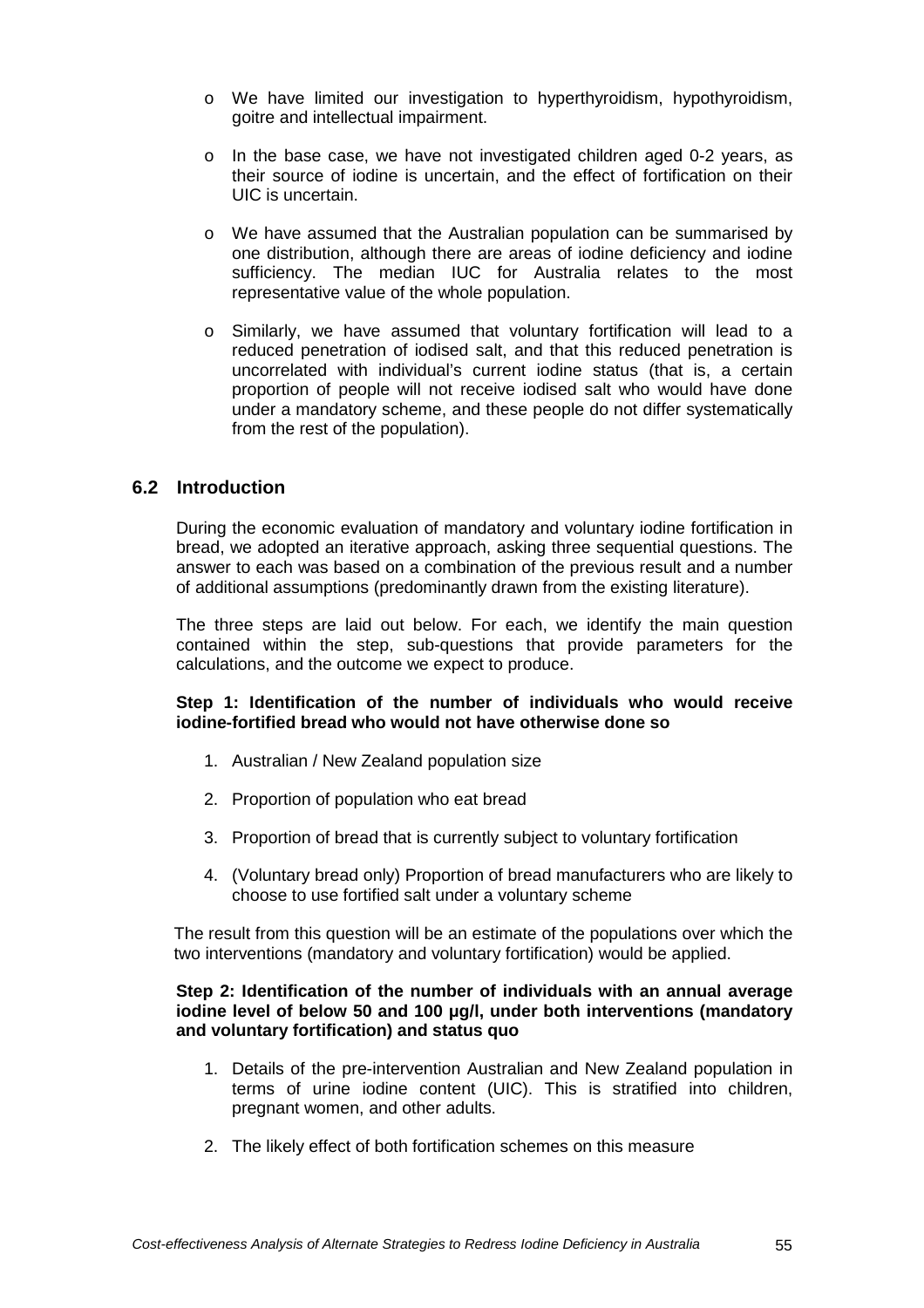- o We have limited our investigation to hyperthyroidism, hypothyroidism, goitre and intellectual impairment.
- $\circ$  In the base case, we have not investigated children aged 0-2 years, as their source of iodine is uncertain, and the effect of fortification on their UIC is uncertain.
- o We have assumed that the Australian population can be summarised by one distribution, although there are areas of iodine deficiency and iodine sufficiency. The median IUC for Australia relates to the most representative value of the whole population.
- o Similarly, we have assumed that voluntary fortification will lead to a reduced penetration of iodised salt, and that this reduced penetration is uncorrelated with individual's current iodine status (that is, a certain proportion of people will not receive iodised salt who would have done under a mandatory scheme, and these people do not differ systematically from the rest of the population).

## **6.2 Introduction**

During the economic evaluation of mandatory and voluntary iodine fortification in bread, we adopted an iterative approach, asking three sequential questions. The answer to each was based on a combination of the previous result and a number of additional assumptions (predominantly drawn from the existing literature).

The three steps are laid out below. For each, we identify the main question contained within the step, sub-questions that provide parameters for the calculations, and the outcome we expect to produce.

### **Step 1: Identification of the number of individuals who would receive iodine-fortified bread who would not have otherwise done so**

- 1. Australian / New Zealand population size
- 2. Proportion of population who eat bread
- 3. Proportion of bread that is currently subject to voluntary fortification
- 4. (Voluntary bread only) Proportion of bread manufacturers who are likely to choose to use fortified salt under a voluntary scheme

The result from this question will be an estimate of the populations over which the two interventions (mandatory and voluntary fortification) would be applied.

#### **Step 2: Identification of the number of individuals with an annual average iodine level of below 50 and 100** µ**g/l, under both interventions (mandatory and voluntary fortification) and status quo**

- 1. Details of the pre-intervention Australian and New Zealand population in terms of urine iodine content (UIC). This is stratified into children, pregnant women, and other adults.
- 2. The likely effect of both fortification schemes on this measure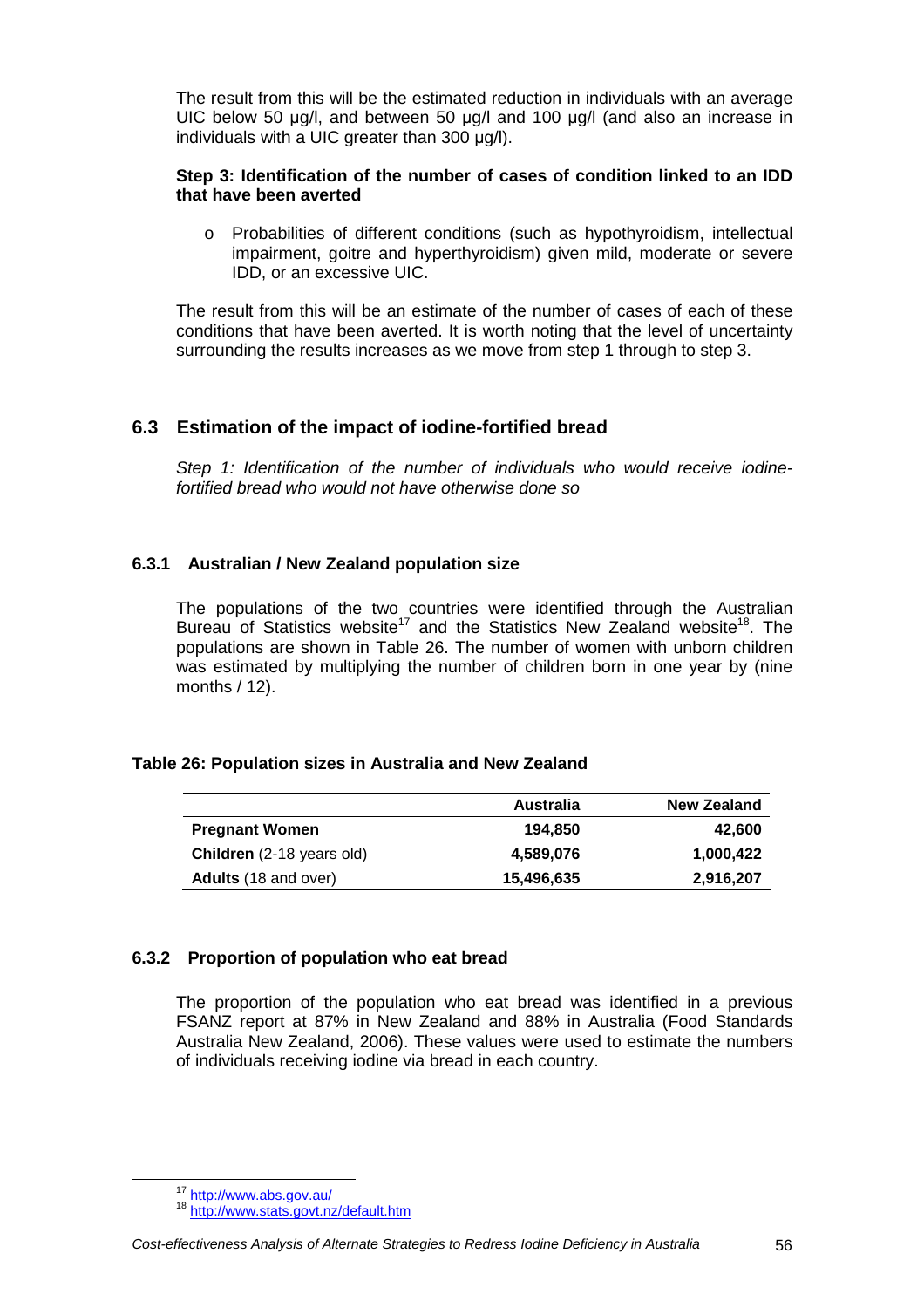The result from this will be the estimated reduction in individuals with an average UIC below 50 µg/l, and between 50 µg/l and 100 µg/l (and also an increase in individuals with a UIC greater than 300 µg/l).

## **Step 3: Identification of the number of cases of condition linked to an IDD that have been averted**

o Probabilities of different conditions (such as hypothyroidism, intellectual impairment, goitre and hyperthyroidism) given mild, moderate or severe IDD, or an excessive UIC.

The result from this will be an estimate of the number of cases of each of these conditions that have been averted. It is worth noting that the level of uncertainty surrounding the results increases as we move from step 1 through to step 3.

## **6.3 Estimation of the impact of iodine-fortified bread**

Step 1: Identification of the number of individuals who would receive iodinefortified bread who would not have otherwise done so

## **6.3.1 Australian / New Zealand population size**

The populations of the two countries were identified through the Australian Bureau of Statistics website<sup>17</sup> and the Statistics New Zealand website<sup>18</sup>. The populations are shown in Table 26. The number of women with unborn children was estimated by multiplying the number of children born in one year by (nine months / 12).

## **Table 26: Population sizes in Australia and New Zealand**

|                                  | Australia  | <b>New Zealand</b> |
|----------------------------------|------------|--------------------|
| <b>Pregnant Women</b>            | 194.850    | 42,600             |
| <b>Children</b> (2-18 years old) | 4,589,076  | 1,000,422          |
| <b>Adults</b> (18 and over)      | 15,496,635 | 2,916,207          |

## **6.3.2 Proportion of population who eat bread**

The proportion of the population who eat bread was identified in a previous FSANZ report at 87% in New Zealand and 88% in Australia (Food Standards Australia New Zealand, 2006). These values were used to estimate the numbers of individuals receiving iodine via bread in each country.

<sup>&</sup>lt;sup>17</sup> http://www.abs.gov.au/

<sup>18</sup> http://www.stats.govt.nz/default.htm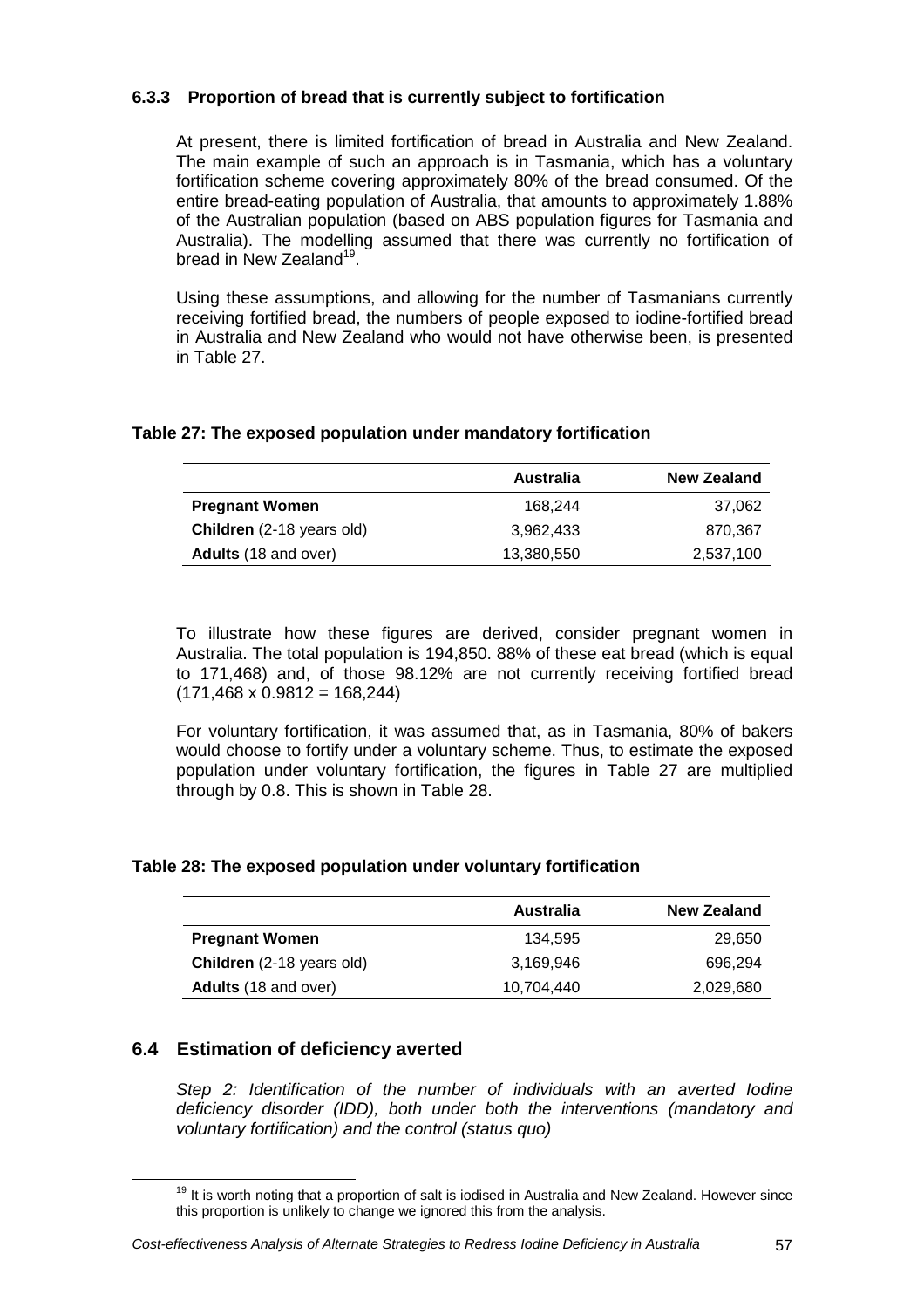## **6.3.3 Proportion of bread that is currently subject to fortification**

At present, there is limited fortification of bread in Australia and New Zealand. The main example of such an approach is in Tasmania, which has a voluntary fortification scheme covering approximately 80% of the bread consumed. Of the entire bread-eating population of Australia, that amounts to approximately 1.88% of the Australian population (based on ABS population figures for Tasmania and Australia). The modelling assumed that there was currently no fortification of bread in New Zealand<sup>19</sup>.

Using these assumptions, and allowing for the number of Tasmanians currently receiving fortified bread, the numbers of people exposed to iodine-fortified bread in Australia and New Zealand who would not have otherwise been, is presented in Table 27.

## **Table 27: The exposed population under mandatory fortification**

|                                  | Australia  | <b>New Zealand</b> |
|----------------------------------|------------|--------------------|
| <b>Pregnant Women</b>            | 168.244    | 37.062             |
| <b>Children</b> (2-18 years old) | 3.962.433  | 870.367            |
| <b>Adults</b> (18 and over)      | 13,380,550 | 2,537,100          |

To illustrate how these figures are derived, consider pregnant women in Australia. The total population is 194,850. 88% of these eat bread (which is equal to 171,468) and, of those 98.12% are not currently receiving fortified bread  $(171,468 \times 0.9812 = 168,244)$ 

For voluntary fortification, it was assumed that, as in Tasmania, 80% of bakers would choose to fortify under a voluntary scheme. Thus, to estimate the exposed population under voluntary fortification, the figures in Table 27 are multiplied through by 0.8. This is shown in Table 28.

## **Table 28: The exposed population under voluntary fortification**

|                             | Australia  | <b>New Zealand</b> |
|-----------------------------|------------|--------------------|
| <b>Pregnant Women</b>       | 134.595    | 29,650             |
| Children (2-18 years old)   | 3.169.946  | 696.294            |
| <b>Adults</b> (18 and over) | 10.704.440 | 2,029,680          |

## **6.4 Estimation of deficiency averted**

Step 2: Identification of the number of individuals with an averted Iodine deficiency disorder (IDD), both under both the interventions (mandatory and voluntary fortification) and the control (status quo)

Cost-effectiveness Analysis of Alternate Strategies to Redress Iodine Deficiency in Australia 57

 $19$  It is worth noting that a proportion of salt is iodised in Australia and New Zealand. However since this proportion is unlikely to change we ignored this from the analysis.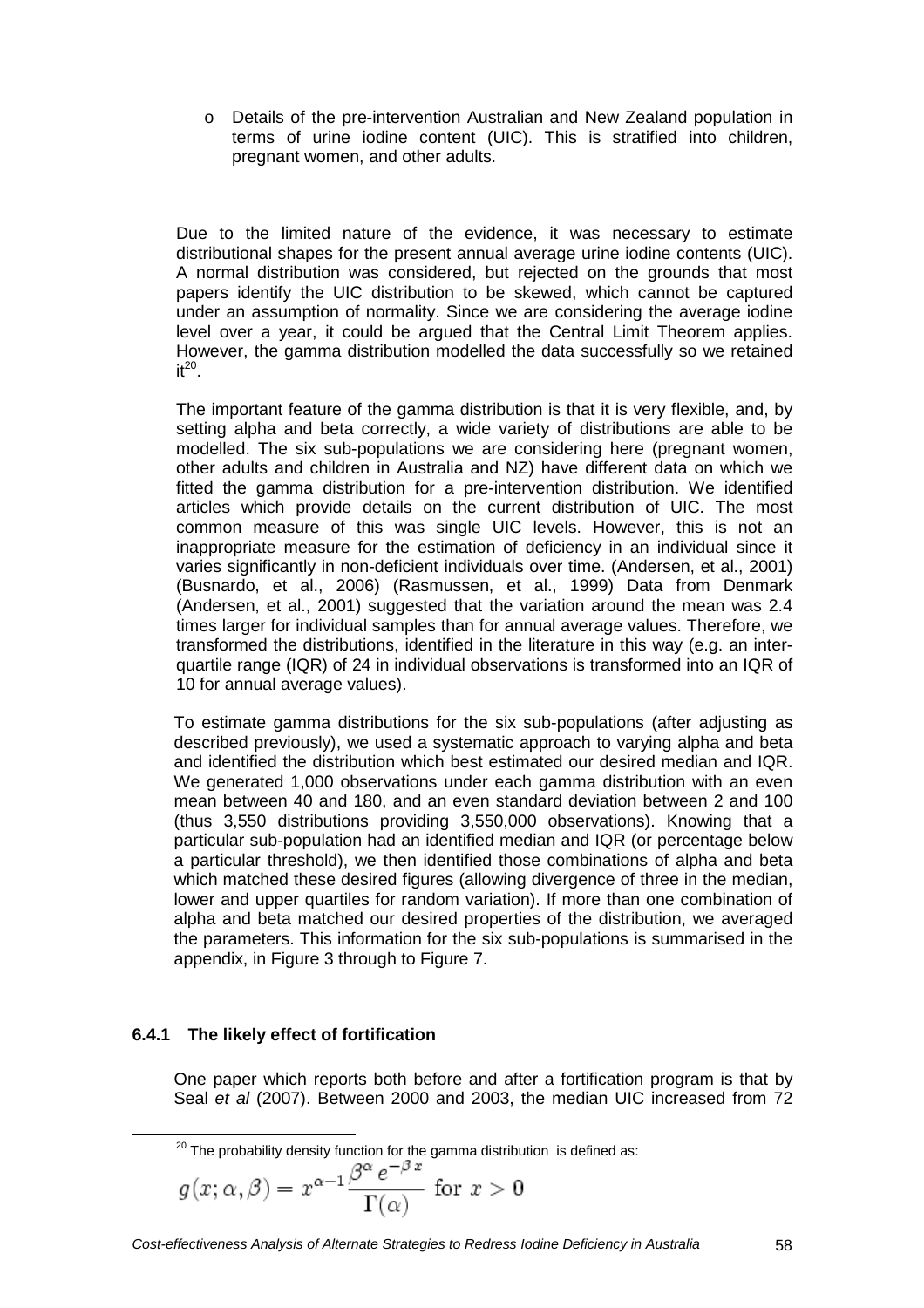o Details of the pre-intervention Australian and New Zealand population in terms of urine iodine content (UIC). This is stratified into children, pregnant women, and other adults.

Due to the limited nature of the evidence, it was necessary to estimate distributional shapes for the present annual average urine iodine contents (UIC). A normal distribution was considered, but rejected on the grounds that most papers identify the UIC distribution to be skewed, which cannot be captured under an assumption of normality. Since we are considering the average iodine level over a year, it could be argued that the Central Limit Theorem applies. However, the gamma distribution modelled the data successfully so we retained it $^{20}$ .

The important feature of the gamma distribution is that it is very flexible, and, by setting alpha and beta correctly, a wide variety of distributions are able to be modelled. The six sub-populations we are considering here (pregnant women, other adults and children in Australia and NZ) have different data on which we fitted the gamma distribution for a pre-intervention distribution. We identified articles which provide details on the current distribution of UIC. The most common measure of this was single UIC levels. However, this is not an inappropriate measure for the estimation of deficiency in an individual since it varies significantly in non-deficient individuals over time. (Andersen, et al., 2001) (Busnardo, et al., 2006) (Rasmussen, et al., 1999) Data from Denmark (Andersen, et al., 2001) suggested that the variation around the mean was 2.4 times larger for individual samples than for annual average values. Therefore, we transformed the distributions, identified in the literature in this way (e.g. an interquartile range (IQR) of 24 in individual observations is transformed into an IQR of 10 for annual average values).

To estimate gamma distributions for the six sub-populations (after adjusting as described previously), we used a systematic approach to varying alpha and beta and identified the distribution which best estimated our desired median and IQR. We generated 1,000 observations under each gamma distribution with an even mean between 40 and 180, and an even standard deviation between 2 and 100 (thus 3,550 distributions providing 3,550,000 observations). Knowing that a particular sub-population had an identified median and IQR (or percentage below a particular threshold), we then identified those combinations of alpha and beta which matched these desired figures (allowing divergence of three in the median, lower and upper quartiles for random variation). If more than one combination of alpha and beta matched our desired properties of the distribution, we averaged the parameters. This information for the six sub-populations is summarised in the appendix, in Figure 3 through to Figure 7.

## **6.4.1 The likely effect of fortification**

 $\overline{a}$ 

One paper which reports both before and after a fortification program is that by Seal et al (2007). Between 2000 and 2003, the median UIC increased from 72

 $20$  The probability density function for the gamma distribution is defined as:

$$
g(x; \alpha, \beta) = x^{\alpha - 1} \frac{\beta^{\alpha} e^{-\beta x}}{\Gamma(\alpha)} \text{ for } x > 0
$$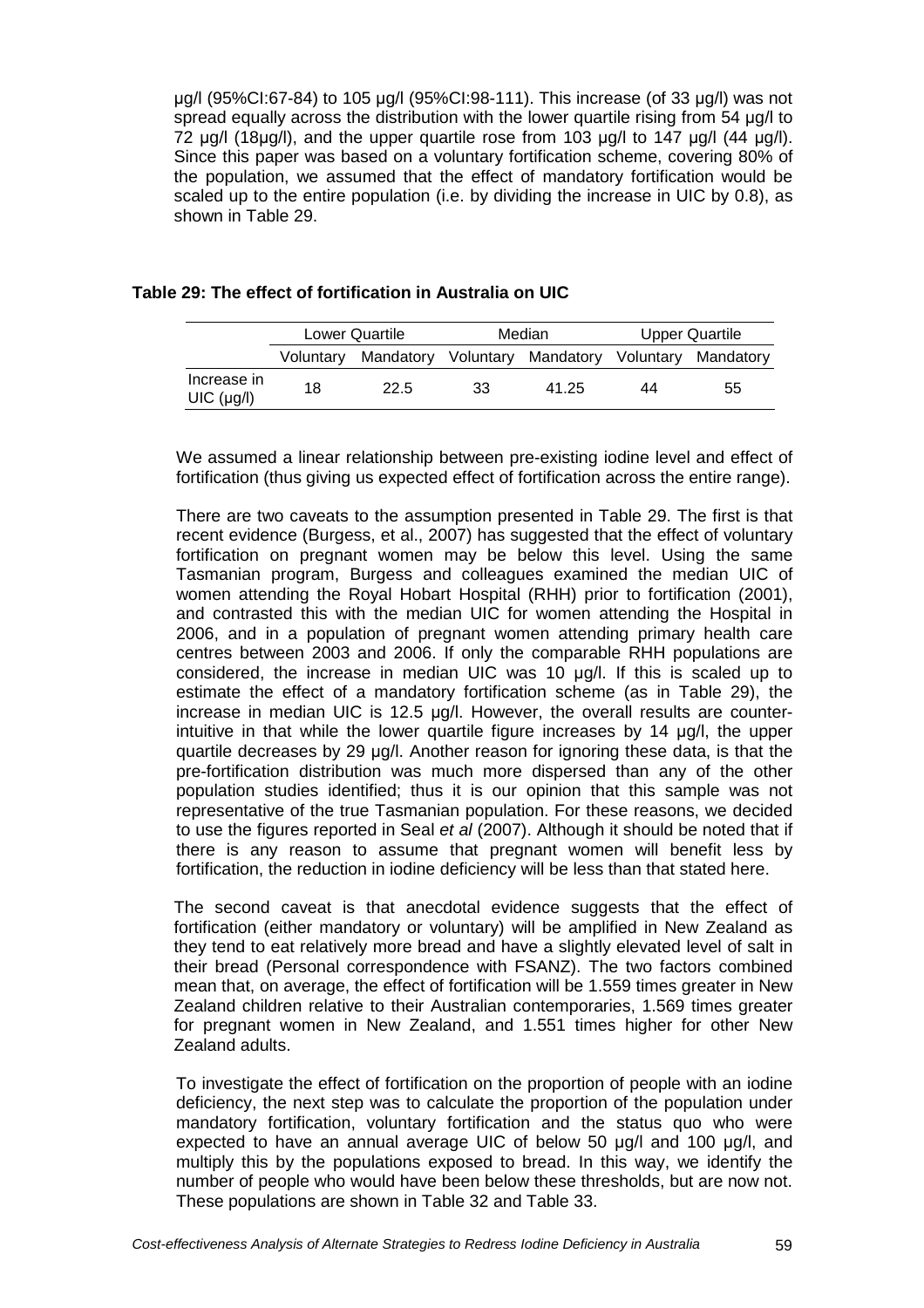µg/l (95%CI:67-84) to 105 µg/l (95%CI:98-111). This increase (of 33 µg/l) was not spread equally across the distribution with the lower quartile rising from 54 µg/l to 72  $\mu$ g/l (18 $\mu$ g/l), and the upper quartile rose from 103  $\mu$ g/l to 147  $\mu$ g/l (44  $\mu$ g/l). Since this paper was based on a voluntary fortification scheme, covering 80% of the population, we assumed that the effect of mandatory fortification would be scaled up to the entire population (i.e. by dividing the increase in UIC by 0.8), as shown in Table 29.

|  |  |  | Table 29: The effect of fortification in Australia on UIC |  |
|--|--|--|-----------------------------------------------------------|--|
|--|--|--|-----------------------------------------------------------|--|

|                           | Lower Quartile |      | Median |                                                   | <b>Upper Quartile</b> |    |
|---------------------------|----------------|------|--------|---------------------------------------------------|-----------------------|----|
|                           | Voluntary      |      |        | Mandatory Voluntary Mandatory Voluntary Mandatory |                       |    |
| Increase in<br>UIC (µg/l) | 18             | 22.5 | 33     | 41.25                                             | 44                    | 55 |

We assumed a linear relationship between pre-existing iodine level and effect of fortification (thus giving us expected effect of fortification across the entire range).

There are two caveats to the assumption presented in Table 29. The first is that recent evidence (Burgess, et al., 2007) has suggested that the effect of voluntary fortification on pregnant women may be below this level. Using the same Tasmanian program, Burgess and colleagues examined the median UIC of women attending the Royal Hobart Hospital (RHH) prior to fortification (2001), and contrasted this with the median UIC for women attending the Hospital in 2006, and in a population of pregnant women attending primary health care centres between 2003 and 2006. If only the comparable RHH populations are considered, the increase in median UIC was 10 µg/l. If this is scaled up to estimate the effect of a mandatory fortification scheme (as in Table 29), the increase in median UIC is 12.5 µg/l. However, the overall results are counterintuitive in that while the lower quartile figure increases by 14 µg/l, the upper quartile decreases by 29 µg/l. Another reason for ignoring these data, is that the pre-fortification distribution was much more dispersed than any of the other population studies identified; thus it is our opinion that this sample was not representative of the true Tasmanian population. For these reasons, we decided to use the figures reported in Seal et al (2007). Although it should be noted that if there is any reason to assume that pregnant women will benefit less by fortification, the reduction in iodine deficiency will be less than that stated here.

The second caveat is that anecdotal evidence suggests that the effect of fortification (either mandatory or voluntary) will be amplified in New Zealand as they tend to eat relatively more bread and have a slightly elevated level of salt in their bread (Personal correspondence with FSANZ). The two factors combined mean that, on average, the effect of fortification will be 1.559 times greater in New Zealand children relative to their Australian contemporaries, 1.569 times greater for pregnant women in New Zealand, and 1.551 times higher for other New Zealand adults.

To investigate the effect of fortification on the proportion of people with an iodine deficiency, the next step was to calculate the proportion of the population under mandatory fortification, voluntary fortification and the status quo who were expected to have an annual average UIC of below 50 µg/l and 100 µg/l, and multiply this by the populations exposed to bread. In this way, we identify the number of people who would have been below these thresholds, but are now not. These populations are shown in Table 32 and Table 33.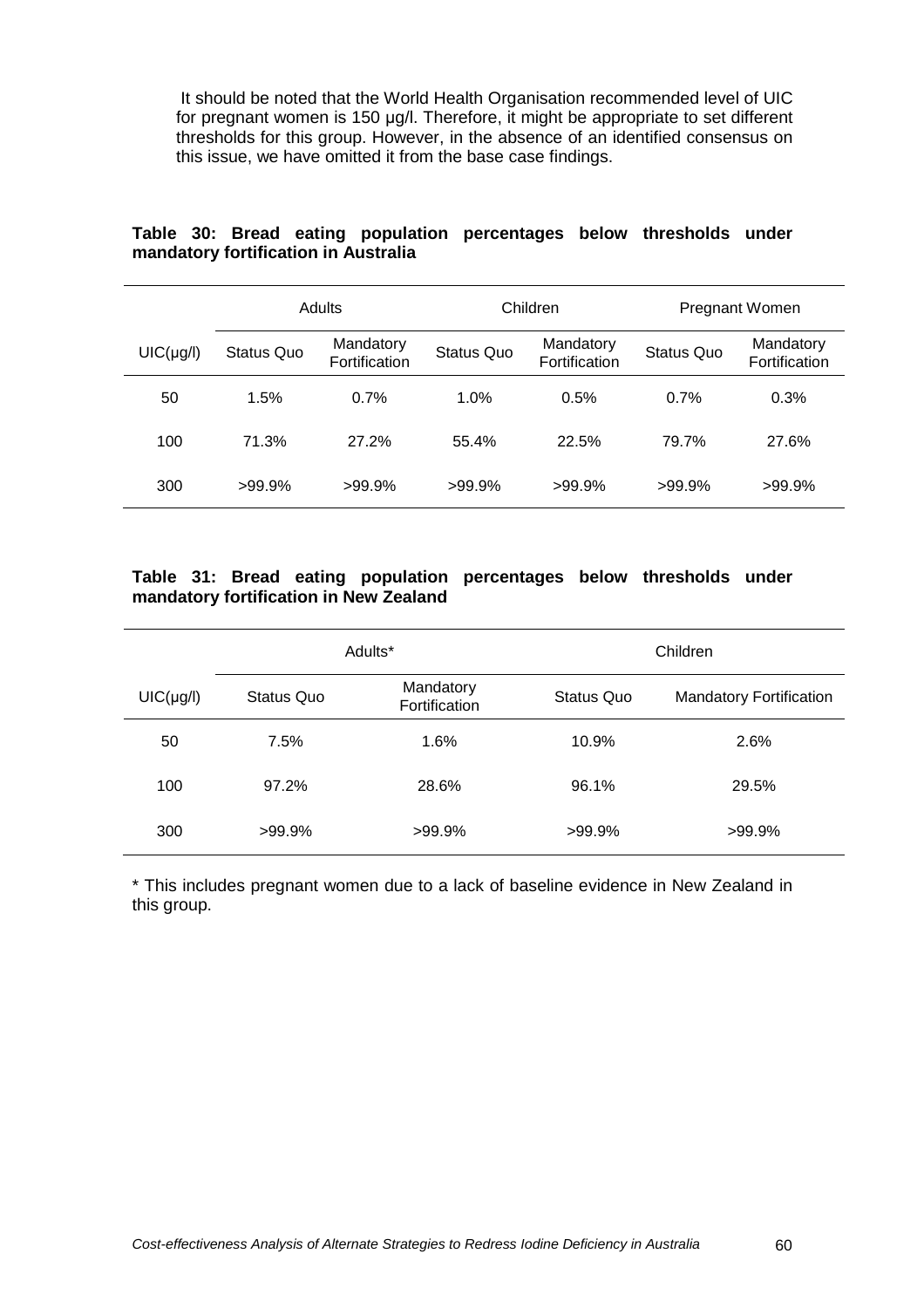It should be noted that the World Health Organisation recommended level of UIC for pregnant women is 150 µg/l. Therefore, it might be appropriate to set different thresholds for this group. However, in the absence of an identified consensus on this issue, we have omitted it from the base case findings.

|                | Adults            |                            | Children          |                            | Pregnant Women    |                            |
|----------------|-------------------|----------------------------|-------------------|----------------------------|-------------------|----------------------------|
| $UIC(\mu g/l)$ | <b>Status Quo</b> | Mandatory<br>Fortification | <b>Status Quo</b> | Mandatory<br>Fortification | <b>Status Quo</b> | Mandatory<br>Fortification |
| 50             | 1.5%              | 0.7%                       | 1.0%              | 0.5%                       | 0.7%              | 0.3%                       |
| 100            | 71.3%             | 27.2%                      | 55.4%             | 22.5%                      | 79.7%             | 27.6%                      |
| 300            | $>99.9\%$         | $>99.9\%$                  | $>99.9\%$         | $>99.9\%$                  | $>99.9\%$         | $>99.9\%$                  |

### **Table 30: Bread eating population percentages below thresholds under mandatory fortification in Australia**

### **Table 31: Bread eating population percentages below thresholds under mandatory fortification in New Zealand**

|                |            | Adults*                    | Children          |                                |  |  |
|----------------|------------|----------------------------|-------------------|--------------------------------|--|--|
| $UIC(\mu g/l)$ | Status Quo | Mandatory<br>Fortification | <b>Status Quo</b> | <b>Mandatory Fortification</b> |  |  |
| 50             | 7.5%       | 1.6%                       | 10.9%             | 2.6%                           |  |  |
| 100            | 97.2%      | 28.6%                      | 96.1%             | 29.5%                          |  |  |
| 300            | $>99.9\%$  | $>99.9\%$                  | $>99.9\%$         | $>99.9\%$                      |  |  |

\* This includes pregnant women due to a lack of baseline evidence in New Zealand in this group.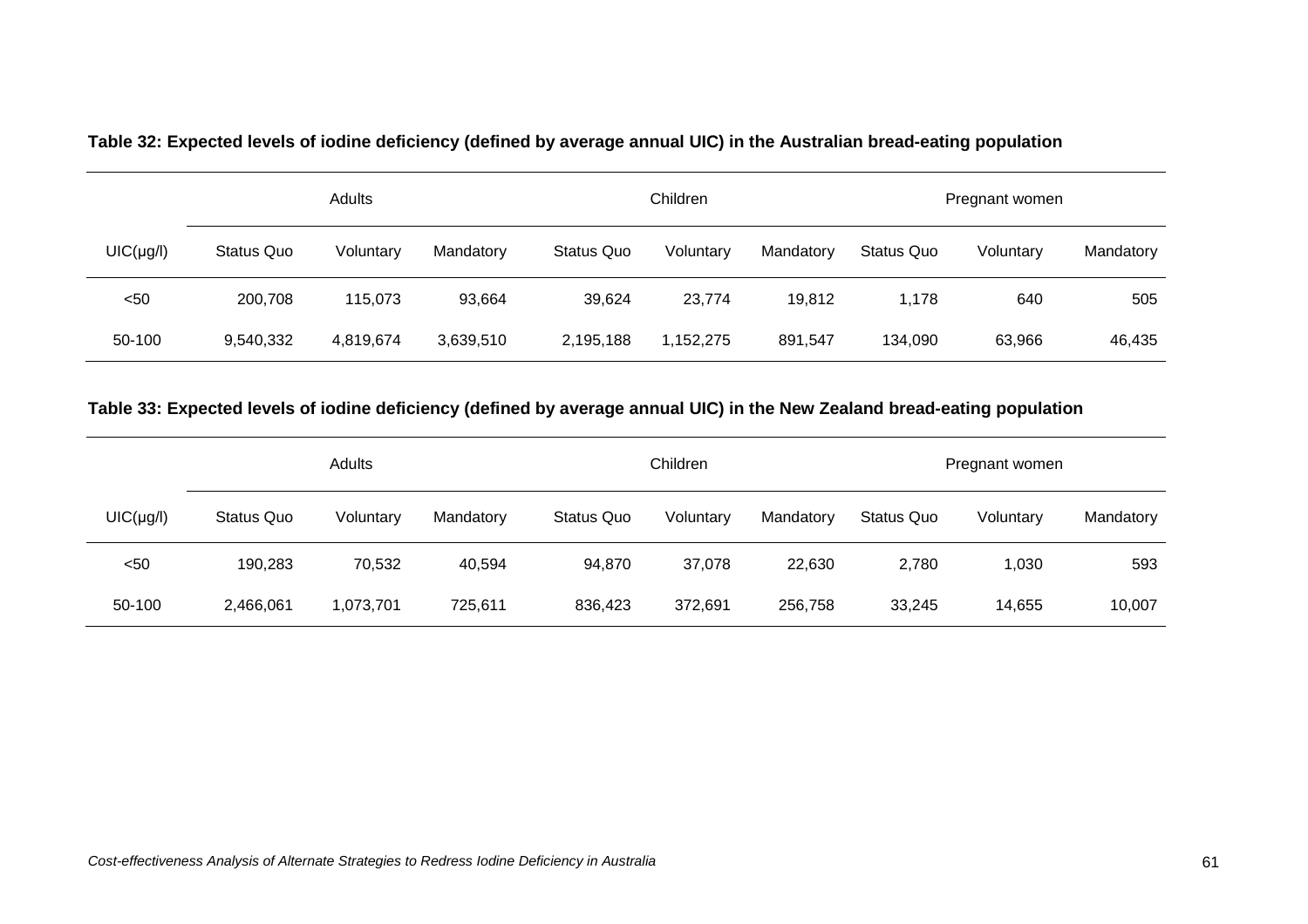|                | Adults     |           |           |            | Children  |           |                   | Pregnant women |           |  |
|----------------|------------|-----------|-----------|------------|-----------|-----------|-------------------|----------------|-----------|--|
| $UIC(\mu g/l)$ | Status Quo | Voluntary | Mandatory | Status Quo | Voluntary | Mandatory | <b>Status Quo</b> | Voluntary      | Mandatory |  |
| $50$           | 200,708    | 115,073   | 93,664    | 39,624     | 23,774    | 19,812    | 1,178             | 640            | 505       |  |
| 50-100         | 9,540,332  | 4,819,674 | 3,639,510 | 2,195,188  | 1,152,275 | 891,547   | 134,090           | 63,966         | 46,435    |  |

**Table 32: Expected levels of iodine deficiency (defined by average annual UIC) in the Australian bread-eating population** 

## **Table 33: Expected levels of iodine deficiency (defined by average annual UIC) in the New Zealand bread-eating population**

|                | Adults            |           |           |            | Children  |           |            | Pregnant women |           |  |
|----------------|-------------------|-----------|-----------|------------|-----------|-----------|------------|----------------|-----------|--|
| $UIC(\mu g/l)$ | <b>Status Quo</b> | Voluntary | Mandatory | Status Quo | Voluntary | Mandatory | Status Quo | Voluntary      | Mandatory |  |
| $50$           | 190,283           | 70,532    | 40,594    | 94,870     | 37,078    | 22,630    | 2,780      | 1,030          | 593       |  |
| 50-100         | 2,466,061         | 1,073,701 | 725,611   | 836,423    | 372,691   | 256,758   | 33,245     | 14,655         | 10,007    |  |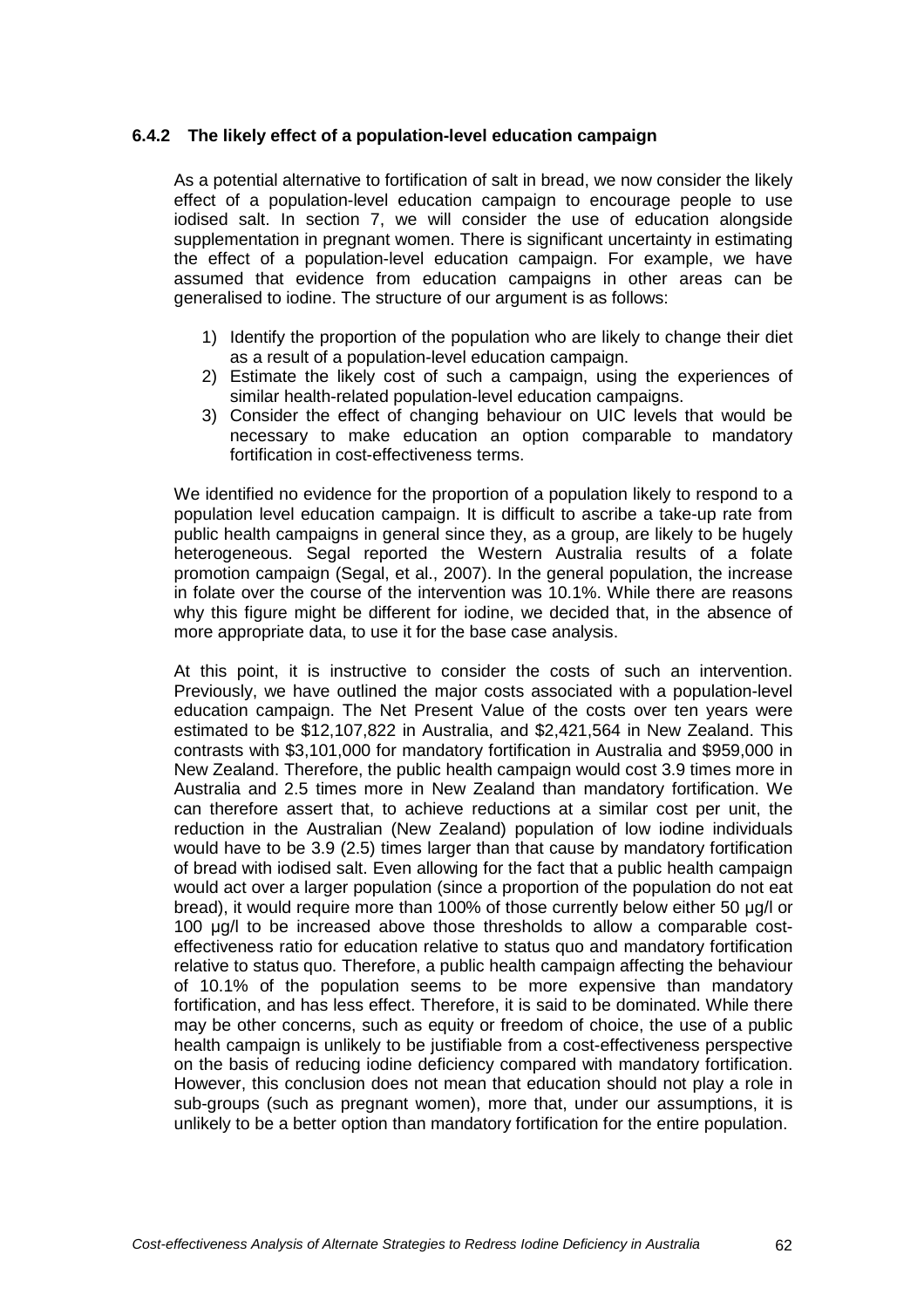### **6.4.2 The likely effect of a population-level education campaign**

As a potential alternative to fortification of salt in bread, we now consider the likely effect of a population-level education campaign to encourage people to use iodised salt. In section 7, we will consider the use of education alongside supplementation in pregnant women. There is significant uncertainty in estimating the effect of a population-level education campaign. For example, we have assumed that evidence from education campaigns in other areas can be generalised to iodine. The structure of our argument is as follows:

- 1) Identify the proportion of the population who are likely to change their diet as a result of a population-level education campaign.
- 2) Estimate the likely cost of such a campaign, using the experiences of similar health-related population-level education campaigns.
- 3) Consider the effect of changing behaviour on UIC levels that would be necessary to make education an option comparable to mandatory fortification in cost-effectiveness terms.

We identified no evidence for the proportion of a population likely to respond to a population level education campaign. It is difficult to ascribe a take-up rate from public health campaigns in general since they, as a group, are likely to be hugely heterogeneous. Segal reported the Western Australia results of a folate promotion campaign (Segal, et al., 2007). In the general population, the increase in folate over the course of the intervention was 10.1%. While there are reasons why this figure might be different for iodine, we decided that, in the absence of more appropriate data, to use it for the base case analysis.

At this point, it is instructive to consider the costs of such an intervention. Previously, we have outlined the major costs associated with a population-level education campaign. The Net Present Value of the costs over ten years were estimated to be \$12,107,822 in Australia, and \$2,421,564 in New Zealand. This contrasts with \$3,101,000 for mandatory fortification in Australia and \$959,000 in New Zealand. Therefore, the public health campaign would cost 3.9 times more in Australia and 2.5 times more in New Zealand than mandatory fortification. We can therefore assert that, to achieve reductions at a similar cost per unit, the reduction in the Australian (New Zealand) population of low iodine individuals would have to be 3.9 (2.5) times larger than that cause by mandatory fortification of bread with iodised salt. Even allowing for the fact that a public health campaign would act over a larger population (since a proportion of the population do not eat bread), it would require more than 100% of those currently below either 50 µg/l or 100 µg/l to be increased above those thresholds to allow a comparable costeffectiveness ratio for education relative to status quo and mandatory fortification relative to status quo. Therefore, a public health campaign affecting the behaviour of 10.1% of the population seems to be more expensive than mandatory fortification, and has less effect. Therefore, it is said to be dominated. While there may be other concerns, such as equity or freedom of choice, the use of a public health campaign is unlikely to be justifiable from a cost-effectiveness perspective on the basis of reducing iodine deficiency compared with mandatory fortification. However, this conclusion does not mean that education should not play a role in sub-groups (such as pregnant women), more that, under our assumptions, it is unlikely to be a better option than mandatory fortification for the entire population.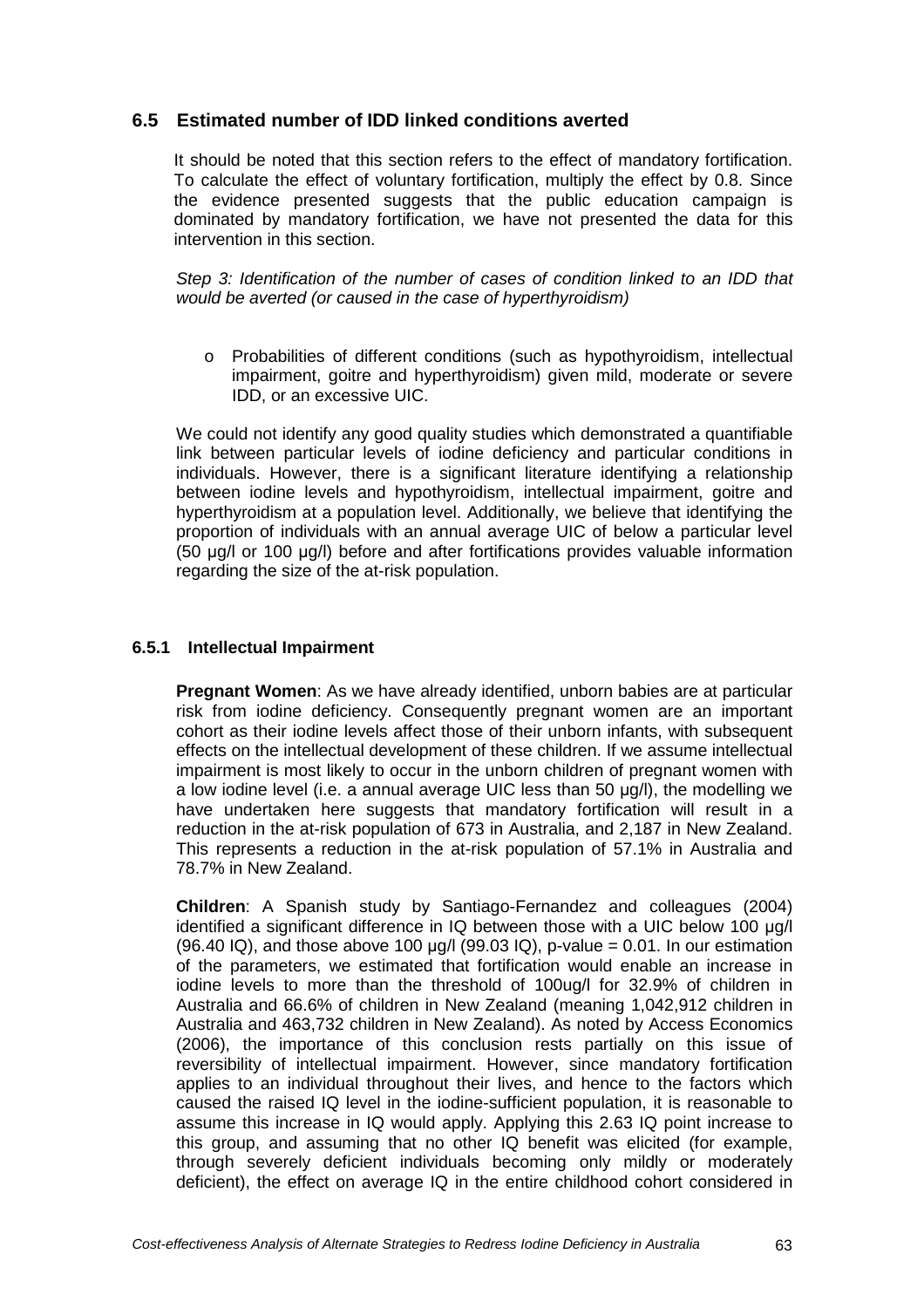## **6.5 Estimated number of IDD linked conditions averted**

It should be noted that this section refers to the effect of mandatory fortification. To calculate the effect of voluntary fortification, multiply the effect by 0.8. Since the evidence presented suggests that the public education campaign is dominated by mandatory fortification, we have not presented the data for this intervention in this section.

Step 3: Identification of the number of cases of condition linked to an IDD that would be averted (or caused in the case of hyperthyroidism)

o Probabilities of different conditions (such as hypothyroidism, intellectual impairment, goitre and hyperthyroidism) given mild, moderate or severe IDD, or an excessive UIC.

We could not identify any good quality studies which demonstrated a quantifiable link between particular levels of iodine deficiency and particular conditions in individuals. However, there is a significant literature identifying a relationship between iodine levels and hypothyroidism, intellectual impairment, goitre and hyperthyroidism at a population level. Additionally, we believe that identifying the proportion of individuals with an annual average UIC of below a particular level (50 µg/l or 100 µg/l) before and after fortifications provides valuable information regarding the size of the at-risk population.

### **6.5.1 Intellectual Impairment**

**Pregnant Women**: As we have already identified, unborn babies are at particular risk from iodine deficiency. Consequently pregnant women are an important cohort as their iodine levels affect those of their unborn infants, with subsequent effects on the intellectual development of these children. If we assume intellectual impairment is most likely to occur in the unborn children of pregnant women with a low iodine level (i.e. a annual average UIC less than 50 µg/l), the modelling we have undertaken here suggests that mandatory fortification will result in a reduction in the at-risk population of 673 in Australia, and 2,187 in New Zealand. This represents a reduction in the at-risk population of 57.1% in Australia and 78.7% in New Zealand.

**Children**: A Spanish study by Santiago-Fernandez and colleagues (2004) identified a significant difference in IQ between those with a UIC below 100 µg/l  $(96.40 \, \text{IQ})$ , and those above 100 ug/l  $(99.03 \, \text{IQ})$ , p-value = 0.01. In our estimation of the parameters, we estimated that fortification would enable an increase in iodine levels to more than the threshold of 100ug/l for 32.9% of children in Australia and 66.6% of children in New Zealand (meaning 1,042,912 children in Australia and 463,732 children in New Zealand). As noted by Access Economics (2006), the importance of this conclusion rests partially on this issue of reversibility of intellectual impairment. However, since mandatory fortification applies to an individual throughout their lives, and hence to the factors which caused the raised IQ level in the iodine-sufficient population, it is reasonable to assume this increase in IQ would apply. Applying this 2.63 IQ point increase to this group, and assuming that no other IQ benefit was elicited (for example, through severely deficient individuals becoming only mildly or moderately deficient), the effect on average IQ in the entire childhood cohort considered in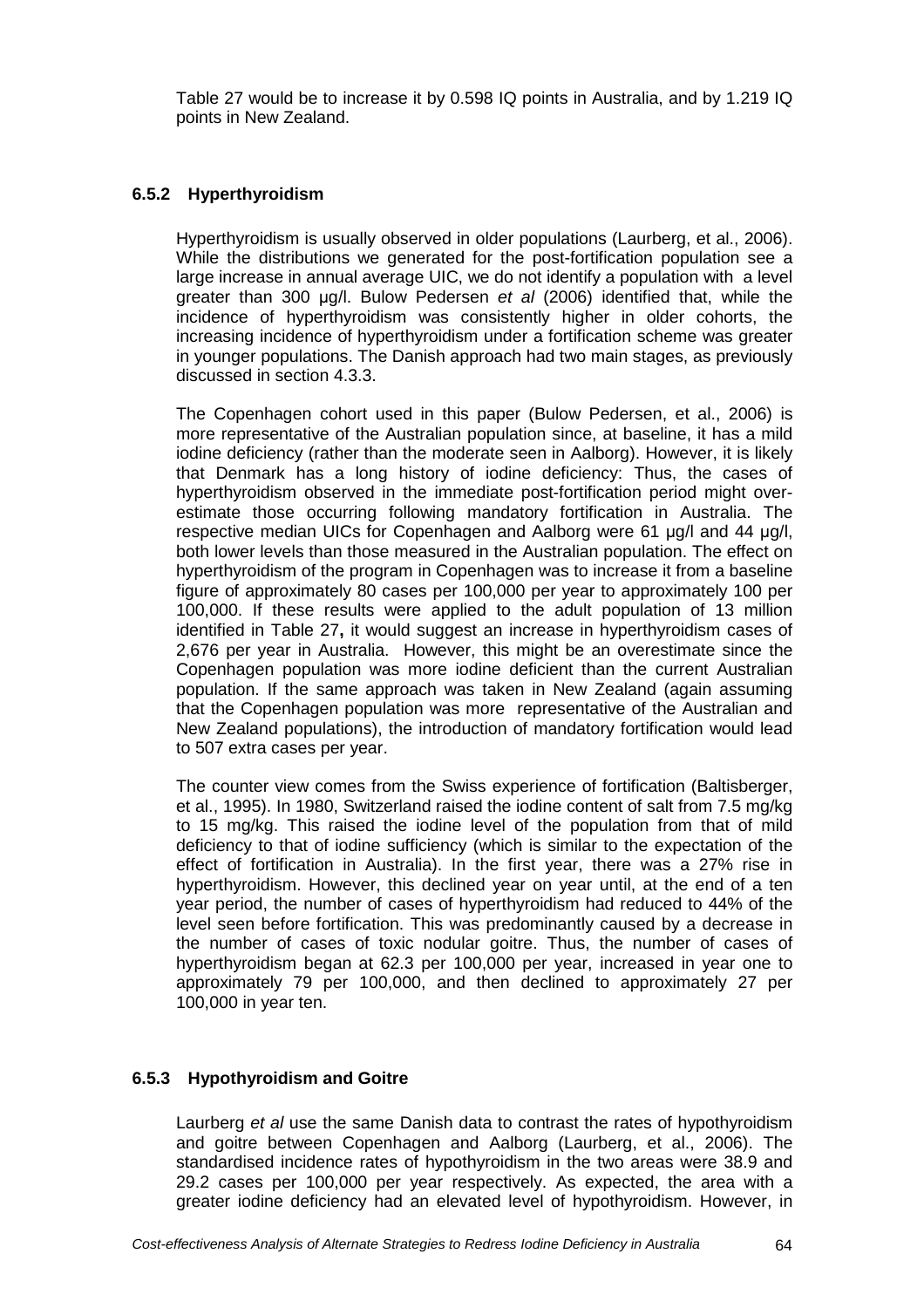Table 27 would be to increase it by 0.598 IQ points in Australia, and by 1.219 IQ points in New Zealand.

## **6.5.2 Hyperthyroidism**

Hyperthyroidism is usually observed in older populations (Laurberg, et al., 2006). While the distributions we generated for the post-fortification population see a large increase in annual average UIC, we do not identify a population with a level greater than 300 µg/l. Bulow Pedersen et al (2006) identified that, while the incidence of hyperthyroidism was consistently higher in older cohorts, the increasing incidence of hyperthyroidism under a fortification scheme was greater in younger populations. The Danish approach had two main stages, as previously discussed in section 4.3.3.

The Copenhagen cohort used in this paper (Bulow Pedersen, et al., 2006) is more representative of the Australian population since, at baseline, it has a mild iodine deficiency (rather than the moderate seen in Aalborg). However, it is likely that Denmark has a long history of iodine deficiency: Thus, the cases of hyperthyroidism observed in the immediate post-fortification period might overestimate those occurring following mandatory fortification in Australia. The respective median UICs for Copenhagen and Aalborg were 61 µg/l and 44 µg/l, both lower levels than those measured in the Australian population. The effect on hyperthyroidism of the program in Copenhagen was to increase it from a baseline figure of approximately 80 cases per 100,000 per year to approximately 100 per 100,000. If these results were applied to the adult population of 13 million identified in Table 27**,** it would suggest an increase in hyperthyroidism cases of 2,676 per year in Australia. However, this might be an overestimate since the Copenhagen population was more iodine deficient than the current Australian population. If the same approach was taken in New Zealand (again assuming that the Copenhagen population was more representative of the Australian and New Zealand populations), the introduction of mandatory fortification would lead to 507 extra cases per year.

The counter view comes from the Swiss experience of fortification (Baltisberger, et al., 1995). In 1980, Switzerland raised the iodine content of salt from 7.5 mg/kg to 15 mg/kg. This raised the iodine level of the population from that of mild deficiency to that of iodine sufficiency (which is similar to the expectation of the effect of fortification in Australia). In the first year, there was a 27% rise in hyperthyroidism. However, this declined year on year until, at the end of a ten year period, the number of cases of hyperthyroidism had reduced to 44% of the level seen before fortification. This was predominantly caused by a decrease in the number of cases of toxic nodular goitre. Thus, the number of cases of hyperthyroidism began at 62.3 per 100,000 per year, increased in year one to approximately 79 per 100,000, and then declined to approximately 27 per 100,000 in year ten.

## **6.5.3 Hypothyroidism and Goitre**

Laurberg et al use the same Danish data to contrast the rates of hypothyroidism and goitre between Copenhagen and Aalborg (Laurberg, et al., 2006). The standardised incidence rates of hypothyroidism in the two areas were 38.9 and 29.2 cases per 100,000 per year respectively. As expected, the area with a greater iodine deficiency had an elevated level of hypothyroidism. However, in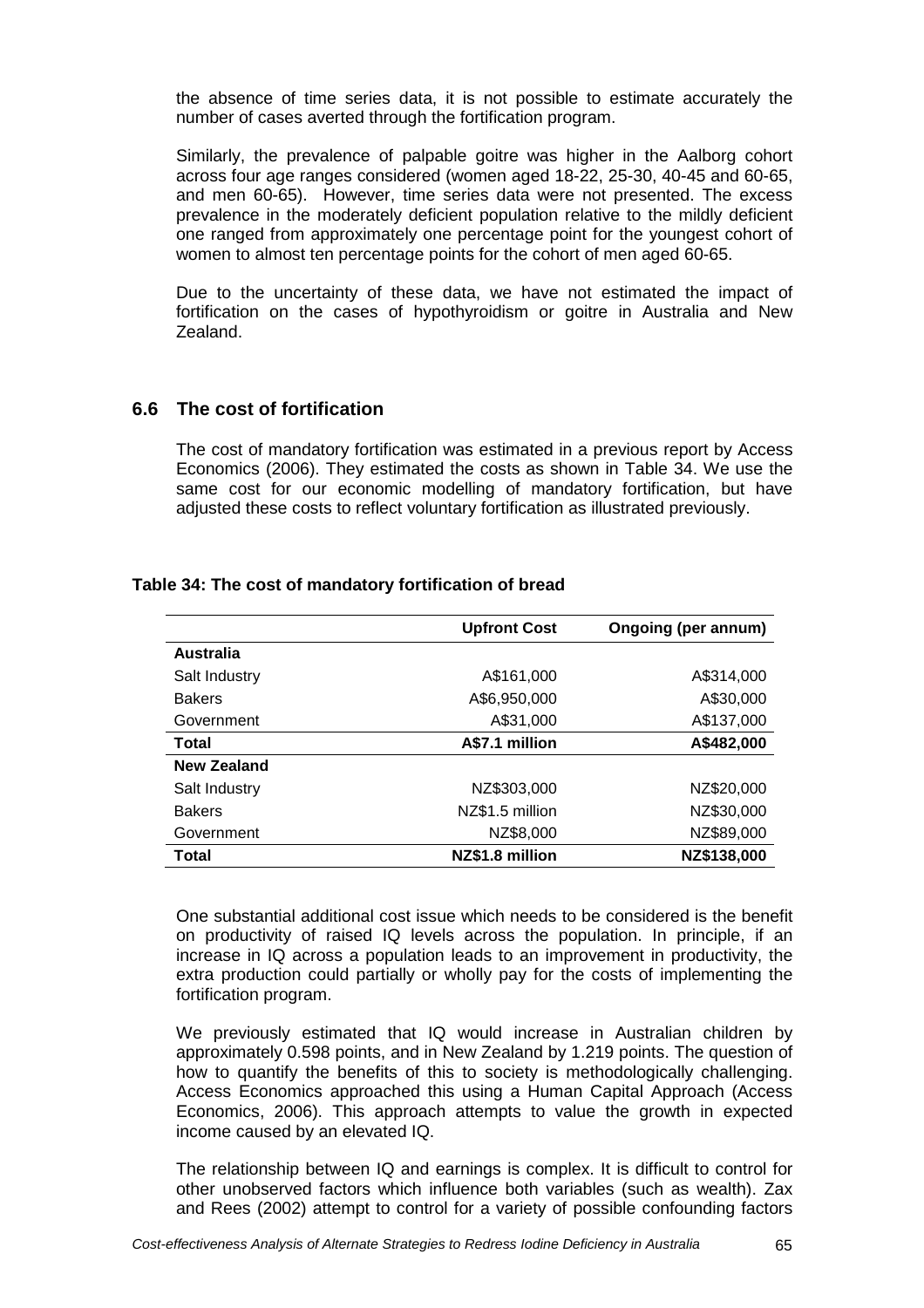the absence of time series data, it is not possible to estimate accurately the number of cases averted through the fortification program.

Similarly, the prevalence of palpable goitre was higher in the Aalborg cohort across four age ranges considered (women aged 18-22, 25-30, 40-45 and 60-65, and men 60-65). However, time series data were not presented. The excess prevalence in the moderately deficient population relative to the mildly deficient one ranged from approximately one percentage point for the youngest cohort of women to almost ten percentage points for the cohort of men aged 60-65.

Due to the uncertainty of these data, we have not estimated the impact of fortification on the cases of hypothyroidism or goitre in Australia and New Zealand.

## **6.6 The cost of fortification**

The cost of mandatory fortification was estimated in a previous report by Access Economics (2006). They estimated the costs as shown in Table 34. We use the same cost for our economic modelling of mandatory fortification, but have adjusted these costs to reflect voluntary fortification as illustrated previously.

|                    | <b>Upfront Cost</b> | Ongoing (per annum) |
|--------------------|---------------------|---------------------|
| <b>Australia</b>   |                     |                     |
| Salt Industry      | A\$161,000          | A\$314,000          |
| <b>Bakers</b>      | A\$6,950,000        | A\$30,000           |
| Government         | A\$31,000           | A\$137,000          |
| Total              | A\$7.1 million      | A\$482,000          |
| <b>New Zealand</b> |                     |                     |
| Salt Industry      | NZ\$303,000         | NZ\$20,000          |
| <b>Bakers</b>      | NZ\$1.5 million     | NZ\$30,000          |
| Government         | NZ\$8,000           | NZ\$89,000          |
| Total              | NZ\$1.8 million     | NZ\$138,000         |

#### **Table 34: The cost of mandatory fortification of bread**

One substantial additional cost issue which needs to be considered is the benefit on productivity of raised IQ levels across the population. In principle, if an increase in IQ across a population leads to an improvement in productivity, the extra production could partially or wholly pay for the costs of implementing the fortification program.

We previously estimated that IQ would increase in Australian children by approximately 0.598 points, and in New Zealand by 1.219 points. The question of how to quantify the benefits of this to society is methodologically challenging. Access Economics approached this using a Human Capital Approach (Access Economics, 2006). This approach attempts to value the growth in expected income caused by an elevated IQ.

The relationship between IQ and earnings is complex. It is difficult to control for other unobserved factors which influence both variables (such as wealth). Zax and Rees (2002) attempt to control for a variety of possible confounding factors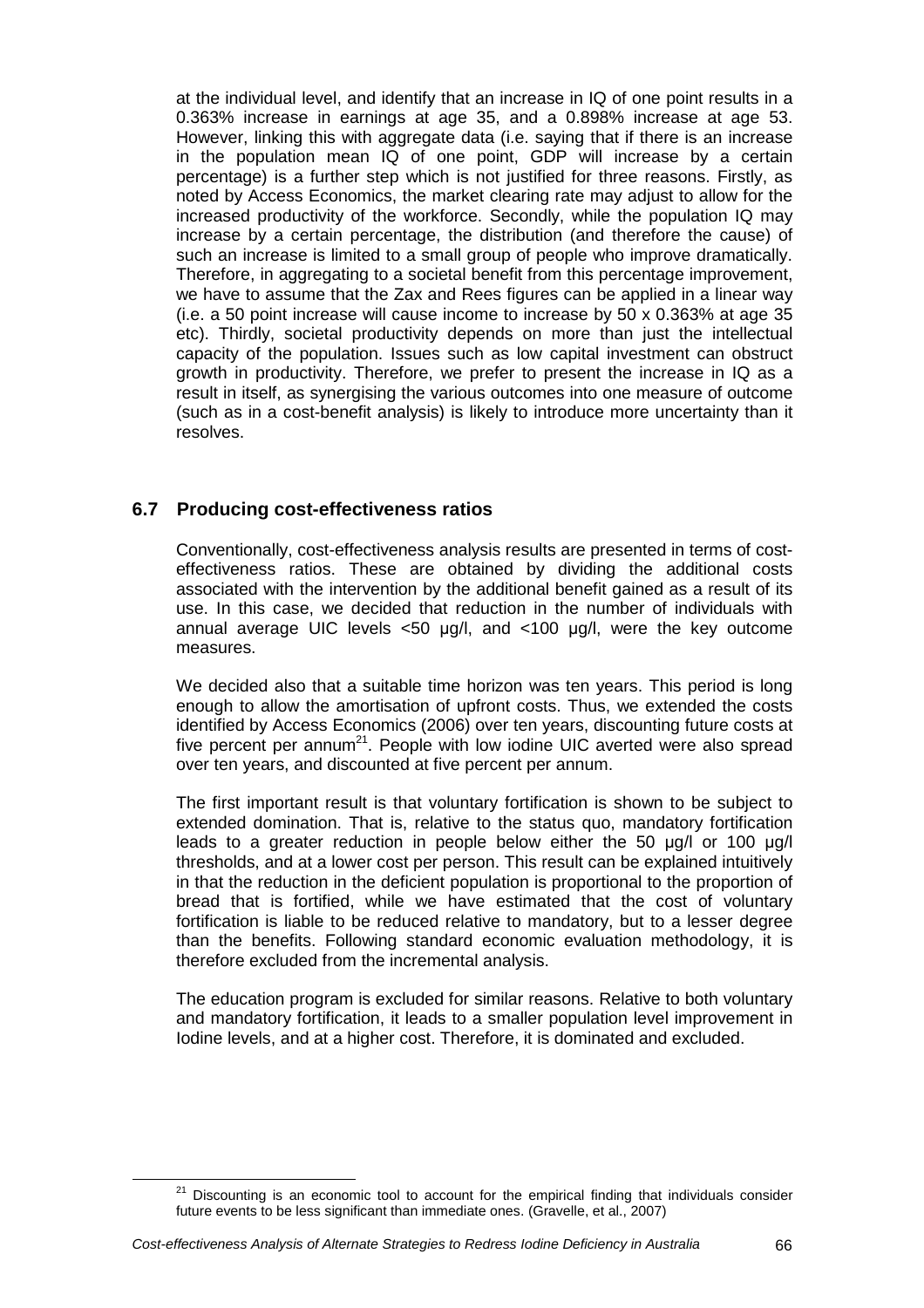at the individual level, and identify that an increase in IQ of one point results in a 0.363% increase in earnings at age 35, and a 0.898% increase at age 53. However, linking this with aggregate data (i.e. saying that if there is an increase in the population mean IQ of one point, GDP will increase by a certain percentage) is a further step which is not justified for three reasons. Firstly, as noted by Access Economics, the market clearing rate may adjust to allow for the increased productivity of the workforce. Secondly, while the population IQ may increase by a certain percentage, the distribution (and therefore the cause) of such an increase is limited to a small group of people who improve dramatically. Therefore, in aggregating to a societal benefit from this percentage improvement, we have to assume that the Zax and Rees figures can be applied in a linear way (i.e. a 50 point increase will cause income to increase by 50 x 0.363% at age 35 etc). Thirdly, societal productivity depends on more than just the intellectual capacity of the population. Issues such as low capital investment can obstruct growth in productivity. Therefore, we prefer to present the increase in IQ as a result in itself, as synergising the various outcomes into one measure of outcome (such as in a cost-benefit analysis) is likely to introduce more uncertainty than it resolves.

# **6.7 Producing cost-effectiveness ratios**

Conventionally, cost-effectiveness analysis results are presented in terms of costeffectiveness ratios. These are obtained by dividing the additional costs associated with the intervention by the additional benefit gained as a result of its use. In this case, we decided that reduction in the number of individuals with annual average UIC levels  $<50$  µg/l, and  $<100$  µg/l, were the key outcome measures.

We decided also that a suitable time horizon was ten years. This period is long enough to allow the amortisation of upfront costs. Thus, we extended the costs identified by Access Economics (2006) over ten years, discounting future costs at five percent per annum<sup>21</sup>. People with low iodine UIC averted were also spread over ten years, and discounted at five percent per annum.

The first important result is that voluntary fortification is shown to be subject to extended domination. That is, relative to the status quo, mandatory fortification leads to a greater reduction in people below either the 50 µg/l or 100 µg/l thresholds, and at a lower cost per person. This result can be explained intuitively in that the reduction in the deficient population is proportional to the proportion of bread that is fortified, while we have estimated that the cost of voluntary fortification is liable to be reduced relative to mandatory, but to a lesser degree than the benefits. Following standard economic evaluation methodology, it is therefore excluded from the incremental analysis.

The education program is excluded for similar reasons. Relative to both voluntary and mandatory fortification, it leads to a smaller population level improvement in Iodine levels, and at a higher cost. Therefore, it is dominated and excluded.

<sup>21</sup> Discounting is an economic tool to account for the empirical finding that individuals consider future events to be less significant than immediate ones. (Gravelle, et al., 2007)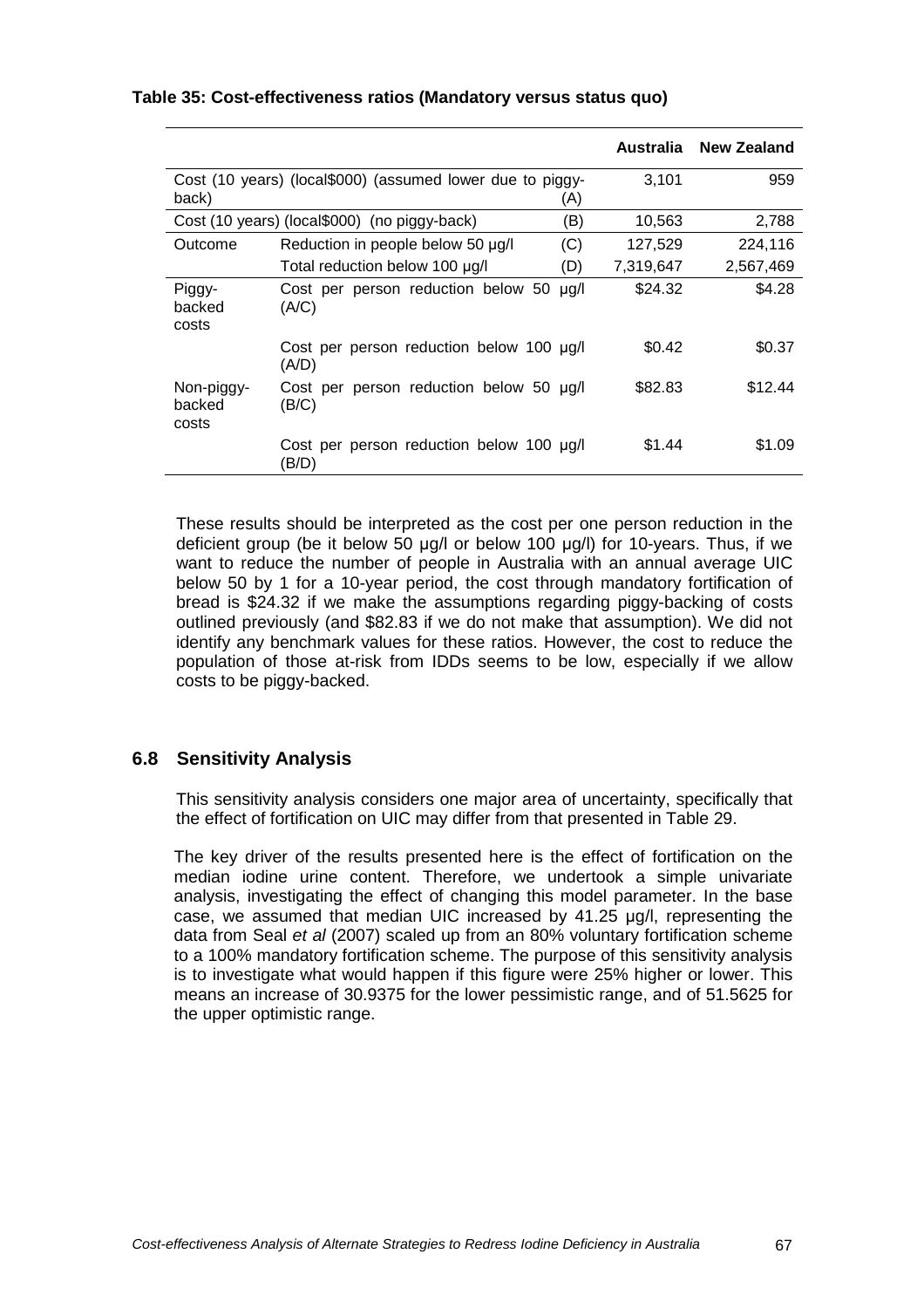|                               |                                                           |      |           | Australia New Zealand |
|-------------------------------|-----------------------------------------------------------|------|-----------|-----------------------|
| back)                         | Cost (10 years) (local\$000) (assumed lower due to piggy- | (A)  | 3,101     | 959                   |
|                               | Cost (10 years) (local\$000) (no piggy-back)              | (B)  | 10,563    | 2,788                 |
| Outcome                       | Reduction in people below 50 µg/l                         | (C)  | 127,529   | 224,116               |
|                               | Total reduction below 100 µg/l                            | (D)  | 7,319,647 | 2,567,469             |
| Piggy-<br>backed<br>costs     | Cost per person reduction below 50<br>(A/C)               | ug/l | \$24.32   | \$4.28                |
|                               | Cost per person reduction below 100 µg/l<br>(A/D)         |      | \$0.42    | \$0.37                |
| Non-piggy-<br>backed<br>costs | Cost per person reduction below 50 µg/l<br>(B/C)          |      | \$82.83   | \$12.44               |
|                               | Cost per person reduction below 100 ug/l<br>(B/D)         |      | \$1.44    | \$1.09                |

#### **Table 35: Cost-effectiveness ratios (Mandatory versus status quo)**

These results should be interpreted as the cost per one person reduction in the deficient group (be it below 50 µg/l or below 100 µg/l) for 10-years. Thus, if we want to reduce the number of people in Australia with an annual average UIC below 50 by 1 for a 10-year period, the cost through mandatory fortification of bread is \$24.32 if we make the assumptions regarding piggy-backing of costs outlined previously (and \$82.83 if we do not make that assumption). We did not identify any benchmark values for these ratios. However, the cost to reduce the population of those at-risk from IDDs seems to be low, especially if we allow costs to be piggy-backed.

## **6.8 Sensitivity Analysis**

This sensitivity analysis considers one major area of uncertainty, specifically that the effect of fortification on UIC may differ from that presented in Table 29.

The key driver of the results presented here is the effect of fortification on the median iodine urine content. Therefore, we undertook a simple univariate analysis, investigating the effect of changing this model parameter. In the base case, we assumed that median UIC increased by 41.25 µg/l, representing the data from Seal et al (2007) scaled up from an 80% voluntary fortification scheme to a 100% mandatory fortification scheme. The purpose of this sensitivity analysis is to investigate what would happen if this figure were 25% higher or lower. This means an increase of 30.9375 for the lower pessimistic range, and of 51.5625 for the upper optimistic range.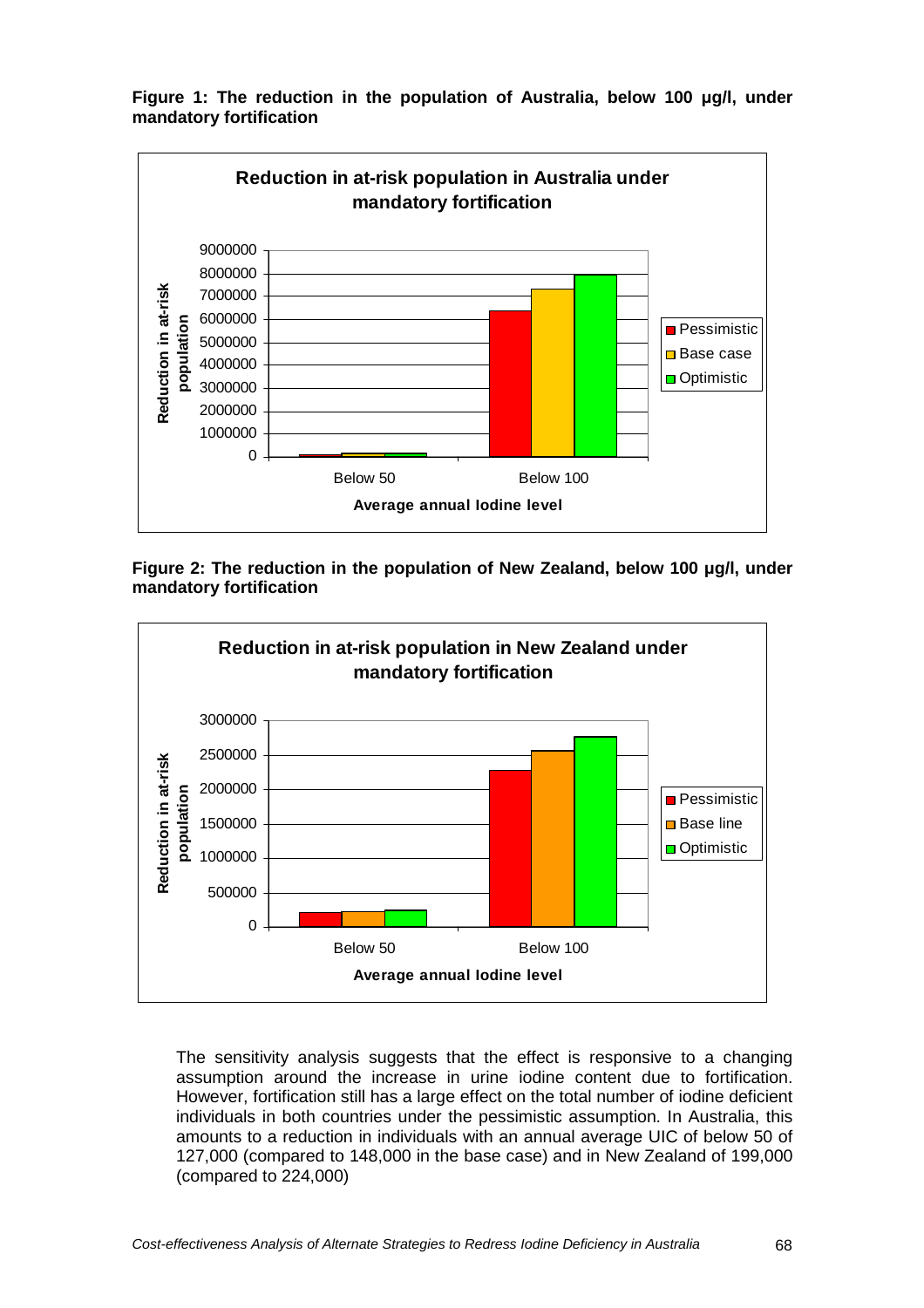



**Figure 2: The reduction in the population of New Zealand, below 100** µ**g/l, under mandatory fortification** 



The sensitivity analysis suggests that the effect is responsive to a changing assumption around the increase in urine iodine content due to fortification. However, fortification still has a large effect on the total number of iodine deficient individuals in both countries under the pessimistic assumption. In Australia, this amounts to a reduction in individuals with an annual average UIC of below 50 of 127,000 (compared to 148,000 in the base case) and in New Zealand of 199,000 (compared to 224,000)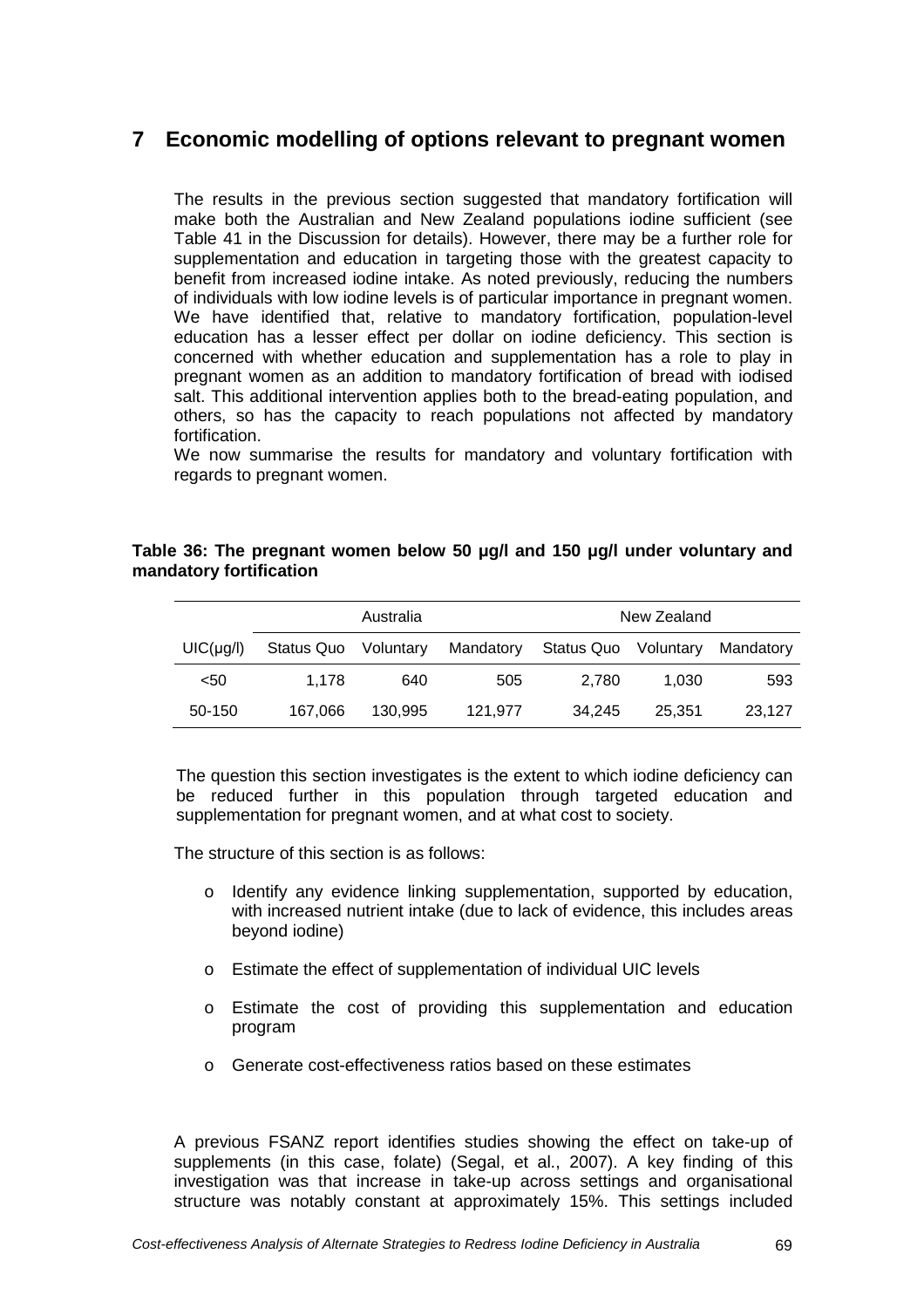# **7 Economic modelling of options relevant to pregnant women**

The results in the previous section suggested that mandatory fortification will make both the Australian and New Zealand populations iodine sufficient (see Table 41 in the Discussion for details). However, there may be a further role for supplementation and education in targeting those with the greatest capacity to benefit from increased iodine intake. As noted previously, reducing the numbers of individuals with low iodine levels is of particular importance in pregnant women. We have identified that, relative to mandatory fortification, population-level education has a lesser effect per dollar on iodine deficiency. This section is concerned with whether education and supplementation has a role to play in pregnant women as an addition to mandatory fortification of bread with iodised salt. This additional intervention applies both to the bread-eating population, and others, so has the capacity to reach populations not affected by mandatory fortification.

We now summarise the results for mandatory and voluntary fortification with regards to pregnant women.

### **Table 36: The pregnant women below 50** µ**g/l and 150** µ**g/l under voluntary and mandatory fortification**

|           | Australia  |           |           |                      | New Zealand |           |
|-----------|------------|-----------|-----------|----------------------|-------------|-----------|
| UIC(µq/l) | Status Quo | Voluntary | Mandatory | Status Quo Voluntary |             | Mandatory |
| $50$      | 1.178      | 640       | 505       | 2.780                | 1.030       | 593       |
| 50-150    | 167,066    | 130.995   | 121.977   | 34.245               | 25.351      | 23.127    |

The question this section investigates is the extent to which iodine deficiency can be reduced further in this population through targeted education and supplementation for pregnant women, and at what cost to society.

The structure of this section is as follows:

- o Identify any evidence linking supplementation, supported by education, with increased nutrient intake (due to lack of evidence, this includes areas beyond iodine)
- o Estimate the effect of supplementation of individual UIC levels
- o Estimate the cost of providing this supplementation and education program
- o Generate cost-effectiveness ratios based on these estimates

A previous FSANZ report identifies studies showing the effect on take-up of supplements (in this case, folate) (Segal, et al., 2007). A key finding of this investigation was that increase in take-up across settings and organisational structure was notably constant at approximately 15%. This settings included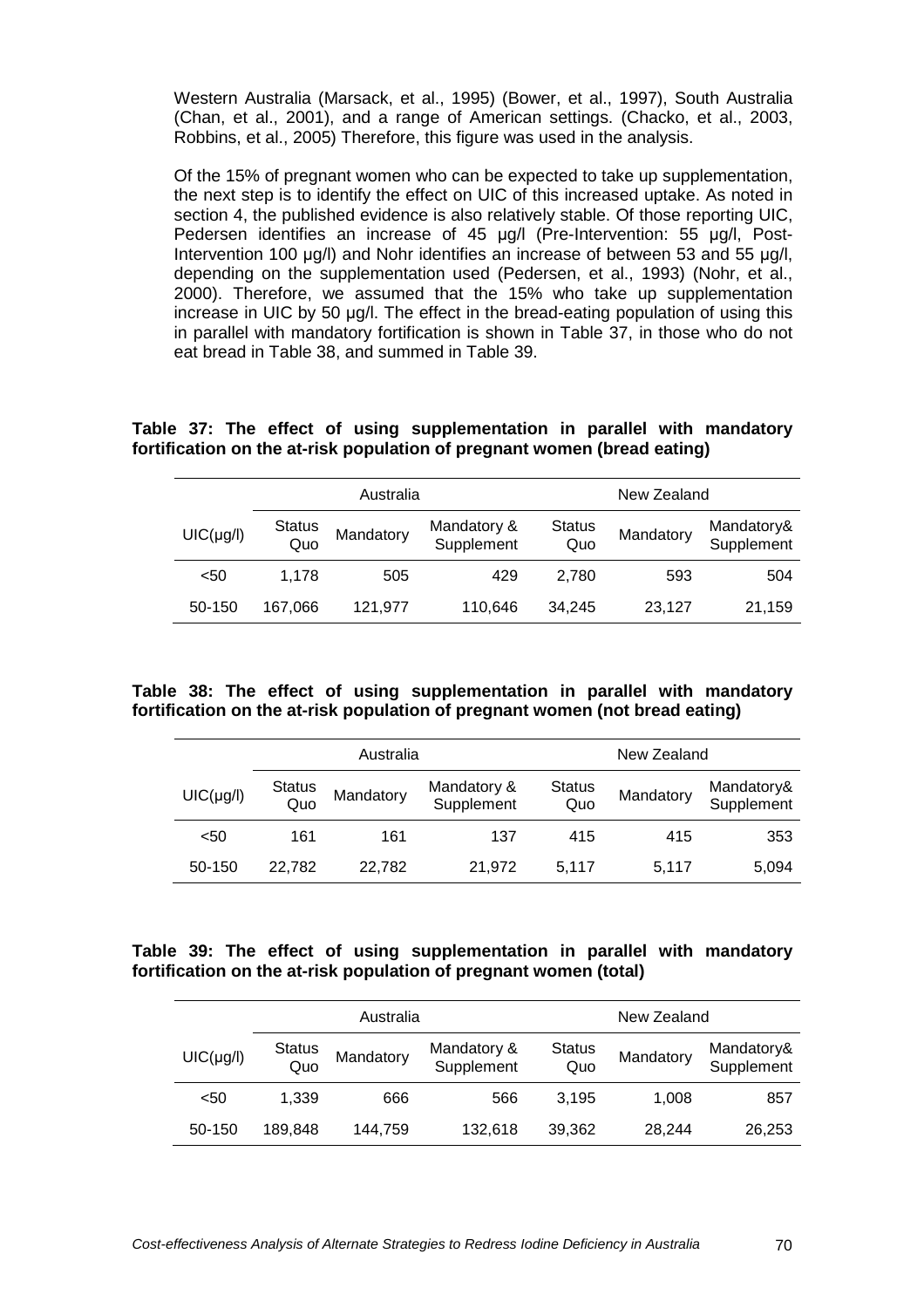Western Australia (Marsack, et al., 1995) (Bower, et al., 1997), South Australia (Chan, et al., 2001), and a range of American settings. (Chacko, et al., 2003, Robbins, et al., 2005) Therefore, this figure was used in the analysis.

Of the 15% of pregnant women who can be expected to take up supplementation, the next step is to identify the effect on UIC of this increased uptake. As noted in section 4, the published evidence is also relatively stable. Of those reporting UIC, Pedersen identifies an increase of 45 ug/l (Pre-Intervention: 55 ug/l, Post-Intervention 100 ug/l) and Nohr identifies an increase of between 53 and 55 ug/l. depending on the supplementation used (Pedersen, et al., 1993) (Nohr, et al., 2000). Therefore, we assumed that the 15% who take up supplementation increase in UIC by 50 µg/l. The effect in the bread-eating population of using this in parallel with mandatory fortification is shown in Table 37, in those who do not eat bread in Table 38, and summed in Table 39.

**Table 37: The effect of using supplementation in parallel with mandatory fortification on the at-risk population of pregnant women (bread eating)** 

|                | Australia            |           |                           |                      | New Zealand |                          |
|----------------|----------------------|-----------|---------------------------|----------------------|-------------|--------------------------|
| $UIC(\mu g/l)$ | <b>Status</b><br>Quo | Mandatory | Mandatory &<br>Supplement | <b>Status</b><br>Quo | Mandatory   | Mandatory&<br>Supplement |
| $50$           | 1.178                | 505       | 429                       | 2.780                | 593         | 504                      |
| 50-150         | 167.066              | 121.977   | 110.646                   | 34.245               | 23,127      | 21,159                   |

**Table 38: The effect of using supplementation in parallel with mandatory fortification on the at-risk population of pregnant women (not bread eating)** 

|                | Australia     |           |                           |                      | New Zealand |                          |
|----------------|---------------|-----------|---------------------------|----------------------|-------------|--------------------------|
| $UIC(\mu g/l)$ | Status<br>Quo | Mandatory | Mandatory &<br>Supplement | <b>Status</b><br>Quo | Mandatory   | Mandatory&<br>Supplement |
| $50$           | 161           | 161       | 137                       | 415                  | 415         | 353                      |
| 50-150         | 22.782        | 22.782    | 21.972                    | 5.117                | 5.117       | 5,094                    |

#### **Table 39: The effect of using supplementation in parallel with mandatory fortification on the at-risk population of pregnant women (total)**

|                | Australia            |           |                           |                      | New Zealand |                          |
|----------------|----------------------|-----------|---------------------------|----------------------|-------------|--------------------------|
| $UIC(\mu g/l)$ | <b>Status</b><br>Quo | Mandatory | Mandatory &<br>Supplement | <b>Status</b><br>Quo | Mandatory   | Mandatory&<br>Supplement |
| $50$           | 1.339                | 666       | 566                       | 3.195                | 1,008       | 857                      |
| 50-150         | 189.848              | 144,759   | 132,618                   | 39.362               | 28,244      | 26,253                   |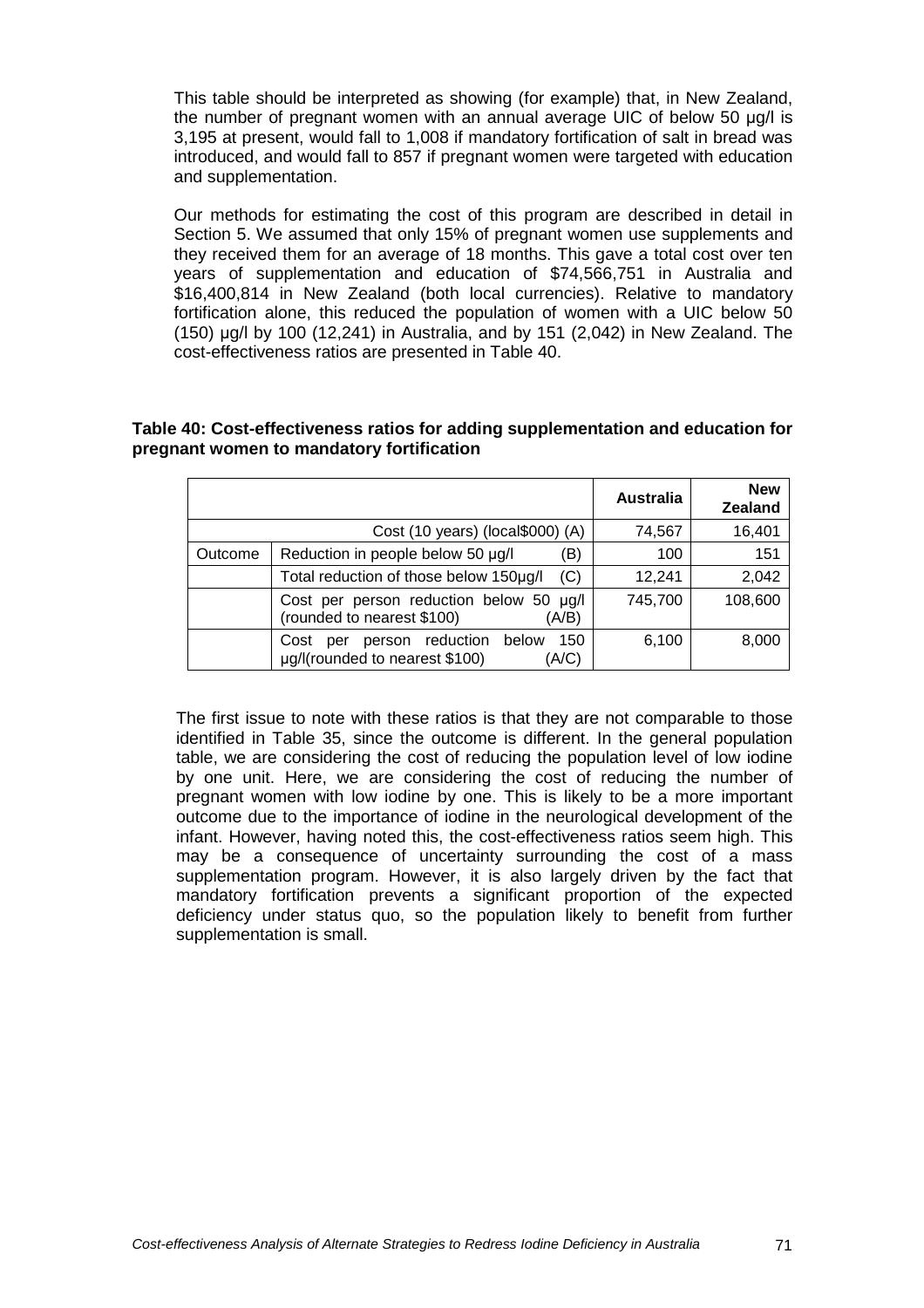This table should be interpreted as showing (for example) that, in New Zealand, the number of pregnant women with an annual average UIC of below 50 µg/l is 3,195 at present, would fall to 1,008 if mandatory fortification of salt in bread was introduced, and would fall to 857 if pregnant women were targeted with education and supplementation.

Our methods for estimating the cost of this program are described in detail in Section 5. We assumed that only 15% of pregnant women use supplements and they received them for an average of 18 months. This gave a total cost over ten years of supplementation and education of \$74,566,751 in Australia and \$16,400,814 in New Zealand (both local currencies). Relative to mandatory fortification alone, this reduced the population of women with a UIC below 50 (150) µg/l by 100 (12,241) in Australia, and by 151 (2,042) in New Zealand. The cost-effectiveness ratios are presented in Table 40.

### **Table 40: Cost-effectiveness ratios for adding supplementation and education for pregnant women to mandatory fortification**

|         |                                                                                         | <b>Australia</b> | <b>New</b><br><b>Zealand</b> |
|---------|-----------------------------------------------------------------------------------------|------------------|------------------------------|
|         | Cost (10 years) (local\$000) (A)                                                        | 74,567           | 16,401                       |
| Outcome | Reduction in people below 50 µg/l<br>B)                                                 | 100              | 151                          |
|         | (C)<br>Total reduction of those below 150µg/l                                           | 12,241           | 2,042                        |
|         | Cost per person reduction below 50 µg/l<br>(rounded to nearest \$100)<br>(A/B)          | 745,700          | 108,600                      |
|         | person reduction below<br>150<br>Cost<br>per<br>µg/l(rounded to nearest \$100)<br>(A/C) | 6,100            | 8,000                        |

The first issue to note with these ratios is that they are not comparable to those identified in Table 35, since the outcome is different. In the general population table, we are considering the cost of reducing the population level of low iodine by one unit. Here, we are considering the cost of reducing the number of pregnant women with low iodine by one. This is likely to be a more important outcome due to the importance of iodine in the neurological development of the infant. However, having noted this, the cost-effectiveness ratios seem high. This may be a consequence of uncertainty surrounding the cost of a mass supplementation program. However, it is also largely driven by the fact that mandatory fortification prevents a significant proportion of the expected deficiency under status quo, so the population likely to benefit from further supplementation is small.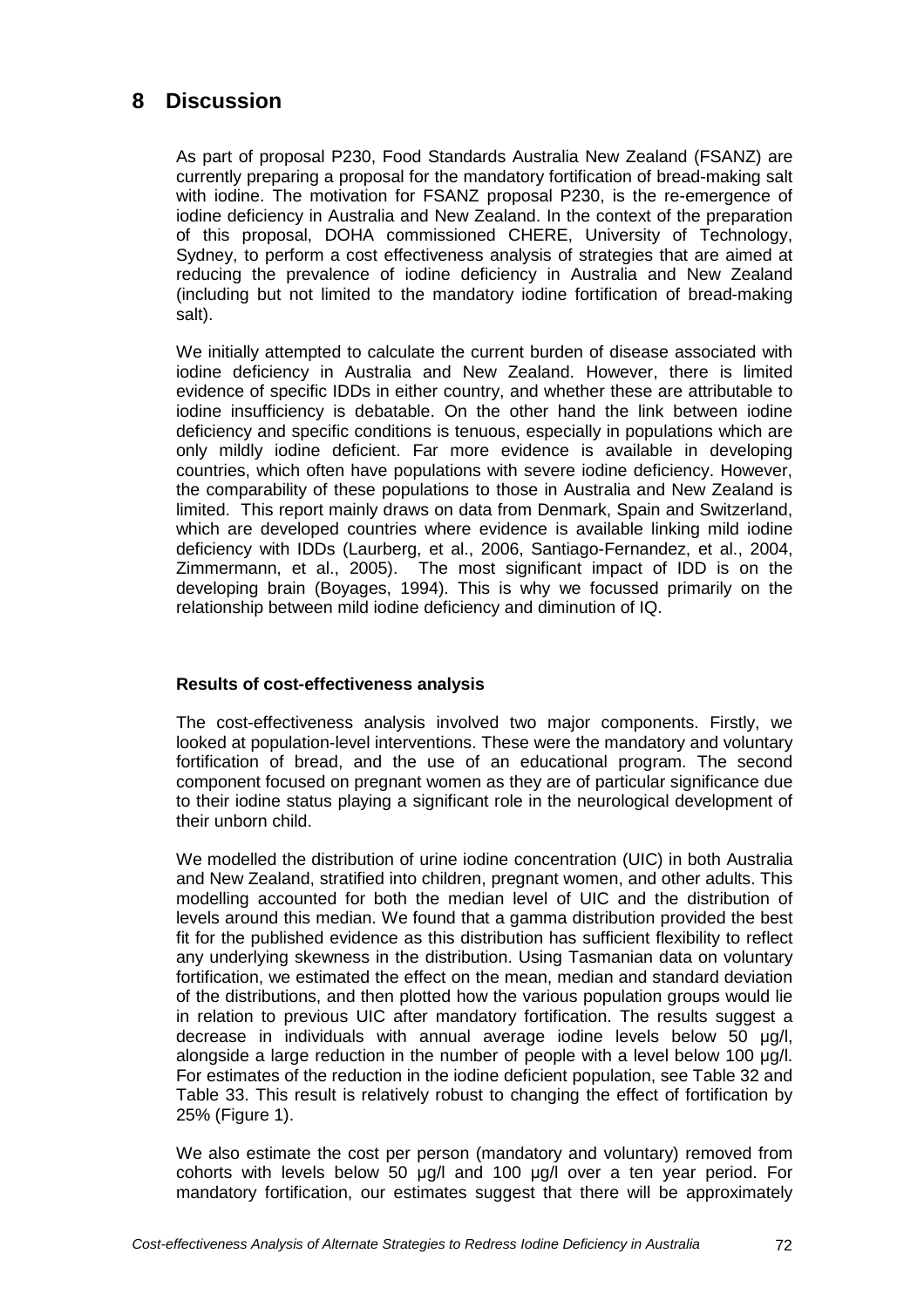# **8 Discussion**

As part of proposal P230, Food Standards Australia New Zealand (FSANZ) are currently preparing a proposal for the mandatory fortification of bread-making salt with iodine. The motivation for FSANZ proposal P230, is the re-emergence of iodine deficiency in Australia and New Zealand. In the context of the preparation of this proposal, DOHA commissioned CHERE, University of Technology, Sydney, to perform a cost effectiveness analysis of strategies that are aimed at reducing the prevalence of iodine deficiency in Australia and New Zealand (including but not limited to the mandatory iodine fortification of bread-making salt).

We initially attempted to calculate the current burden of disease associated with iodine deficiency in Australia and New Zealand. However, there is limited evidence of specific IDDs in either country, and whether these are attributable to iodine insufficiency is debatable. On the other hand the link between iodine deficiency and specific conditions is tenuous, especially in populations which are only mildly iodine deficient. Far more evidence is available in developing countries, which often have populations with severe iodine deficiency. However, the comparability of these populations to those in Australia and New Zealand is limited. This report mainly draws on data from Denmark, Spain and Switzerland, which are developed countries where evidence is available linking mild iodine deficiency with IDDs (Laurberg, et al., 2006, Santiago-Fernandez, et al., 2004, Zimmermann, et al., 2005). The most significant impact of IDD is on the developing brain (Boyages, 1994). This is why we focussed primarily on the relationship between mild iodine deficiency and diminution of IQ.

## **Results of cost-effectiveness analysis**

The cost-effectiveness analysis involved two major components. Firstly, we looked at population-level interventions. These were the mandatory and voluntary fortification of bread, and the use of an educational program. The second component focused on pregnant women as they are of particular significance due to their iodine status playing a significant role in the neurological development of their unborn child.

We modelled the distribution of urine iodine concentration (UIC) in both Australia and New Zealand, stratified into children, pregnant women, and other adults. This modelling accounted for both the median level of UIC and the distribution of levels around this median. We found that a gamma distribution provided the best fit for the published evidence as this distribution has sufficient flexibility to reflect any underlying skewness in the distribution. Using Tasmanian data on voluntary fortification, we estimated the effect on the mean, median and standard deviation of the distributions, and then plotted how the various population groups would lie in relation to previous UIC after mandatory fortification. The results suggest a decrease in individuals with annual average iodine levels below 50 µg/l, alongside a large reduction in the number of people with a level below 100 µg/l. For estimates of the reduction in the iodine deficient population, see Table 32 and Table 33. This result is relatively robust to changing the effect of fortification by 25% (Figure 1).

We also estimate the cost per person (mandatory and voluntary) removed from cohorts with levels below 50 µg/l and 100 µg/l over a ten year period. For mandatory fortification, our estimates suggest that there will be approximately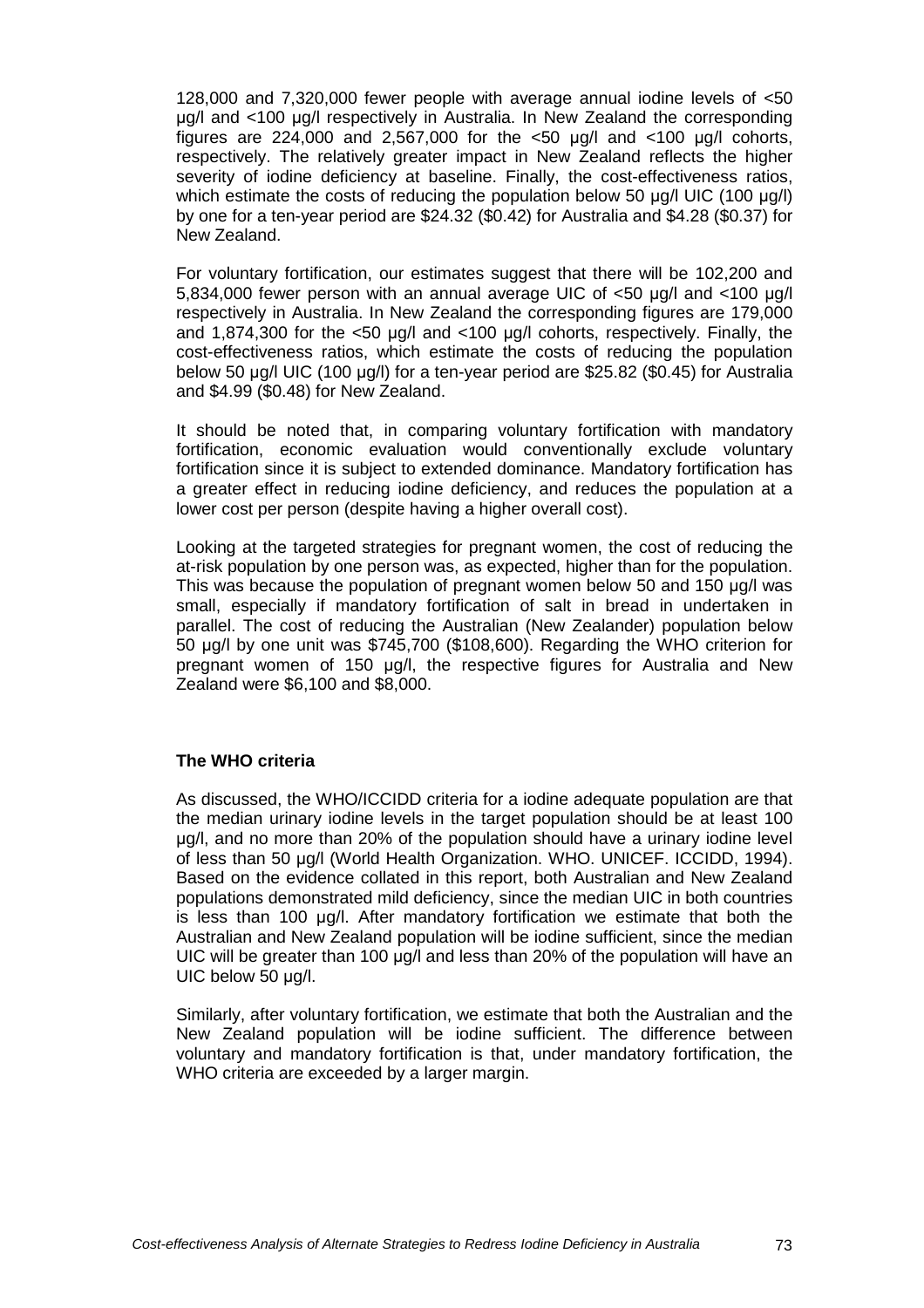128,000 and 7,320,000 fewer people with average annual iodine levels of <50 µg/l and <100 µg/l respectively in Australia. In New Zealand the corresponding figures are 224,000 and 2,567,000 for the  $\lt 50$  µg/l and  $\lt 100$  µg/l cohorts, respectively. The relatively greater impact in New Zealand reflects the higher severity of iodine deficiency at baseline. Finally, the cost-effectiveness ratios, which estimate the costs of reducing the population below 50 µg/l UIC (100 µg/l) by one for a ten-year period are \$24.32 (\$0.42) for Australia and \$4.28 (\$0.37) for New Zealand.

For voluntary fortification, our estimates suggest that there will be 102,200 and 5,834,000 fewer person with an annual average UIC of <50 µg/l and <100 µg/l respectively in Australia. In New Zealand the corresponding figures are 179,000 and 1,874,300 for the  $<50$  ug/l and  $<100$  ug/l cohorts, respectively. Finally, the cost-effectiveness ratios, which estimate the costs of reducing the population below 50 µg/l UIC (100 µg/l) for a ten-year period are \$25.82 (\$0.45) for Australia and \$4.99 (\$0.48) for New Zealand.

It should be noted that, in comparing voluntary fortification with mandatory fortification, economic evaluation would conventionally exclude voluntary fortification since it is subject to extended dominance. Mandatory fortification has a greater effect in reducing iodine deficiency, and reduces the population at a lower cost per person (despite having a higher overall cost).

Looking at the targeted strategies for pregnant women, the cost of reducing the at-risk population by one person was, as expected, higher than for the population. This was because the population of pregnant women below 50 and 150 µg/l was small, especially if mandatory fortification of salt in bread in undertaken in parallel. The cost of reducing the Australian (New Zealander) population below 50 µg/l by one unit was \$745,700 (\$108,600). Regarding the WHO criterion for pregnant women of 150 µg/l, the respective figures for Australia and New Zealand were \$6,100 and \$8,000.

#### **The WHO criteria**

As discussed, the WHO/ICCIDD criteria for a iodine adequate population are that the median urinary iodine levels in the target population should be at least 100 µg/l, and no more than 20% of the population should have a urinary iodine level of less than 50 µg/l (World Health Organization. WHO. UNICEF. ICCIDD, 1994). Based on the evidence collated in this report, both Australian and New Zealand populations demonstrated mild deficiency, since the median UIC in both countries is less than 100 µg/l. After mandatory fortification we estimate that both the Australian and New Zealand population will be iodine sufficient, since the median UIC will be greater than 100 µg/l and less than 20% of the population will have an UIC below 50 µg/l.

Similarly, after voluntary fortification, we estimate that both the Australian and the New Zealand population will be iodine sufficient. The difference between voluntary and mandatory fortification is that, under mandatory fortification, the WHO criteria are exceeded by a larger margin.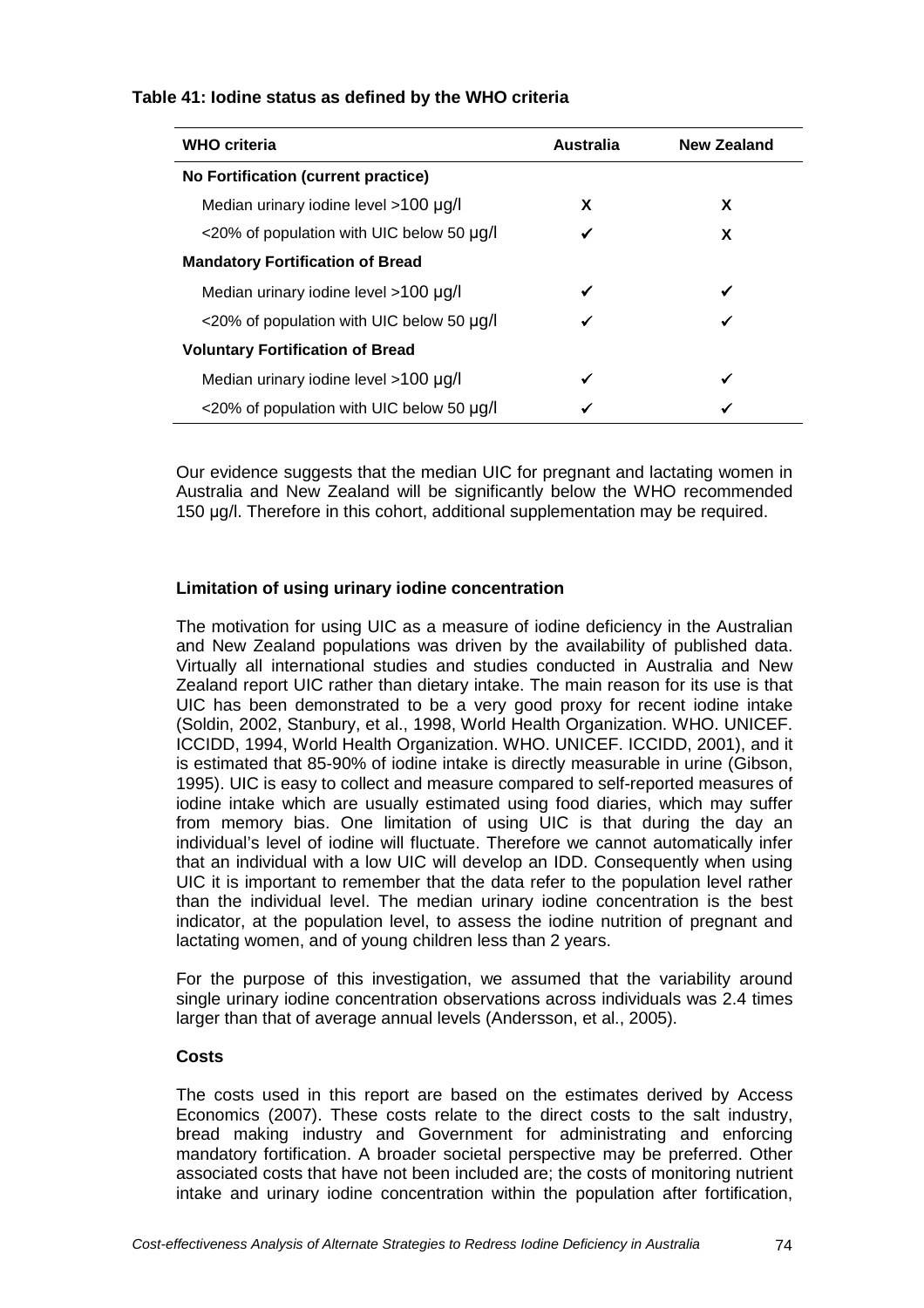|  | Table 41: lodine status as defined by the WHO criteria |
|--|--------------------------------------------------------|
|--|--------------------------------------------------------|

| <b>WHO criteria</b>                                 | <b>Australia</b> | <b>New Zealand</b> |
|-----------------------------------------------------|------------------|--------------------|
| No Fortification (current practice)                 |                  |                    |
| Median urinary iodine level $>100 \mu g/l$          | X                | X                  |
| <20% of population with UIC below 50 µg/l           | ✓                | X                  |
| <b>Mandatory Fortification of Bread</b>             |                  |                    |
| Median urinary iodine level >100 µg/l               | ✓                |                    |
| $\langle 20\%$ of population with UIC below 50 µg/l | ✓                |                    |
| <b>Voluntary Fortification of Bread</b>             |                  |                    |
| Median urinary iodine level >100 µg/l               | ✓                |                    |
| <20% of population with UIC below 50 µg/l           | ✔                |                    |

Our evidence suggests that the median UIC for pregnant and lactating women in Australia and New Zealand will be significantly below the WHO recommended 150 µg/l. Therefore in this cohort, additional supplementation may be required.

# **Limitation of using urinary iodine concentration**

The motivation for using UIC as a measure of iodine deficiency in the Australian and New Zealand populations was driven by the availability of published data. Virtually all international studies and studies conducted in Australia and New Zealand report UIC rather than dietary intake. The main reason for its use is that UIC has been demonstrated to be a very good proxy for recent iodine intake (Soldin, 2002, Stanbury, et al., 1998, World Health Organization. WHO. UNICEF. ICCIDD, 1994, World Health Organization. WHO. UNICEF. ICCIDD, 2001), and it is estimated that 85-90% of iodine intake is directly measurable in urine (Gibson, 1995). UIC is easy to collect and measure compared to self-reported measures of iodine intake which are usually estimated using food diaries, which may suffer from memory bias. One limitation of using UIC is that during the day an individual's level of iodine will fluctuate. Therefore we cannot automatically infer that an individual with a low UIC will develop an IDD. Consequently when using UIC it is important to remember that the data refer to the population level rather than the individual level. The median urinary iodine concentration is the best indicator, at the population level, to assess the iodine nutrition of pregnant and lactating women, and of young children less than 2 years.

For the purpose of this investigation, we assumed that the variability around single urinary iodine concentration observations across individuals was 2.4 times larger than that of average annual levels (Andersson, et al., 2005).

## **Costs**

The costs used in this report are based on the estimates derived by Access Economics (2007). These costs relate to the direct costs to the salt industry, bread making industry and Government for administrating and enforcing mandatory fortification. A broader societal perspective may be preferred. Other associated costs that have not been included are; the costs of monitoring nutrient intake and urinary iodine concentration within the population after fortification,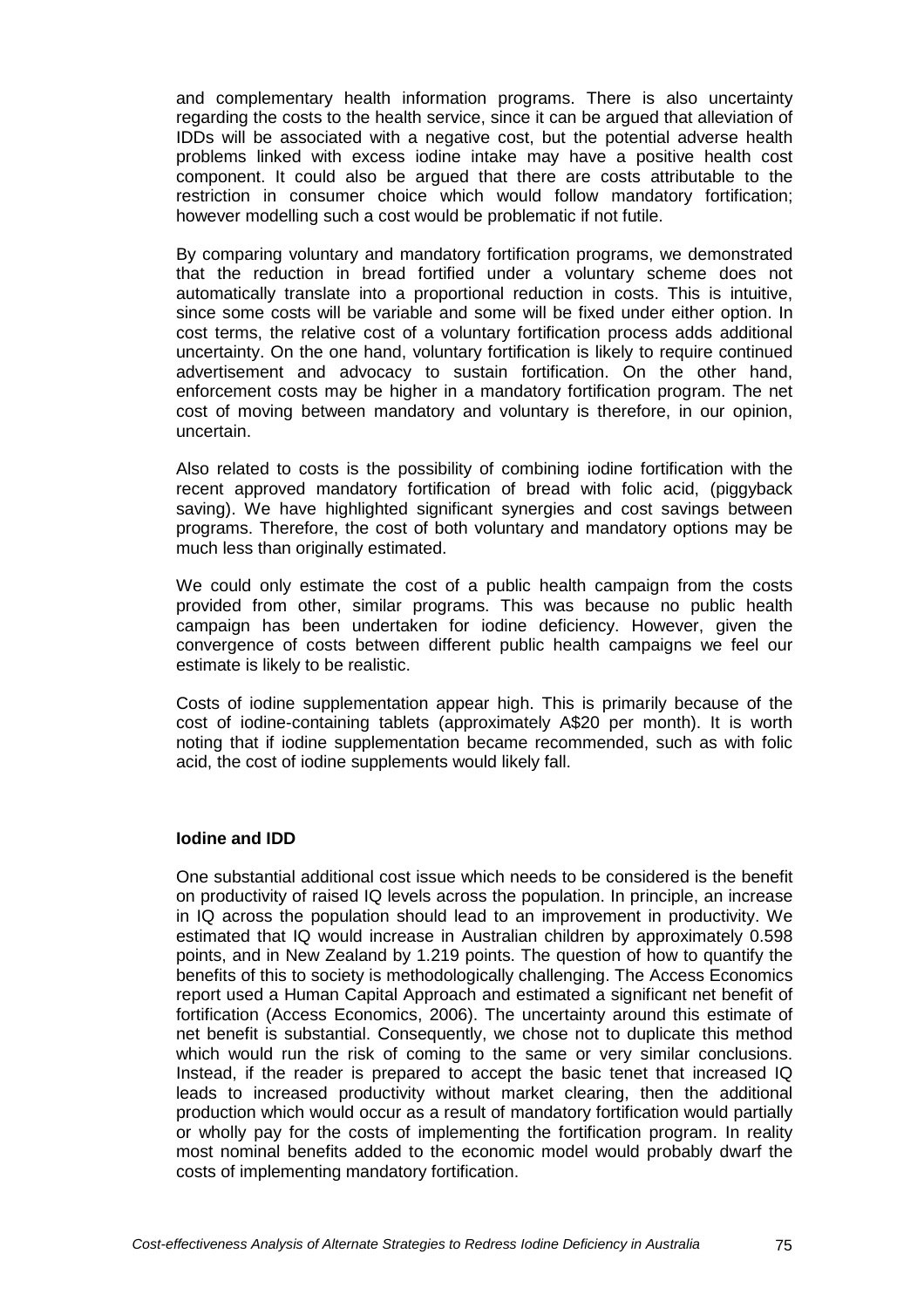and complementary health information programs. There is also uncertainty regarding the costs to the health service, since it can be argued that alleviation of IDDs will be associated with a negative cost, but the potential adverse health problems linked with excess iodine intake may have a positive health cost component. It could also be argued that there are costs attributable to the restriction in consumer choice which would follow mandatory fortification; however modelling such a cost would be problematic if not futile.

By comparing voluntary and mandatory fortification programs, we demonstrated that the reduction in bread fortified under a voluntary scheme does not automatically translate into a proportional reduction in costs. This is intuitive, since some costs will be variable and some will be fixed under either option. In cost terms, the relative cost of a voluntary fortification process adds additional uncertainty. On the one hand, voluntary fortification is likely to require continued advertisement and advocacy to sustain fortification. On the other hand, enforcement costs may be higher in a mandatory fortification program. The net cost of moving between mandatory and voluntary is therefore, in our opinion, uncertain.

Also related to costs is the possibility of combining iodine fortification with the recent approved mandatory fortification of bread with folic acid, (piggyback saving). We have highlighted significant synergies and cost savings between programs. Therefore, the cost of both voluntary and mandatory options may be much less than originally estimated.

We could only estimate the cost of a public health campaign from the costs provided from other, similar programs. This was because no public health campaign has been undertaken for iodine deficiency. However, given the convergence of costs between different public health campaigns we feel our estimate is likely to be realistic.

Costs of iodine supplementation appear high. This is primarily because of the cost of iodine-containing tablets (approximately A\$20 per month). It is worth noting that if iodine supplementation became recommended, such as with folic acid, the cost of iodine supplements would likely fall.

#### **Iodine and IDD**

One substantial additional cost issue which needs to be considered is the benefit on productivity of raised IQ levels across the population. In principle, an increase in IQ across the population should lead to an improvement in productivity. We estimated that IQ would increase in Australian children by approximately 0.598 points, and in New Zealand by 1.219 points. The question of how to quantify the benefits of this to society is methodologically challenging. The Access Economics report used a Human Capital Approach and estimated a significant net benefit of fortification (Access Economics, 2006). The uncertainty around this estimate of net benefit is substantial. Consequently, we chose not to duplicate this method which would run the risk of coming to the same or very similar conclusions. Instead, if the reader is prepared to accept the basic tenet that increased IQ leads to increased productivity without market clearing, then the additional production which would occur as a result of mandatory fortification would partially or wholly pay for the costs of implementing the fortification program. In reality most nominal benefits added to the economic model would probably dwarf the costs of implementing mandatory fortification.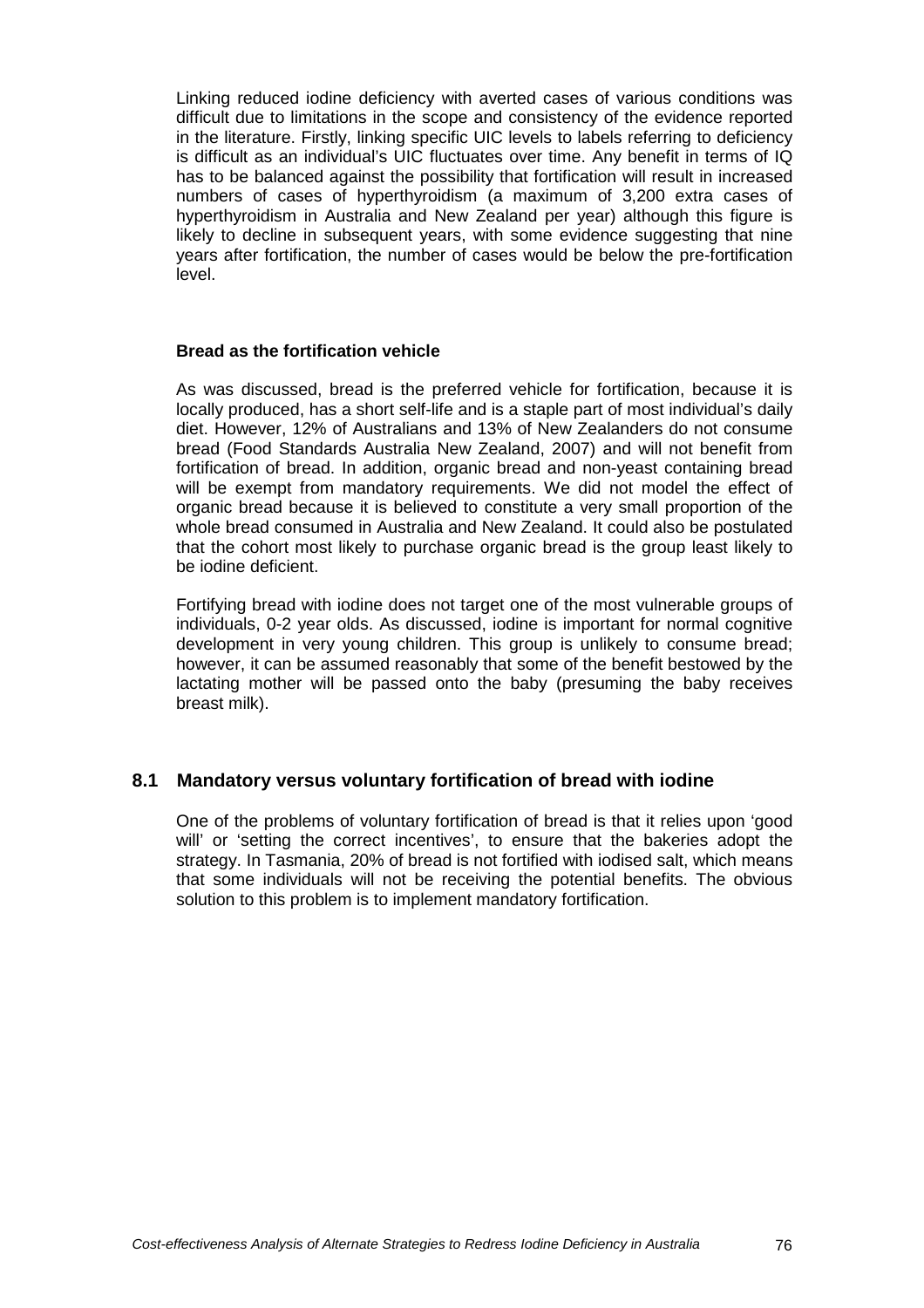Linking reduced iodine deficiency with averted cases of various conditions was difficult due to limitations in the scope and consistency of the evidence reported in the literature. Firstly, linking specific UIC levels to labels referring to deficiency is difficult as an individual's UIC fluctuates over time. Any benefit in terms of IQ has to be balanced against the possibility that fortification will result in increased numbers of cases of hyperthyroidism (a maximum of 3,200 extra cases of hyperthyroidism in Australia and New Zealand per year) although this figure is likely to decline in subsequent years, with some evidence suggesting that nine years after fortification, the number of cases would be below the pre-fortification level.

#### **Bread as the fortification vehicle**

As was discussed, bread is the preferred vehicle for fortification, because it is locally produced, has a short self-life and is a staple part of most individual's daily diet. However, 12% of Australians and 13% of New Zealanders do not consume bread (Food Standards Australia New Zealand, 2007) and will not benefit from fortification of bread. In addition, organic bread and non-yeast containing bread will be exempt from mandatory requirements. We did not model the effect of organic bread because it is believed to constitute a very small proportion of the whole bread consumed in Australia and New Zealand. It could also be postulated that the cohort most likely to purchase organic bread is the group least likely to be iodine deficient.

Fortifying bread with iodine does not target one of the most vulnerable groups of individuals, 0-2 year olds. As discussed, iodine is important for normal cognitive development in very young children. This group is unlikely to consume bread; however, it can be assumed reasonably that some of the benefit bestowed by the lactating mother will be passed onto the baby (presuming the baby receives breast milk).

# **8.1 Mandatory versus voluntary fortification of bread with iodine**

One of the problems of voluntary fortification of bread is that it relies upon 'good will' or 'setting the correct incentives', to ensure that the bakeries adopt the strategy. In Tasmania, 20% of bread is not fortified with iodised salt, which means that some individuals will not be receiving the potential benefits. The obvious solution to this problem is to implement mandatory fortification.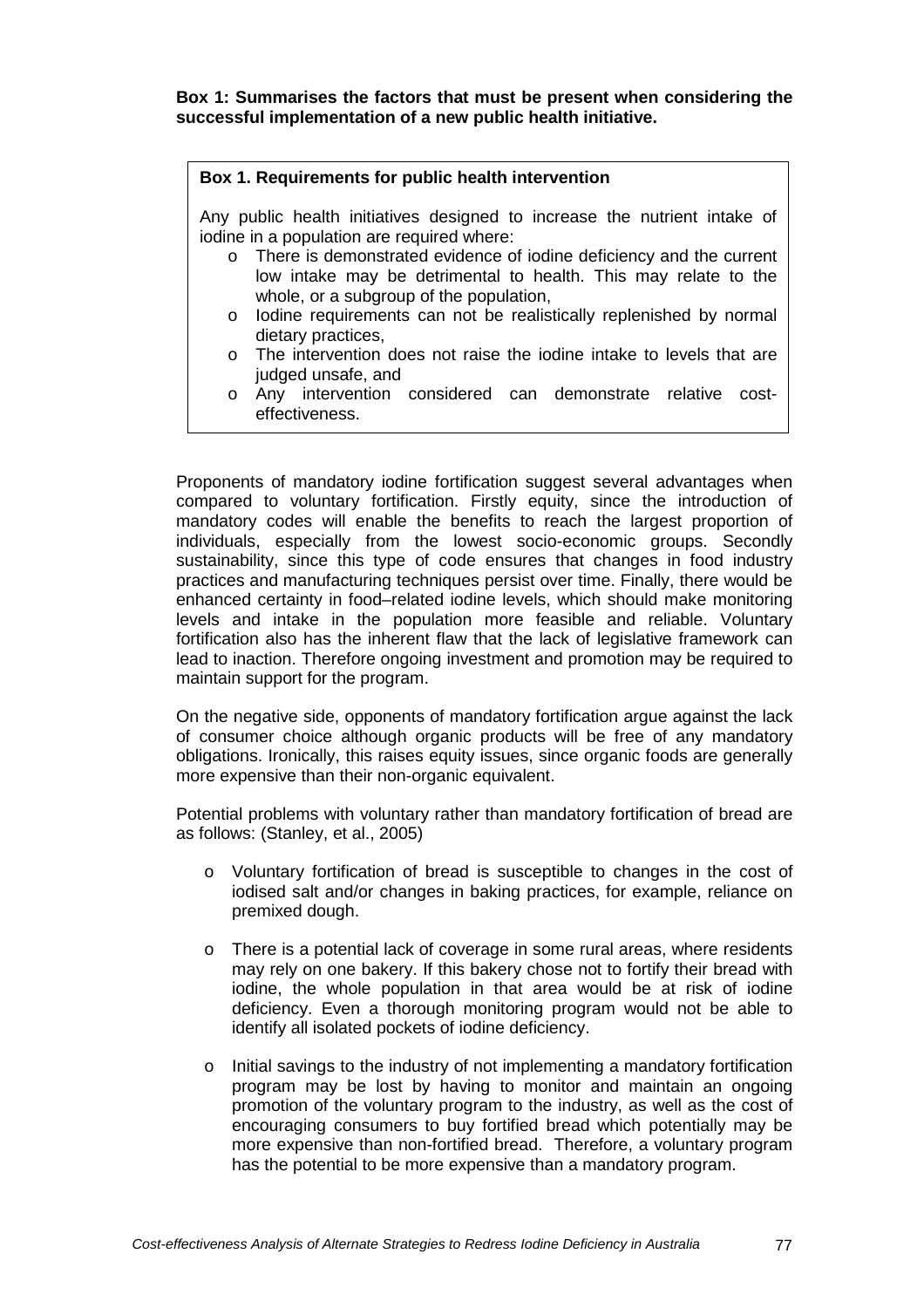**Box 1: Summarises the factors that must be present when considering the successful implementation of a new public health initiative.** 

#### **Box 1. Requirements for public health intervention**

Any public health initiatives designed to increase the nutrient intake of iodine in a population are required where:

- o There is demonstrated evidence of iodine deficiency and the current low intake may be detrimental to health. This may relate to the whole, or a subgroup of the population,
- o Iodine requirements can not be realistically replenished by normal dietary practices,
- o The intervention does not raise the iodine intake to levels that are judged unsafe, and
- o Any intervention considered can demonstrate relative costeffectiveness.

Proponents of mandatory iodine fortification suggest several advantages when compared to voluntary fortification. Firstly equity, since the introduction of mandatory codes will enable the benefits to reach the largest proportion of individuals, especially from the lowest socio-economic groups. Secondly sustainability, since this type of code ensures that changes in food industry practices and manufacturing techniques persist over time. Finally, there would be enhanced certainty in food–related iodine levels, which should make monitoring levels and intake in the population more feasible and reliable. Voluntary fortification also has the inherent flaw that the lack of legislative framework can lead to inaction. Therefore ongoing investment and promotion may be required to maintain support for the program.

On the negative side, opponents of mandatory fortification argue against the lack of consumer choice although organic products will be free of any mandatory obligations. Ironically, this raises equity issues, since organic foods are generally more expensive than their non-organic equivalent.

Potential problems with voluntary rather than mandatory fortification of bread are as follows: (Stanley, et al., 2005)

- o Voluntary fortification of bread is susceptible to changes in the cost of iodised salt and/or changes in baking practices, for example, reliance on premixed dough.
- $\circ$  There is a potential lack of coverage in some rural areas, where residents may rely on one bakery. If this bakery chose not to fortify their bread with iodine, the whole population in that area would be at risk of iodine deficiency. Even a thorough monitoring program would not be able to identify all isolated pockets of iodine deficiency.
- o Initial savings to the industry of not implementing a mandatory fortification program may be lost by having to monitor and maintain an ongoing promotion of the voluntary program to the industry, as well as the cost of encouraging consumers to buy fortified bread which potentially may be more expensive than non-fortified bread. Therefore, a voluntary program has the potential to be more expensive than a mandatory program.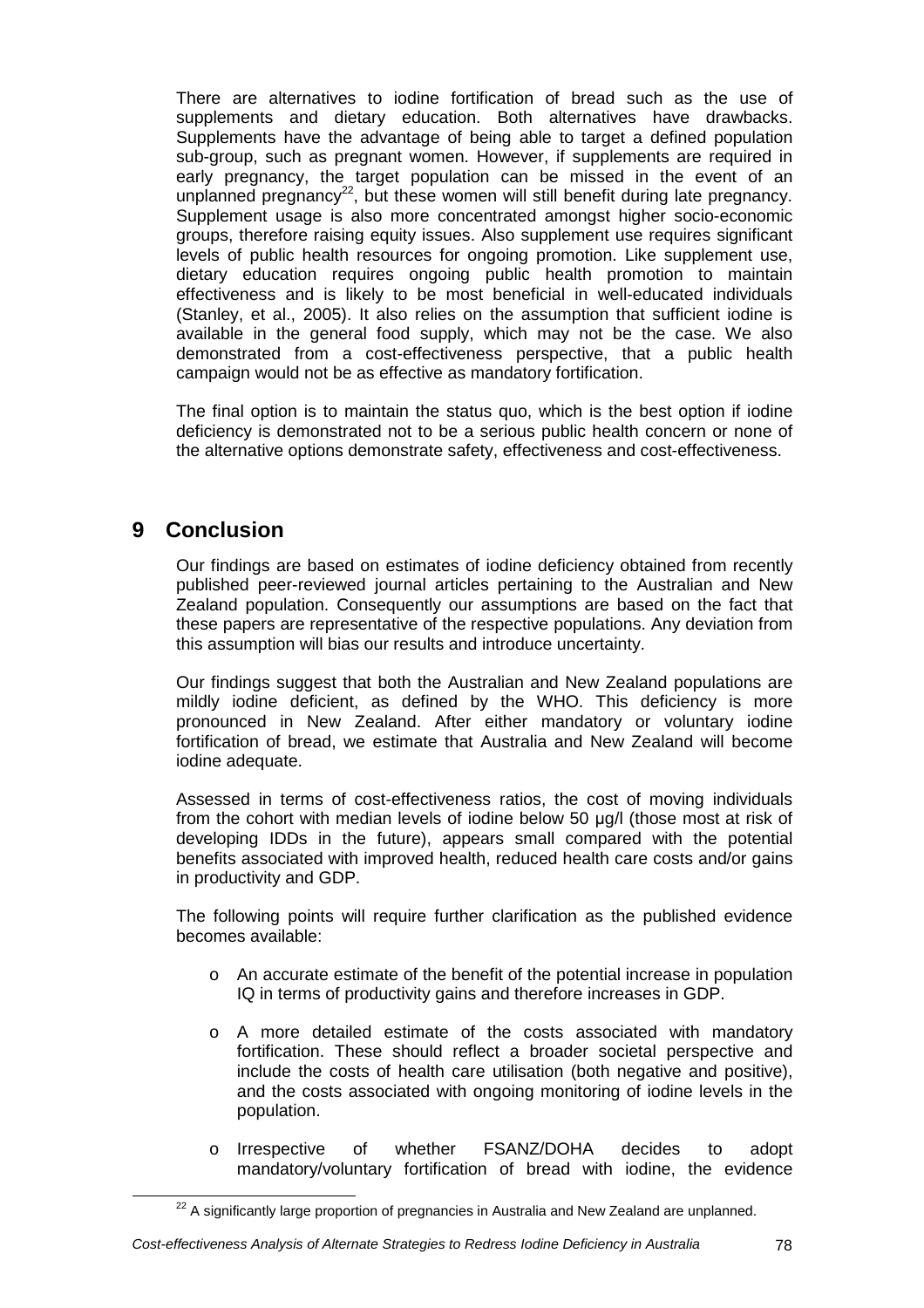There are alternatives to iodine fortification of bread such as the use of supplements and dietary education. Both alternatives have drawbacks. Supplements have the advantage of being able to target a defined population sub-group, such as pregnant women. However, if supplements are required in early pregnancy, the target population can be missed in the event of an unplanned pregnancy<sup>22</sup>, but these women will still benefit during late pregnancy. Supplement usage is also more concentrated amongst higher socio-economic groups, therefore raising equity issues. Also supplement use requires significant levels of public health resources for ongoing promotion. Like supplement use, dietary education requires ongoing public health promotion to maintain effectiveness and is likely to be most beneficial in well-educated individuals (Stanley, et al., 2005). It also relies on the assumption that sufficient iodine is available in the general food supply, which may not be the case. We also demonstrated from a cost-effectiveness perspective, that a public health campaign would not be as effective as mandatory fortification.

The final option is to maintain the status quo, which is the best option if iodine deficiency is demonstrated not to be a serious public health concern or none of the alternative options demonstrate safety, effectiveness and cost-effectiveness.

# **9 Conclusion**

Our findings are based on estimates of iodine deficiency obtained from recently published peer-reviewed journal articles pertaining to the Australian and New Zealand population. Consequently our assumptions are based on the fact that these papers are representative of the respective populations. Any deviation from this assumption will bias our results and introduce uncertainty.

Our findings suggest that both the Australian and New Zealand populations are mildly iodine deficient, as defined by the WHO. This deficiency is more pronounced in New Zealand. After either mandatory or voluntary iodine fortification of bread, we estimate that Australia and New Zealand will become iodine adequate.

Assessed in terms of cost-effectiveness ratios, the cost of moving individuals from the cohort with median levels of iodine below 50 µg/l (those most at risk of developing IDDs in the future), appears small compared with the potential benefits associated with improved health, reduced health care costs and/or gains in productivity and GDP.

The following points will require further clarification as the published evidence becomes available:

- o An accurate estimate of the benefit of the potential increase in population IQ in terms of productivity gains and therefore increases in GDP.
- o A more detailed estimate of the costs associated with mandatory fortification. These should reflect a broader societal perspective and include the costs of health care utilisation (both negative and positive), and the costs associated with ongoing monitoring of iodine levels in the population.
- o Irrespective of whether FSANZ/DOHA decides to adopt mandatory/voluntary fortification of bread with iodine, the evidence

 $22$  A significantly large proportion of pregnancies in Australia and New Zealand are unplanned.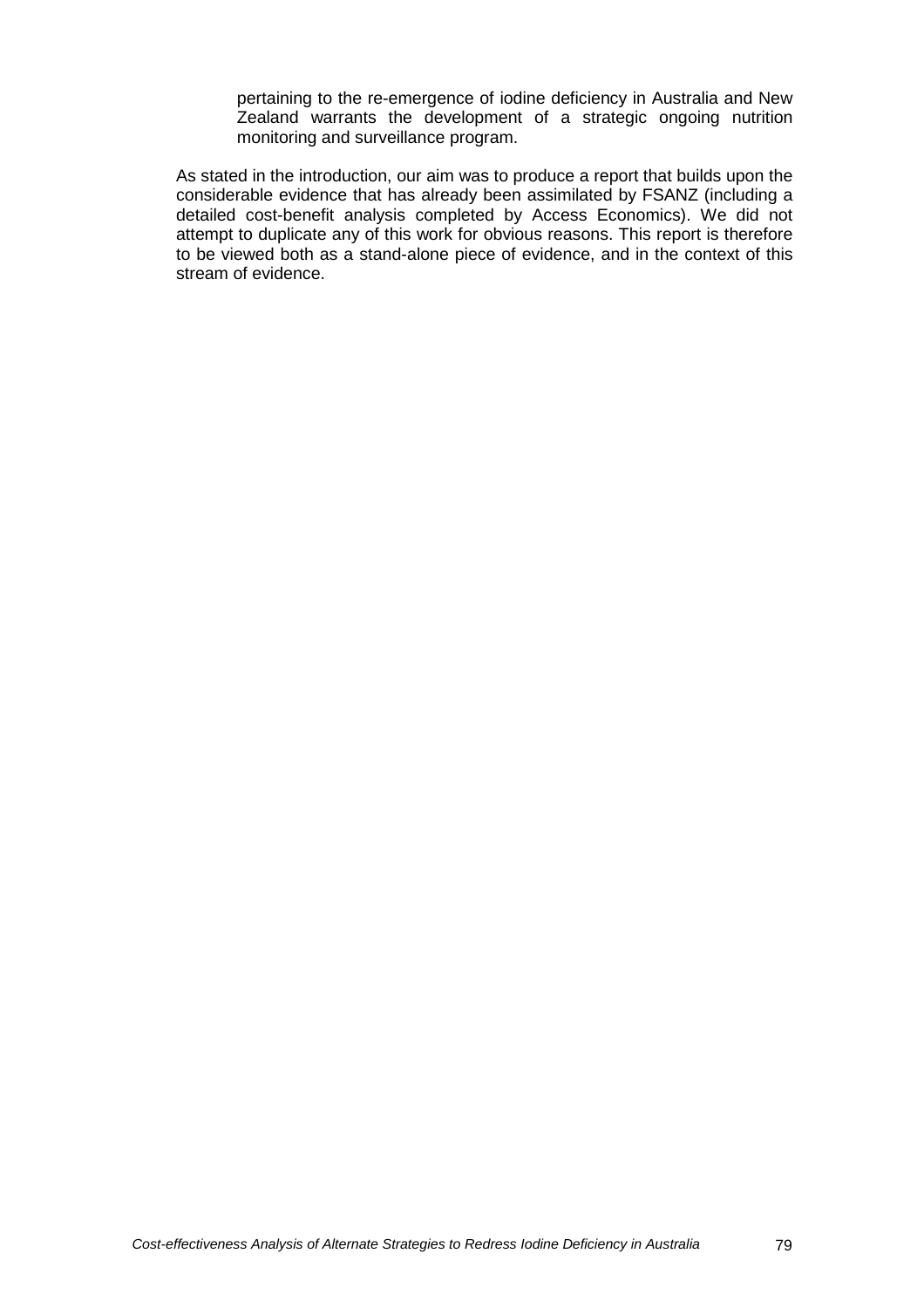pertaining to the re-emergence of iodine deficiency in Australia and New Zealand warrants the development of a strategic ongoing nutrition monitoring and surveillance program.

As stated in the introduction, our aim was to produce a report that builds upon the considerable evidence that has already been assimilated by FSANZ (including a detailed cost-benefit analysis completed by Access Economics). We did not attempt to duplicate any of this work for obvious reasons. This report is therefore to be viewed both as a stand-alone piece of evidence, and in the context of this stream of evidence.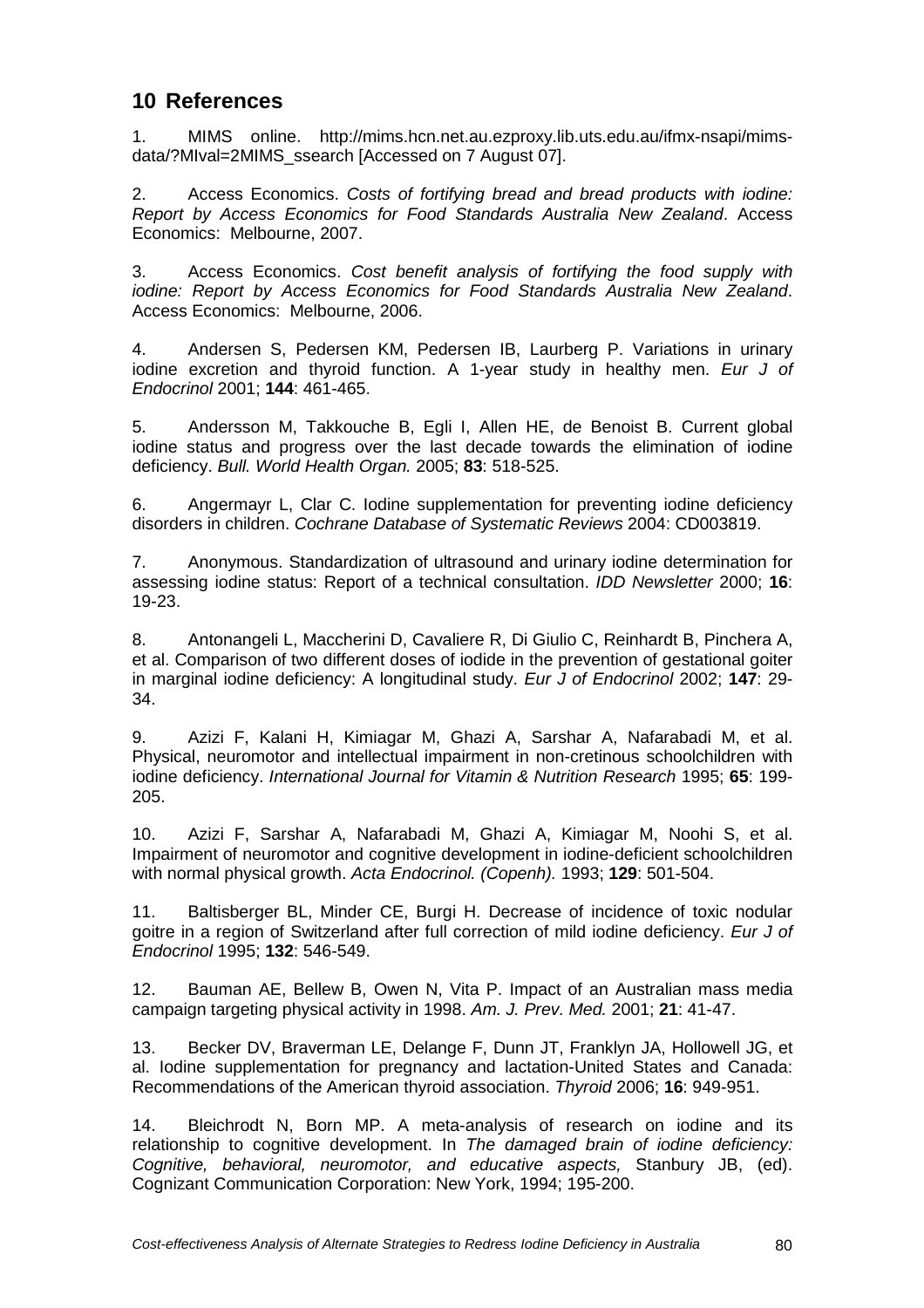# **10 References**

1. MIMS online. http://mims.hcn.net.au.ezproxy.lib.uts.edu.au/ifmx-nsapi/mimsdata/?MIval=2MIMS\_ssearch [Accessed on 7 August 07].

2. Access Economics. Costs of fortifying bread and bread products with iodine: Report by Access Economics for Food Standards Australia New Zealand. Access Economics: Melbourne, 2007.

3. Access Economics. Cost benefit analysis of fortifying the food supply with iodine: Report by Access Economics for Food Standards Australia New Zealand. Access Economics: Melbourne, 2006.

4. Andersen S, Pedersen KM, Pedersen IB, Laurberg P. Variations in urinary iodine excretion and thyroid function. A 1-year study in healthy men. Eur J of Endocrinol 2001; **144**: 461-465.

5. Andersson M, Takkouche B, Egli I, Allen HE, de Benoist B. Current global iodine status and progress over the last decade towards the elimination of iodine deficiency. Bull. World Health Organ. 2005; **83**: 518-525.

6. Angermayr L, Clar C. Iodine supplementation for preventing iodine deficiency disorders in children. Cochrane Database of Systematic Reviews 2004: CD003819.

7. Anonymous. Standardization of ultrasound and urinary iodine determination for assessing iodine status: Report of a technical consultation. IDD Newsletter 2000; **16**: 19-23.

8. Antonangeli L, Maccherini D, Cavaliere R, Di Giulio C, Reinhardt B, Pinchera A, et al. Comparison of two different doses of iodide in the prevention of gestational goiter in marginal iodine deficiency: A longitudinal study. Eur J of Endocrinol 2002; **147**: 29- 34.

9. Azizi F, Kalani H, Kimiagar M, Ghazi A, Sarshar A, Nafarabadi M, et al. Physical, neuromotor and intellectual impairment in non-cretinous schoolchildren with iodine deficiency. International Journal for Vitamin & Nutrition Research 1995; **65**: 199- 205.

10. Azizi F, Sarshar A, Nafarabadi M, Ghazi A, Kimiagar M, Noohi S, et al. Impairment of neuromotor and cognitive development in iodine-deficient schoolchildren with normal physical growth. Acta Endocrinol. (Copenh). 1993; **129**: 501-504.

11. Baltisberger BL, Minder CE, Burgi H. Decrease of incidence of toxic nodular goitre in a region of Switzerland after full correction of mild iodine deficiency. Eur J of Endocrinol 1995; **132**: 546-549.

12. Bauman AE, Bellew B, Owen N, Vita P. Impact of an Australian mass media campaign targeting physical activity in 1998. Am. J. Prev. Med. 2001; **21**: 41-47.

13. Becker DV, Braverman LE, Delange F, Dunn JT, Franklyn JA, Hollowell JG, et al. Iodine supplementation for pregnancy and lactation-United States and Canada: Recommendations of the American thyroid association. Thyroid 2006; **16**: 949-951.

14. Bleichrodt N, Born MP. A meta-analysis of research on iodine and its relationship to cognitive development. In The damaged brain of iodine deficiency: Cognitive, behavioral, neuromotor, and educative aspects, Stanbury JB, (ed). Cognizant Communication Corporation: New York, 1994; 195-200.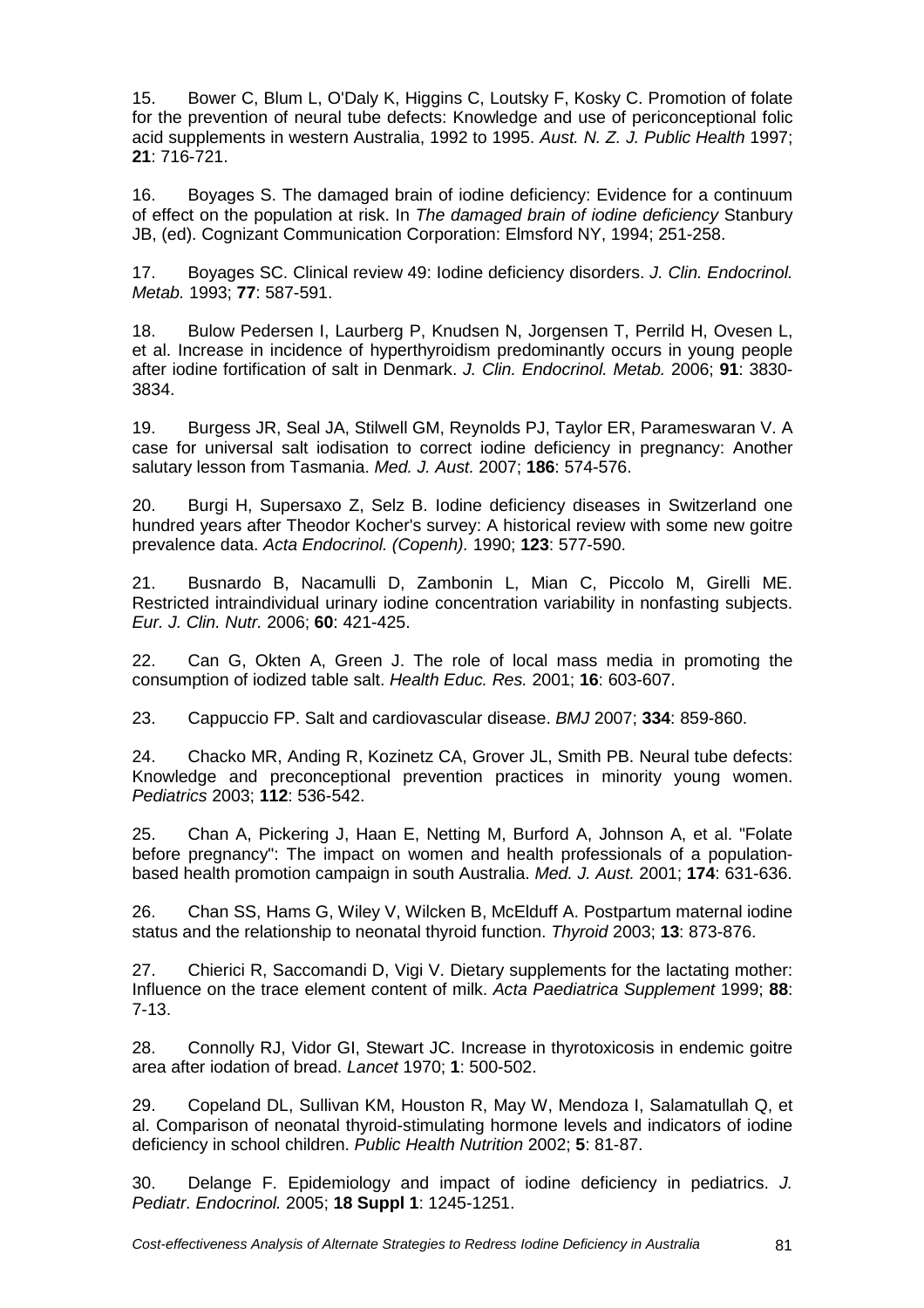15. Bower C, Blum L, O'Daly K, Higgins C, Loutsky F, Kosky C. Promotion of folate for the prevention of neural tube defects: Knowledge and use of periconceptional folic acid supplements in western Australia, 1992 to 1995. Aust. N. Z. J. Public Health 1997; **21**: 716-721.

16. Boyages S. The damaged brain of iodine deficiency: Evidence for a continuum of effect on the population at risk. In The damaged brain of iodine deficiency Stanbury JB, (ed). Cognizant Communication Corporation: Elmsford NY, 1994; 251-258.

17. Boyages SC. Clinical review 49: Iodine deficiency disorders. J. Clin. Endocrinol. Metab. 1993; **77**: 587-591.

18. Bulow Pedersen I, Laurberg P, Knudsen N, Jorgensen T, Perrild H, Ovesen L, et al. Increase in incidence of hyperthyroidism predominantly occurs in young people after iodine fortification of salt in Denmark. J. Clin. Endocrinol. Metab. 2006; **91**: 3830- 3834.

19. Burgess JR, Seal JA, Stilwell GM, Reynolds PJ, Taylor ER, Parameswaran V. A case for universal salt iodisation to correct iodine deficiency in pregnancy: Another salutary lesson from Tasmania. Med. J. Aust. 2007; **186**: 574-576.

20. Burgi H, Supersaxo Z, Selz B. Iodine deficiency diseases in Switzerland one hundred years after Theodor Kocher's survey: A historical review with some new goitre prevalence data. Acta Endocrinol. (Copenh). 1990; **123**: 577-590.

21. Busnardo B, Nacamulli D, Zambonin L, Mian C, Piccolo M, Girelli ME. Restricted intraindividual urinary iodine concentration variability in nonfasting subjects. Eur. J. Clin. Nutr. 2006; **60**: 421-425.

22. Can G, Okten A, Green J. The role of local mass media in promoting the consumption of iodized table salt. Health Educ. Res. 2001; **16**: 603-607.

23. Cappuccio FP. Salt and cardiovascular disease. BMJ 2007; **334**: 859-860.

24. Chacko MR, Anding R, Kozinetz CA, Grover JL, Smith PB. Neural tube defects: Knowledge and preconceptional prevention practices in minority young women. Pediatrics 2003; **112**: 536-542.

25. Chan A, Pickering J, Haan E, Netting M, Burford A, Johnson A, et al. "Folate before pregnancy": The impact on women and health professionals of a populationbased health promotion campaign in south Australia. Med. J. Aust. 2001; **174**: 631-636.

26. Chan SS, Hams G, Wiley V, Wilcken B, McElduff A. Postpartum maternal iodine status and the relationship to neonatal thyroid function. Thyroid 2003; **13**: 873-876.

27. Chierici R, Saccomandi D, Vigi V. Dietary supplements for the lactating mother: Influence on the trace element content of milk. Acta Paediatrica Supplement 1999; **88**: 7-13.

28. Connolly RJ, Vidor GI, Stewart JC. Increase in thyrotoxicosis in endemic goitre area after iodation of bread. Lancet 1970; **1**: 500-502.

29. Copeland DL, Sullivan KM, Houston R, May W, Mendoza I, Salamatullah Q, et al. Comparison of neonatal thyroid-stimulating hormone levels and indicators of iodine deficiency in school children. Public Health Nutrition 2002; **5**: 81-87.

30. Delange F. Epidemiology and impact of iodine deficiency in pediatrics. J. Pediatr. Endocrinol. 2005; **18 Suppl 1**: 1245-1251.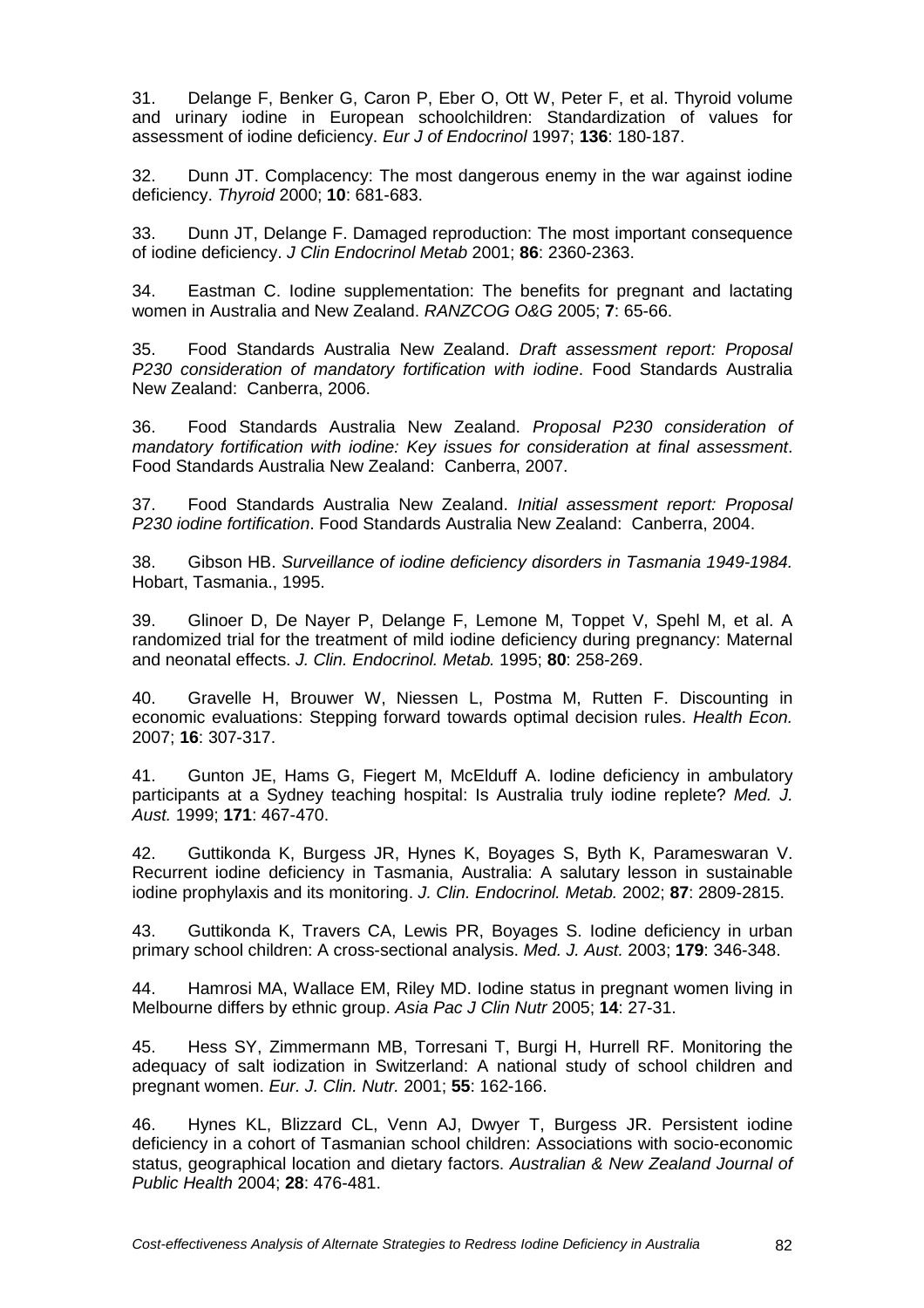31. Delange F, Benker G, Caron P, Eber O, Ott W, Peter F, et al. Thyroid volume and urinary iodine in European schoolchildren: Standardization of values for assessment of iodine deficiency. Eur J of Endocrinol 1997; **136**: 180-187.

32. Dunn JT. Complacency: The most dangerous enemy in the war against iodine deficiency. Thyroid 2000; **10**: 681-683.

33. Dunn JT, Delange F. Damaged reproduction: The most important consequence of iodine deficiency. J Clin Endocrinol Metab 2001; **86**: 2360-2363.

34. Eastman C. Iodine supplementation: The benefits for pregnant and lactating women in Australia and New Zealand. RANZCOG O&G 2005; **7**: 65-66.

35. Food Standards Australia New Zealand. Draft assessment report: Proposal P230 consideration of mandatory fortification with iodine. Food Standards Australia New Zealand: Canberra, 2006.

36. Food Standards Australia New Zealand. Proposal P230 consideration of mandatory fortification with iodine: Key issues for consideration at final assessment. Food Standards Australia New Zealand: Canberra, 2007.

37. Food Standards Australia New Zealand. Initial assessment report: Proposal P230 iodine fortification. Food Standards Australia New Zealand: Canberra, 2004.

38. Gibson HB. Surveillance of iodine deficiency disorders in Tasmania 1949-1984. Hobart, Tasmania., 1995.

39. Glinoer D, De Nayer P, Delange F, Lemone M, Toppet V, Spehl M, et al. A randomized trial for the treatment of mild iodine deficiency during pregnancy: Maternal and neonatal effects. J. Clin. Endocrinol. Metab. 1995; **80**: 258-269.

40. Gravelle H, Brouwer W, Niessen L, Postma M, Rutten F. Discounting in economic evaluations: Stepping forward towards optimal decision rules. Health Econ. 2007; **16**: 307-317.

41. Gunton JE, Hams G, Fiegert M, McElduff A. Iodine deficiency in ambulatory participants at a Sydney teaching hospital: Is Australia truly iodine replete? Med. J. Aust. 1999; **171**: 467-470.

42. Guttikonda K, Burgess JR, Hynes K, Boyages S, Byth K, Parameswaran V. Recurrent iodine deficiency in Tasmania, Australia: A salutary lesson in sustainable iodine prophylaxis and its monitoring. J. Clin. Endocrinol. Metab. 2002; **87**: 2809-2815.

43. Guttikonda K, Travers CA, Lewis PR, Boyages S. Iodine deficiency in urban primary school children: A cross-sectional analysis. Med. J. Aust. 2003; **179**: 346-348.

44. Hamrosi MA, Wallace EM, Riley MD. Iodine status in pregnant women living in Melbourne differs by ethnic group. Asia Pac J Clin Nutr 2005; **14**: 27-31.

45. Hess SY, Zimmermann MB, Torresani T, Burgi H, Hurrell RF. Monitoring the adequacy of salt iodization in Switzerland: A national study of school children and pregnant women. Eur. J. Clin. Nutr. 2001; **55**: 162-166.

46. Hynes KL, Blizzard CL, Venn AJ, Dwyer T, Burgess JR. Persistent iodine deficiency in a cohort of Tasmanian school children: Associations with socio-economic status, geographical location and dietary factors. Australian & New Zealand Journal of Public Health 2004; **28**: 476-481.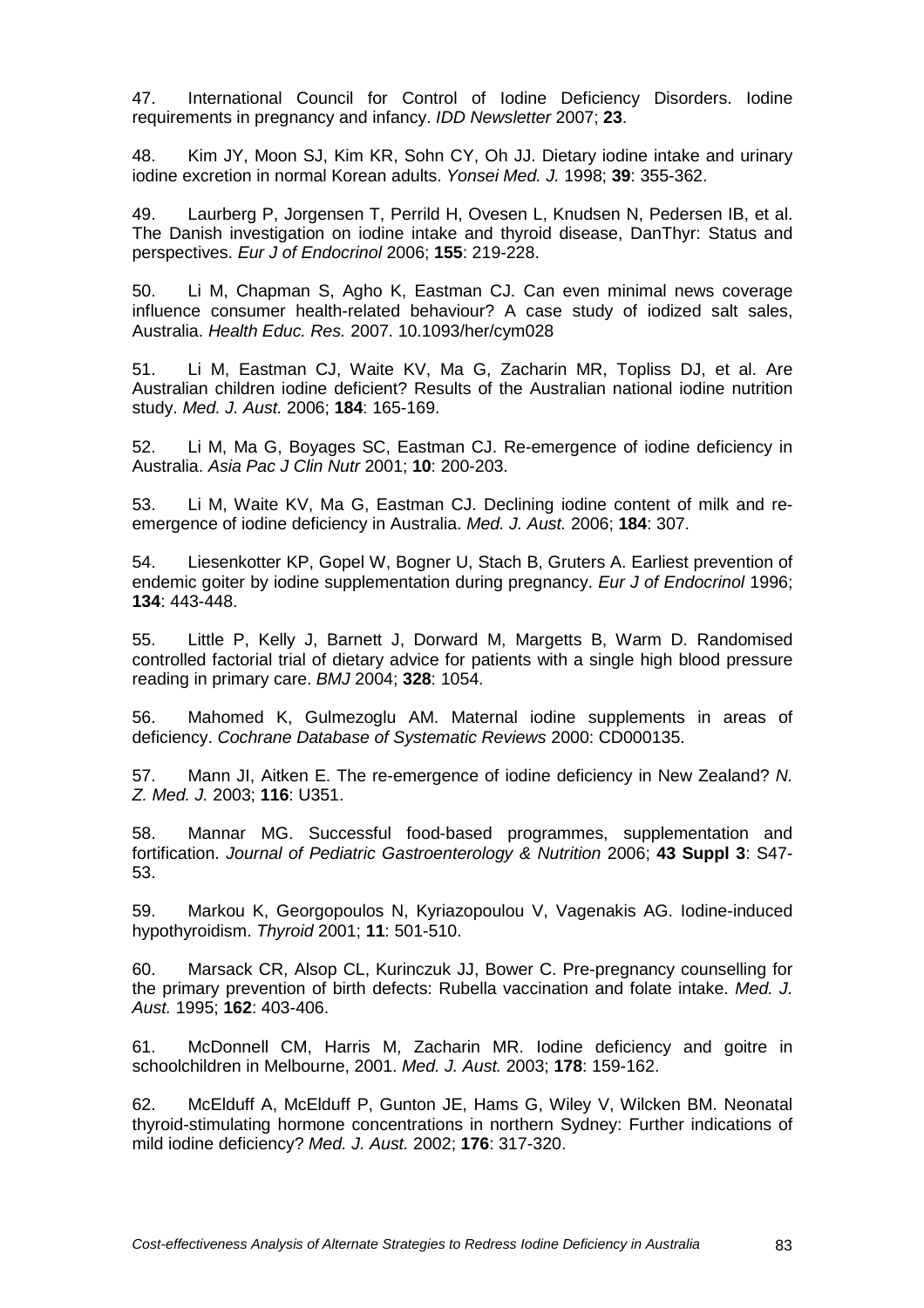47. International Council for Control of Iodine Deficiency Disorders. Iodine requirements in pregnancy and infancy. IDD Newsletter 2007; **23**.

48. Kim JY, Moon SJ, Kim KR, Sohn CY, Oh JJ. Dietary iodine intake and urinary iodine excretion in normal Korean adults. Yonsei Med. J. 1998; **39**: 355-362.

49. Laurberg P, Jorgensen T, Perrild H, Ovesen L, Knudsen N, Pedersen IB, et al. The Danish investigation on iodine intake and thyroid disease, DanThyr: Status and perspectives. Eur J of Endocrinol 2006; **155**: 219-228.

50. Li M, Chapman S, Agho K, Eastman CJ. Can even minimal news coverage influence consumer health-related behaviour? A case study of iodized salt sales, Australia. Health Educ. Res. 2007. 10.1093/her/cym028

51. Li M, Eastman CJ, Waite KV, Ma G, Zacharin MR, Topliss DJ, et al. Are Australian children iodine deficient? Results of the Australian national iodine nutrition study. Med. J. Aust. 2006; **184**: 165-169.

52. Li M, Ma G, Boyages SC, Eastman CJ. Re-emergence of iodine deficiency in Australia. Asia Pac J Clin Nutr 2001; **10**: 200-203.

53. Li M, Waite KV, Ma G, Eastman CJ. Declining iodine content of milk and reemergence of iodine deficiency in Australia. Med. J. Aust. 2006; **184**: 307.

54. Liesenkotter KP, Gopel W, Bogner U, Stach B, Gruters A. Earliest prevention of endemic goiter by iodine supplementation during pregnancy. Eur J of Endocrinol 1996; **134**: 443-448.

55. Little P, Kelly J, Barnett J, Dorward M, Margetts B, Warm D. Randomised controlled factorial trial of dietary advice for patients with a single high blood pressure reading in primary care. BMJ 2004; **328**: 1054.

56. Mahomed K, Gulmezoglu AM. Maternal iodine supplements in areas of deficiency. Cochrane Database of Systematic Reviews 2000: CD000135.

57. Mann JI, Aitken E. The re-emergence of iodine deficiency in New Zealand? N. Z. Med. J. 2003; **116**: U351.

58. Mannar MG. Successful food-based programmes, supplementation and fortification. Journal of Pediatric Gastroenterology & Nutrition 2006; **43 Suppl 3**: S47- 53.

59. Markou K, Georgopoulos N, Kyriazopoulou V, Vagenakis AG. Iodine-induced hypothyroidism. Thyroid 2001; **11**: 501-510.

60. Marsack CR, Alsop CL, Kurinczuk JJ, Bower C. Pre-pregnancy counselling for the primary prevention of birth defects: Rubella vaccination and folate intake. Med. J. Aust. 1995; **162**: 403-406.

61. McDonnell CM, Harris M, Zacharin MR. Iodine deficiency and goitre in schoolchildren in Melbourne, 2001. Med. J. Aust. 2003; **178**: 159-162.

62. McElduff A, McElduff P, Gunton JE, Hams G, Wiley V, Wilcken BM. Neonatal thyroid-stimulating hormone concentrations in northern Sydney: Further indications of mild iodine deficiency? Med. J. Aust. 2002; **176**: 317-320.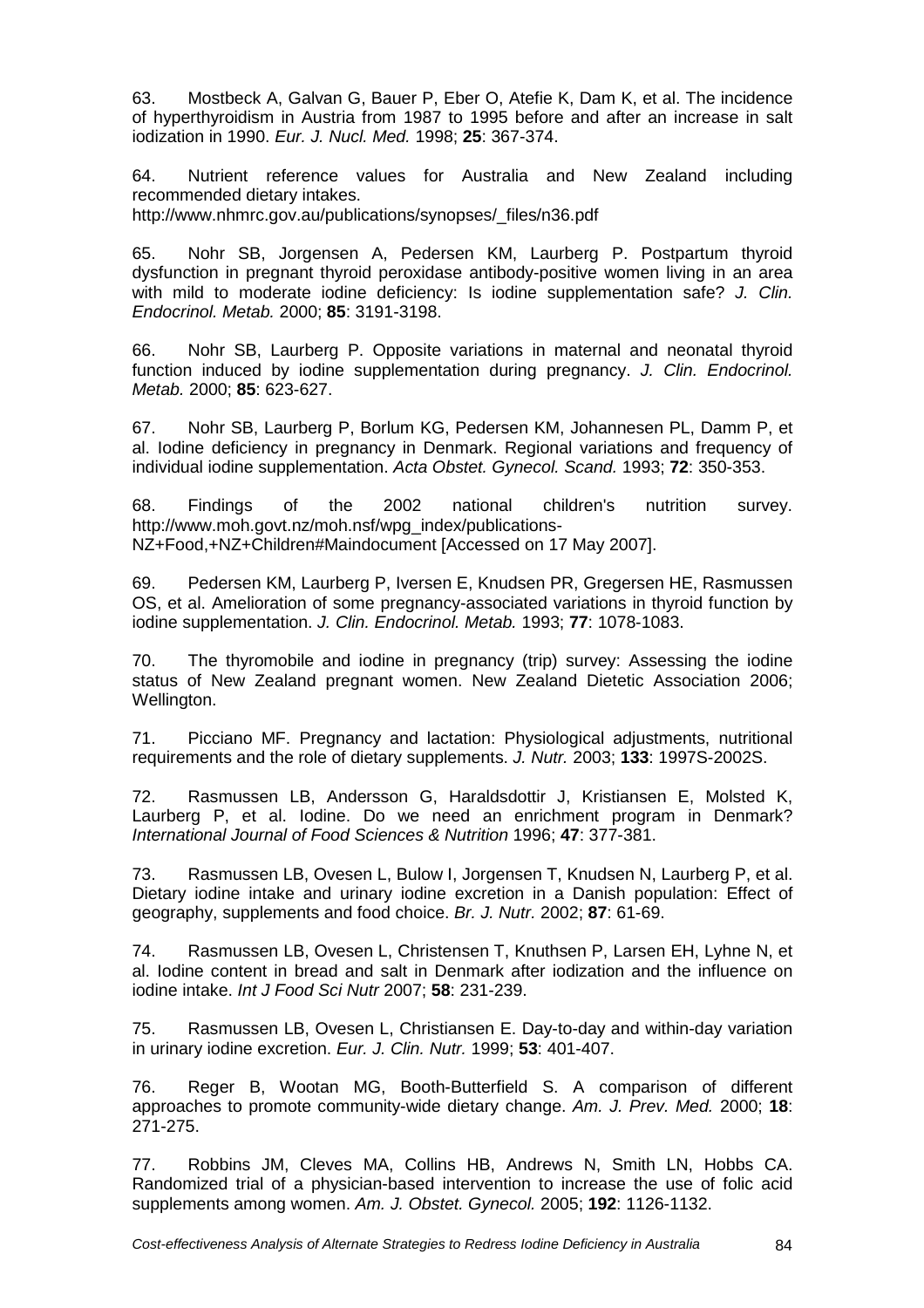63. Mostbeck A, Galvan G, Bauer P, Eber O, Atefie K, Dam K, et al. The incidence of hyperthyroidism in Austria from 1987 to 1995 before and after an increase in salt iodization in 1990. Eur. J. Nucl. Med. 1998; **25**: 367-374.

64. Nutrient reference values for Australia and New Zealand including recommended dietary intakes.

http://www.nhmrc.gov.au/publications/synopses/\_files/n36.pdf

65. Nohr SB, Jorgensen A, Pedersen KM, Laurberg P. Postpartum thyroid dysfunction in pregnant thyroid peroxidase antibody-positive women living in an area with mild to moderate iodine deficiency: Is iodine supplementation safe? J. Clin. Endocrinol. Metab. 2000; **85**: 3191-3198.

66. Nohr SB, Laurberg P. Opposite variations in maternal and neonatal thyroid function induced by iodine supplementation during pregnancy. J. Clin. Endocrinol. Metab. 2000; **85**: 623-627.

67. Nohr SB, Laurberg P, Borlum KG, Pedersen KM, Johannesen PL, Damm P, et al. Iodine deficiency in pregnancy in Denmark. Regional variations and frequency of individual iodine supplementation. Acta Obstet. Gynecol. Scand. 1993; **72**: 350-353.

68. Findings of the 2002 national children's nutrition survey. http://www.moh.govt.nz/moh.nsf/wpg\_index/publications-NZ+Food,+NZ+Children#Maindocument [Accessed on 17 May 2007].

69. Pedersen KM, Laurberg P, Iversen E, Knudsen PR, Gregersen HE, Rasmussen OS, et al. Amelioration of some pregnancy-associated variations in thyroid function by iodine supplementation. J. Clin. Endocrinol. Metab. 1993; **77**: 1078-1083.

70. The thyromobile and iodine in pregnancy (trip) survey: Assessing the iodine status of New Zealand pregnant women. New Zealand Dietetic Association 2006; Wellington.

71. Picciano MF. Pregnancy and lactation: Physiological adjustments, nutritional requirements and the role of dietary supplements. J. Nutr. 2003; **133**: 1997S-2002S.

72. Rasmussen LB, Andersson G, Haraldsdottir J, Kristiansen E, Molsted K, Laurberg P, et al. Iodine. Do we need an enrichment program in Denmark? International Journal of Food Sciences & Nutrition 1996; **47**: 377-381.

73. Rasmussen LB, Ovesen L, Bulow I, Jorgensen T, Knudsen N, Laurberg P, et al. Dietary iodine intake and urinary iodine excretion in a Danish population: Effect of geography, supplements and food choice. Br. J. Nutr. 2002; **87**: 61-69.

74. Rasmussen LB, Ovesen L, Christensen T, Knuthsen P, Larsen EH, Lyhne N, et al. Iodine content in bread and salt in Denmark after iodization and the influence on iodine intake. Int J Food Sci Nutr 2007; **58**: 231-239.

75. Rasmussen LB, Ovesen L, Christiansen E. Day-to-day and within-day variation in urinary iodine excretion. Eur. J. Clin. Nutr. 1999; **53**: 401-407.

76. Reger B, Wootan MG, Booth-Butterfield S. A comparison of different approaches to promote community-wide dietary change. Am. J. Prev. Med. 2000; **18**: 271-275.

77. Robbins JM, Cleves MA, Collins HB, Andrews N, Smith LN, Hobbs CA. Randomized trial of a physician-based intervention to increase the use of folic acid supplements among women. Am. J. Obstet. Gynecol. 2005; **192**: 1126-1132.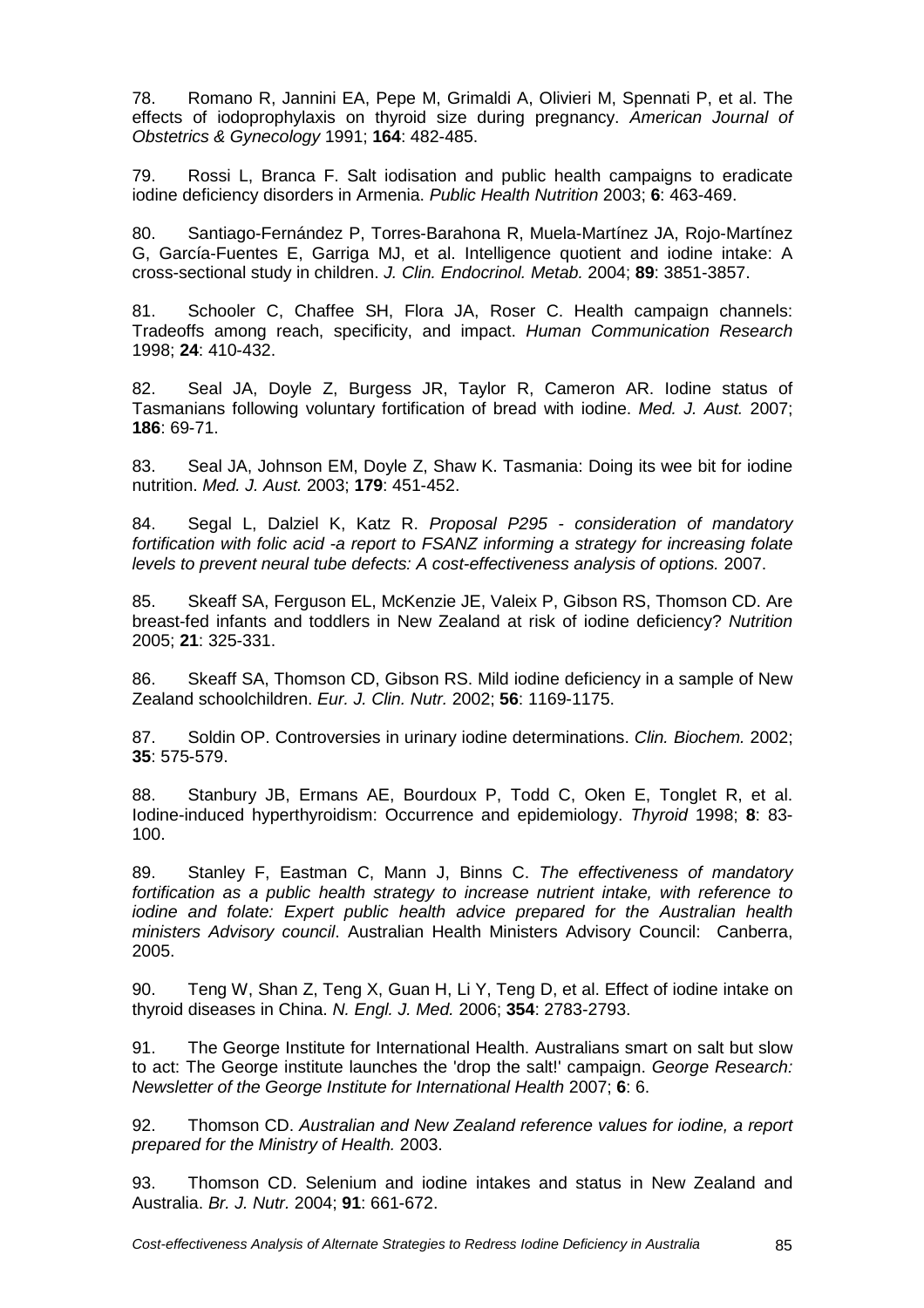78. Romano R, Jannini EA, Pepe M, Grimaldi A, Olivieri M, Spennati P, et al. The effects of iodoprophylaxis on thyroid size during pregnancy. American Journal of Obstetrics & Gynecology 1991; **164**: 482-485.

79. Rossi L, Branca F. Salt iodisation and public health campaigns to eradicate iodine deficiency disorders in Armenia. Public Health Nutrition 2003; **6**: 463-469.

80. Santiago-Fernández P, Torres-Barahona R, Muela-Martínez JA, Rojo-Martínez G, García-Fuentes E, Garriga MJ, et al. Intelligence quotient and iodine intake: A cross-sectional study in children. J. Clin. Endocrinol. Metab. 2004; **89**: 3851-3857.

81. Schooler C, Chaffee SH, Flora JA, Roser C. Health campaign channels: Tradeoffs among reach, specificity, and impact. Human Communication Research 1998; **24**: 410-432.

82. Seal JA, Doyle Z, Burgess JR, Taylor R, Cameron AR. Iodine status of Tasmanians following voluntary fortification of bread with iodine. Med. J. Aust. 2007; **186**: 69-71.

83. Seal JA, Johnson EM, Doyle Z, Shaw K. Tasmania: Doing its wee bit for iodine nutrition. Med. J. Aust. 2003; **179**: 451-452.

84. Segal L, Dalziel K, Katz R. Proposal P295 - consideration of mandatory fortification with folic acid -a report to FSANZ informing a strategy for increasing folate levels to prevent neural tube defects: A cost-effectiveness analysis of options. 2007.

85. Skeaff SA, Ferguson EL, McKenzie JE, Valeix P, Gibson RS, Thomson CD. Are breast-fed infants and toddlers in New Zealand at risk of iodine deficiency? Nutrition 2005; **21**: 325-331.

86. Skeaff SA, Thomson CD, Gibson RS. Mild iodine deficiency in a sample of New Zealand schoolchildren. Eur. J. Clin. Nutr. 2002; **56**: 1169-1175.

87. Soldin OP. Controversies in urinary iodine determinations. Clin. Biochem. 2002; **35**: 575-579.

88. Stanbury JB, Ermans AE, Bourdoux P, Todd C, Oken E, Tonglet R, et al. Iodine-induced hyperthyroidism: Occurrence and epidemiology. Thyroid 1998; **8**: 83- 100.

89. Stanley F, Eastman C, Mann J, Binns C. The effectiveness of mandatory fortification as a public health strategy to increase nutrient intake, with reference to iodine and folate: Expert public health advice prepared for the Australian health ministers Advisory council. Australian Health Ministers Advisory Council: Canberra, 2005.

90. Teng W, Shan Z, Teng X, Guan H, Li Y, Teng D, et al. Effect of iodine intake on thyroid diseases in China. N. Engl. J. Med. 2006; **354**: 2783-2793.

91. The George Institute for International Health. Australians smart on salt but slow to act: The George institute launches the 'drop the salt!' campaign. George Research: Newsletter of the George Institute for International Health 2007; **6**: 6.

92. Thomson CD. Australian and New Zealand reference values for iodine, a report prepared for the Ministry of Health. 2003.

93. Thomson CD. Selenium and iodine intakes and status in New Zealand and Australia. Br. J. Nutr. 2004; **91**: 661-672.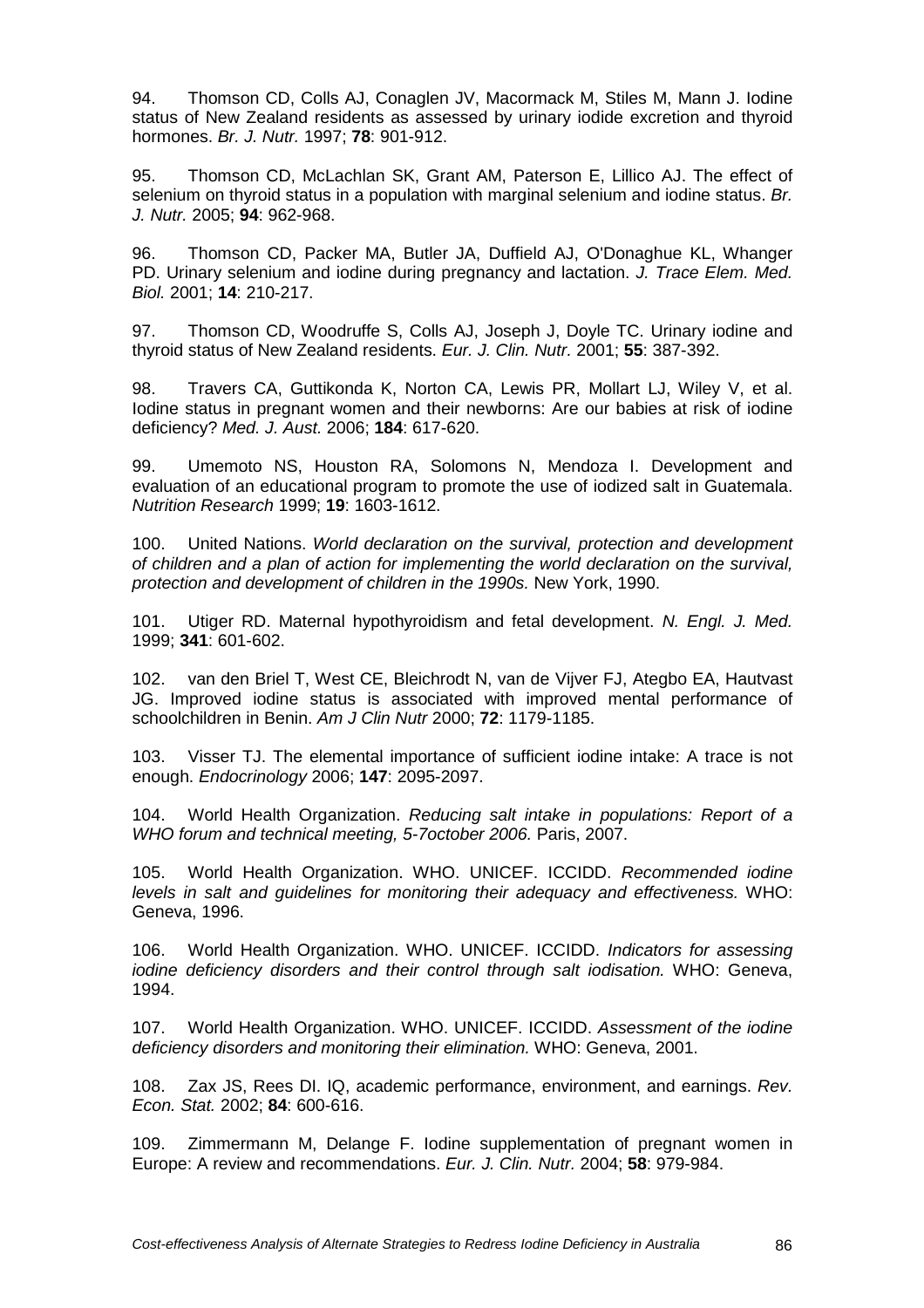94. Thomson CD, Colls AJ, Conaglen JV, Macormack M, Stiles M, Mann J. Iodine status of New Zealand residents as assessed by urinary iodide excretion and thyroid hormones. Br. J. Nutr. 1997; **78**: 901-912.

95. Thomson CD, McLachlan SK, Grant AM, Paterson E, Lillico AJ. The effect of selenium on thyroid status in a population with marginal selenium and iodine status. Br. J. Nutr. 2005; **94**: 962-968.

96. Thomson CD, Packer MA, Butler JA, Duffield AJ, O'Donaghue KL, Whanger PD. Urinary selenium and iodine during pregnancy and lactation. J. Trace Elem. Med. Biol. 2001; **14**: 210-217.

97. Thomson CD, Woodruffe S, Colls AJ, Joseph J, Doyle TC. Urinary iodine and thyroid status of New Zealand residents. Eur. J. Clin. Nutr. 2001; **55**: 387-392.

98. Travers CA, Guttikonda K, Norton CA, Lewis PR, Mollart LJ, Wiley V, et al. Iodine status in pregnant women and their newborns: Are our babies at risk of iodine deficiency? Med. J. Aust. 2006; **184**: 617-620.

99. Umemoto NS, Houston RA, Solomons N, Mendoza I. Development and evaluation of an educational program to promote the use of iodized salt in Guatemala. Nutrition Research 1999; **19**: 1603-1612.

100. United Nations. World declaration on the survival, protection and development of children and a plan of action for implementing the world declaration on the survival, protection and development of children in the 1990s. New York, 1990.

101. Utiger RD. Maternal hypothyroidism and fetal development. N. Engl. J. Med. 1999; **341**: 601-602.

102. van den Briel T, West CE, Bleichrodt N, van de Vijver FJ, Ategbo EA, Hautvast JG. Improved iodine status is associated with improved mental performance of schoolchildren in Benin. Am J Clin Nutr 2000; **72**: 1179-1185.

103. Visser TJ. The elemental importance of sufficient iodine intake: A trace is not enough. Endocrinology 2006; **147**: 2095-2097.

104. World Health Organization. Reducing salt intake in populations: Report of a WHO forum and technical meeting, 5-7october 2006. Paris, 2007.

105. World Health Organization. WHO. UNICEF. ICCIDD. Recommended iodine levels in salt and guidelines for monitoring their adequacy and effectiveness. WHO: Geneva, 1996.

106. World Health Organization. WHO. UNICEF. ICCIDD. Indicators for assessing iodine deficiency disorders and their control through salt iodisation. WHO: Geneva, 1994.

107. World Health Organization. WHO. UNICEF. ICCIDD. Assessment of the iodine deficiency disorders and monitoring their elimination. WHO: Geneva, 2001.

108. Zax JS, Rees DI. IQ, academic performance, environment, and earnings. Rev. Econ. Stat. 2002; **84**: 600-616.

109. Zimmermann M, Delange F. Iodine supplementation of pregnant women in Europe: A review and recommendations. Eur. J. Clin. Nutr. 2004; **58**: 979-984.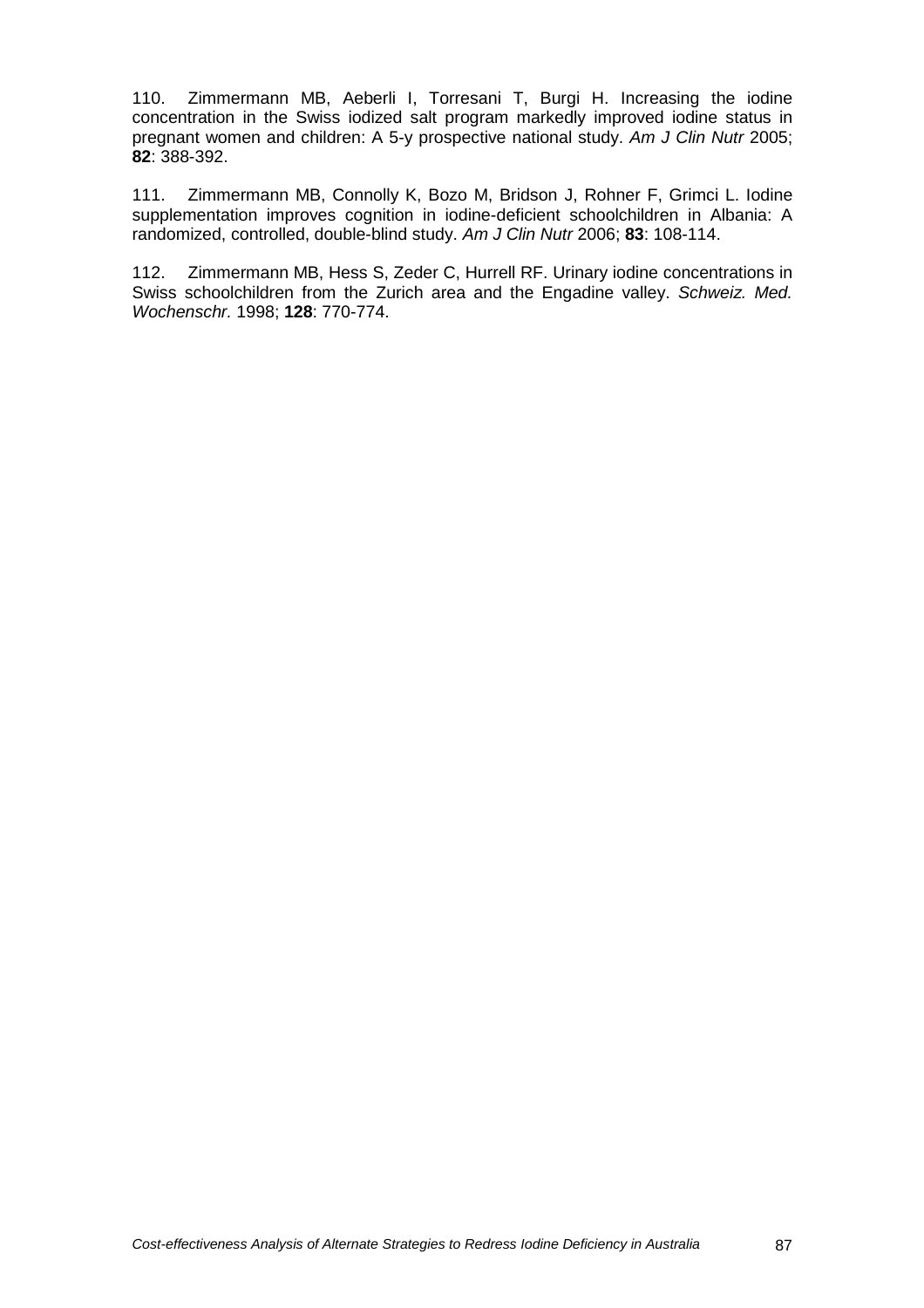110. Zimmermann MB, Aeberli I, Torresani T, Burgi H. Increasing the iodine concentration in the Swiss iodized salt program markedly improved iodine status in pregnant women and children: A 5-y prospective national study. Am J Clin Nutr 2005; **82**: 388-392.

111. Zimmermann MB, Connolly K, Bozo M, Bridson J, Rohner F, Grimci L. Iodine supplementation improves cognition in iodine-deficient schoolchildren in Albania: A randomized, controlled, double-blind study. Am J Clin Nutr 2006; **83**: 108-114.

112. Zimmermann MB, Hess S, Zeder C, Hurrell RF. Urinary iodine concentrations in Swiss schoolchildren from the Zurich area and the Engadine valley. Schweiz. Med. Wochenschr. 1998; **128**: 770-774.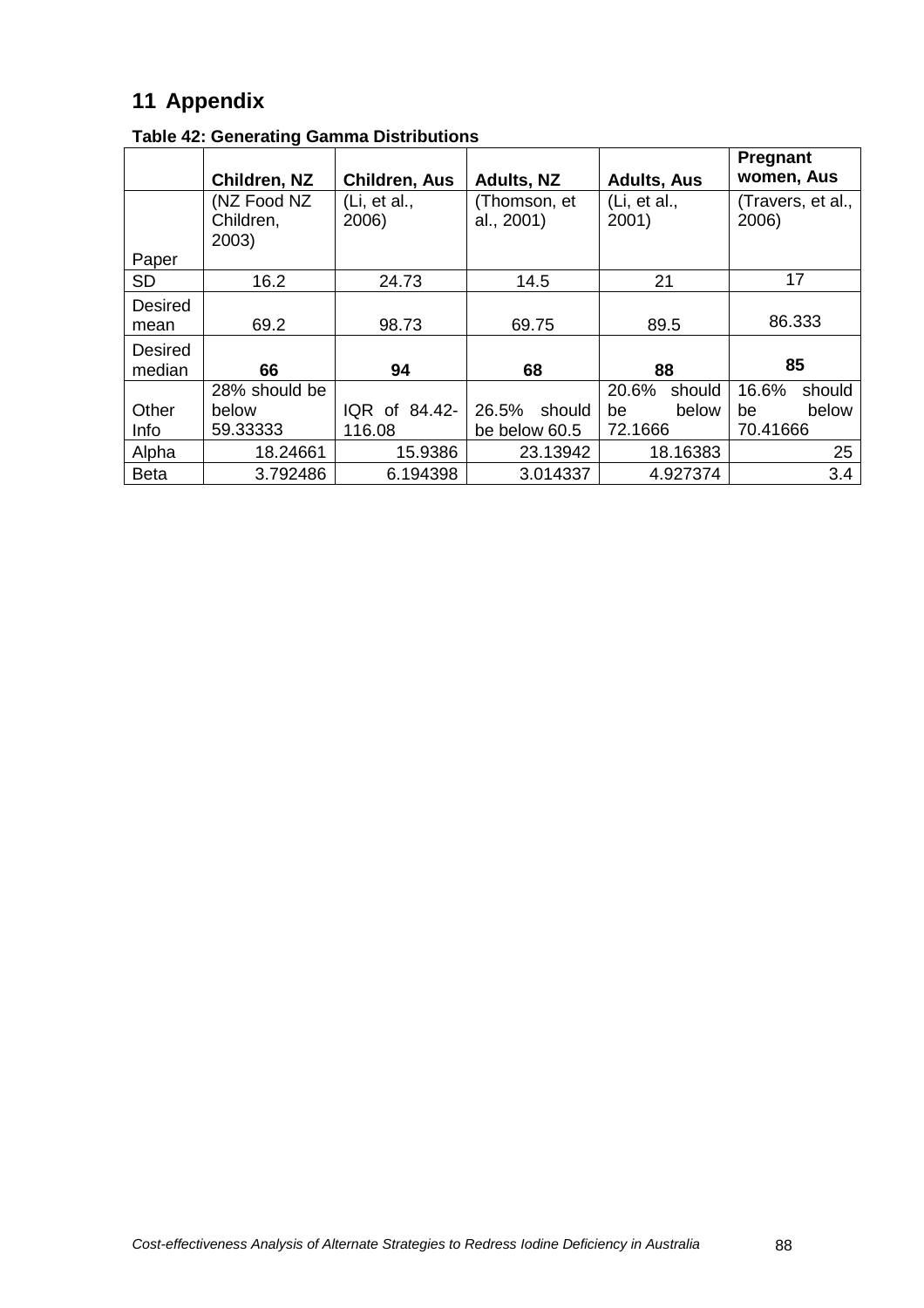# **11 Appendix**

|                          | Children, NZ                      | <b>Children, Aus</b>  | <b>Adults, NZ</b>          | <b>Adults, Aus</b>    | <b>Pregnant</b><br>women, Aus |
|--------------------------|-----------------------------------|-----------------------|----------------------------|-----------------------|-------------------------------|
|                          | (NZ Food NZ<br>Children,<br>2003) | (Li, et al.,<br>2006) | (Thomson, et<br>al., 2001) | (Li, et al.,<br>2001) | (Travers, et al.,<br>2006)    |
| Paper                    |                                   |                       |                            |                       |                               |
| <b>SD</b>                | 16.2                              | 24.73                 | 14.5                       | 21                    | 17                            |
| <b>Desired</b><br>mean   | 69.2                              | 98.73                 | 69.75                      | 89.5                  | 86.333                        |
| <b>Desired</b><br>median | 66                                | 94                    | 68                         | 88                    | 85                            |
|                          | 28% should be                     |                       |                            | 20.6%<br>should       | 16.6%<br>should               |
| Other                    | below                             | IQR of 84.42-         | 26.5%<br>should            | below<br>be           | below<br>be                   |
| Info                     | 59.33333                          | 116.08                | be below 60.5              | 72.1666               | 70.41666                      |
| Alpha                    | 18.24661                          | 15.9386               | 23.13942                   | 18.16383              | 25                            |
| <b>Beta</b>              | 3.792486                          | 6.194398              | 3.014337                   | 4.927374              | 3.4                           |

**Table 42: Generating Gamma Distributions**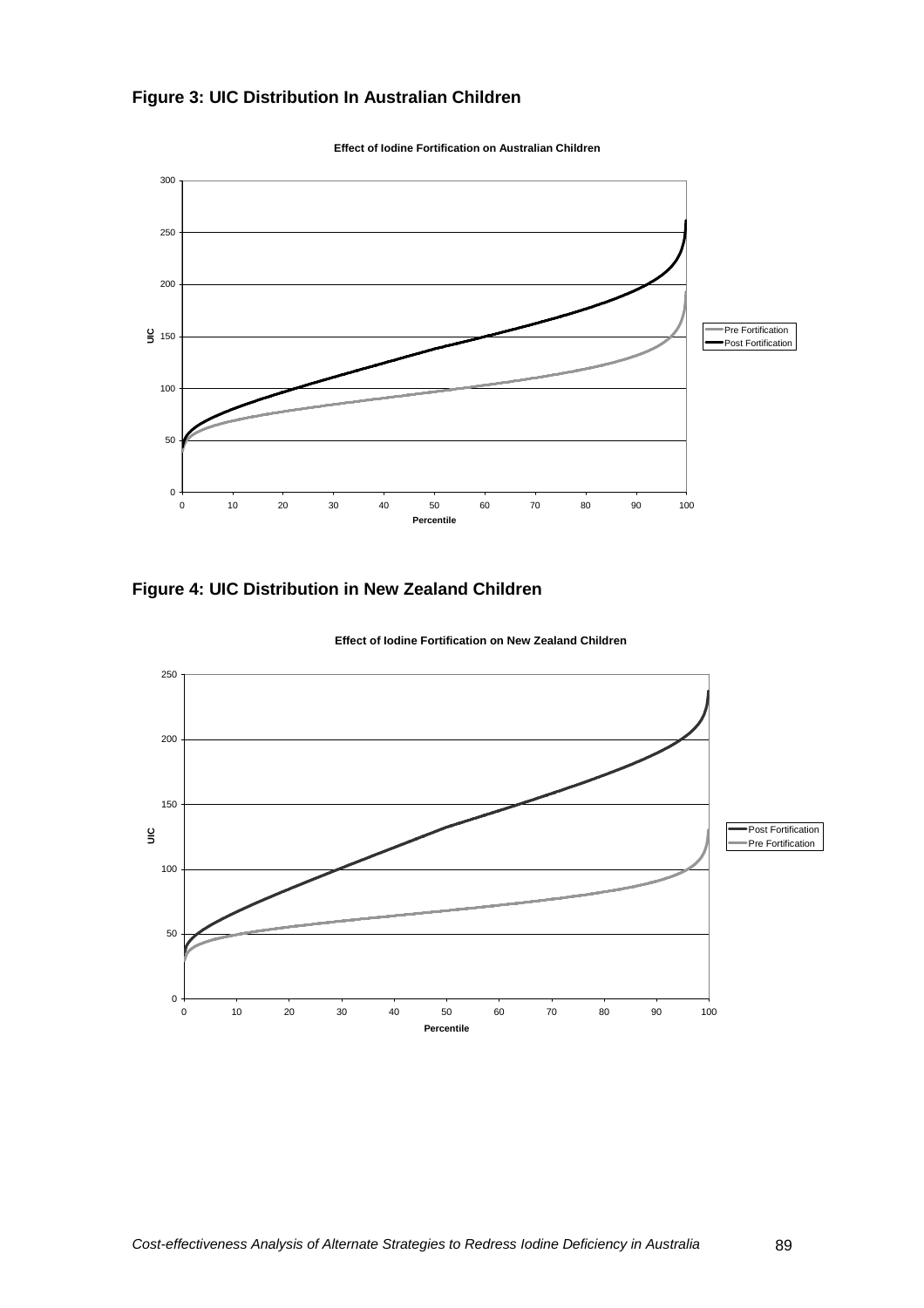



**Effect of Iodine Fortification on Australian Children**

**Figure 4: UIC Distribution in New Zealand Children** 



**Effect of Iodine Fortification on New Zealand Children**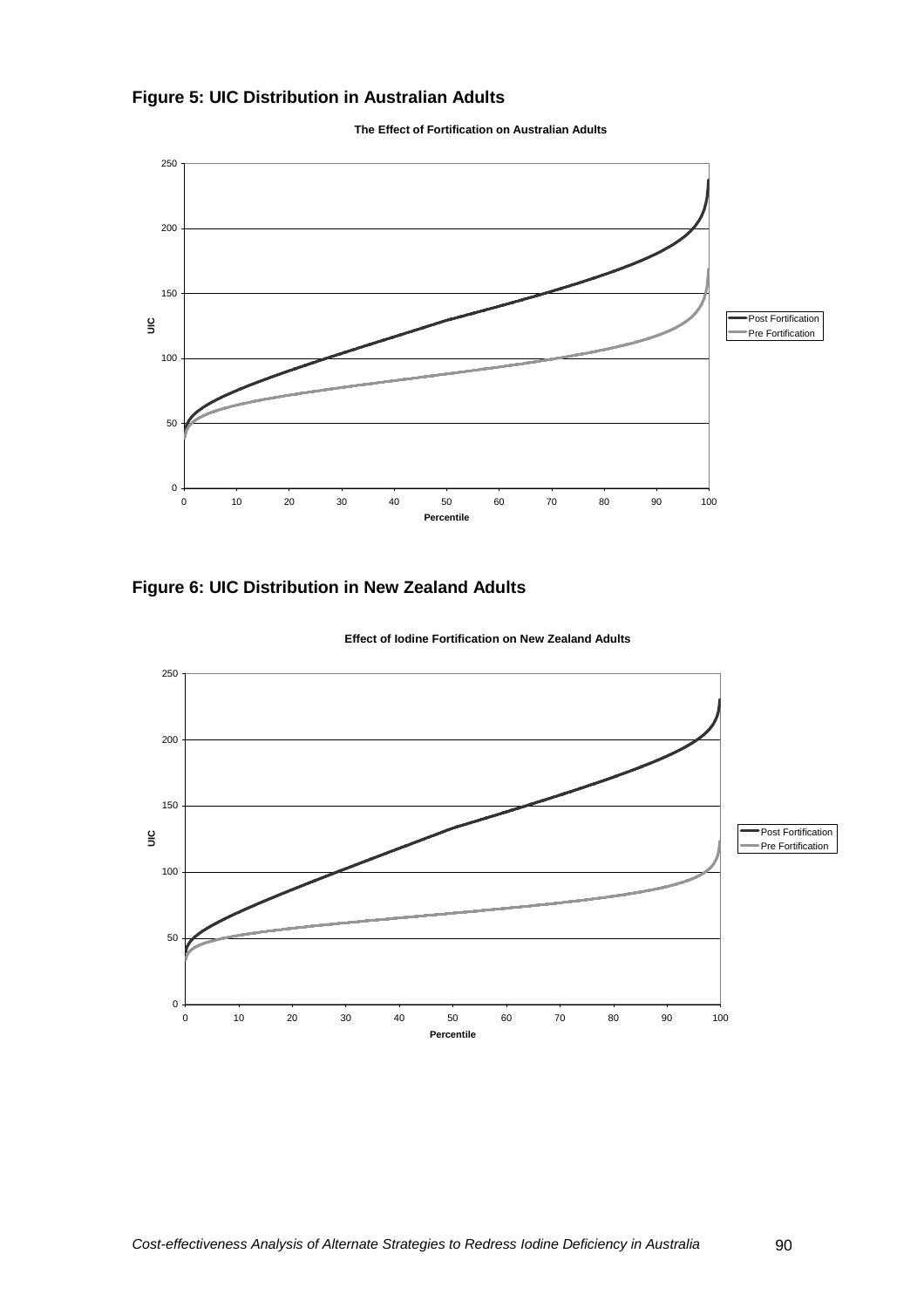# **Figure 5: UIC Distribution in Australian Adults**



**The Effect of Fortification on Australian Adults**